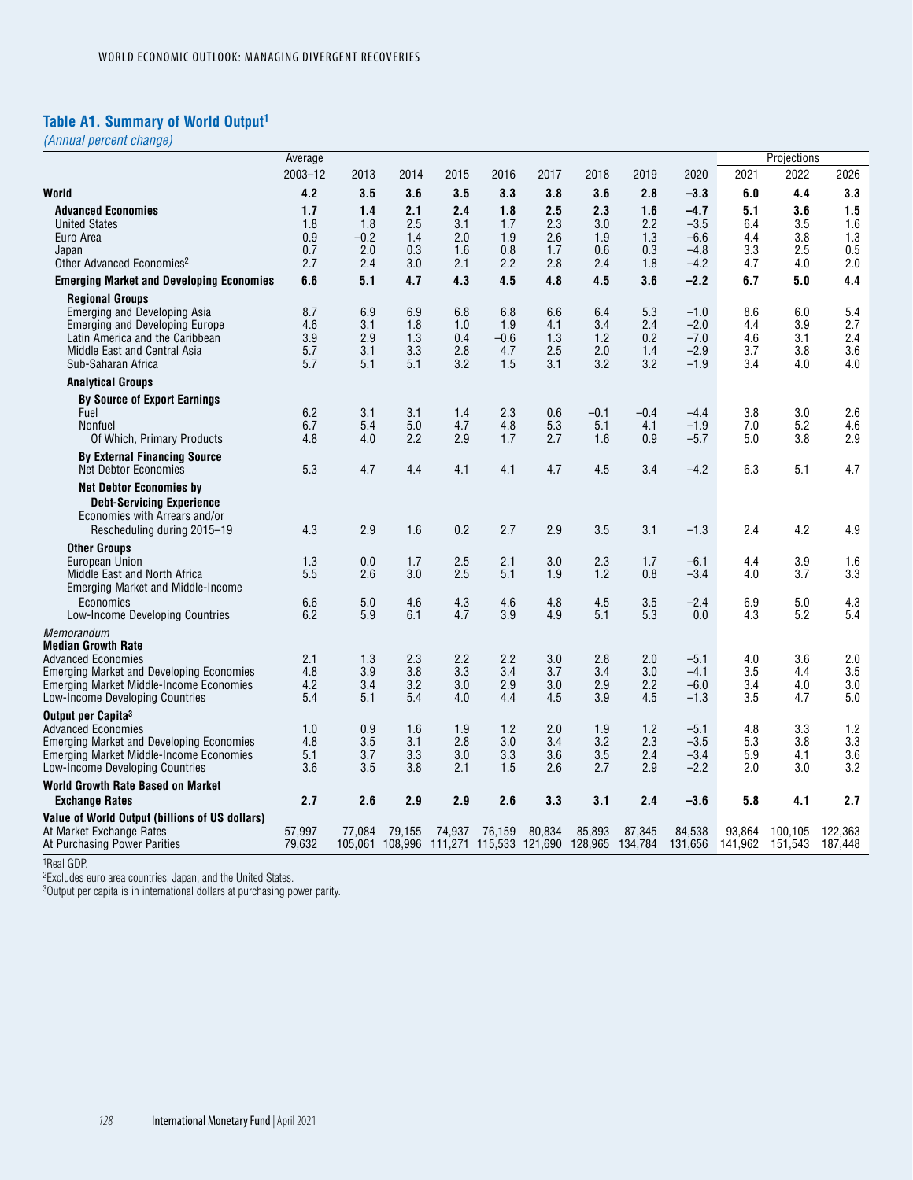# **Table A1. Summary of World Output1**

*(Annual percent change)*

|                                                                                                                                                                                                              | Average                         |                                    |                                 |                                 |                                                                   |                                 |                                 |                                 |                                                |                                 | Projections                     |                                 |
|--------------------------------------------------------------------------------------------------------------------------------------------------------------------------------------------------------------|---------------------------------|------------------------------------|---------------------------------|---------------------------------|-------------------------------------------------------------------|---------------------------------|---------------------------------|---------------------------------|------------------------------------------------|---------------------------------|---------------------------------|---------------------------------|
|                                                                                                                                                                                                              | $2003 - 12$                     | 2013                               | 2014                            | 2015                            | 2016                                                              | 2017                            | 2018                            | 2019                            | 2020                                           | 2021                            | 2022                            | 2026                            |
| World                                                                                                                                                                                                        | 4.2                             | 3.5                                | 3.6                             | 3.5                             | 3.3                                                               | 3.8                             | 3.6                             | 2.8                             | $-3.3$                                         | 6.0                             | 4.4                             | 3.3                             |
| <b>Advanced Economies</b><br><b>United States</b><br>Euro Area<br>Japan<br>Other Advanced Economies <sup>2</sup>                                                                                             | 1.7<br>1.8<br>0.9<br>0.7<br>2.7 | 1.4<br>1.8<br>$-0.2$<br>2.0<br>2.4 | 2.1<br>2.5<br>1.4<br>0.3<br>3.0 | 2.4<br>3.1<br>2.0<br>1.6<br>2.1 | 1.8<br>1.7<br>1.9<br>0.8<br>2.2                                   | 2.5<br>2.3<br>2.6<br>1.7<br>2.8 | 2.3<br>3.0<br>1.9<br>0.6<br>2.4 | 1.6<br>2.2<br>1.3<br>0.3<br>1.8 | $-4.7$<br>$-3.5$<br>$-6.6$<br>$-4.8$<br>$-4.2$ | 5.1<br>6.4<br>4.4<br>3.3<br>4.7 | 3.6<br>3.5<br>3.8<br>2.5<br>4.0 | 1.5<br>1.6<br>1.3<br>0.5<br>2.0 |
| <b>Emerging Market and Developing Economies</b>                                                                                                                                                              | 6.6                             | 5.1                                | 4.7                             | 4.3                             | 4.5                                                               | 4.8                             | 4.5                             | 3.6                             | $-2.2$                                         | 6.7                             | 5.0                             | 4.4                             |
| <b>Regional Groups</b><br>Emerging and Developing Asia<br><b>Emerging and Developing Europe</b><br>Latin America and the Caribbean<br>Middle East and Central Asia<br>Sub-Saharan Africa                     | 8.7<br>4.6<br>3.9<br>5.7<br>5.7 | 6.9<br>3.1<br>2.9<br>3.1<br>5.1    | 6.9<br>1.8<br>1.3<br>3.3<br>5.1 | 6.8<br>1.0<br>0.4<br>2.8<br>3.2 | 6.8<br>1.9<br>$-0.6$<br>4.7<br>1.5                                | 6.6<br>4.1<br>1.3<br>2.5<br>3.1 | 6.4<br>3.4<br>1.2<br>2.0<br>3.2 | 5.3<br>2.4<br>0.2<br>1.4<br>3.2 | $-1.0$<br>$-2.0$<br>$-7.0$<br>$-2.9$<br>$-1.9$ | 8.6<br>4.4<br>4.6<br>3.7<br>3.4 | 6.0<br>3.9<br>3.1<br>3.8<br>4.0 | 5.4<br>2.7<br>2.4<br>3.6<br>4.0 |
| <b>Analytical Groups</b>                                                                                                                                                                                     |                                 |                                    |                                 |                                 |                                                                   |                                 |                                 |                                 |                                                |                                 |                                 |                                 |
| <b>By Source of Export Earnings</b><br>Fuel<br>Nonfuel<br>Of Which, Primary Products                                                                                                                         | 6.2<br>6.7<br>4.8               | 3.1<br>5.4<br>4.0                  | 3.1<br>5.0<br>2.2               | 1.4<br>4.7<br>2.9               | 2.3<br>4.8<br>1.7                                                 | 0.6<br>5.3<br>2.7               | $-0.1$<br>5.1<br>1.6            | $-0.4$<br>4.1<br>0.9            | $-4.4$<br>$-1.9$<br>$-5.7$                     | 3.8<br>7.0<br>5.0               | 3.0<br>5.2<br>3.8               | 2.6<br>4.6<br>2.9               |
| <b>By External Financing Source</b><br><b>Net Debtor Economies</b>                                                                                                                                           | 5.3                             | 4.7                                | 4.4                             | 4.1                             | 4.1                                                               | 4.7                             | 4.5                             | 3.4                             | $-4.2$                                         | 6.3                             | 5.1                             | 4.7                             |
| <b>Net Debtor Economies by</b><br><b>Debt-Servicing Experience</b><br>Economies with Arrears and/or<br>Rescheduling during 2015-19                                                                           | 4.3                             | 2.9                                | 1.6                             | 0.2                             | 2.7                                                               | 2.9                             | 3.5                             | 3.1                             | $-1.3$                                         | 2.4                             | 4.2                             | 4.9                             |
| <b>Other Groups</b><br>European Union<br>Middle East and North Africa<br><b>Emerging Market and Middle-Income</b>                                                                                            | 1.3<br>5.5                      | 0.0<br>2.6                         | 1.7<br>3.0                      | 2.5<br>2.5                      | 2.1<br>5.1                                                        | 3.0<br>1.9                      | 2.3<br>1.2                      | 1.7<br>0.8                      | $-6.1$<br>$-3.4$                               | 4.4<br>4.0                      | 3.9<br>3.7                      | 1.6<br>3.3                      |
| Economies<br>Low-Income Developing Countries                                                                                                                                                                 | 6.6<br>6.2                      | 5.0<br>5.9                         | 4.6<br>6.1                      | 4.3<br>4.7                      | 4.6<br>3.9                                                        | $4.8\,$<br>4.9                  | 4.5<br>5.1                      | 3.5<br>5.3                      | $-2.4$<br>0.0                                  | 6.9<br>4.3                      | 5.0<br>5.2                      | 4.3<br>5.4                      |
| Memorandum<br><b>Median Growth Rate</b><br><b>Advanced Economies</b><br><b>Emerging Market and Developing Economies</b><br><b>Emerging Market Middle-Income Economies</b><br>Low-Income Developing Countries | 2.1<br>4.8<br>4.2<br>5.4        | 1.3<br>3.9<br>3.4<br>5.1           | 2.3<br>3.8<br>3.2<br>5.4        | 2.2<br>3.3<br>3.0<br>4.0        | 2.2<br>3.4<br>2.9<br>4.4                                          | 3.0<br>3.7<br>3.0<br>4.5        | 2.8<br>3.4<br>2.9<br>3.9        | 2.0<br>3.0<br>2.2<br>4.5        | $-5.1$<br>$-4.1$<br>$-6.0$<br>$-1.3$           | 4.0<br>3.5<br>3.4<br>3.5        | 3.6<br>4.4<br>4.0<br>4.7        | 2.0<br>3.5<br>3.0<br>5.0        |
| Output per Capita <sup>3</sup><br>Advanced Economies<br><b>Emerging Market and Developing Economies</b><br><b>Emerging Market Middle-Income Economies</b><br>Low-Income Developing Countries                 | 1.0<br>4.8<br>5.1<br>3.6        | 0.9<br>3.5<br>3.7<br>3.5           | 1.6<br>3.1<br>3.3<br>3.8        | 1.9<br>2.8<br>3.0<br>2.1        | 1.2<br>3.0<br>3.3<br>1.5                                          | 2.0<br>3.4<br>3.6<br>2.6        | 1.9<br>3.2<br>3.5<br>2.7        | 1.2<br>2.3<br>2.4<br>2.9        | $-5.1$<br>$-3.5$<br>$-3.4$<br>$-2.2$           | 4.8<br>5.3<br>5.9<br>2.0        | 3.3<br>3.8<br>4.1<br>3.0        | 1.2<br>3.3<br>3.6<br>3.2        |
| World Growth Rate Based on Market                                                                                                                                                                            |                                 |                                    |                                 |                                 |                                                                   |                                 |                                 |                                 |                                                |                                 |                                 |                                 |
| <b>Exchange Rates</b>                                                                                                                                                                                        | 2.7                             | 2.6                                | 2.9                             | 2.9                             | 2.6                                                               | 3.3                             | 3.1                             | 2.4                             | $-3.6$                                         | 5.8                             | 4.1                             | 2.7                             |
| Value of World Output (billions of US dollars)<br>At Market Exchange Rates<br>At Purchasing Power Parities                                                                                                   | 57,997<br>79,632                | 77.084                             | 79.155                          | 74.937                          | 76,159<br>105,061 108,996 111,271 115,533 121,690 128,965 134,784 | 80,834                          | 85,893                          | 87,345                          | 84,538<br>131,656                              | 93,864<br>141,962               | 100.105<br>151,543              | 122.363<br>187.448              |
|                                                                                                                                                                                                              |                                 |                                    |                                 |                                 |                                                                   |                                 |                                 |                                 |                                                |                                 |                                 |                                 |

1Real GDP.

2Excludes euro area countries, Japan, and the United States.

3Output per capita is in international dollars at purchasing power parity.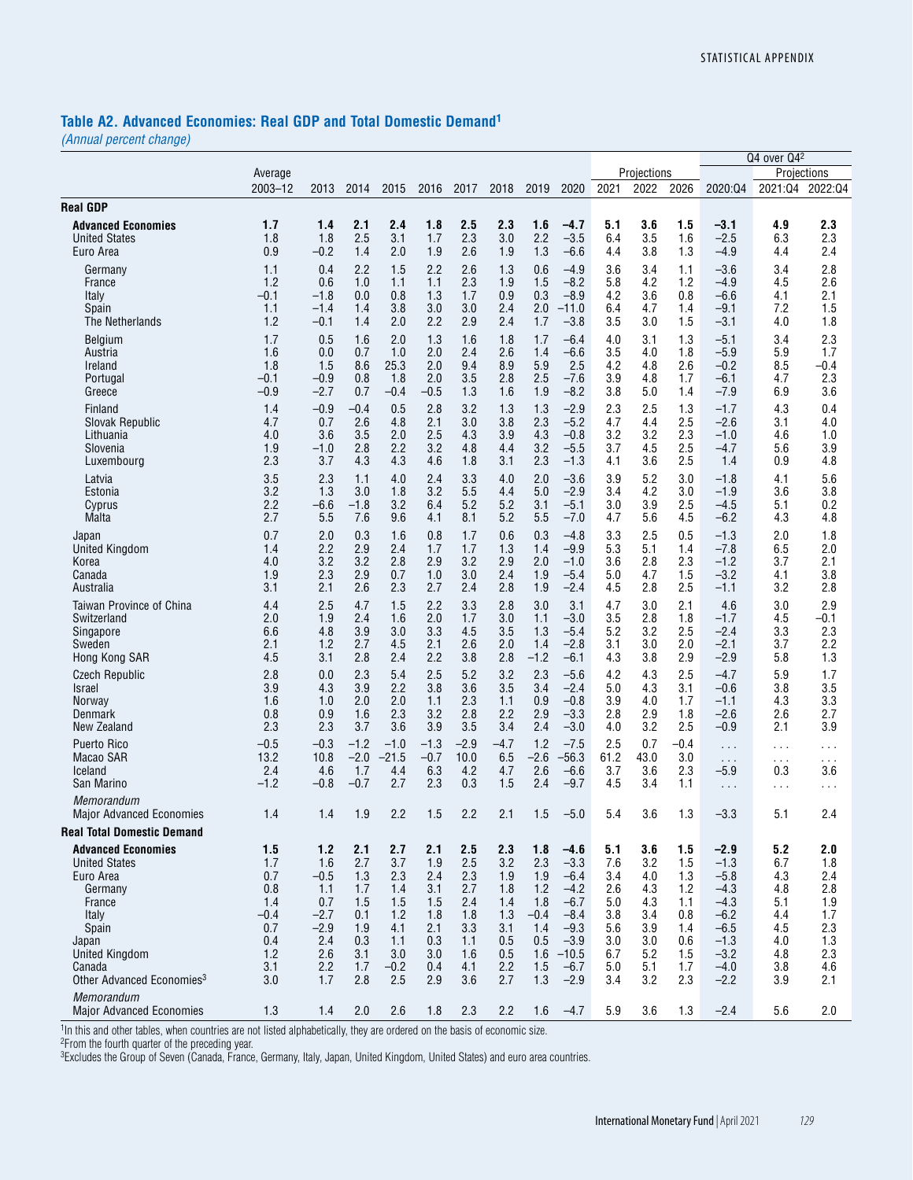#### **Table A2. Advanced Economies: Real GDP and Total Domestic Demand1**

*(Annual percent change)*

|                                                                                                                                                                                                          |                                                                              |                                                                                    |                                                                           |                                                                              |                                                                           |                                                                           |                                                                           |                                                                              |                                                                                                             |                                                                           |                                                                           |                                                                           |                                                                                                            | Q4 over Q42                                                               |                                                                           |
|----------------------------------------------------------------------------------------------------------------------------------------------------------------------------------------------------------|------------------------------------------------------------------------------|------------------------------------------------------------------------------------|---------------------------------------------------------------------------|------------------------------------------------------------------------------|---------------------------------------------------------------------------|---------------------------------------------------------------------------|---------------------------------------------------------------------------|------------------------------------------------------------------------------|-------------------------------------------------------------------------------------------------------------|---------------------------------------------------------------------------|---------------------------------------------------------------------------|---------------------------------------------------------------------------|------------------------------------------------------------------------------------------------------------|---------------------------------------------------------------------------|---------------------------------------------------------------------------|
|                                                                                                                                                                                                          | Average                                                                      |                                                                                    |                                                                           |                                                                              |                                                                           |                                                                           |                                                                           |                                                                              |                                                                                                             |                                                                           | Projections                                                               |                                                                           |                                                                                                            | Projections                                                               |                                                                           |
|                                                                                                                                                                                                          | $2003 - 12$                                                                  | 2013                                                                               | 2014                                                                      | 2015                                                                         | 2016                                                                      | 2017                                                                      | 2018                                                                      | 2019                                                                         | 2020                                                                                                        | 2021                                                                      | 2022                                                                      | 2026                                                                      | 2020:04                                                                                                    | 2021:04                                                                   | 2022:04                                                                   |
| <b>Real GDP</b>                                                                                                                                                                                          |                                                                              |                                                                                    |                                                                           |                                                                              |                                                                           |                                                                           |                                                                           |                                                                              |                                                                                                             |                                                                           |                                                                           |                                                                           |                                                                                                            |                                                                           |                                                                           |
| <b>Advanced Economies</b>                                                                                                                                                                                | 1.7                                                                          | 1.4                                                                                | 2.1                                                                       | 2.4                                                                          | 1.8                                                                       | 2.5                                                                       | 2.3                                                                       | 1.6                                                                          | $-4.7$                                                                                                      | 5.1                                                                       | 3.6                                                                       | 1.5                                                                       | $-3.1$                                                                                                     | 4.9                                                                       | 2.3                                                                       |
| <b>United States</b>                                                                                                                                                                                     | 1.8                                                                          | 1.8                                                                                | 2.5                                                                       | 3.1                                                                          | 1.7                                                                       | 2.3                                                                       | 3.0                                                                       | 2.2                                                                          | $-3.5$                                                                                                      | 6.4                                                                       | 3.5                                                                       | 1.6                                                                       | $-2.5$                                                                                                     | 6.3                                                                       | 2.3                                                                       |
| Euro Area                                                                                                                                                                                                | 0.9                                                                          | $-0.2$                                                                             | 1.4                                                                       | 2.0                                                                          | 1.9                                                                       | 2.6                                                                       | 1.9                                                                       | 1.3                                                                          | $-6.6$                                                                                                      | 4.4                                                                       | 3.8                                                                       | 1.3                                                                       | $-4.9$                                                                                                     | 4.4                                                                       | 2.4                                                                       |
| Germany                                                                                                                                                                                                  | 1.1                                                                          | 0.4                                                                                | 2.2                                                                       | 1.5                                                                          | 2.2                                                                       | 2.6                                                                       | 1.3                                                                       | 0.6                                                                          | $-4.9$                                                                                                      | 3.6                                                                       | 3.4                                                                       | 1.1                                                                       | $-3.6$                                                                                                     | 3.4                                                                       | 2.8                                                                       |
| France                                                                                                                                                                                                   | 1.2                                                                          | 0.6                                                                                | 1.0                                                                       | 1.1                                                                          | 1.1                                                                       | 2.3                                                                       | 1.9                                                                       | 1.5                                                                          | $-8.2$                                                                                                      | 5.8                                                                       | 4.2                                                                       | 1.2                                                                       | $-4.9$                                                                                                     | 4.5                                                                       | 2.6                                                                       |
| Italy                                                                                                                                                                                                    | -0.1                                                                         | $-1.8$                                                                             | 0.0                                                                       | 0.8                                                                          | 1.3                                                                       | 1.7                                                                       | 0.9                                                                       | 0.3                                                                          | $-8.9$                                                                                                      | 4.2                                                                       | 3.6                                                                       | 0.8                                                                       | $-6.6$                                                                                                     | 4.1                                                                       | 2.1                                                                       |
| Spain                                                                                                                                                                                                    | 1.1                                                                          | $-1.4$                                                                             | 1.4                                                                       | 3.8                                                                          | 3.0                                                                       | 3.0                                                                       | 2.4                                                                       | 2.0                                                                          | $-11.0$                                                                                                     | 6.4                                                                       | 4.7                                                                       | 1.4                                                                       | $-9.1$                                                                                                     | 7.2                                                                       | 1.5                                                                       |
| The Netherlands                                                                                                                                                                                          | 1.2                                                                          | $-0.1$                                                                             | 1.4                                                                       | 2.0                                                                          | 2.2                                                                       | 2.9                                                                       | 2.4                                                                       | 1.7                                                                          | $-3.8$                                                                                                      | 3.5                                                                       | 3.0                                                                       | 1.5                                                                       | $-3.1$                                                                                                     | 4.0                                                                       | 1.8                                                                       |
| Belgium                                                                                                                                                                                                  | 1.7                                                                          | 0.5                                                                                | 1.6                                                                       | 2.0                                                                          | 1.3                                                                       | 1.6                                                                       | 1.8                                                                       | 1.7                                                                          | $-6.4$                                                                                                      | 4.0                                                                       | 3.1                                                                       | 1.3                                                                       | $-5.1$                                                                                                     | 3.4                                                                       | 2.3                                                                       |
| Austria                                                                                                                                                                                                  | 1.6                                                                          | 0.0                                                                                | 0.7                                                                       | 1.0                                                                          | 2.0                                                                       | 2.4                                                                       | 2.6                                                                       | 1.4                                                                          | $-6.6$                                                                                                      | 3.5                                                                       | 4.0                                                                       | 1.8                                                                       | $-5.9$                                                                                                     | 5.9                                                                       | 1.7                                                                       |
| Ireland                                                                                                                                                                                                  | 1.8                                                                          | 1.5                                                                                | 8.6                                                                       | 25.3                                                                         | 2.0                                                                       | 9.4                                                                       | 8.9                                                                       | 5.9                                                                          | 2.5                                                                                                         | 4.2                                                                       | 4.8                                                                       | 2.6                                                                       | $-0.2$                                                                                                     | 8.5                                                                       | $-0.4$                                                                    |
| Portugal                                                                                                                                                                                                 | -0.1                                                                         | $-0.9$                                                                             | 0.8                                                                       | 1.8                                                                          | 2.0                                                                       | 3.5                                                                       | 2.8                                                                       | 2.5                                                                          | $-7.6$                                                                                                      | 3.9                                                                       | 4.8                                                                       | 1.7                                                                       | $-6.1$                                                                                                     | 4.7                                                                       | 2.3                                                                       |
| Greece                                                                                                                                                                                                   | -0.9                                                                         | $-2.7$                                                                             | 0.7                                                                       | -0.4                                                                         | -0.5                                                                      | 1.3                                                                       | 1.6                                                                       | 1.9                                                                          | $-8.2$                                                                                                      | 3.8                                                                       | 5.0                                                                       | 1.4                                                                       | $-7.9$                                                                                                     | 6.9                                                                       | 3.6                                                                       |
| Finland                                                                                                                                                                                                  | 1.4                                                                          | $-0.9$                                                                             | $-0.4$                                                                    | 0.5                                                                          | 2.8                                                                       | 3.2                                                                       | 1.3                                                                       | 1.3                                                                          | $-2.9$                                                                                                      | 2.3                                                                       | 2.5                                                                       | 1.3                                                                       | $-1.7$                                                                                                     | 4.3                                                                       | 0.4                                                                       |
| Slovak Republic                                                                                                                                                                                          | 4.7                                                                          | 0.7                                                                                | 2.6                                                                       | 4.8                                                                          | 2.1                                                                       | 3.0                                                                       | 3.8                                                                       | 2.3                                                                          | $-5.2$                                                                                                      | 4.7                                                                       | 4.4                                                                       | 2.5                                                                       | $-2.6$                                                                                                     | 3.1                                                                       | 4.0                                                                       |
| Lithuania                                                                                                                                                                                                | 4.0                                                                          | 3.6                                                                                | 3.5                                                                       | 2.0                                                                          | 2.5                                                                       | 4.3                                                                       | 3.9                                                                       | 4.3                                                                          | $-0.8$                                                                                                      | 3.2                                                                       | 3.2                                                                       | 2.3                                                                       | $-1.0$                                                                                                     | 4.6                                                                       | 1.0                                                                       |
| Slovenia                                                                                                                                                                                                 | 1.9                                                                          | $-1.0$                                                                             | 2.8                                                                       | 2.2                                                                          | 3.2                                                                       | 4.8                                                                       | 4.4                                                                       | 3.2                                                                          | $-5.5$                                                                                                      | 3.7                                                                       | 4.5                                                                       | 2.5                                                                       | $-4.7$                                                                                                     | 5.6                                                                       | 3.9                                                                       |
| Luxembourg                                                                                                                                                                                               | 2.3                                                                          | 3.7                                                                                | 4.3                                                                       | 4.3                                                                          | 4.6                                                                       | 1.8                                                                       | 3.1                                                                       | 2.3                                                                          | $-1.3$                                                                                                      | 4.1                                                                       | 3.6                                                                       | 2.5                                                                       | 1.4                                                                                                        | 0.9                                                                       | 4.8                                                                       |
| Latvia                                                                                                                                                                                                   | 3.5                                                                          | 2.3                                                                                | 1.1                                                                       | 4.0                                                                          | 2.4                                                                       | 3.3                                                                       | 4.0                                                                       | 2.0                                                                          | $-3.6$                                                                                                      | 3.9                                                                       | 5.2                                                                       | 3.0                                                                       | $-1.8$                                                                                                     | 4.1                                                                       | 5.6                                                                       |
| Estonia                                                                                                                                                                                                  | 3.2                                                                          | 1.3                                                                                | 3.0                                                                       | 1.8                                                                          | 3.2                                                                       | 5.5                                                                       | 4.4                                                                       | 5.0                                                                          | $-2.9$                                                                                                      | 3.4                                                                       | 4.2                                                                       | 3.0                                                                       | $-1.9$                                                                                                     | 3.6                                                                       | 3.8                                                                       |
| Cyprus                                                                                                                                                                                                   | 2.2                                                                          | $-6.6$                                                                             | $-1.8$                                                                    | 3.2                                                                          | 6.4                                                                       | 5.2                                                                       | 5.2                                                                       | 3.1                                                                          | $-5.1$                                                                                                      | 3.0                                                                       | 3.9                                                                       | 2.5                                                                       | $-4.5$                                                                                                     | 5.1                                                                       | 0.2                                                                       |
| Malta                                                                                                                                                                                                    | 2.7                                                                          | 5.5                                                                                | 7.6                                                                       | 9.6                                                                          | 4.1                                                                       | 8.1                                                                       | 5.2                                                                       | 5.5                                                                          | $-7.0$                                                                                                      | 4.7                                                                       | 5.6                                                                       | 4.5                                                                       | $-6.2$                                                                                                     | 4.3                                                                       | 4.8                                                                       |
| Japan                                                                                                                                                                                                    | 0.7                                                                          | 2.0                                                                                | 0.3                                                                       | 1.6                                                                          | 0.8                                                                       | 1.7                                                                       | 0.6                                                                       | 0.3                                                                          | $-4.8$                                                                                                      | 3.3                                                                       | 2.5                                                                       | 0.5                                                                       | $-1.3$                                                                                                     | 2.0                                                                       | 1.8                                                                       |
| United Kingdom                                                                                                                                                                                           | 1.4                                                                          | 2.2                                                                                | 2.9                                                                       | 2.4                                                                          | 1.7                                                                       | 1.7                                                                       | 1.3                                                                       | 1.4                                                                          | $-9.9$                                                                                                      | 5.3                                                                       | 5.1                                                                       | 1.4                                                                       | $-7.8$                                                                                                     | 6.5                                                                       | 2.0                                                                       |
| Korea                                                                                                                                                                                                    | 4.0                                                                          | 3.2                                                                                | 3.2                                                                       | 2.8                                                                          | 2.9                                                                       | 3.2                                                                       | 2.9                                                                       | 2.0                                                                          | $-1.0$                                                                                                      | 3.6                                                                       | 2.8                                                                       | 2.3                                                                       | $-1.2$                                                                                                     | 3.7                                                                       | 2.1                                                                       |
| Canada                                                                                                                                                                                                   | 1.9                                                                          | 2.3                                                                                | 2.9                                                                       | 0.7                                                                          | 1.0                                                                       | 3.0                                                                       | 2.4                                                                       | 1.9                                                                          | $-5.4$                                                                                                      | 5.0                                                                       | 4.7                                                                       | 1.5                                                                       | $-3.2$                                                                                                     | 4.1                                                                       | 3.8                                                                       |
| Australia                                                                                                                                                                                                | 3.1                                                                          | 2.1                                                                                | 2.6                                                                       | 2.3                                                                          | 2.7                                                                       | 2.4                                                                       | 2.8                                                                       | 1.9                                                                          | $-2.4$                                                                                                      | 4.5                                                                       | 2.8                                                                       | 2.5                                                                       | $-1.1$                                                                                                     | 3.2                                                                       | 2.8                                                                       |
| <b>Taiwan Province of China</b>                                                                                                                                                                          | 4.4                                                                          | 2.5                                                                                | 4.7                                                                       | 1.5                                                                          | 2.2                                                                       | 3.3                                                                       | 2.8                                                                       | 3.0                                                                          | 3.1                                                                                                         | 4.7                                                                       | 3.0                                                                       | 2.1                                                                       | 4.6                                                                                                        | 3.0                                                                       | 2.9                                                                       |
| Switzerland                                                                                                                                                                                              | 2.0                                                                          | 1.9                                                                                | 2.4                                                                       | 1.6                                                                          | 2.0                                                                       | 1.7                                                                       | 3.0                                                                       | 1.1                                                                          | $-3.0$                                                                                                      | 3.5                                                                       | 2.8                                                                       | 1.8                                                                       | $-1.7$                                                                                                     | 4.5                                                                       | $-0.1$                                                                    |
| Singapore                                                                                                                                                                                                | 6.6                                                                          | 4.8                                                                                | 3.9                                                                       | 3.0                                                                          | 3.3                                                                       | 4.5                                                                       | 3.5                                                                       | 1.3                                                                          | $-5.4$                                                                                                      | 5.2                                                                       | 3.2                                                                       | 2.5                                                                       | $-2.4$                                                                                                     | 3.3                                                                       | 2.3                                                                       |
| Sweden                                                                                                                                                                                                   | 2.1                                                                          | 1.2                                                                                | 2.7                                                                       | 4.5                                                                          | 2.1                                                                       | 2.6                                                                       | 2.0                                                                       | 1.4                                                                          | $-2.8$                                                                                                      | 3.1                                                                       | 3.0                                                                       | 2.0                                                                       | $-2.1$                                                                                                     | 3.7                                                                       | 2.2                                                                       |
| Hong Kong SAR                                                                                                                                                                                            | 4.5                                                                          | 3.1                                                                                | 2.8                                                                       | 2.4                                                                          | 2.2                                                                       | 3.8                                                                       | 2.8                                                                       | $-1.2$                                                                       | $-6.1$                                                                                                      | 4.3                                                                       | 3.8                                                                       | 2.9                                                                       | $-2.9$                                                                                                     | 5.8                                                                       | 1.3                                                                       |
| <b>Czech Republic</b>                                                                                                                                                                                    | 2.8                                                                          | 0.0                                                                                | 2.3                                                                       | 5.4                                                                          | 2.5                                                                       | 5.2                                                                       | 3.2                                                                       | 2.3                                                                          | $-5.6$                                                                                                      | 4.2                                                                       | 4.3                                                                       | 2.5                                                                       | $-4.7$                                                                                                     | 5.9                                                                       | 1.7                                                                       |
| Israel                                                                                                                                                                                                   | 3.9                                                                          | 4.3                                                                                | 3.9                                                                       | 2.2                                                                          | 3.8                                                                       | 3.6                                                                       | 3.5                                                                       | 3.4                                                                          | $-2.4$                                                                                                      | 5.0                                                                       | 4.3                                                                       | 3.1                                                                       | $-0.6$                                                                                                     | 3.8                                                                       | 3.5                                                                       |
| Norway                                                                                                                                                                                                   | 1.6                                                                          | 1.0                                                                                | 2.0                                                                       | 2.0                                                                          | 1.1                                                                       | 2.3                                                                       | 1.1                                                                       | 0.9                                                                          | $-0.8$                                                                                                      | 3.9                                                                       | 4.0                                                                       | 1.7                                                                       | $-1.1$                                                                                                     | 4.3                                                                       | 3.3                                                                       |
| Denmark                                                                                                                                                                                                  | 0.8                                                                          | 0.9                                                                                | 1.6                                                                       | 2.3                                                                          | 3.2                                                                       | 2.8                                                                       | 2.2                                                                       | 2.9                                                                          | $-3.3$                                                                                                      | 2.8                                                                       | 2.9                                                                       | 1.8                                                                       | $-2.6$                                                                                                     | 2.6                                                                       | 2.7                                                                       |
| New Zealand                                                                                                                                                                                              | 2.3                                                                          | 2.3                                                                                | 3.7                                                                       | 3.6                                                                          | 3.9                                                                       | 3.5                                                                       | 3.4                                                                       | 2.4                                                                          | $-3.0$                                                                                                      | 4.0                                                                       | 3.2                                                                       | 2.5                                                                       | $-0.9$                                                                                                     | 2.1                                                                       | 3.9                                                                       |
| <b>Puerto Rico</b>                                                                                                                                                                                       | $-0.5$                                                                       | $-0.3$                                                                             | $-1.2$                                                                    | $-1.0$                                                                       | $-1.3$                                                                    | $-2.9$                                                                    | $-4.7$                                                                    | 1.2                                                                          | $-7.5$                                                                                                      | 2.5                                                                       | 0.7                                                                       | $-0.4$                                                                    | $\sim$                                                                                                     | $\sim$ $\sim$ $\sim$                                                      | $\cdots$                                                                  |
| Macao SAR                                                                                                                                                                                                | 13.2                                                                         | 10.8                                                                               | $-2.0$                                                                    | $-21.5$                                                                      | -0.7                                                                      | 10.0                                                                      | 6.5                                                                       | $-2.6$                                                                       | $-56.3$                                                                                                     | 61.2                                                                      | 43.0                                                                      | 3.0                                                                       | $\sim$ $\sim$ $\sim$                                                                                       | $\sim$ $\sim$ $\sim$                                                      | $\cdots$                                                                  |
| Iceland                                                                                                                                                                                                  | 2.4                                                                          | 4.6                                                                                | 1.7                                                                       | 4.4                                                                          | 6.3                                                                       | 4.2                                                                       | 4.7                                                                       | 2.6                                                                          | $-6.6$                                                                                                      | 3.7                                                                       | 3.6                                                                       | 2.3                                                                       | $-5.9$                                                                                                     | 0.3                                                                       | 3.6                                                                       |
| San Marino                                                                                                                                                                                               | -1.2                                                                         | $-0.8$                                                                             | $-0.7$                                                                    | 2.7                                                                          | 2.3                                                                       | 0.3                                                                       | 1.5                                                                       | 2.4                                                                          | $-9.7$                                                                                                      | 4.5                                                                       | 3.4                                                                       | 1.1                                                                       | $\sim$ $\sim$ $\sim$                                                                                       | $\sim$ $\sim$ $\sim$                                                      | $\sim$ $\sim$ $\sim$                                                      |
| Memorandum<br><b>Major Advanced Economies</b>                                                                                                                                                            | 1.4                                                                          | 1.4                                                                                | 1.9                                                                       | 2.2                                                                          | 1.5                                                                       | 2.2                                                                       | 2.1                                                                       | 1.5                                                                          | $-5.0$                                                                                                      | 5.4                                                                       | 3.6                                                                       | 1.3                                                                       | $-3.3$                                                                                                     | 5.1                                                                       | 2.4                                                                       |
| Real Total Domestic Demand                                                                                                                                                                               |                                                                              |                                                                                    |                                                                           |                                                                              |                                                                           |                                                                           |                                                                           |                                                                              |                                                                                                             |                                                                           |                                                                           |                                                                           |                                                                                                            |                                                                           |                                                                           |
| <b>Advanced Economies</b><br><b>United States</b><br>Euro Area<br>Germany<br>France<br>Italy<br>Spain<br>Japan<br><b>United Kingdom</b><br>Canada<br>Other Advanced Economies <sup>3</sup><br>Memorandum | 1.5<br>1.7<br>0.7<br>0.8<br>1.4<br>$-0.4$<br>0.7<br>0.4<br>1.2<br>3.1<br>3.0 | 1.2<br>1.6<br>$-0.5$<br>1.1<br>0.7<br>$-2.7$<br>$-2.9$<br>2.4<br>2.6<br>2.2<br>1.7 | 2.1<br>2.7<br>1.3<br>1.7<br>1.5<br>0.1<br>1.9<br>0.3<br>3.1<br>1.7<br>2.8 | 2.7<br>3.7<br>2.3<br>1.4<br>1.5<br>1.2<br>4.1<br>1.1<br>3.0<br>$-0.2$<br>2.5 | 2.1<br>1.9<br>2.4<br>3.1<br>1.5<br>1.8<br>2.1<br>0.3<br>3.0<br>0.4<br>2.9 | 2.5<br>2.5<br>2.3<br>2.7<br>2.4<br>1.8<br>3.3<br>1.1<br>1.6<br>4.1<br>3.6 | 2.3<br>3.2<br>1.9<br>1.8<br>1.4<br>1.3<br>3.1<br>0.5<br>0.5<br>2.2<br>2.7 | 1.8<br>2.3<br>1.9<br>1.2<br>1.8<br>$-0.4$<br>1.4<br>0.5<br>1.6<br>1.5<br>1.3 | $-4.6$<br>$-3.3$<br>$-6.4$<br>$-4.2$<br>$-6.7$<br>$-8.4$<br>$-9.3$<br>$-3.9$<br>$-10.5$<br>$-6.7$<br>$-2.9$ | 5.1<br>7.6<br>3.4<br>2.6<br>5.0<br>3.8<br>5.6<br>3.0<br>6.7<br>5.0<br>3.4 | 3.6<br>3.2<br>4.0<br>4.3<br>4.3<br>3.4<br>3.9<br>3.0<br>5.2<br>5.1<br>3.2 | 1.5<br>1.5<br>1.3<br>1.2<br>1.1<br>0.8<br>1.4<br>0.6<br>1.5<br>1.7<br>2.3 | $-2.9$<br>$-1.3$<br>$-5.8$<br>$-4.3$<br>$-4.3$<br>$-6.2$<br>$-6.5$<br>$-1.3$<br>$-3.2$<br>$-4.0$<br>$-2.2$ | 5.2<br>6.7<br>4.3<br>4.8<br>5.1<br>4.4<br>4.5<br>4.0<br>4.8<br>3.8<br>3.9 | 2.0<br>1.8<br>2.4<br>2.8<br>1.9<br>1.7<br>2.3<br>1.3<br>2.3<br>4.6<br>2.1 |
| <b>Major Advanced Economies</b>                                                                                                                                                                          | 1.3                                                                          | 1.4                                                                                | 2.0                                                                       | 2.6                                                                          | 1.8                                                                       | 2.3                                                                       | 2.2                                                                       | 1.6                                                                          | $-4.7$                                                                                                      | 5.9                                                                       | 3.6                                                                       | 1.3                                                                       | $-2.4$                                                                                                     | 5.6                                                                       | 2.0                                                                       |

1In this and other tables, when countries are not listed alphabetically, they are ordered on the basis of economic size.

2From the fourth quarter of the preceding year.

3Excludes the Group of Seven (Canada, France, Germany, Italy, Japan, United Kingdom, United States) and euro area countries.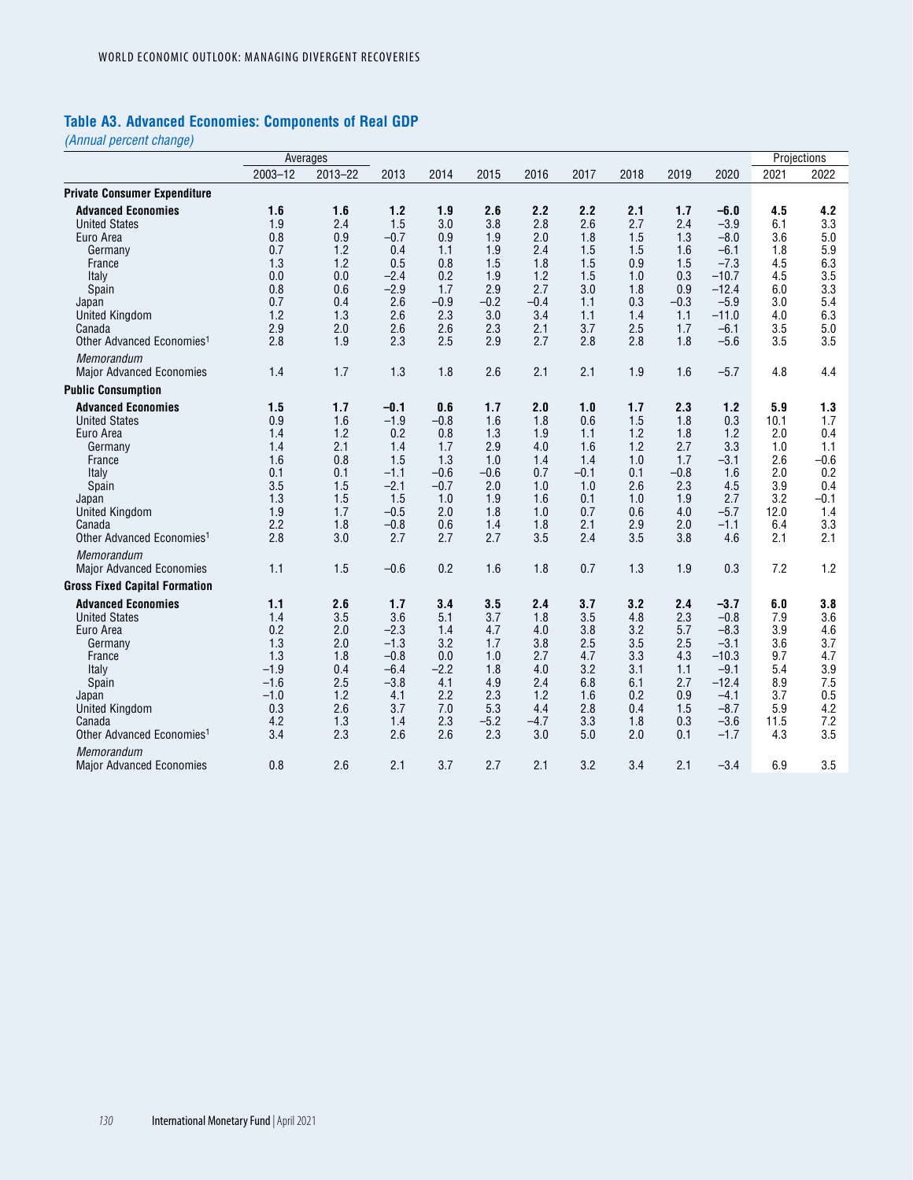# **Table A3. Advanced Economies: Components of Real GDP**

*(Annual percent change)*

|                                                                                                                                                                                                                                    |                                                                                    | Averages                                                                  |                                                                                             |                                                                                    |                                                                              |                                                                              |                                                                              |                                                                           |                                                                              |                                                                                                              |                                                                             | Projections                                                                     |
|------------------------------------------------------------------------------------------------------------------------------------------------------------------------------------------------------------------------------------|------------------------------------------------------------------------------------|---------------------------------------------------------------------------|---------------------------------------------------------------------------------------------|------------------------------------------------------------------------------------|------------------------------------------------------------------------------|------------------------------------------------------------------------------|------------------------------------------------------------------------------|---------------------------------------------------------------------------|------------------------------------------------------------------------------|--------------------------------------------------------------------------------------------------------------|-----------------------------------------------------------------------------|---------------------------------------------------------------------------------|
|                                                                                                                                                                                                                                    | $2003 - 12$                                                                        | 2013-22                                                                   | 2013                                                                                        | 2014                                                                               | 2015                                                                         | 2016                                                                         | 2017                                                                         | 2018                                                                      | 2019                                                                         | 2020                                                                                                         | 2021                                                                        | 2022                                                                            |
| <b>Private Consumer Expenditure</b>                                                                                                                                                                                                |                                                                                    |                                                                           |                                                                                             |                                                                                    |                                                                              |                                                                              |                                                                              |                                                                           |                                                                              |                                                                                                              |                                                                             |                                                                                 |
| <b>Advanced Economies</b><br><b>United States</b><br>Euro Area<br>Germany                                                                                                                                                          | 1.6<br>1.9<br>0.8<br>0.7                                                           | 1.6<br>2.4<br>0.9<br>1.2                                                  | 1.2<br>1.5<br>$-0.7$<br>0.4                                                                 | 1.9<br>3.0<br>0.9<br>1.1                                                           | 2.6<br>3.8<br>1.9<br>1.9                                                     | 2.2<br>2.8<br>2.0<br>2.4                                                     | 2.2<br>2.6<br>1.8<br>1.5                                                     | 2.1<br>2.7<br>1.5<br>1.5                                                  | 1.7<br>2.4<br>1.3<br>1.6                                                     | $-6.0$<br>$-3.9$<br>$-8.0$<br>$-6.1$                                                                         | 4.5<br>6.1<br>3.6<br>1.8                                                    | 4.2<br>3.3<br>5.0<br>5.9                                                        |
| France<br>Italy<br>Spain<br>Japan<br><b>United Kingdom</b><br>Canada<br>Other Advanced Economies <sup>1</sup>                                                                                                                      | 1.3<br>0.0<br>0.8<br>0.7<br>1.2<br>2.9<br>2.8                                      | 1.2<br>0.0<br>0.6<br>0.4<br>1.3<br>2.0<br>1.9                             | 0.5<br>$-2.4$<br>$-2.9$<br>2.6<br>2.6<br>2.6<br>2.3                                         | 0.8<br>0.2<br>1.7<br>$-0.9$<br>2.3<br>2.6<br>2.5                                   | 1.5<br>1.9<br>2.9<br>$-0.2$<br>3.0<br>2.3<br>2.9                             | 1.8<br>1.2<br>2.7<br>$-0.4$<br>3.4<br>2.1<br>2.7                             | 1.5<br>1.5<br>3.0<br>1.1<br>1.1<br>3.7<br>2.8                                | 0.9<br>1.0<br>1.8<br>0.3<br>1.4<br>2.5<br>2.8                             | 1.5<br>0.3<br>0.9<br>$-0.3$<br>1.1<br>1.7<br>1.8                             | $-7.3$<br>$-10.7$<br>$-12.4$<br>$-5.9$<br>$-11.0$<br>$-6.1$<br>$-5.6$                                        | 4.5<br>4.5<br>6.0<br>3.0<br>4.0<br>3.5<br>3.5                               | 6.3<br>3.5<br>3.3<br>5.4<br>6.3<br>5.0<br>3.5                                   |
| Memorandum<br><b>Major Advanced Economies</b>                                                                                                                                                                                      | 1.4                                                                                | 1.7                                                                       | 1.3                                                                                         | 1.8                                                                                | 2.6                                                                          | 2.1                                                                          | 2.1                                                                          | 1.9                                                                       | 1.6                                                                          | $-5.7$                                                                                                       | 4.8                                                                         | 4.4                                                                             |
| <b>Public Consumption</b>                                                                                                                                                                                                          |                                                                                    |                                                                           |                                                                                             |                                                                                    |                                                                              |                                                                              |                                                                              |                                                                           |                                                                              |                                                                                                              |                                                                             |                                                                                 |
| <b>Advanced Economies</b><br><b>United States</b><br>Euro Area<br>Germany<br>France<br>Italy<br>Spain<br>Japan<br><b>United Kingdom</b><br>Canada<br>Other Advanced Economies <sup>1</sup><br>Memorandum                           | 1.5<br>0.9<br>1.4<br>1.4<br>1.6<br>0.1<br>3.5<br>1.3<br>1.9<br>2.2<br>2.8          | 1.7<br>1.6<br>1.2<br>2.1<br>0.8<br>0.1<br>1.5<br>1.5<br>1.7<br>1.8<br>3.0 | $-0.1$<br>$-1.9$<br>0.2<br>1.4<br>1.5<br>$-1.1$<br>$-2.1$<br>1.5<br>$-0.5$<br>$-0.8$<br>2.7 | 0.6<br>$-0.8$<br>0.8<br>1.7<br>1.3<br>$-0.6$<br>$-0.7$<br>1.0<br>2.0<br>0.6<br>2.7 | 1.7<br>1.6<br>1.3<br>2.9<br>1.0<br>$-0.6$<br>2.0<br>1.9<br>1.8<br>1.4<br>2.7 | 2.0<br>1.8<br>1.9<br>4.0<br>1.4<br>0.7<br>1.0<br>1.6<br>1.0<br>1.8<br>3.5    | 1.0<br>0.6<br>1.1<br>1.6<br>1.4<br>$-0.1$<br>1.0<br>0.1<br>0.7<br>2.1<br>2.4 | 1.7<br>1.5<br>1.2<br>1.2<br>1.0<br>0.1<br>2.6<br>1.0<br>0.6<br>2.9<br>3.5 | 2.3<br>1.8<br>1.8<br>2.7<br>1.7<br>$-0.8$<br>2.3<br>1.9<br>4.0<br>2.0<br>3.8 | 1.2<br>0.3<br>1.2<br>3.3<br>$-3.1$<br>1.6<br>4.5<br>2.7<br>$-5.7$<br>$-1.1$<br>4.6                           | 5.9<br>10.1<br>2.0<br>1.0<br>2.6<br>2.0<br>3.9<br>3.2<br>12.0<br>6.4<br>2.1 | 1.3<br>1.7<br>0.4<br>1.1<br>$-0.6$<br>0.2<br>0.4<br>$-0.1$<br>1.4<br>3.3<br>2.1 |
| <b>Major Advanced Economies</b>                                                                                                                                                                                                    | 1.1                                                                                | 1.5                                                                       | $-0.6$                                                                                      | 0.2                                                                                | 1.6                                                                          | 1.8                                                                          | 0.7                                                                          | 1.3                                                                       | 1.9                                                                          | 0.3                                                                                                          | 7.2                                                                         | 1.2                                                                             |
| <b>Gross Fixed Capital Formation</b><br><b>Advanced Economies</b><br><b>United States</b><br>Euro Area<br>Germany<br>France<br>Italy<br>Spain<br>Japan<br><b>United Kingdom</b><br>Canada<br>Other Advanced Economies <sup>1</sup> | 1.1<br>1.4<br>0.2<br>1.3<br>1.3<br>$-1.9$<br>$-1.6$<br>$-1.0$<br>0.3<br>4.2<br>3.4 | 2.6<br>3.5<br>2.0<br>2.0<br>1.8<br>0.4<br>2.5<br>1.2<br>2.6<br>1.3<br>2.3 | 1.7<br>3.6<br>$-2.3$<br>$-1.3$<br>$-0.8$<br>$-6.4$<br>$-3.8$<br>4.1<br>3.7<br>1.4<br>2.6    | 3.4<br>5.1<br>1.4<br>3.2<br>0.0<br>$-2.2$<br>4.1<br>2.2<br>7.0<br>2.3<br>2.6       | 3.5<br>3.7<br>4.7<br>1.7<br>1.0<br>1.8<br>4.9<br>2.3<br>5.3<br>$-5.2$<br>2.3 | 2.4<br>1.8<br>4.0<br>3.8<br>2.7<br>4.0<br>2.4<br>1.2<br>4.4<br>$-4.7$<br>3.0 | 3.7<br>3.5<br>3.8<br>2.5<br>4.7<br>3.2<br>6.8<br>1.6<br>2.8<br>3.3<br>5.0    | 3.2<br>4.8<br>3.2<br>3.5<br>3.3<br>3.1<br>6.1<br>0.2<br>0.4<br>1.8<br>2.0 | 2.4<br>2.3<br>5.7<br>2.5<br>4.3<br>1.1<br>2.7<br>0.9<br>1.5<br>0.3<br>0.1    | $-3.7$<br>$-0.8$<br>$-8.3$<br>$-3.1$<br>$-10.3$<br>$-9.1$<br>$-12.4$<br>$-4.1$<br>$-8.7$<br>$-3.6$<br>$-1.7$ | 6.0<br>7.9<br>3.9<br>3.6<br>9.7<br>5.4<br>8.9<br>3.7<br>5.9<br>11.5<br>4.3  | 3.8<br>3.6<br>4.6<br>3.7<br>4.7<br>3.9<br>7.5<br>0.5<br>4.2<br>7.2<br>3.5       |
| <b>Memorandum</b><br>Major Advanced Economies                                                                                                                                                                                      | 0.8                                                                                | 2.6                                                                       | 2.1                                                                                         | 3.7                                                                                | 2.7                                                                          | 2.1                                                                          | 3.2                                                                          | 3.4                                                                       | 2.1                                                                          | $-3.4$                                                                                                       | 6.9                                                                         | 3.5                                                                             |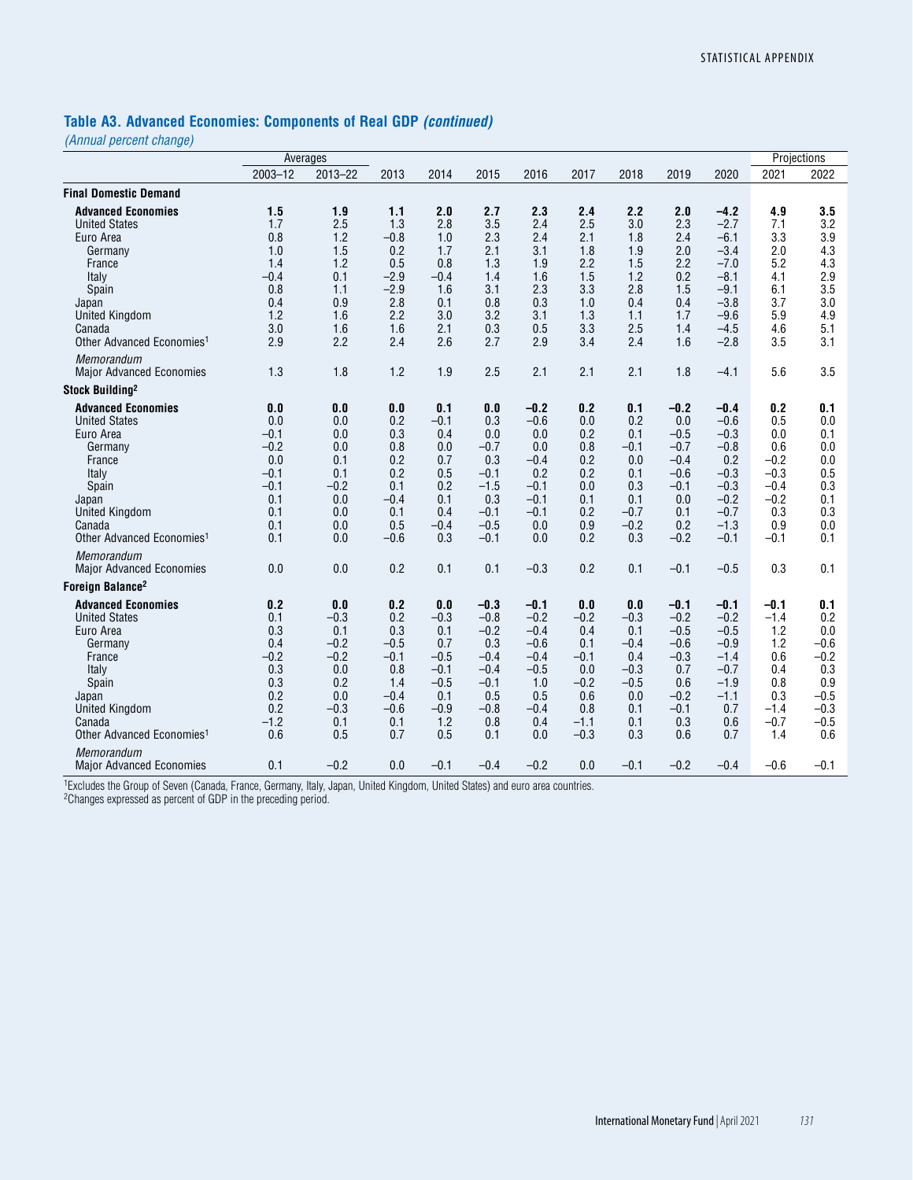#### **Table A3. Advanced Economies: Components of Real GDP** *(continued)*

*(Annual percent change)*

|                                                                                                                                                                                            |                                                                                       | Averages                                                                              |                                                                                       |                                                                                          |                                                                                                |                                                                                                |                                                                                          |                                                                                       |                                                                                                |                                                                                                            |                                                                                          | Projections                                                                              |
|--------------------------------------------------------------------------------------------------------------------------------------------------------------------------------------------|---------------------------------------------------------------------------------------|---------------------------------------------------------------------------------------|---------------------------------------------------------------------------------------|------------------------------------------------------------------------------------------|------------------------------------------------------------------------------------------------|------------------------------------------------------------------------------------------------|------------------------------------------------------------------------------------------|---------------------------------------------------------------------------------------|------------------------------------------------------------------------------------------------|------------------------------------------------------------------------------------------------------------|------------------------------------------------------------------------------------------|------------------------------------------------------------------------------------------|
|                                                                                                                                                                                            | 2003-12                                                                               | 2013-22                                                                               | 2013                                                                                  | 2014                                                                                     | 2015                                                                                           | 2016                                                                                           | 2017                                                                                     | 2018                                                                                  | 2019                                                                                           | 2020                                                                                                       | 2021                                                                                     | 2022                                                                                     |
| <b>Final Domestic Demand</b>                                                                                                                                                               |                                                                                       |                                                                                       |                                                                                       |                                                                                          |                                                                                                |                                                                                                |                                                                                          |                                                                                       |                                                                                                |                                                                                                            |                                                                                          |                                                                                          |
| <b>Advanced Economies</b><br><b>United States</b><br>Euro Area<br>Germany<br>France<br>Italy<br>Spain<br>Japan<br><b>United Kingdom</b><br>Canada<br>Other Advanced Economies <sup>1</sup> | 1.5<br>1.7<br>0.8<br>1.0<br>1.4<br>$-0.4$<br>0.8<br>0.4<br>1.2<br>3.0<br>2.9          | 1.9<br>2.5<br>1.2<br>1.5<br>1.2<br>0.1<br>1.1<br>0.9<br>1.6<br>1.6<br>2.2             | 1.1<br>1.3<br>$-0.8$<br>0.2<br>0.5<br>$-2.9$<br>$-2.9$<br>2.8<br>2.2<br>1.6<br>2.4    | 2.0<br>2.8<br>1.0<br>1.7<br>0.8<br>$-0.4$<br>1.6<br>0.1<br>3.0<br>2.1<br>2.6             | 2.7<br>3.5<br>2.3<br>2.1<br>1.3<br>1.4<br>3.1<br>0.8<br>3.2<br>0.3<br>2.7                      | 2.3<br>2.4<br>2.4<br>3.1<br>1.9<br>1.6<br>2.3<br>0.3<br>3.1<br>0.5<br>2.9                      | 2.4<br>2.5<br>2.1<br>1.8<br>2.2<br>1.5<br>3.3<br>1.0<br>1.3<br>3.3<br>3.4                | 2.2<br>3.0<br>1.8<br>1.9<br>1.5<br>1.2<br>2.8<br>0.4<br>1.1<br>2.5<br>2.4             | 2.0<br>2.3<br>2.4<br>2.0<br>2.2<br>0.2<br>1.5<br>0.4<br>1.7<br>1.4<br>1.6                      | $-4.2$<br>$-2.7$<br>$-6.1$<br>$-3.4$<br>$-7.0$<br>$-8.1$<br>$-9.1$<br>$-3.8$<br>$-9.6$<br>$-4.5$<br>$-2.8$ | 4.9<br>7.1<br>3.3<br>2.0<br>5.2<br>4.1<br>6.1<br>3.7<br>5.9<br>4.6<br>3.5                | 3.5<br>3.2<br>3.9<br>4.3<br>4.3<br>2.9<br>3.5<br>3.0<br>4.9<br>5.1<br>3.1                |
| Memorandum<br><b>Major Advanced Economies</b>                                                                                                                                              | 1.3                                                                                   | 1.8                                                                                   | 1.2                                                                                   | 1.9                                                                                      | 2.5                                                                                            | 2.1                                                                                            | 2.1                                                                                      | 2.1                                                                                   | 1.8                                                                                            | $-4.1$                                                                                                     | 5.6                                                                                      | 3.5                                                                                      |
| Stock Building <sup>2</sup>                                                                                                                                                                |                                                                                       |                                                                                       |                                                                                       |                                                                                          |                                                                                                |                                                                                                |                                                                                          |                                                                                       |                                                                                                |                                                                                                            |                                                                                          |                                                                                          |
| <b>Advanced Economies</b><br><b>United States</b><br>Euro Area<br>Germany<br>France<br>Italy<br>Spain<br>Japan<br><b>United Kingdom</b><br>Canada<br>Other Advanced Economies <sup>1</sup> | 0.0<br>0.0<br>$-0.1$<br>$-0.2$<br>0.0<br>$-0.1$<br>$-0.1$<br>0.1<br>0.1<br>0.1<br>0.1 | 0.0<br>0.0<br>0.0<br>0.0<br>0.1<br>0.1<br>$-0.2$<br>0.0<br>0.0<br>0.0<br>0.0          | 0.0<br>0.2<br>0.3<br>0.8<br>0.2<br>0.2<br>0.1<br>$-0.4$<br>0.1<br>0.5<br>$-0.6$       | 0.1<br>$-0.1$<br>0.4<br>0.0<br>0.7<br>0.5<br>0.2<br>0.1<br>0.4<br>$-0.4$<br>0.3          | 0.0<br>0.3<br>0.0<br>$-0.7$<br>0.3<br>$-0.1$<br>$-1.5$<br>0.3<br>$-0.1$<br>$-0.5$<br>$-0.1$    | $-0.2$<br>$-0.6$<br>0.0<br>0.0<br>$-0.4$<br>0.2<br>$-0.1$<br>$-0.1$<br>$-0.1$<br>0.0<br>0.0    | 0.2<br>0.0<br>0.2<br>0.8<br>0.2<br>0.2<br>0.0<br>0.1<br>0.2<br>0.9<br>0.2                | 0.1<br>0.2<br>0.1<br>$-0.1$<br>0.0<br>0.1<br>0.3<br>0.1<br>$-0.7$<br>$-0.2$<br>0.3    | $-0.2$<br>0.0<br>$-0.5$<br>$-0.7$<br>$-0.4$<br>$-0.6$<br>$-0.1$<br>0.0<br>0.1<br>0.2<br>$-0.2$ | $-0.4$<br>$-0.6$<br>$-0.3$<br>$-0.8$<br>0.2<br>$-0.3$<br>$-0.3$<br>$-0.2$<br>$-0.7$<br>$-1.3$<br>$-0.1$    | 0.2<br>0.5<br>0.0<br>0.6<br>$-0.2$<br>$-0.3$<br>$-0.4$<br>$-0.2$<br>0.3<br>0.9<br>$-0.1$ | 0.1<br>0.0<br>0.1<br>0.0<br>0.0<br>0.5<br>0.3<br>0.1<br>0.3<br>0.0<br>0.1                |
| Memorandum<br><b>Major Advanced Economies</b>                                                                                                                                              | 0.0                                                                                   | 0.0                                                                                   | 0.2                                                                                   | 0.1                                                                                      | 0.1                                                                                            | $-0.3$                                                                                         | 0.2                                                                                      | 0.1                                                                                   | $-0.1$                                                                                         | $-0.5$                                                                                                     | 0.3                                                                                      | 0.1                                                                                      |
| Foreign Balance <sup>2</sup>                                                                                                                                                               |                                                                                       |                                                                                       |                                                                                       |                                                                                          |                                                                                                |                                                                                                |                                                                                          |                                                                                       |                                                                                                |                                                                                                            |                                                                                          |                                                                                          |
| <b>Advanced Economies</b><br><b>United States</b><br>Euro Area<br>Germany<br>France<br>Italy<br>Spain<br>Japan<br><b>United Kingdom</b><br>Canada<br>Other Advanced Economies <sup>1</sup> | 0.2<br>0.1<br>0.3<br>0.4<br>$-0.2$<br>0.3<br>0.3<br>0.2<br>0.2<br>$-1.2$<br>0.6       | 0.0<br>$-0.3$<br>0.1<br>$-0.2$<br>$-0.2$<br>0.0<br>0.2<br>0.0<br>$-0.3$<br>0.1<br>0.5 | 0.2<br>0.2<br>0.3<br>$-0.5$<br>$-0.1$<br>0.8<br>1.4<br>$-0.4$<br>$-0.6$<br>0.1<br>0.7 | 0.0<br>$-0.3$<br>0.1<br>0.7<br>$-0.5$<br>$-0.1$<br>$-0.5$<br>0.1<br>$-0.9$<br>1.2<br>0.5 | $-0.3$<br>$-0.8$<br>$-0.2$<br>0.3<br>$-0.4$<br>$-0.4$<br>$-0.1$<br>0.5<br>$-0.8$<br>0.8<br>0.1 | $-0.1$<br>$-0.2$<br>$-0.4$<br>$-0.6$<br>$-0.4$<br>$-0.5$<br>1.0<br>0.5<br>$-0.4$<br>0.4<br>0.0 | 0.0<br>$-0.2$<br>0.4<br>0.1<br>$-0.1$<br>0.0<br>$-0.2$<br>0.6<br>0.8<br>$-1.1$<br>$-0.3$ | 0.0<br>$-0.3$<br>0.1<br>$-0.4$<br>0.4<br>$-0.3$<br>$-0.5$<br>0.0<br>0.1<br>0.1<br>0.3 | $-0.1$<br>$-0.2$<br>$-0.5$<br>$-0.6$<br>$-0.3$<br>0.7<br>0.6<br>$-0.2$<br>$-0.1$<br>0.3<br>0.6 | $-0.1$<br>$-0.2$<br>$-0.5$<br>$-0.9$<br>$-1.4$<br>$-0.7$<br>$-1.9$<br>$-1.1$<br>0.7<br>0.6<br>0.7          | $-0.1$<br>$-1.4$<br>1.2<br>1.2<br>0.6<br>0.4<br>0.8<br>0.3<br>$-1.4$<br>$-0.7$<br>1.4    | 0.1<br>0.2<br>0.0<br>$-0.6$<br>$-0.2$<br>0.3<br>0.9<br>$-0.5$<br>$-0.3$<br>$-0.5$<br>0.6 |
| Memorandum<br><b>Major Advanced Economies</b>                                                                                                                                              | 0.1                                                                                   | $-0.2$                                                                                | 0.0                                                                                   | $-0.1$                                                                                   | $-0.4$                                                                                         | $-0.2$                                                                                         | 0.0                                                                                      | $-0.1$                                                                                | $-0.2$                                                                                         | $-0.4$                                                                                                     | $-0.6$                                                                                   | $-0.1$                                                                                   |

1Excludes the Group of Seven (Canada, France, Germany, Italy, Japan, United Kingdom, United States) and euro area countries.

<sup>2</sup>Changes expressed as percent of GDP in the preceding period.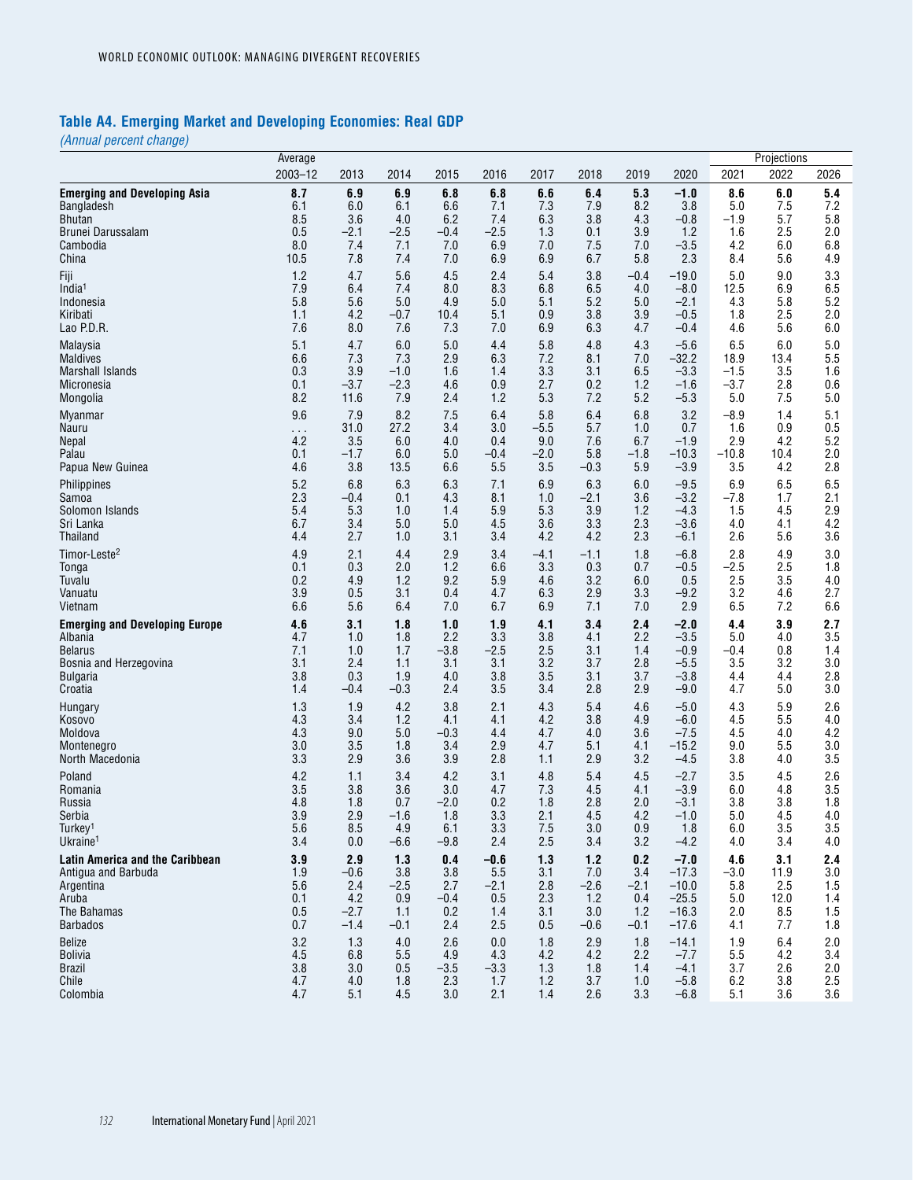# **Table A4. Emerging Market and Developing Economies: Real GDP**

*(Annual percent change)*

|                                        | Average       |        |        |        |        |        |        |        |         |         | Projections |      |
|----------------------------------------|---------------|--------|--------|--------|--------|--------|--------|--------|---------|---------|-------------|------|
|                                        | $2003 - 12$   | 2013   | 2014   | 2015   | 2016   | 2017   | 2018   | 2019   | 2020    | 2021    | 2022        | 2026 |
| <b>Emerging and Developing Asia</b>    | 8.7           | 6.9    | 6.9    | 6.8    | 6.8    | 6.6    | 6.4    | 5.3    | $-1.0$  | 8.6     | 6.0         | 5.4  |
| Bangladesh                             | 6.1           | 6.0    | 6.1    | 6.6    | 7.1    | 7.3    | 7.9    | 8.2    | 3.8     | 5.0     | 7.5         | 7.2  |
| Bhutan                                 | 8.5           | 3.6    | 4.0    | 6.2    | 7.4    | 6.3    | 3.8    | 4.3    | $-0.8$  | $-1.9$  | 5.7         | 5.8  |
| Brunei Darussalam                      | 0.5           | $-2.1$ | $-2.5$ | $-0.4$ | $-2.5$ | 1.3    | 0.1    | 3.9    | 1.2     | 1.6     | 2.5         | 2.0  |
| Cambodia                               | 8.0           | 7.4    | 7.1    | 7.0    | 6.9    | 7.0    | 7.5    | 7.0    | $-3.5$  | 4.2     | 6.0         | 6.8  |
| China                                  | 10.5          | 7.8    | 7.4    | 7.0    | 6.9    | 6.9    | 6.7    | 5.8    | 2.3     | 8.4     | 5.6         | 4.9  |
| Fiji                                   | 1.2           | 4.7    | 5.6    | 4.5    | 2.4    | 5.4    | 3.8    | -0.4   | $-19.0$ | 5.0     | 9.0         | 3.3  |
| India <sup>1</sup>                     | 7.9           | 6.4    | 7.4    | 8.0    | 8.3    | 6.8    | 6.5    | 4.0    | $-8.0$  | 12.5    | 6.9         | 6.5  |
| Indonesia                              | 5.8           | 5.6    | 5.0    | 4.9    | 5.0    | 5.1    | 5.2    | 5.0    | $-2.1$  | 4.3     | 5.8         | 5.2  |
| Kiribati                               | 1.1           | 4.2    | -0.7   | 10.4   | 5.1    | 0.9    | 3.8    | 3.9    | $-0.5$  | 1.8     | 2.5         | 2.0  |
| Lao P.D.R.                             | 7.6           | 8.0    | 7.6    | 7.3    | 7.0    | 6.9    | 6.3    | 4.7    | $-0.4$  | 4.6     | 5.6         | 6.0  |
| Malaysia                               | 5.1           | 4.7    | 6.0    | 5.0    | 4.4    | 5.8    | 4.8    | 4.3    | $-5.6$  | 6.5     | 6.0         | 5.0  |
| <b>Maldives</b>                        | 6.6           | 7.3    | 7.3    | 2.9    | 6.3    | 7.2    | 8.1    | 7.0    | $-32.2$ | 18.9    | 13.4        | 5.5  |
| <b>Marshall Islands</b>                | 0.3           | 3.9    | $-1.0$ | 1.6    | 1.4    | 3.3    | 3.1    | 6.5    | $-3.3$  | $-1.5$  | 3.5         | 1.6  |
| Micronesia                             | 0.1           | $-3.7$ | $-2.3$ | 4.6    | 0.9    | 2.7    | 0.2    | 1.2    | $-1.6$  | $-3.7$  | 2.8         | 0.6  |
| Mongolia                               | 8.2           | 11.6   | 7.9    | 2.4    | 1.2    | 5.3    | 7.2    | 5.2    | $-5.3$  | 5.0     | 7.5         | 5.0  |
| <b>Myanmar</b>                         | 9.6           | 7.9    | 8.2    | 7.5    | 6.4    | 5.8    | 6.4    | 6.8    | 3.2     | $-8.9$  | 1.4         | 5.1  |
| Nauru                                  | $\sim$ $\sim$ | 31.0   | 27.2   | 3.4    | 3.0    | $-5.5$ | 5.7    | 1.0    | 0.7     | 1.6     | 0.9         | 0.5  |
| Nepal                                  | 4.2           | 3.5    | 6.0    | 4.0    | 0.4    | 9.0    | 7.6    | 6.7    | $-1.9$  | 2.9     | 4.2         | 5.2  |
| Palau                                  | 0.1           | $-1.7$ | 6.0    | 5.0    | -0.4   | $-2.0$ | 5.8    | $-1.8$ | $-10.3$ | $-10.8$ | 10.4        | 2.0  |
| Papua New Guinea                       | 4.6           | 3.8    | 13.5   | 6.6    | 5.5    | 3.5    | $-0.3$ | 5.9    | $-3.9$  | 3.5     | 4.2         | 2.8  |
| Philippines                            | 5.2           | 6.8    | 6.3    | 6.3    | 7.1    | 6.9    | 6.3    | 6.0    | $-9.5$  | 6.9     | 6.5         | 6.5  |
| Samoa                                  | 2.3           | $-0.4$ | 0.1    | 4.3    | 8.1    | 1.0    | $-2.1$ | 3.6    | $-3.2$  | $-7.8$  | 1.7         | 2.1  |
| Solomon Islands                        | 5.4           | 5.3    | 1.0    | 1.4    | 5.9    | 5.3    | 3.9    | 1.2    | $-4.3$  | 1.5     | 4.5         | 2.9  |
| Sri Lanka                              | 6.7           | 3.4    | 5.0    | 5.0    | 4.5    | 3.6    | 3.3    | 2.3    | $-3.6$  | 4.0     | 4.1         | 4.2  |
| Thailand                               | 4.4           | 2.7    | 1.0    | 3.1    | 3.4    | 4.2    | 4.2    | 2.3    | $-6.1$  | 2.6     | 5.6         | 3.6  |
| Timor-Leste <sup>2</sup>               | 4.9           | 2.1    | 4.4    | 2.9    | 3.4    | $-4.1$ | $-1.1$ | 1.8    | $-6.8$  | 2.8     | 4.9         | 3.0  |
| Tonga                                  | 0.1           | 0.3    | 2.0    | 1.2    | 6.6    | 3.3    | 0.3    | 0.7    | $-0.5$  | $-2.5$  | 2.5         | 1.8  |
| Tuvalu                                 | 0.2           | 4.9    | 1.2    | 9.2    | 5.9    | 4.6    | 3.2    | 6.0    | 0.5     | 2.5     | 3.5         | 4.0  |
| Vanuatu                                | 3.9           | 0.5    | 3.1    | 0.4    | 4.7    | 6.3    | 2.9    | 3.3    | $-9.2$  | 3.2     | 4.6         | 2.7  |
| Vietnam                                | 6.6           | 5.6    | 6.4    | 7.0    | 6.7    | 6.9    | 7.1    | 7.0    | 2.9     | 6.5     | 7.2         | 6.6  |
| <b>Emerging and Developing Europe</b>  | 4.6           | 3.1    | 1.8    | 1.0    | 1.9    | 4.1    | 3.4    | 2.4    | $-2.0$  | 4.4     | 3.9         | 2.7  |
| Albania                                | 4.7           | 1.0    | 1.8    | 2.2    | 3.3    | 3.8    | 4.1    | 2.2    | $-3.5$  | 5.0     | 4.0         | 3.5  |
| Belarus                                | 7.1           | 1.0    | 1.7    | $-3.8$ | $-2.5$ | 2.5    | 3.1    | 1.4    | $-0.9$  | $-0.4$  | 0.8         | 1.4  |
| Bosnia and Herzegovina                 | 3.1           | 2.4    | 1.1    | 3.1    | 3.1    | 3.2    | 3.7    | 2.8    | $-5.5$  | 3.5     | 3.2         | 3.0  |
| <b>Bulgaria</b>                        | 3.8           | 0.3    | 1.9    | 4.0    | 3.8    | 3.5    | 3.1    | 3.7    | $-3.8$  | 4.4     | 4.4         | 2.8  |
| Croatia                                | 1.4           | $-0.4$ | -0.3   | 2.4    | 3.5    | 3.4    | 2.8    | 2.9    | $-9.0$  | 4.7     | 5.0         | 3.0  |
| Hungary                                | 1.3           | 1.9    | 4.2    | 3.8    | 2.1    | 4.3    | 5.4    | 4.6    | $-5.0$  | 4.3     | 5.9         | 2.6  |
| Kosovo                                 | 4.3           | 3.4    | 1.2    | 4.1    | 4.1    | 4.2    | 3.8    | 4.9    | $-6.0$  | 4.5     | 5.5         | 4.0  |
| Moldova                                | 4.3           | 9.0    | 5.0    | $-0.3$ | 4.4    | 4.7    | 4.0    | 3.6    | $-7.5$  | 4.5     | 4.0         | 4.2  |
| Montenegro                             | 3.0           | 3.5    | 1.8    | 3.4    | 2.9    | 4.7    | 5.1    | 4.1    | $-15.2$ | 9.0     | 5.5         | 3.0  |
| North Macedonia                        | 3.3           | 2.9    | 3.6    | 3.9    | 2.8    | 1.1    | 2.9    | 3.2    | $-4.5$  | 3.8     | 4.0         | 3.5  |
| Poland                                 | 4.2           | 1.1    | 3.4    | 4.2    | 3.1    | 4.8    | 5.4    | 4.5    | $-2.7$  | 3.5     | 4.5         | 2.6  |
| Romania                                | 3.5           | 3.8    | 3.6    | 3.0    | 4.7    | 7.3    | 4.5    | 4.1    | $-3.9$  | 6.0     | 4.8         | 3.5  |
| Russia                                 | 4.8           | 1.8    | 0.7    | $-2.0$ | 0.2    | 1.8    | 2.8    | 2.0    | $-3.1$  | 3.8     | 3.8         | 1.8  |
| Serbia                                 | 3.9           | 2.9    | $-1.6$ | 1.8    | 3.3    | 2.1    | 4.5    | 4.2    | $-1.0$  | 5.0     | 4.5         | 4.0  |
| Turkey <sup>1</sup>                    | 5.6           | 8.5    | 4.9    | 6.1    | 3.3    | 7.5    | 3.0    | 0.9    | 1.8     | 6.0     | 3.5         | 3.5  |
| Ukraine <sup>1</sup>                   | 3.4           | 0.0    | $-6.6$ | $-9.8$ | 2.4    | 2.5    | 3.4    | 3.2    | $-4.2$  | 4.0     | 3.4         | 4.0  |
| <b>Latin America and the Caribbean</b> | 3.9           | 2.9    | 1.3    | 0.4    | $-0.6$ | 1.3    | $1.2$  | 0.2    | $-7.0$  | 4.6     | 3.1         | 2.4  |
| Antigua and Barbuda                    | 1.9           | $-0.6$ | 3.8    | 3.8    | 5.5    | 3.1    | 7.0    | 3.4    | $-17.3$ | $-3.0$  | 11.9        | 3.0  |
| Argentina                              | 5.6           | 2.4    | -2.5   | 2.7    | $-2.1$ | 2.8    | $-2.6$ | $-2.1$ | $-10.0$ | 5.8     | 2.5         | 1.5  |
| Aruba                                  | 0.1           | 4.2    | 0.9    | $-0.4$ | 0.5    | 2.3    | 1.2    | 0.4    | $-25.5$ | 5.0     | 12.0        | 1.4  |
| The Bahamas                            | 0.5           | $-2.7$ | 1.1    | 0.2    | 1.4    | 3.1    | 3.0    | 1.2    | $-16.3$ | 2.0     | 8.5         | 1.5  |
| <b>Barbados</b>                        | 0.7           | $-1.4$ | $-0.1$ | 2.4    | 2.5    | 0.5    | $-0.6$ | $-0.1$ | $-17.6$ | 4.1     | 7.7         | 1.8  |
| <b>Belize</b>                          | 3.2           | 1.3    | 4.0    | 2.6    | 0.0    | 1.8    | 2.9    | 1.8    | $-14.1$ | 1.9     | 6.4         | 2.0  |
| <b>Bolivia</b>                         | 4.5           | 6.8    | 5.5    | 4.9    | 4.3    | 4.2    | 4.2    | 2.2    | $-7.7$  | 5.5     | 4.2         | 3.4  |
| <b>Brazil</b>                          | 3.8           | 3.0    | 0.5    | $-3.5$ | $-3.3$ | 1.3    | 1.8    | 1.4    | $-4.1$  | 3.7     | 2.6         | 2.0  |
| Chile                                  | 4.7           | 4.0    | 1.8    | 2.3    | 1.7    | 1.2    | 3.7    | 1.0    | $-5.8$  | 6.2     | 3.8         | 2.5  |
| Colombia                               | 4.7           | 5.1    | 4.5    | 3.0    | 2.1    | 1.4    | 2.6    | 3.3    | $-6.8$  | 5.1     | 3.6         | 3.6  |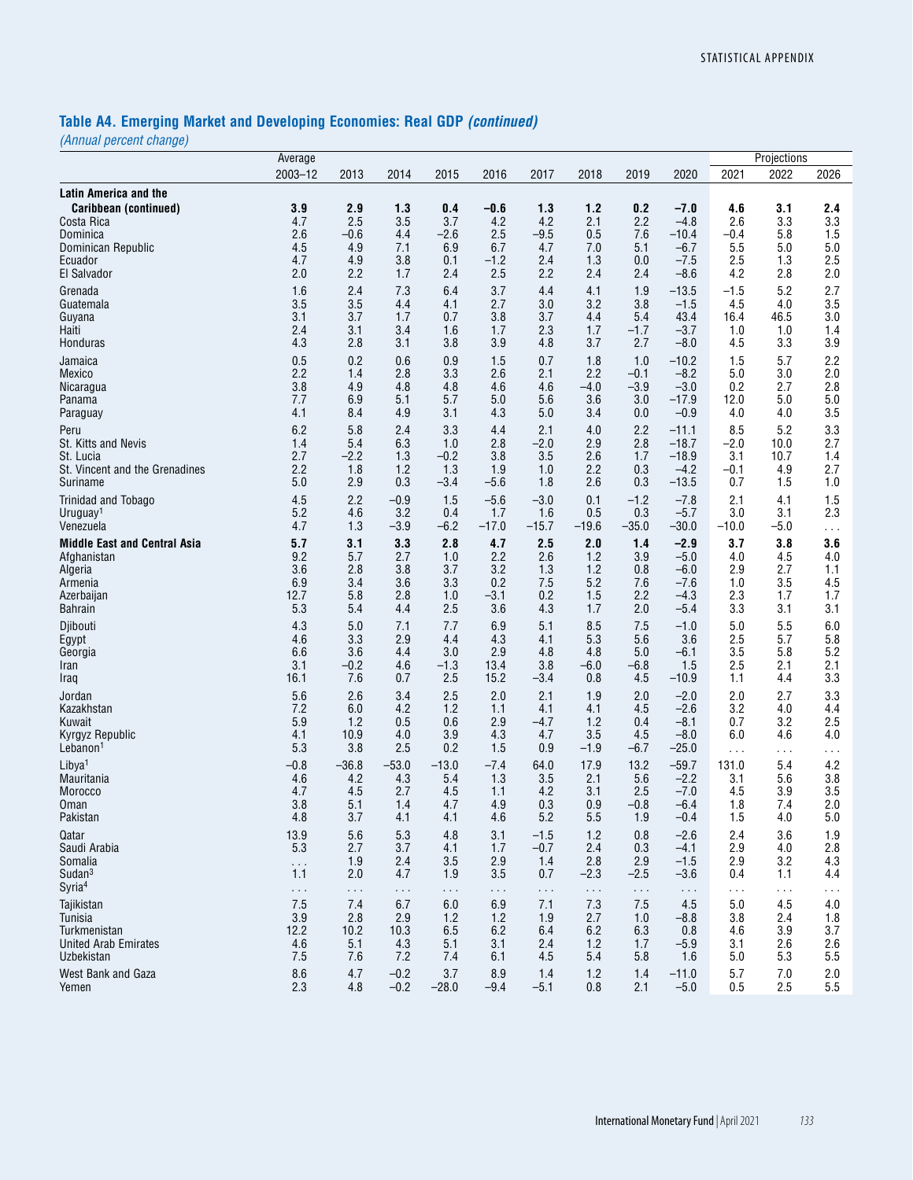# **Table A4. Emerging Market and Developing Economies: Real GDP** *(continued)*

*(Annual percent change)*

|                                                       | Average          |                      |                 |                 |                 |                      |                      |                      |                      |                      | Projections     |            |
|-------------------------------------------------------|------------------|----------------------|-----------------|-----------------|-----------------|----------------------|----------------------|----------------------|----------------------|----------------------|-----------------|------------|
|                                                       | $2003 - 12$      | 2013                 | 2014            | 2015            | 2016            | 2017                 | 2018                 | 2019                 | 2020                 | 2021                 | 2022            | 2026       |
| <b>Latin America and the</b><br>Caribbean (continued) | 3.9              | 2.9                  | 1.3             | 0.4             | -0.6            | 1.3                  | 1.2                  | 0.2                  | $-7.0$               | 4.6                  | 3.1             | 2.4        |
| Costa Rica                                            | 4.7              | 2.5                  | 3.5             | 3.7             | 4.2             | 4.2                  | 2.1                  | 2.2                  | $-4.8$               | 2.6                  | 3.3             | 3.3        |
| Dominica                                              | 2.6              | $-0.6$               | 4.4             | $-2.6$          | 2.5             | $-9.5$               | 0.5                  | 7.6                  | $-10.4$              | $-0.4$               | 5.8             | 1.5        |
| Dominican Republic                                    | 4.5              | 4.9                  | 7.1             | 6.9             | 6.7             | 4.7                  | 7.0                  | 5.1                  | $-6.7$               | 5.5                  | 5.0             | 5.0        |
| Ecuador                                               | 4.7              | 4.9                  | 3.8             | 0.1             | $-1.2$          | 2.4                  | 1.3                  | 0.0                  | $-7.5$               | 2.5                  | 1.3             | 2.5        |
| El Salvador                                           | 2.0              | 2.2                  | 1.7             | 2.4             | 2.5             | 2.2                  | 2.4                  | 2.4                  | $-8.6$               | 4.2                  | 2.8             | 2.0        |
| Grenada                                               | 1.6              | 2.4                  | 7.3             | 6.4             | 3.7             | 4.4                  | 4.1                  | 1.9                  | $-13.5$              | $-1.5$               | 5.2             | 2.7        |
| Guatemala                                             | 3.5              | 3.5                  | 4.4             | 4.1             | 2.7             | 3.0                  | 3.2                  | 3.8                  | $-1.5$               | 4.5                  | 4.0             | 3.5        |
| Guyana<br>Haiti                                       | 3.1<br>2.4       | 3.7<br>3.1           | 1.7<br>3.4      | 0.7<br>1.6      | 3.8<br>1.7      | 3.7<br>2.3           | 4.4<br>1.7           | 5.4<br>$-1.7$        | 43.4<br>$-3.7$       | 16.4<br>1.0          | 46.5<br>1.0     | 3.0<br>1.4 |
| Honduras                                              | 4.3              | 2.8                  | 3.1             | 3.8             | 3.9             | 4.8                  | 3.7                  | 2.7                  | $-8.0$               | 4.5                  | 3.3             | 3.9        |
| Jamaica                                               | 0.5              | 0.2                  | 0.6             | 0.9             | 1.5             | 0.7                  | 1.8                  | 1.0                  | $-10.2$              | 1.5                  | 5.7             | 2.2        |
| Mexico                                                | 2.2              | 1.4                  | 2.8             | 3.3             | 2.6             | 2.1                  | 2.2                  | $-0.1$               | $-8.2$               | 5.0                  | 3.0             | 2.0        |
| Nicaragua                                             | 3.8              | 4.9                  | 4.8             | 4.8             | 4.6             | 4.6                  | $-4.0$               | $-3.9$               | $-3.0$               | 0.2                  | 2.7             | 2.8        |
| Panama                                                | 7.7              | 6.9                  | 5.1             | 5.7             | 5.0             | 5.6                  | 3.6                  | 3.0                  | $-17.9$              | 12.0                 | 5.0             | 5.0        |
| Paraguay                                              | 4.1              | 8.4                  | 4.9             | 3.1             | 4.3             | 5.0                  | 3.4                  | 0.0                  | $-0.9$               | 4.0                  | 4.0             | 3.5        |
| Peru                                                  | 6.2              | 5.8                  | 2.4             | 3.3             | 4.4             | 2.1                  | 4.0                  | 2.2                  | $-11.1$              | 8.5                  | 5.2             | 3.3        |
| St. Kitts and Nevis                                   | 1.4              | 5.4                  | 6.3             | 1.0             | 2.8             | $-2.0$               | 2.9                  | 2.8                  | $-18.7$              | $-2.0$               | 10.0            | 2.7        |
| St. Lucia<br>St. Vincent and the Grenadines           | 2.7<br>2.2       | $-2.2$<br>1.8        | 1.3<br>1.2      | $-0.2$<br>1.3   | 3.8<br>1.9      | 3.5<br>1.0           | 2.6<br>2.2           | 1.7<br>0.3           | $-18.9$<br>$-4.2$    | 3.1<br>$-0.1$        | 10.7<br>4.9     | 1.4<br>2.7 |
| Suriname                                              | 5.0              | 2.9                  | 0.3             | $-3.4$          | $-5.6$          | 1.8                  | 2.6                  | 0.3                  | $-13.5$              | 0.7                  | 1.5             | 1.0        |
| Trinidad and Tobago                                   | 4.5              | 2.2                  | $-0.9$          | 1.5             | $-5.6$          | $-3.0$               | 0.1                  | $-1.2$               | $-7.8$               | 2.1                  | 4.1             | 1.5        |
| Uruguay <sup>1</sup>                                  | 5.2              | 4.6                  | 3.2             | 0.4             | 1.7             | 1.6                  | 0.5                  | 0.3                  | $-5.7$               | 3.0                  | 3.1             | 2.3        |
| Venezuela                                             | 4.7              | 1.3                  | $-3.9$          | $-6.2$          | $-17.0$         | $-15.7$              | $-19.6$              | $-35.0$              | $-30.0$              | $-10.0$              | $-5.0$          | $\sim$     |
| <b>Middle East and Central Asia</b>                   | 5.7              | 3.1                  | 3.3             | 2.8             | 4.7             | 2.5                  | 2.0                  | 1.4                  | $-2.9$               | 3.7                  | 3.8             | 3.6        |
| Afghanistan                                           | 9.2              | 5.7                  | 2.7             | 1.0             | 2.2             | 2.6                  | 1.2                  | 3.9                  | $-5.0$               | 4.0                  | 4.5             | 4.0        |
| Algeria                                               | 3.6              | 2.8                  | 3.8             | 3.7             | 3.2             | 1.3                  | 1.2                  | 0.8                  | $-6.0$               | 2.9                  | 2.7             | 1.1        |
| Armenia                                               | 6.9              | 3.4                  | 3.6             | 3.3             | 0.2             | 7.5                  | 5.2                  | 7.6                  | $-7.6$               | 1.0                  | 3.5             | 4.5        |
| Azerbaijan<br><b>Bahrain</b>                          | 12.7<br>5.3      | 5.8<br>5.4           | 2.8<br>4.4      | 1.0<br>2.5      | $-3.1$<br>3.6   | 0.2<br>4.3           | 1.5<br>1.7           | 2.2<br>2.0           | $-4.3$<br>$-5.4$     | 2.3<br>3.3           | 1.7<br>3.1      | 1.7<br>3.1 |
|                                                       | 4.3              | 5.0                  | 7.1             | 7.7             | 6.9             | 5.1                  | 8.5                  | 7.5                  | $-1.0$               | 5.0                  | 5.5             | $6.0\,$    |
| Djibouti<br>Egypt                                     | 4.6              | 3.3                  | 2.9             | 4.4             | 4.3             | 4.1                  | 5.3                  | 5.6                  | 3.6                  | 2.5                  | 5.7             | 5.8        |
| Georgia                                               | 6.6              | 3.6                  | 4.4             | 3.0             | 2.9             | 4.8                  | 4.8                  | 5.0                  | $-6.1$               | 3.5                  | 5.8             | 5.2        |
| Iran                                                  | 3.1              | $-0.2$               | 4.6             | $-1.3$          | 13.4            | 3.8                  | $-6.0$               | $-6.8$               | 1.5                  | 2.5                  | 2.1             | 2.1        |
| Iraq                                                  | 16.1             | 7.6                  | 0.7             | 2.5             | 15.2            | $-3.4$               | 0.8                  | 4.5                  | $-10.9$              | 1.1                  | 4.4             | 3.3        |
| Jordan                                                | 5.6              | 2.6                  | 3.4             | 2.5             | 2.0             | 2.1                  | 1.9                  | 2.0                  | $-2.0$               | 2.0                  | 2.7             | 3.3        |
| Kazakhstan                                            | 7.2              | 6.0                  | 4.2             | 1.2             | 1.1             | 4.1                  | 4.1                  | 4.5                  | $-2.6$               | 3.2                  | 4.0             | 4.4        |
| Kuwait                                                | 5.9              | 1.2                  | 0.5             | 0.6             | 2.9<br>4.3      | $-4.7$               | 1.2                  | 0.4                  | $-8.1$               | 0.7                  | 3.2             | 2.5<br>4.0 |
| Kyrgyz Republic<br>Lebanon <sup>1</sup>               | 4.1<br>5.3       | 10.9<br>3.8          | 4.0<br>2.5      | 3.9<br>0.2      | 1.5             | 4.7<br>0.9           | 3.5<br>$-1.9$        | 4.5<br>$-6.7$        | $-8.0$<br>$-25.0$    | 6.0<br>$\sim$ $\sim$ | 4.6             |            |
| Libya <sup>1</sup>                                    | $-0.8$           | $-36.8$              | $-53.0$         | $-13.0$         | $-7.4$          | 64.0                 | 17.9                 | 13.2                 | $-59.7$              | 131.0                | $\cdots$<br>5.4 | .<br>4.2   |
| Mauritania                                            | 4.6              | 4.2                  | 4.3             | 5.4             | 1.3             | 3.5                  | 2.1                  | 5.6                  | $-2.2$               | 3.1                  | 5.6             | 3.8        |
| Morocco                                               | 4.7              | 4.5                  | 2.7             | 4.5             | 1.1             | 4.2                  | 3.1                  | 2.5                  | $-7.0$               | 4.5                  | 3.9             | 3.5        |
| Oman                                                  | 3.8              | 5.1                  | 1.4             | 4.7             | 4.9             | 0.3                  | 0.9                  | $-0.8$               | $-6.4$               | 1.8                  | 7.4             | 2.0        |
| Pakistan                                              | 4.8              | 3.7                  | 4.1             | 4.1             | 4.6             | 5.2                  | 5.5                  | 1.9                  | $-0.4$               | 1.5                  | 4.0             | 5.0        |
| Qatar                                                 | 13.9             | 5.6                  | 5.3             | 4.8             | 3.1             | $-1.5$               | 1.2                  | 0.8                  | $-2.6$               | 2.4                  | 3.6             | 1.9        |
| Saudi Arabia                                          | 5.3              | 2.7                  | 3.7             | 4.1             | 1.7             | $-0.7$               | 2.4                  | 0.3                  | $-4.1$               | 2.9                  | 4.0             | 2.8        |
| Somalia<br>Sudan <sup>3</sup>                         | $\ddotsc$<br>1.1 | 1.9<br>2.0           | 2.4<br>4.7      | 3.5<br>1.9      | 2.9<br>3.5      | 1.4<br>0.7           | 2.8<br>$-2.3$        | 2.9<br>$-2.5$        | $-1.5$<br>$-3.6$     | 2.9<br>0.4           | 3.2<br>1.1      | 4.3<br>4.4 |
| Syria <sup>4</sup>                                    |                  |                      |                 |                 |                 |                      |                      |                      |                      |                      |                 |            |
| Tajikistan                                            | $\sim$ .<br>7.5  | $\sim$ $\sim$<br>7.4 | $\cdots$<br>6.7 | $\sim$ .<br>6.0 | $\sim$ .<br>6.9 | $\sim$ $\sim$<br>7.1 | $\sim$ $\sim$<br>7.3 | $\sim$ $\sim$<br>7.5 | $\sim$ $\sim$<br>4.5 | $\sim$<br>5.0        | $\cdots$<br>4.5 | 4.0        |
| Tunisia                                               | 3.9              | 2.8                  | 2.9             | 1.2             | 1.2             | 1.9                  | 2.7                  | 1.0                  | $-8.8$               | 3.8                  | 2.4             | 1.8        |
| Turkmenistan                                          | 12.2             | 10.2                 | 10.3            | 6.5             | 6.2             | 6.4                  | 6.2                  | 6.3                  | 0.8                  | 4.6                  | 3.9             | 3.7        |
| <b>United Arab Emirates</b>                           | 4.6              | 5.1                  | 4.3             | 5.1             | 3.1             | 2.4                  | 1.2                  | 1.7                  | $-5.9$               | 3.1                  | 2.6             | 2.6        |
| Uzbekistan                                            | 7.5              | 7.6                  | 7.2             | 7.4             | 6.1             | 4.5                  | 5.4                  | 5.8                  | 1.6                  | 5.0                  | 5.3             | 5.5        |
| West Bank and Gaza                                    | 8.6              | 4.7                  | $-0.2$          | 3.7             | 8.9             | 1.4                  | 1.2                  | 1.4                  | $-11.0$              | 5.7                  | 7.0             | 2.0        |
| Yemen                                                 | 2.3              | 4.8                  | $-0.2$          | $-28.0$         | $-9.4$          | $-5.1$               | 0.8                  | 2.1                  | $-5.0$               | 0.5                  | 2.5             | 5.5        |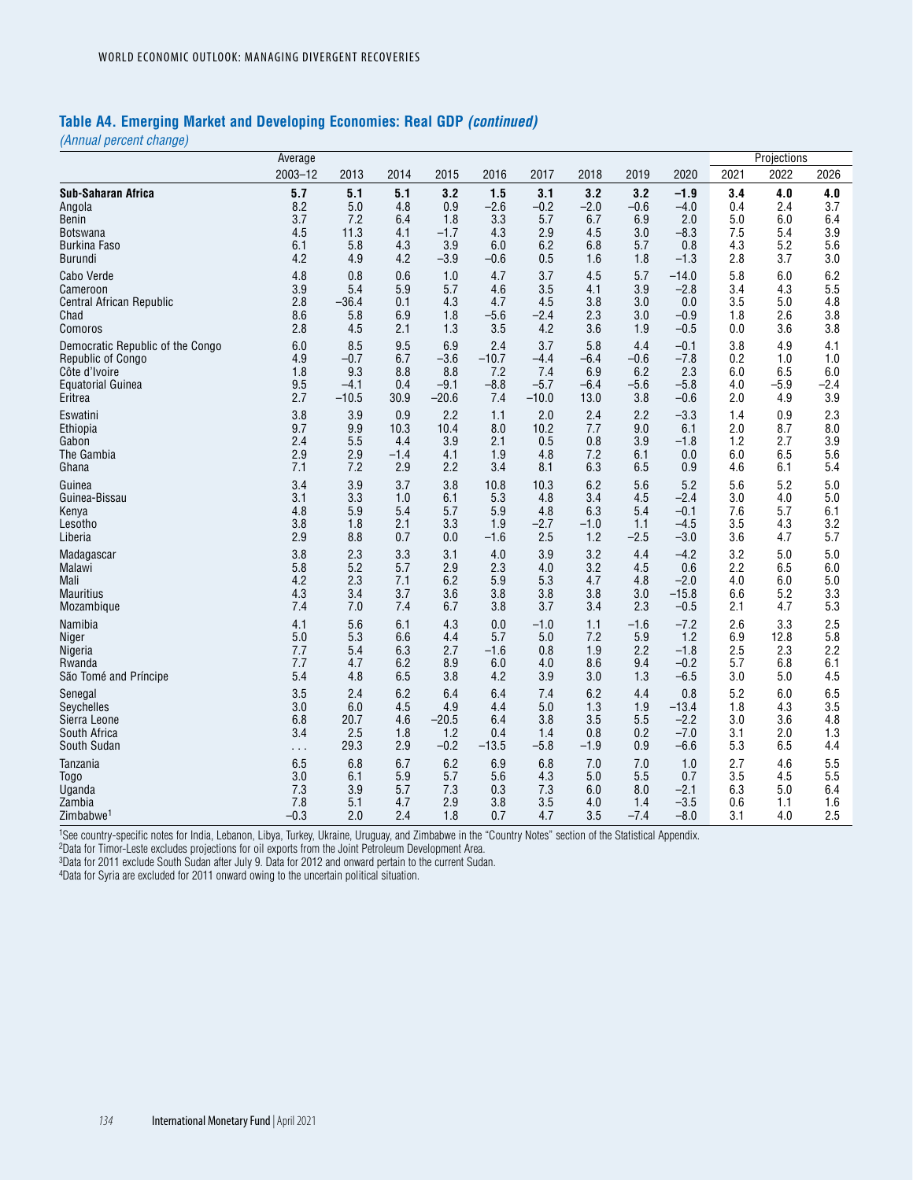#### **Table A4. Emerging Market and Developing Economies: Real GDP** *(continued)*

*(Annual percent change)*

|                                  | Average     |         |        |         |         |         |        |        |         |      | Projections |      |
|----------------------------------|-------------|---------|--------|---------|---------|---------|--------|--------|---------|------|-------------|------|
|                                  | $2003 - 12$ | 2013    | 2014   | 2015    | 2016    | 2017    | 2018   | 2019   | 2020    | 2021 | 2022        | 2026 |
| <b>Sub-Saharan Africa</b>        | 5.7         | 5.1     | 5.1    | 3.2     | 1.5     | 3.1     | 3.2    | 3.2    | $-1.9$  | 3.4  | 4.0         | 4.0  |
| Angola                           | 8.2         | 5.0     | 4.8    | 0.9     | $-2.6$  | $-0.2$  | $-2.0$ | $-0.6$ | $-4.0$  | 0.4  | 2.4         | 3.7  |
| Benin                            | 3.7         | 7.2     | 6.4    | 1.8     | 3.3     | 5.7     | 6.7    | 6.9    | 2.0     | 5.0  | 6.0         | 6.4  |
| <b>Botswana</b>                  | 4.5         | 11.3    | 4.1    | $-1.7$  | 4.3     | 2.9     | 4.5    | 3.0    | $-8.3$  | 7.5  | 5.4         | 3.9  |
| <b>Burkina Faso</b>              | 6.1         | 5.8     | 4.3    | 3.9     | 6.0     | 6.2     | 6.8    | 5.7    | 0.8     | 4.3  | 5.2         | 5.6  |
| Burundi                          | 4.2         | 4.9     | 4.2    | $-3.9$  | $-0.6$  | 0.5     | 1.6    | 1.8    | $-1.3$  | 2.8  | 3.7         | 3.0  |
| Cabo Verde                       | 4.8         | 0.8     | 0.6    | 1.0     | 4.7     | 3.7     | 4.5    | 5.7    | $-14.0$ | 5.8  | 6.0         | 6.2  |
| Cameroon                         | 3.9         | 5.4     | 5.9    | 5.7     | 4.6     | 3.5     | 4.1    | 3.9    | $-2.8$  | 3.4  | 4.3         | 5.5  |
| Central African Republic         | 2.8         | $-36.4$ | 0.1    | 4.3     | 4.7     | 4.5     | 3.8    | 3.0    | 0.0     | 3.5  | 5.0         | 4.8  |
| Chad                             | 8.6         | 5.8     | 6.9    | 1.8     | $-5.6$  | $-2.4$  | 2.3    | 3.0    | $-0.9$  | 1.8  | 2.6         | 3.8  |
| Comoros                          | 2.8         | 4.5     | 2.1    | 1.3     | 3.5     | 4.2     | 3.6    | 1.9    | $-0.5$  | 0.0  | 3.6         | 3.8  |
| Democratic Republic of the Congo | 6.0         | 8.5     | 9.5    | 6.9     | 2.4     | 3.7     | 5.8    | 4.4    | $-0.1$  | 3.8  | 4.9         | 4.1  |
| Republic of Congo                | 4.9         | $-0.7$  | 6.7    | $-3.6$  | $-10.7$ | $-4.4$  | -6.4   | $-0.6$ | $-7.8$  | 0.2  | 1.0         | 1.0  |
| Côte d'Ivoire                    | 1.8         | 9.3     | 8.8    | 8.8     | 7.2     | 7.4     | 6.9    | 6.2    | 2.3     | 6.0  | 6.5         | 6.0  |
| Equatorial Guinea                | 9.5         | $-4.1$  | 0.4    | $-9.1$  | $-8.8$  | $-5.7$  | -6.4   | -5.6   | $-5.8$  | 4.0  | $-5.9$      | -2.4 |
| Eritrea                          | 2.7         | $-10.5$ | 30.9   | $-20.6$ | 7.4     | $-10.0$ | 13.0   | 3.8    | $-0.6$  | 2.0  | 4.9         | 3.9  |
| Eswatini                         | 3.8         | 3.9     | 0.9    | 2.2     | 1.1     | 2.0     | 2.4    | 2.2    | $-3.3$  | 1.4  | 0.9         | 2.3  |
| Ethiopia                         | 9.7         | 9.9     | 10.3   | 10.4    | 8.0     | 10.2    | 7.7    | 9.0    | 6.1     | 2.0  | 8.7         | 8.0  |
| Gabon                            | 2.4         | 5.5     | 4.4    | 3.9     | 2.1     | 0.5     | 0.8    | 3.9    | $-1.8$  | 1.2  | 2.7         | 3.9  |
| The Gambia                       | 2.9         | 2.9     | $-1.4$ | 4.1     | 1.9     | 4.8     | 7.2    | 6.1    | 0.0     | 6.0  | 6.5         | 5.6  |
| Ghana                            | 7.1         | 7.2     | 2.9    | 2.2     | 3.4     | 8.1     | 6.3    | 6.5    | 0.9     | 4.6  | 6.1         | 5.4  |
| Guinea                           | 3.4         | 3.9     | 3.7    | 3.8     | 10.8    | 10.3    | 6.2    | 5.6    | 5.2     | 5.6  | 5.2         | 5.0  |
| Guinea-Bissau                    | 3.1         | 3.3     | 1.0    | 6.1     | 5.3     | 4.8     | 3.4    | 4.5    | $-2.4$  | 3.0  | 4.0         | 5.0  |
| Kenya                            | 4.8         | 5.9     | 5.4    | 5.7     | 5.9     | 4.8     | 6.3    | 5.4    | $-0.1$  | 7.6  | 5.7         | 6.1  |
| Lesotho                          | 3.8         | 1.8     | 2.1    | 3.3     | 1.9     | $-2.7$  | $-1.0$ | 1.1    | $-4.5$  | 3.5  | 4.3         | 3.2  |
| Liberia                          | 2.9         | 8.8     | 0.7    | 0.0     | $-1.6$  | 2.5     | 1.2    | $-2.5$ | $-3.0$  | 3.6  | 4.7         | 5.7  |
| Madagascar                       | 3.8         | 2.3     | 3.3    | 3.1     | 4.0     | 3.9     | 3.2    | 4.4    | $-4.2$  | 3.2  | 5.0         | 5.0  |
| Malawi                           | 5.8         | 5.2     | 5.7    | 2.9     | 2.3     | 4.0     | 3.2    | 4.5    | 0.6     | 2.2  | 6.5         | 6.0  |
| Mali                             | 4.2         | 2.3     | 7.1    | 6.2     | 5.9     | 5.3     | 4.7    | 4.8    | $-2.0$  | 4.0  | 6.0         | 5.0  |
| <b>Mauritius</b>                 | 4.3         | 3.4     | 3.7    | 3.6     | 3.8     | 3.8     | 3.8    | 3.0    | $-15.8$ | 6.6  | 5.2         | 3.3  |
| Mozambique                       | 7.4         | 7.0     | 7.4    | 6.7     | 3.8     | 3.7     | 3.4    | 2.3    | $-0.5$  | 2.1  | 4.7         | 5.3  |
| Namibia                          | 4.1         | 5.6     | 6.1    | 4.3     | 0.0     | $-1.0$  | 1.1    | $-1.6$ | $-7.2$  | 2.6  | 3.3         | 2.5  |
| Niger                            | 5.0         | 5.3     | 6.6    | 4.4     | 5.7     | 5.0     | 7.2    | 5.9    | 1.2     | 6.9  | 12.8        | 5.8  |
| Nigeria                          | 7.7         | 5.4     | 6.3    | 2.7     | $-1.6$  | 0.8     | 1.9    | 2.2    | $-1.8$  | 2.5  | 2.3         | 2.2  |
| Rwanda                           | 7.7         | 4.7     | 6.2    | 8.9     | 6.0     | 4.0     | 8.6    | 9.4    | $-0.2$  | 5.7  | 6.8         | 6.1  |
| São Tomé and Príncipe            | 5.4         | 4.8     | 6.5    | 3.8     | 4.2     | 3.9     | 3.0    | 1.3    | $-6.5$  | 3.0  | 5.0         | 4.5  |
| Senegal                          | 3.5         | 2.4     | 6.2    | 6.4     | 6.4     | 7.4     | 6.2    | 4.4    | 0.8     | 5.2  | 6.0         | 6.5  |
| Seychelles                       | 3.0         | 6.0     | 4.5    | 4.9     | 4.4     | 5.0     | 1.3    | 1.9    | $-13.4$ | 1.8  | 4.3         | 3.5  |
| Sierra Leone                     | 6.8         | 20.7    | 4.6    | -20.5   | 6.4     | 3.8     | 3.5    | 5.5    | $-2.2$  | 3.0  | 3.6         | 4.8  |
| South Africa                     | 3.4         | 2.5     | 1.8    | 1.2     | 0.4     | 1.4     | 0.8    | 0.2    | $-7.0$  | 3.1  | 2.0         | 1.3  |
| South Sudan                      | $\cdots$    | 29.3    | 2.9    | $-0.2$  | $-13.5$ | $-5.8$  | $-1.9$ | 0.9    | $-6.6$  | 5.3  | 6.5         | 4.4  |
| Tanzania                         | 6.5         | 6.8     | 6.7    | 6.2     | 6.9     | 6.8     | 7.0    | 7.0    | 1.0     | 2.7  | 4.6         | 5.5  |
| <b>Togo</b>                      | 3.0         | 6.1     | 5.9    | 5.7     | 5.6     | 4.3     | 5.0    | 5.5    | 0.7     | 3.5  | 4.5         | 5.5  |
| Uganda                           | 7.3         | 3.9     | 5.7    | 7.3     | 0.3     | 7.3     | 6.0    | 8.0    | $-2.1$  | 6.3  | 5.0         | 6.4  |
| Zambia                           | 7.8         | 5.1     | 4.7    | 2.9     | 3.8     | 3.5     | 4.0    | 1.4    | $-3.5$  | 0.6  | 1.1         | 1.6  |
| Zimbabwe <sup>1</sup>            | $-0.3$      | 2.0     | 2.4    | 1.8     | 0.7     | 4.7     | 3.5    | $-7.4$ | $-8.0$  | 3.1  | 4.0         | 2.5  |

1See country-specific notes for India, Lebanon, Libya, Turkey, Ukraine, Uruguay, and Zimbabwe in the "Country Notes" section of the Statistical Appendix.

2Data for Timor-Leste excludes projections for oil exports from the Joint Petroleum Development Area.

3Data for 2011 exclude South Sudan after July 9. Data for 2012 and onward pertain to the current Sudan.

4Data for Syria are excluded for 2011 onward owing to the uncertain political situation.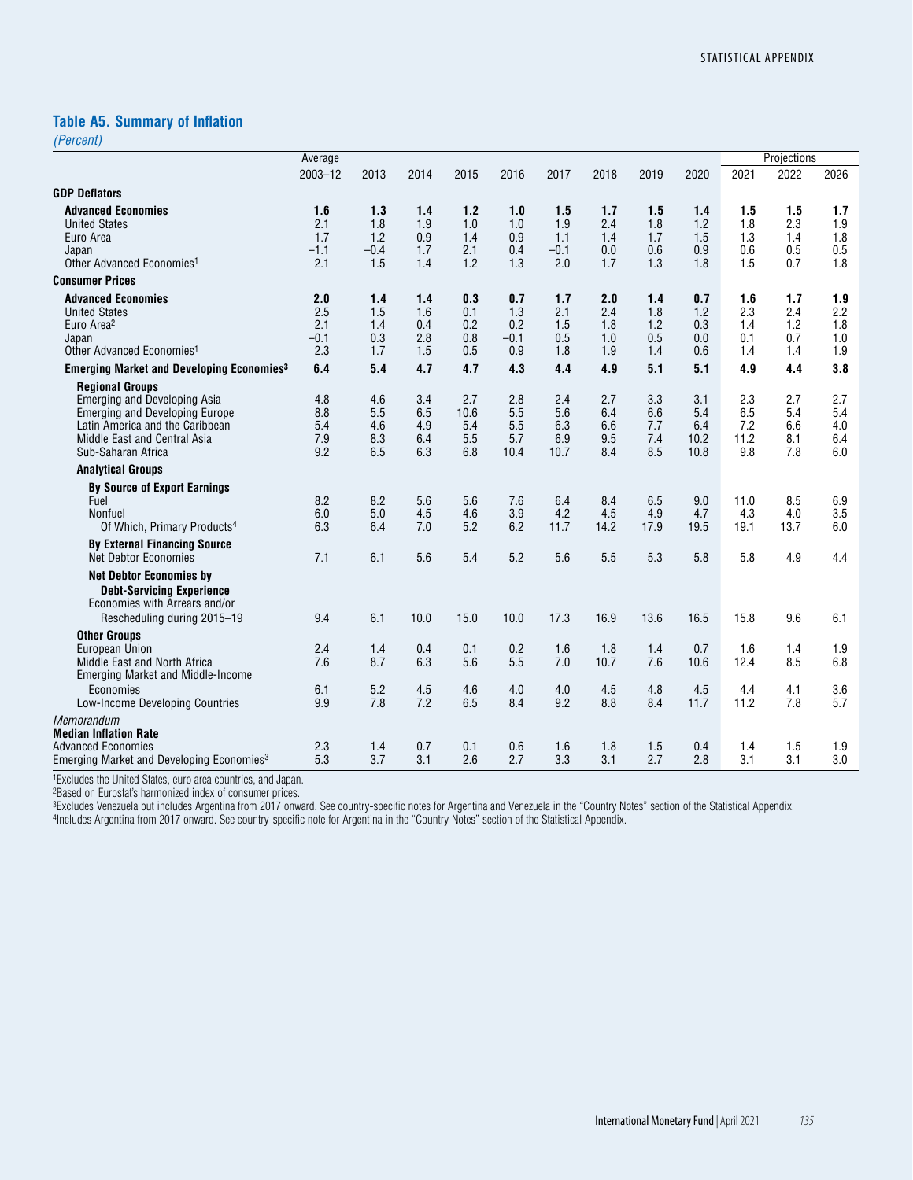#### **Table A5. Summary of Inflation**

*(Percent)*

|                                                                                                                                                                                   | Average                            |                                    |                                 |                                  |                                    |                                    |                                 |                                 |                                   |                                  | Projections                     |                                 |
|-----------------------------------------------------------------------------------------------------------------------------------------------------------------------------------|------------------------------------|------------------------------------|---------------------------------|----------------------------------|------------------------------------|------------------------------------|---------------------------------|---------------------------------|-----------------------------------|----------------------------------|---------------------------------|---------------------------------|
|                                                                                                                                                                                   | $2003 - 12$                        | 2013                               | 2014                            | 2015                             | 2016                               | 2017                               | 2018                            | 2019                            | 2020                              | 2021                             | 2022                            | 2026                            |
| <b>GDP Deflators</b>                                                                                                                                                              |                                    |                                    |                                 |                                  |                                    |                                    |                                 |                                 |                                   |                                  |                                 |                                 |
| <b>Advanced Economies</b><br><b>United States</b><br>Euro Area<br>Japan<br>Other Advanced Economies <sup>1</sup>                                                                  | 1.6<br>2.1<br>1.7<br>$-1.1$<br>2.1 | 1.3<br>1.8<br>1.2<br>$-0.4$<br>1.5 | 1.4<br>1.9<br>0.9<br>1.7<br>1.4 | 1.2<br>1.0<br>1.4<br>2.1<br>1.2  | 1.0<br>1.0<br>0.9<br>0.4<br>1.3    | 1.5<br>1.9<br>1.1<br>$-0.1$<br>2.0 | 1.7<br>2.4<br>1.4<br>0.0<br>1.7 | 1.5<br>1.8<br>1.7<br>0.6<br>1.3 | 1.4<br>1.2<br>1.5<br>0.9<br>1.8   | 1.5<br>1.8<br>1.3<br>0.6<br>1.5  | 1.5<br>2.3<br>1.4<br>0.5<br>0.7 | 1.7<br>1.9<br>1.8<br>0.5<br>1.8 |
| <b>Consumer Prices</b>                                                                                                                                                            |                                    |                                    |                                 |                                  |                                    |                                    |                                 |                                 |                                   |                                  |                                 |                                 |
| <b>Advanced Economies</b><br><b>United States</b><br>Euro Area <sup>2</sup><br>Japan<br>Other Advanced Economies <sup>1</sup>                                                     | 2.0<br>2.5<br>2.1<br>$-0.1$<br>2.3 | 1.4<br>1.5<br>1.4<br>0.3<br>1.7    | 1.4<br>1.6<br>0.4<br>2.8<br>1.5 | 0.3<br>0.1<br>0.2<br>0.8<br>0.5  | 0.7<br>1.3<br>0.2<br>$-0.1$<br>0.9 | 1.7<br>2.1<br>1.5<br>0.5<br>1.8    | 2.0<br>2.4<br>1.8<br>1.0<br>1.9 | 1.4<br>1.8<br>1.2<br>0.5<br>1.4 | 0.7<br>1.2<br>0.3<br>0.0<br>0.6   | 1.6<br>2.3<br>1.4<br>0.1<br>1.4  | 1.7<br>2.4<br>1.2<br>0.7<br>1.4 | 1.9<br>2.2<br>1.8<br>1.0<br>1.9 |
| <b>Emerging Market and Developing Economies3</b>                                                                                                                                  | 6.4                                | 5.4                                | 4.7                             | 4.7                              | 4.3                                | 4.4                                | 4.9                             | 5.1                             | 5.1                               | 4.9                              | 4.4                             | 3.8                             |
| <b>Regional Groups</b><br>Emerging and Developing Asia<br>Emerging and Developing Europe<br>Latin America and the Caribbean<br>Middle East and Central Asia<br>Sub-Saharan Africa | 4.8<br>8.8<br>5.4<br>7.9<br>9.2    | 4.6<br>5.5<br>4.6<br>8.3<br>6.5    | 3.4<br>6.5<br>4.9<br>6.4<br>6.3 | 2.7<br>10.6<br>5.4<br>5.5<br>6.8 | 2.8<br>5.5<br>5.5<br>5.7<br>10.4   | 2.4<br>5.6<br>6.3<br>6.9<br>10.7   | 2.7<br>6.4<br>6.6<br>9.5<br>8.4 | 3.3<br>6.6<br>7.7<br>7.4<br>8.5 | 3.1<br>5.4<br>6.4<br>10.2<br>10.8 | 2.3<br>6.5<br>7.2<br>11.2<br>9.8 | 2.7<br>5.4<br>6.6<br>8.1<br>7.8 | 2.7<br>5.4<br>4.0<br>6.4<br>6.0 |
| <b>Analytical Groups</b>                                                                                                                                                          |                                    |                                    |                                 |                                  |                                    |                                    |                                 |                                 |                                   |                                  |                                 |                                 |
| <b>By Source of Export Earnings</b><br>Fuel<br>Nonfuel<br>Of Which, Primary Products <sup>4</sup><br><b>By External Financing Source</b>                                          | 8.2<br>6.0<br>6.3                  | 8.2<br>5.0<br>6.4                  | 5.6<br>4.5<br>7.0               | 5.6<br>4.6<br>5.2                | 7.6<br>3.9<br>6.2                  | 6.4<br>4.2<br>11.7                 | 8.4<br>4.5<br>14.2              | 6.5<br>4.9<br>17.9              | 9.0<br>4.7<br>19.5                | 11.0<br>4.3<br>19.1              | 8.5<br>4.0<br>13.7              | 6.9<br>3.5<br>6.0               |
| <b>Net Debtor Economies</b><br><b>Net Debtor Economies by</b><br><b>Debt-Servicing Experience</b><br>Economies with Arrears and/or<br>Rescheduling during 2015-19                 | 7.1<br>9.4                         | 6.1<br>6.1                         | 5.6<br>10.0                     | 5.4<br>15.0                      | 5.2<br>10.0                        | 5.6<br>17.3                        | 5.5<br>16.9                     | 5.3<br>13.6                     | 5.8<br>16.5                       | 5.8<br>15.8                      | 4.9<br>9.6                      | 4.4<br>6.1                      |
| <b>Other Groups</b><br><b>European Union</b><br>Middle East and North Africa<br>Emerging Market and Middle-Income                                                                 | 2.4<br>7.6                         | 1.4<br>8.7                         | 0.4<br>6.3                      | 0.1<br>5.6                       | 0.2<br>5.5                         | 1.6<br>7.0                         | 1.8<br>10.7                     | 1.4<br>7.6                      | 0.7<br>10.6                       | 1.6<br>12.4                      | 1.4<br>8.5                      | 1.9<br>6.8                      |
| Economies<br>Low-Income Developing Countries                                                                                                                                      | 6.1<br>9.9                         | 5.2<br>7.8                         | 4.5<br>7.2                      | 4.6<br>6.5                       | 4.0<br>8.4                         | 4.0<br>9.2                         | 4.5<br>8.8                      | 4.8<br>8.4                      | 4.5<br>11.7                       | 4.4<br>11.2                      | 4.1<br>7.8                      | 3.6<br>5.7                      |
| Memorandum<br><b>Median Inflation Rate</b><br><b>Advanced Economies</b><br>Emerging Market and Developing Economies <sup>3</sup>                                                  | 2.3<br>5.3                         | 1.4<br>3.7                         | 0.7<br>3.1                      | 0.1<br>2.6                       | 0.6<br>2.7                         | 1.6<br>3.3                         | 1.8<br>3.1                      | 1.5<br>2.7                      | 0.4<br>2.8                        | 1.4<br>3.1                       | 1.5<br>3.1                      | 1.9<br>3.0                      |

1Excludes the United States, euro area countries, and Japan.

2Based on Eurostat's harmonized index of consumer prices.

3Excludes Venezuela but includes Argentina from 2017 onward. See country-specific notes for Argentina and Venezuela in the "Country Notes" section of the Statistical Appendix.

4Includes Argentina from 2017 onward. See country-specific note for Argentina in the "Country Notes" section of the Statistical Appendix.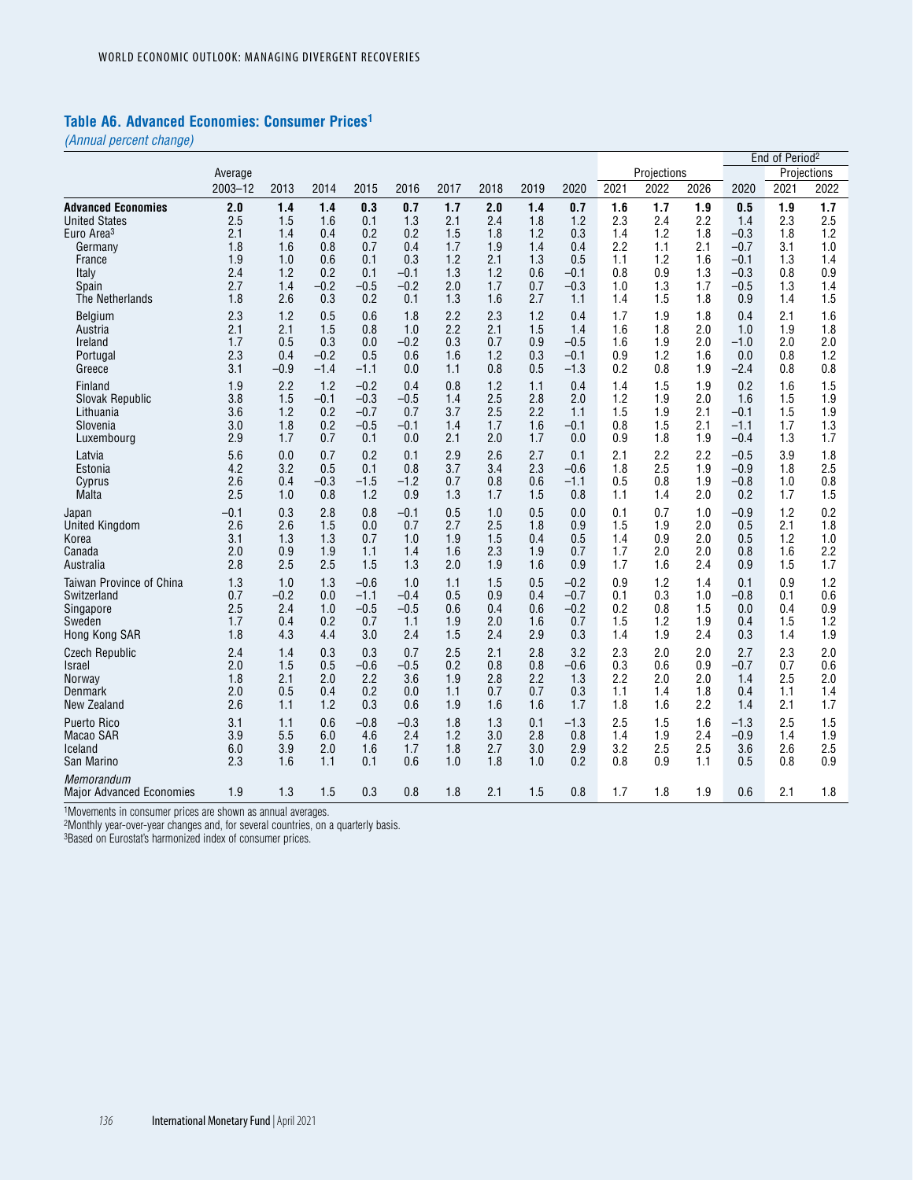#### **Table A6. Advanced Economies: Consumer Prices1**

*(Annual percent change)*

|                                        |         |        |        |        |        |      |      |      |        |      |             |      |        | End of Period <sup>2</sup> |             |
|----------------------------------------|---------|--------|--------|--------|--------|------|------|------|--------|------|-------------|------|--------|----------------------------|-------------|
|                                        | Average |        |        |        |        |      |      |      |        |      | Projections |      |        |                            | Projections |
|                                        | 2003-12 | 2013   | 2014   | 2015   | 2016   | 2017 | 2018 | 2019 | 2020   | 2021 | 2022        | 2026 | 2020   | 2021                       | 2022        |
| <b>Advanced Economies</b>              | 2.0     | 1.4    | 1.4    | 0.3    | 0.7    | 1.7  | 2.0  | 1.4  | 0.7    | 1.6  | 1.7         | 1.9  | 0.5    | 1.9                        | 1.7         |
| <b>United States</b>                   | 2.5     | 1.5    | 1.6    | 0.1    | 1.3    | 2.1  | 2.4  | 1.8  | 1.2    | 2.3  | 2.4         | 2.2  | 1.4    | 2.3                        | 2.5         |
| Euro Area <sup>3</sup>                 | 2.1     | 1.4    | 0.4    | 0.2    | 0.2    | 1.5  | 1.8  | 1.2  | 0.3    | 1.4  | 1.2         | 1.8  | $-0.3$ | 1.8                        | 1.2         |
| Germany                                | 1.8     | 1.6    | 0.8    | 0.7    | 0.4    | 1.7  | 1.9  | 1.4  | 0.4    | 2.2  | 1.1         | 2.1  | $-0.7$ | 3.1                        | 1.0         |
| France                                 | 1.9     | 1.0    | 0.6    | 0.1    | 0.3    | 1.2  | 2.1  | 1.3  | 0.5    | 1.1  | 1.2         | 1.6  | -0.1   | 1.3                        | 1.4         |
| Italy                                  | 2.4     | 1.2    | 0.2    | 0.1    | $-0.1$ | 1.3  | 1.2  | 0.6  | -0.1   | 0.8  | 0.9         | 1.3  | $-0.3$ | 0.8                        | 0.9         |
| Spain                                  | 2.7     | 1.4    | $-0.2$ | $-0.5$ | $-0.2$ | 2.0  | 1.7  | 0.7  | $-0.3$ | 1.0  | 1.3         | 1.7  | $-0.5$ | 1.3                        | 1.4         |
| The Netherlands                        | 1.8     | 2.6    | 0.3    | 0.2    | 0.1    | 1.3  | 1.6  | 2.7  | 1.1    | 1.4  | 1.5         | 1.8  | 0.9    | 1.4                        | 1.5         |
| Belgium                                | 2.3     | 1.2    | 0.5    | 0.6    | 1.8    | 2.2  | 2.3  | 1.2  | 0.4    | 1.7  | 1.9         | 1.8  | 0.4    | 2.1                        | 1.6         |
| Austria                                | 2.1     | 2.1    | 1.5    | 0.8    | 1.0    | 2.2  | 2.1  | 1.5  | 1.4    | 1.6  | 1.8         | 2.0  | 1.0    | 1.9                        | 1.8         |
| Ireland                                | 1.7     | 0.5    | 0.3    | 0.0    | $-0.2$ | 0.3  | 0.7  | 0.9  | $-0.5$ | 1.6  | 1.9         | 2.0  | $-1.0$ | 2.0                        | 2.0         |
| Portugal                               | 2.3     | 0.4    | $-0.2$ | 0.5    | 0.6    | 1.6  | 1.2  | 0.3  | $-0.1$ | 0.9  | 1.2         | 1.6  | 0.0    | 0.8                        | 1.2         |
| Greece                                 | 3.1     | $-0.9$ | $-1.4$ | $-1.1$ | 0.0    | 1.1  | 0.8  | 0.5  | $-1.3$ | 0.2  | 0.8         | 1.9  | -2.4   | 0.8                        | 0.8         |
| Finland                                | 1.9     | 2.2    | 1.2    | $-0.2$ | 0.4    | 0.8  | 1.2  | 1.1  | 0.4    | 1.4  | 1.5         | 1.9  | 0.2    | 1.6                        | 1.5         |
| Slovak Republic                        | 3.8     | 1.5    | $-0.1$ | $-0.3$ | $-0.5$ | 1.4  | 2.5  | 2.8  | 2.0    | 1.2  | 1.9         | 2.0  | 1.6    | 1.5                        | 1.9         |
| Lithuania                              | 3.6     | 1.2    | 0.2    | $-0.7$ | 0.7    | 3.7  | 2.5  | 2.2  | 1.1    | 1.5  | 1.9         | 2.1  | -0.1   | 1.5                        | 1.9         |
| Slovenia                               | 3.0     | 1.8    | 0.2    | $-0.5$ | $-0.1$ | 1.4  | 1.7  | 1.6  | -0.1   | 0.8  | 1.5         | 2.1  | -1.1   | 1.7                        | 1.3         |
| Luxembourg                             | 2.9     | 1.7    | 0.7    | 0.1    | 0.0    | 2.1  | 2.0  | 1.7  | 0.0    | 0.9  | 1.8         | 1.9  | $-0.4$ | 1.3                        | 1.7         |
| Latvia                                 | 5.6     | 0.0    | 0.7    | 0.2    | 0.1    | 2.9  | 2.6  | 2.7  | 0.1    | 2.1  | 2.2         | 2.2  | $-0.5$ | 3.9                        | 1.8         |
| Estonia                                | 4.2     | 3.2    | 0.5    | 0.1    | 0.8    | 3.7  | 3.4  | 2.3  | $-0.6$ | 1.8  | 2.5         | 1.9  | $-0.9$ | 1.8                        | 2.5         |
| Cyprus                                 | 2.6     | 0.4    | $-0.3$ | $-1.5$ | $-1.2$ | 0.7  | 0.8  | 0.6  | -1.1   | 0.5  | 0.8         | 1.9  | $-0.8$ | 1.0                        | 0.8         |
| Malta                                  | 2.5     | 1.0    | 0.8    | 1.2    | 0.9    | 1.3  | 1.7  | 1.5  | 0.8    | 1.1  | 1.4         | 2.0  | 0.2    | 1.7                        | 1.5         |
| Japan                                  | $-0.1$  | 0.3    | 2.8    | 0.8    | $-0.1$ | 0.5  | 1.0  | 0.5  | 0.0    | 0.1  | 0.7         | 1.0  | $-0.9$ | 1.2                        | 0.2         |
| <b>United Kingdom</b>                  | 2.6     | 2.6    | 1.5    | 0.0    | 0.7    | 2.7  | 2.5  | 1.8  | 0.9    | 1.5  | 1.9         | 2.0  | 0.5    | 2.1                        | 1.8         |
| Korea                                  | 3.1     | 1.3    | 1.3    | 0.7    | 1.0    | 1.9  | 1.5  | 0.4  | 0.5    | 1.4  | 0.9         | 2.0  | 0.5    | 1.2                        | 1.0         |
| Canada                                 | 2.0     | 0.9    | 1.9    | 1.1    | 1.4    | 1.6  | 2.3  | 1.9  | 0.7    | 1.7  | 2.0         | 2.0  | 0.8    | 1.6                        | 2.2         |
| Australia                              | 2.8     | 2.5    | 2.5    | 1.5    | 1.3    | 2.0  | 1.9  | 1.6  | 0.9    | 1.7  | 1.6         | 2.4  | 0.9    | 1.5                        | 1.7         |
| Taiwan Province of China               | 1.3     | 1.0    | 1.3    | $-0.6$ | 1.0    | 1.1  | 1.5  | 0.5  | $-0.2$ | 0.9  | 1.2         | 1.4  | 0.1    | 0.9                        | 1.2         |
| Switzerland                            | 0.7     | $-0.2$ | 0.0    | $-1.1$ | $-0.4$ | 0.5  | 0.9  | 0.4  | $-0.7$ | 0.1  | 0.3         | 1.0  | $-0.8$ | 0.1                        | 0.6         |
| Singapore                              | 2.5     | 2.4    | 1.0    | $-0.5$ | $-0.5$ | 0.6  | 0.4  | 0.6  | $-0.2$ | 0.2  | 0.8         | 1.5  | 0.0    | 0.4                        | 0.9         |
| Sweden                                 | 1.7     | 0.4    | 0.2    | 0.7    | 1.1    | 1.9  | 2.0  | 1.6  | 0.7    | 1.5  | 1.2         | 1.9  | 0.4    | 1.5                        | 1.2         |
| Hong Kong SAR                          | 1.8     | 4.3    | 4.4    | 3.0    | 2.4    | 1.5  | 2.4  | 2.9  | 0.3    | 1.4  | 1.9         | 2.4  | 0.3    | 1.4                        | 1.9         |
| <b>Czech Republic</b>                  | 2.4     | 1.4    | 0.3    | 0.3    | 0.7    | 2.5  | 2.1  | 2.8  | 3.2    | 2.3  | 2.0         | 2.0  | 2.7    | 2.3                        | 2.0         |
| <b>Israel</b>                          | 2.0     | 1.5    | 0.5    | $-0.6$ | $-0.5$ | 0.2  | 0.8  | 0.8  | $-0.6$ | 0.3  | 0.6         | 0.9  | $-0.7$ | 0.7                        | 0.6         |
| Norway                                 | 1.8     | 2.1    | 2.0    | 2.2    | 3.6    | 1.9  | 2.8  | 2.2  | 1.3    | 2.2  | 2.0         | 2.0  | 1.4    | 2.5                        | 2.0         |
| Denmark                                | 2.0     | 0.5    | 0.4    | 0.2    | 0.0    | 1.1  | 0.7  | 0.7  | 0.3    | 1.1  | 1.4         | 1.8  | 0.4    | 1.1                        | 1.4         |
| <b>New Zealand</b>                     | 2.6     | 1.1    | 1.2    | 0.3    | 0.6    | 1.9  | 1.6  | 1.6  | 1.7    | 1.8  | 1.6         | 2.2  | 1.4    | 2.1                        | 1.7         |
| <b>Puerto Rico</b>                     | 3.1     | 1.1    | 0.6    | $-0.8$ | $-0.3$ | 1.8  | 1.3  | 0.1  | $-1.3$ | 2.5  | 1.5         | 1.6  | $-1.3$ | 2.5                        | 1.5         |
| Macao SAR                              | 3.9     | 5.5    | 6.0    | 4.6    | 2.4    | 1.2  | 3.0  | 2.8  | 0.8    | 1.4  | 1.9         | 2.4  | $-0.9$ | 1.4                        | 1.9         |
| Iceland                                | 6.0     | 3.9    | 2.0    | 1.6    | 1.7    | 1.8  | 2.7  | 3.0  | 2.9    | 3.2  | 2.5         | 2.5  | 3.6    | 2.6                        | 2.5         |
| San Marino                             | 2.3     | 1.6    | 1.1    | 0.1    | 0.6    | 1.0  | 1.8  | 1.0  | 0.2    | 0.8  | 0.9         | 1.1  | 0.5    | 0.8                        | 0.9         |
| Memorandum<br>Major Advanced Economies | 1.9     | 1.3    | 1.5    | 0.3    | 0.8    | 1.8  | 2.1  | 1.5  | 0.8    | 1.7  | 1.8         | 1.9  | 0.6    | 2.1                        | 1.8         |

1Movements in consumer prices are shown as annual averages.

2Monthly year-over-year changes and, for several countries, on a quarterly basis.

3Based on Eurostat's harmonized index of consumer prices.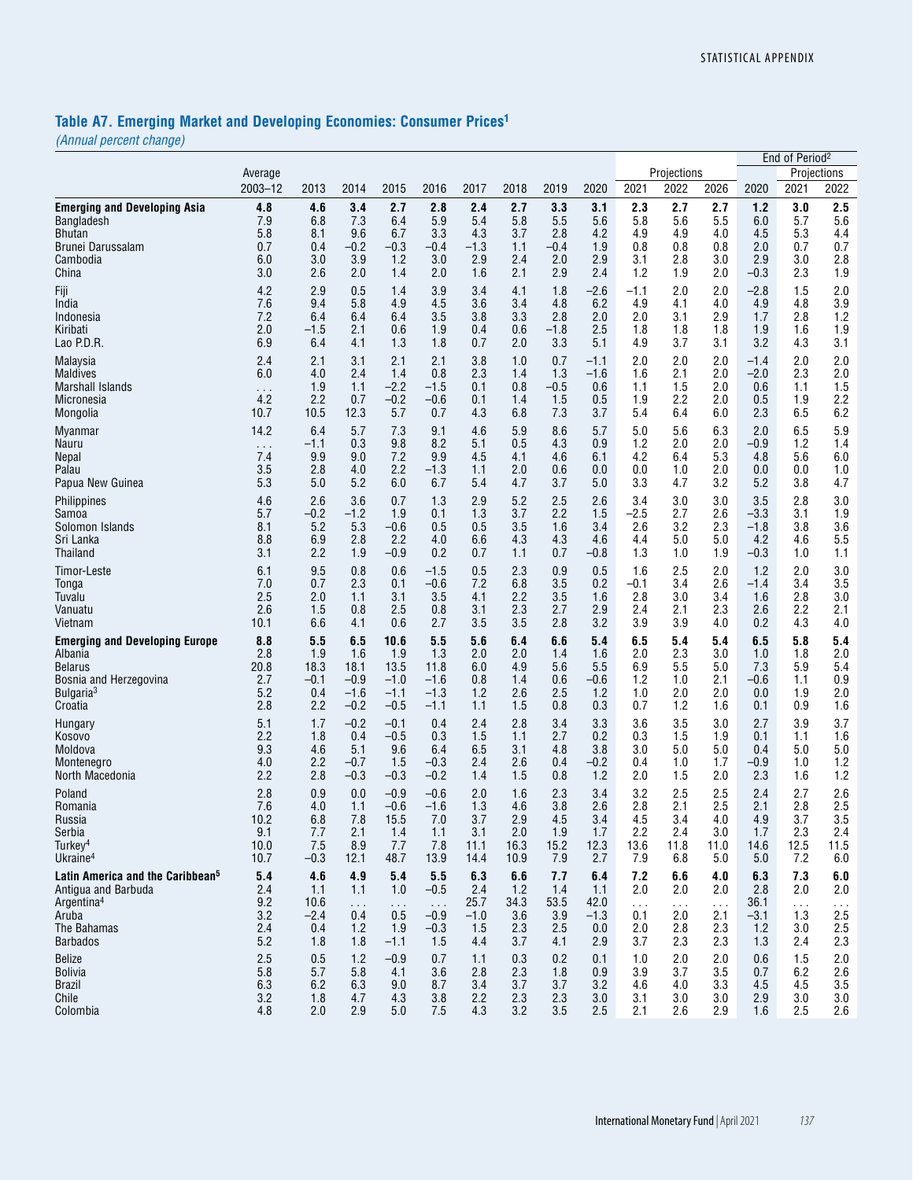# **Table A7. Emerging Market and Developing Economies: Consumer Prices1**

*(Annual percent change)*

|                                              |                      |        |               |          |           |        |      |        |        |          |               |          |        | End of Period <sup>2</sup> |             |
|----------------------------------------------|----------------------|--------|---------------|----------|-----------|--------|------|--------|--------|----------|---------------|----------|--------|----------------------------|-------------|
|                                              | Average              |        |               |          |           |        |      |        |        |          | Projections   |          |        |                            | Projections |
|                                              | 2003-12              | 2013   | 2014          | 2015     | 2016      | 2017   | 2018 | 2019   | 2020   | 2021     | 2022          | 2026     | 2020   | 2021                       | 2022        |
| <b>Emerging and Developing Asia</b>          | 4.8                  | 4.6    | 3.4           | 2.7      | 2.8       | 2.4    | 2.7  | 3.3    | 3.1    | 2.3      | 2.7           | 2.7      | 1.2    | 3.0                        | 2.5         |
| Bangladesh                                   | 7.9                  | 6.8    | 7.3           | 6.4      | 5.9       | 5.4    | 5.8  | 5.5    | 5.6    | 5.8      | 5.6           | 5.5      | 6.0    | 5.7                        | 5.6         |
| Bhutan                                       | 5.8                  | 8.1    | 9.6           | 6.7      | 3.3       | 4.3    | 3.7  | 2.8    | 4.2    | 4.9      | 4.9           | 4.0      | 4.5    | 5.3                        | 4.4         |
| Brunei Darussalam                            | 0.7                  | 0.4    | $-0.2$        | $-0.3$   | $-0.4$    | $-1.3$ | 1.1  | -0.4   | 1.9    | 0.8      | 0.8           | 0.8      | 2.0    | 0.7                        | 0.7         |
| Cambodia                                     | 6.0                  | 3.0    | 3.9           | 1.2      | 3.0       | 2.9    | 2.4  | 2.0    | 2.9    | 3.1      | 2.8           | 3.0      | 2.9    | 3.0                        | 2.8         |
| China                                        | 3.0                  | 2.6    | 2.0           | 1.4      | 2.0       | 1.6    | 2.1  | 2.9    | 2.4    | 1.2      | 1.9           | 2.0      | $-0.3$ | 2.3                        | 1.9         |
| Fiji                                         | 4.2                  | 2.9    | 0.5           | 1.4      | 3.9       | 3.4    | 4.1  | 1.8    | $-2.6$ | -1.1     | 2.0           | 2.0      | $-2.8$ | 1.5                        | 2.0         |
| India                                        | 7.6                  | 9.4    | 5.8           | 4.9      | 4.5       | 3.6    | 3.4  | 4.8    | 6.2    | 4.9      | 4.1           | 4.0      | 4.9    | 4.8                        | 3.9         |
| Indonesia                                    | 7.2                  | 6.4    | 6.4           | 6.4      | 3.5       | 3.8    | 3.3  | 2.8    | 2.0    | 2.0      | 3.1           | 2.9      | 1.7    | 2.8                        | 1.2         |
| Kiribati                                     | 2.0                  | $-1.5$ | 2.1           | 0.6      | 1.9       | 0.4    | 0.6  | -1.8   | 2.5    | 1.8      | 1.8           | 1.8      | 1.9    | 1.6                        | 1.9         |
| Lao P.D.R.                                   | 6.9                  | 6.4    | 4.1           | 1.3      | 1.8       | 0.7    | 2.0  | 3.3    | 5.1    | 4.9      | 3.7           | 3.1      | 3.2    | 4.3                        | 3.1         |
| Malaysia                                     | 2.4                  | 2.1    | 3.1           | 2.1      | 2.1       | 3.8    | 1.0  | 0.7    | $-1.1$ | 2.0      | 2.0           | 2.0      | $-1.4$ | 2.0                        | 2.0         |
| Maldives                                     | 6.0                  | 4.0    | 2.4           | 1.4      | 0.8       | 2.3    | 1.4  | 1.3    | $-1.6$ | 1.6      | 2.1           | 2.0      | $-2.0$ | 2.3                        | 2.0         |
| Marshall Islands                             | $\sim$ $\sim$ $\sim$ | 1.9    | 1.1           | $-2.2$   | $-1.5$    | 0.1    | 0.8  | $-0.5$ | 0.6    | 1.1      | 1.5           | 2.0      | 0.6    | 1.1                        | 1.5         |
| Micronesia                                   | 4.2                  | 2.2    | 0.7           | $-0.2$   | $-0.6$    | 0.1    | 1.4  | 1.5    | 0.5    | 1.9      | 2.2           | 2.0      | 0.5    | 1.9                        | 2.2         |
| Mongolia                                     | 10.7                 | 10.5   | 12.3          | 5.7      | 0.7       | 4.3    | 6.8  | 7.3    | 3.7    | 5.4      | 6.4           | 6.0      | 2.3    | 6.5                        | 6.2         |
| Myanmar                                      | 14.2                 | 6.4    | 5.7           | 7.3      | 9.1       | 4.6    | 5.9  | 8.6    | 5.7    | 5.0      | 5.6           | 6.3      | 2.0    | 6.5                        | 5.9         |
| Nauru                                        | $\sim$ $\sim$ $\sim$ | $-1.1$ | 0.3           | 9.8      | 8.2       | 5.1    | 0.5  | 4.3    | 0.9    | 1.2      | 2.0           | 2.0      | $-0.9$ | 1.2                        | 1.4         |
| Nepal                                        | 7.4                  | 9.9    | 9.0           | 7.2      | 9.9       | 4.5    | 4.1  | 4.6    | 6.1    | 4.2      | 6.4           | 5.3      | 4.8    | 5.6                        | 6.0         |
| Palau                                        | 3.5                  | 2.8    | 4.0           | 2.2      | $-1.3$    | 1.1    | 2.0  | 0.6    | 0.0    | 0.0      | 1.0           | 2.0      | 0.0    | 0.0                        | 1.0         |
| Papua New Guinea                             | 5.3                  | 5.0    | 5.2           | 6.0      | 6.7       | 5.4    | 4.7  | 3.7    | 5.0    | 3.3      | 4.7           | 3.2      | 5.2    | 3.8                        | 4.7         |
| <b>Philippines</b>                           | 4.6                  | 2.6    | 3.6           | 0.7      | 1.3       | 2.9    | 5.2  | 2.5    | 2.6    | 3.4      | 3.0           | 3.0      | 3.5    | 2.8                        | 3.0         |
| Samoa                                        | 5.7                  | $-0.2$ | $-1.2$        | 1.9      | 0.1       | 1.3    | 3.7  | 2.2    | 1.5    | $-2.5$   | 2.7           | 2.6      | $-3.3$ | 3.1                        | 1.9         |
| Solomon Islands                              | 8.1                  | 5.2    | 5.3           | $-0.6$   | 0.5       | 0.5    | 3.5  | 1.6    | 3.4    | 2.6      | 3.2           | 2.3      | $-1.8$ | 3.8                        | 3.6         |
| Sri Lanka                                    | 8.8                  | 6.9    | 2.8           | 2.2      | 4.0       | 6.6    | 4.3  | 4.3    | 4.6    | 4.4      | 5.0           | 5.0      | 4.2    | 4.6                        | 5.5         |
| Thailand                                     | 3.1                  | 2.2    | 1.9           | $-0.9$   | 0.2       | 0.7    | 1.1  | 0.7    | $-0.8$ | 1.3      | 1.0           | 1.9      | $-0.3$ | 1.0                        | 1.1         |
| Timor-Leste                                  | 6.1                  | 9.5    | 0.8           | 0.6      | $-1.5$    | 0.5    | 2.3  | 0.9    | 0.5    | 1.6      | 2.5           | 2.0      | 1.2    | 2.0                        | 3.0         |
| Tonga                                        | 7.0                  | 0.7    | 2.3           | 0.1      | $-0.6$    | 7.2    | 6.8  | 3.5    | 0.2    | -0.1     | 3.4           | 2.6      | $-1.4$ | 3.4                        | 3.5         |
| Tuvalu                                       | 2.5                  | 2.0    | 1.1           | 3.1      | 3.5       | 4.1    | 2.2  | 3.5    | 1.6    | 2.8      | 3.0           | 3.4      | 1.6    | 2.8                        | 3.0         |
| Vanuatu                                      | 2.6                  | 1.5    | 0.8           | 2.5      | 0.8       | 3.1    | 2.3  | 2.7    | 2.9    | 2.4      | 2.1           | 2.3      | 2.6    | 2.2                        | 2.1         |
| Vietnam                                      | 10.1                 | 6.6    | 4.1           | 0.6      | 2.7       | 3.5    | 3.5  | 2.8    | 3.2    | 3.9      | 3.9           | 4.0      | 0.2    | 4.3                        | 4.0         |
| <b>Emerging and Developing Europe</b>        | 8.8                  | 5.5    | 6.5           | 10.6     | 5.5       | 5.6    | 6.4  | 6.6    | 5.4    | 6.5      | 5.4           | 5.4      | 6.5    | 5.8                        | 5.4         |
| Albania                                      | 2.8                  | 1.9    | 1.6           | 1.9      | 1.3       | 2.0    | 2.0  | 1.4    | 1.6    | 2.0      | 2.3           | 3.0      | 1.0    | 1.8                        | 2.0         |
| Belarus                                      | 20.8                 | 18.3   | 18.1          | 13.5     | 11.8      | 6.0    | 4.9  | 5.6    | 5.5    | 6.9      | 5.5           | 5.0      | 7.3    | 5.9                        | 5.4         |
| Bosnia and Herzegovina                       | 2.7                  | $-0.1$ | $-0.9$        | $-1.0$   | $-1.6$    | 0.8    | 1.4  | 0.6    | $-0.6$ | 1.2      | 1.0           | 2.1      | $-0.6$ | 1.1                        | 0.9         |
| Bulgaria <sup>3</sup>                        | 5.2                  | 0.4    | $-1.6$        | $-1.1$   | $-1.3$    | 1.2    | 2.6  | 2.5    | 1.2    | 1.0      | 2.0           | 2.0      | 0.0    | 1.9                        | 2.0         |
| Croatia                                      | 2.8                  | 2.2    | $-0.2$        | $-0.5$   | $-1.1$    | 1.1    | 1.5  | 0.8    | 0.3    | 0.7      | 1.2           | 1.6      | 0.1    | 0.9                        | 1.6         |
| Hungary                                      | 5.1                  | 1.7    | $-0.2$        | $-0.1$   | 0.4       | 2.4    | 2.8  | 3.4    | 3.3    | 3.6      | 3.5           | 3.0      | 2.7    | 3.9                        | 3.7         |
| Kosovo                                       | 2.2                  | 1.8    | 0.4           | $-0.5$   | 0.3       | 1.5    | 1.1  | 2.7    | 0.2    | 0.3      | 1.5           | 1.9      | 0.1    | 1.1                        | 1.6         |
| Moldova                                      | 9.3                  | 4.6    | 5.1           | 9.6      | 6.4       | 6.5    | 3.1  | 4.8    | 3.8    | 3.0      | 5.0           | 5.0      | 0.4    | 5.0                        | 5.0         |
| Montenegro                                   | 4.0                  | 2.2    | $-0.7$        | 1.5      | $-0.3$    | 2.4    | 2.6  | 0.4    | $-0.2$ | 0.4      | 1.0           | 1.7      | $-0.9$ | 1.0                        | 1.2         |
| North Macedonia                              | 2.2                  | 2.8    | $-0.3$        | $-0.3$   | $-0.2$    | 1.4    | 1.5  | 0.8    | 1.2    | 2.0      | 1.5           | 2.0      | 2.3    | 1.6                        | 1.2         |
| Poland                                       | 2.8                  | 0.9    | 0.0           | $-0.9$   | $-0.6$    | 2.0    | 1.6  | 2.3    | 3.4    | 3.2      | 2.5           | 2.5      | 2.4    | 2.7                        | 2.6         |
| Romania                                      | 7.6                  | 4.0    | 1.1           | $-0.6$   | $-1.6$    | 1.3    | 4.6  | 3.8    | 2.6    | 2.8      | 2.1           | 2.5      | 2.1    | 2.8                        | 2.5         |
| Russia                                       | 10.2                 | 6.8    | 7.8           | 15.5     | 7.0       | 3.7    | 2.9  | 4.5    | 3.4    | 4.5      | 3.4           | 4.0      | 4.9    | 3.7                        | 3.5         |
| Serbia                                       | 9.1                  | 7.7    | 2.1           | 1.4      | 1.1       | 3.1    | 2.0  | 1.9    | 1.7    | 2.2      | 2.4           | 3.0      | 1.7    | 2.3                        | 2.4         |
| Turkey <sup>4</sup>                          | 10.0                 | 7.5    | 8.9           | 7.7      | 7.8       | 11.1   | 16.3 | 15.2   | 12.3   | 13.6     | 11.8          | 11.0     | 14.6   | 12.5                       | 11.5        |
| Ukraine <sup>4</sup>                         | 10.7                 | $-0.3$ | 12.1          | 48.7     | 13.9      | 14.4   | 10.9 | 7.9    | 2.7    | 7.9      | 6.8           | 5.0      | 5.0    | 7.2                        | 6.0         |
| Latin America and the Caribbean <sup>5</sup> | 5.4                  | 4.6    | 4.9           | 5.4      | 5.5       | 6.3    | 6.6  | 7.7    | 6.4    | 7.2      | 6.6           | 4.0      | 6.3    | 7.3                        | 6.0         |
| Antiqua and Barbuda                          | 2.4                  | 1.1    | 1.1           | 1.0      | $-0.5$    | 2.4    | 1.2  | 1.4    | 1.1    | 2.0      | 2.0           | 2.0      | 2.8    | 2.0                        | 2.0         |
| Argentina <sup>4</sup>                       | 9.2                  | 10.6   | $\sim$ $\sim$ | $\sim$ . | $\sim 10$ | 25.7   | 34.3 | 53.5   | 42.0   | $\cdots$ | $\sim$ $\sim$ | $\ldots$ | 36.1   | $\cdots$                   | $\cdots$    |
| Aruba                                        | 3.2                  | $-2.4$ | 0.4           | 0.5      | $-0.9$    | $-1.0$ | 3.6  | 3.9    | $-1.3$ | 0.1      | 2.0           | 2.1      | $-3.1$ | 1.3                        | 2.5         |
| The Bahamas                                  | 2.4                  | 0.4    | 1.2           | 1.9      | $-0.3$    | 1.5    | 2.3  | 2.5    | 0.0    | 2.0      | 2.8           | 2.3      | 1.2    | 3.0                        | 2.5         |
| <b>Barbados</b>                              | 5.2                  | 1.8    | 1.8           | $-1.1$   | 1.5       | 4.4    | 3.7  | 4.1    | 2.9    | 3.7      | 2.3           | 2.3      | 1.3    | 2.4                        | 2.3         |
| <b>Belize</b>                                | 2.5                  | 0.5    | 1.2           | $-0.9$   | 0.7       | 1.1    | 0.3  | 0.2    | 0.1    | 1.0      | 2.0           | 2.0      | 0.6    | 1.5                        | 2.0         |
| <b>Bolivia</b>                               | 5.8                  | 5.7    | 5.8           | 4.1      | 3.6       | 2.8    | 2.3  | 1.8    | 0.9    | 3.9      | 3.7           | 3.5      | 0.7    | 6.2                        | 2.6         |
| <b>Brazil</b>                                | 6.3                  | 6.2    | 6.3           | 9.0      | 8.7       | 3.4    | 3.7  | 3.7    | 3.2    | 4.6      | 4.0           | 3.3      | 4.5    | 4.5                        | 3.5         |
| Chile                                        | 3.2                  | 1.8    | 4.7           | 4.3      | 3.8       | 2.2    | 2.3  | 2.3    | 3.0    | 3.1      | 3.0           | 3.0      | 2.9    | 3.0                        | 3.0         |
| Colombia                                     | 4.8                  | 2.0    | 2.9           | 5.0      | 7.5       | 4.3    | 3.2  | 3.5    | 2.5    | 2.1      | 2.6           | 2.9      | 1.6    | 2.5                        | 2.6         |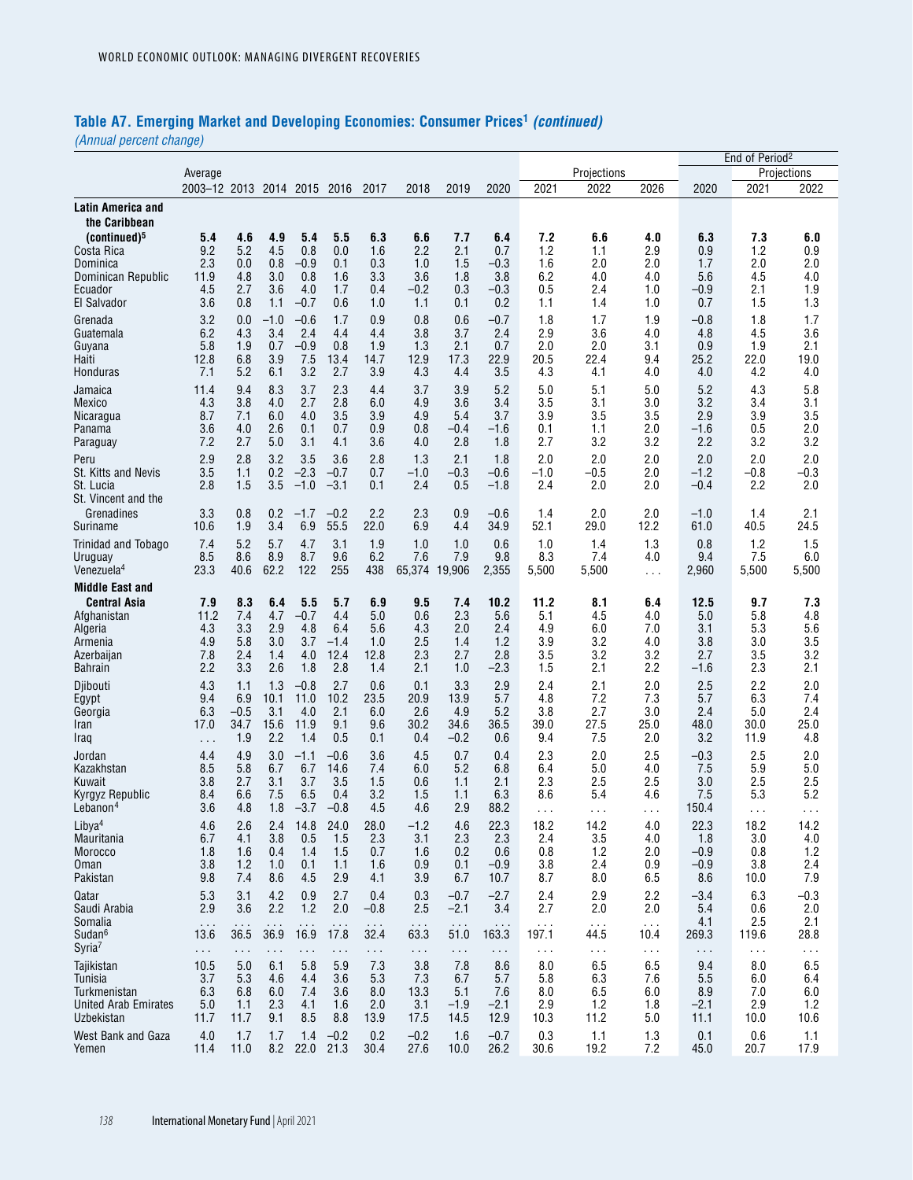# **Table A7. Emerging Market and Developing Economies: Consumer Prices1** *(continued)*

*(Annual percent change)*

|                                                                                                                    |                                         |                                            |                                        |                                            |                                            |                                               |                                        |                                                  |                                          |                                             |                                        |                                            |                                            | End of Period <sup>2</sup>             |                                        |
|--------------------------------------------------------------------------------------------------------------------|-----------------------------------------|--------------------------------------------|----------------------------------------|--------------------------------------------|--------------------------------------------|-----------------------------------------------|----------------------------------------|--------------------------------------------------|------------------------------------------|---------------------------------------------|----------------------------------------|--------------------------------------------|--------------------------------------------|----------------------------------------|----------------------------------------|
|                                                                                                                    | Average                                 |                                            |                                        |                                            |                                            |                                               |                                        |                                                  |                                          |                                             | Projections                            |                                            |                                            |                                        | Projections                            |
|                                                                                                                    | 2003-12 2013 2014 2015 2016             |                                            |                                        |                                            |                                            | 2017                                          | 2018                                   | 2019                                             | 2020                                     | 2021                                        | 2022                                   | 2026                                       | 2020                                       | 2021                                   | 2022                                   |
| Latin America and<br>the Caribbean                                                                                 |                                         |                                            |                                        |                                            |                                            |                                               |                                        |                                                  |                                          |                                             |                                        |                                            |                                            |                                        |                                        |
| (continued) <sup>5</sup>                                                                                           | 5.4                                     | 4.6                                        | 4.9                                    | 5.4                                        | 5.5                                        | 6.3                                           | 6.6                                    | 7.7                                              | 6.4                                      | 7.2                                         | 6.6                                    | 4.0                                        | 6.3                                        | 7.3                                    | 6.0                                    |
| Costa Rica                                                                                                         | 9.2                                     | 5.2                                        | 4.5                                    | 0.8                                        | 0.0                                        | 1.6                                           | 2.2                                    | 2.1                                              | 0.7                                      | 1.2                                         | 1.1                                    | 2.9                                        | 0.9                                        | 1.2                                    | 0.9                                    |
| Dominica                                                                                                           | 2.3                                     | 0.0                                        | 0.8                                    | $-0.9$                                     | 0.1                                        | 0.3                                           | 1.0                                    | 1.5                                              | $-0.3$                                   | 1.6                                         | 2.0                                    | 2.0                                        | 1.7                                        | 2.0                                    | 2.0                                    |
| Dominican Republic                                                                                                 | 11.9                                    | 4.8                                        | 3.0                                    | 0.8                                        | 1.6                                        | 3.3                                           | 3.6                                    | 1.8                                              | 3.8                                      | 6.2                                         | 4.0                                    | 4.0                                        | 5.6                                        | 4.5                                    | 4.0                                    |
| Ecuador                                                                                                            | 4.5                                     | 2.7                                        | 3.6                                    | 4.0                                        | 1.7                                        | 0.4                                           | $-0.2$                                 | 0.3                                              | $-0.3$                                   | 0.5                                         | 2.4                                    | 1.0                                        | $-0.9$                                     | 2.1                                    | 1.9                                    |
| El Salvador                                                                                                        | 3.6                                     | 0.8                                        | 1.1                                    | $-0.7$                                     | 0.6                                        | 1.0                                           | 1.1                                    | 0.1                                              | 0.2                                      | 1.1                                         | 1.4                                    | 1.0                                        | 0.7                                        | 1.5                                    | 1.3                                    |
| Grenada                                                                                                            | 3.2                                     | 0.0                                        | $-1.0$                                 | $-0.6$                                     | 1.7                                        | 0.9                                           | 0.8                                    | 0.6                                              | $-0.7$                                   | 1.8                                         | 1.7                                    | 1.9                                        | $-0.8$                                     | 1.8                                    | 1.7                                    |
| Guatemala                                                                                                          | 6.2                                     | 4.3                                        | 3.4                                    | 2.4                                        | 4.4                                        | 4.4                                           | 3.8                                    | 3.7                                              | 2.4                                      | 2.9                                         | 3.6                                    | 4.0                                        | 4.8                                        | 4.5                                    | 3.6                                    |
| Guyana                                                                                                             | 5.8                                     | 1.9                                        | 0.7                                    | $-0.9$                                     | 0.8                                        | 1.9                                           | 1.3                                    | 2.1                                              | 0.7                                      | 2.0                                         | 2.0                                    | 3.1                                        | 0.9                                        | 1.9                                    | 2.1                                    |
| Haiti                                                                                                              | 12.8                                    | 6.8                                        | 3.9                                    | 7.5                                        | 13.4                                       | 14.7                                          | 12.9                                   | 17.3                                             | 22.9                                     | 20.5                                        | 22.4                                   | 9.4                                        | 25.2                                       | 22.0                                   | 19.0                                   |
| Honduras                                                                                                           | 7.1                                     | 5.2                                        | 6.1                                    | 3.2                                        | 2.7                                        | 3.9                                           | 4.3                                    | 4.4                                              | 3.5                                      | 4.3                                         | 4.1                                    | 4.0                                        | 4.0                                        | 4.2                                    | 4.0                                    |
| Jamaica                                                                                                            | 11.4                                    | 9.4                                        | 8.3                                    | 3.7                                        | 2.3                                        | 4.4                                           | 3.7                                    | 3.9                                              | 5.2                                      | 5.0                                         | 5.1                                    | 5.0                                        | 5.2                                        | 4.3                                    | 5.8                                    |
| Mexico                                                                                                             | 4.3                                     | 3.8                                        | 4.0                                    | 2.7                                        | 2.8                                        | 6.0                                           | 4.9                                    | 3.6                                              | 3.4                                      | 3.5                                         | 3.1                                    | 3.0                                        | 3.2                                        | 3.4                                    | 3.1                                    |
| Nicaragua                                                                                                          | 8.7                                     | 7.1                                        | 6.0                                    | 4.0                                        | 3.5                                        | 3.9                                           | 4.9                                    | 5.4                                              | 3.7                                      | 3.9                                         | 3.5                                    | 3.5                                        | 2.9                                        | 3.9                                    | 3.5                                    |
| Panama                                                                                                             | 3.6                                     | 4.0                                        | 2.6                                    | 0.1                                        | 0.7                                        | 0.9                                           | 0.8                                    | $-0.4$                                           | $-1.6$                                   | 0.1                                         | 1.1                                    | 2.0                                        | $-1.6$                                     | 0.5                                    | 2.0                                    |
| Paraguay                                                                                                           | 7.2                                     | 2.7                                        | 5.0                                    | 3.1                                        | 4.1                                        | 3.6                                           | 4.0                                    | 2.8                                              | 1.8                                      | 2.7                                         | 3.2                                    | 3.2                                        | 2.2                                        | 3.2                                    | 3.2                                    |
| Peru<br>St. Kitts and Nevis<br>St. Lucia<br>St. Vincent and the                                                    | 2.9<br>3.5<br>2.8                       | 2.8<br>1.1<br>1.5                          | 3.2<br>0.2<br>3.5                      | 3.5<br>$-2.3$<br>$-1.0$                    | 3.6<br>$-0.7$<br>$-3.1$                    | 2.8<br>0.7<br>0.1                             | 1.3<br>-1.0<br>2.4                     | 2.1<br>$-0.3$<br>0.5                             | 1.8<br>$-0.6$<br>$-1.8$                  | 2.0<br>$-1.0$<br>2.4                        | 2.0<br>-0.5<br>2.0                     | 2.0<br>2.0<br>2.0                          | 2.0<br>$-1.2$<br>$-0.4$                    | 2.0<br>$-0.8$<br>2.2                   | 2.0<br>$-0.3$<br>2.0                   |
| Grenadines                                                                                                         | 3.3                                     | 0.8                                        | 0.2                                    | $-1.7$                                     | $-0.2$                                     | 2.2                                           | 2.3                                    | 0.9                                              | $-0.6$                                   | 1.4                                         | 2.0                                    | 2.0                                        | $-1.0$                                     | 1.4                                    | 2.1                                    |
| Suriname                                                                                                           | 10.6                                    | 1.9                                        | 3.4                                    | 6.9                                        | 55.5                                       | 22.0                                          | 6.9                                    | 4.4                                              | 34.9                                     | 52.1                                        | 29.0                                   | 12.2                                       | 61.0                                       | 40.5                                   | 24.5                                   |
| Trinidad and Tobago                                                                                                | 7.4                                     | 5.2                                        | 5.7                                    | 4.7                                        | 3.1                                        | 1.9                                           | 1.0                                    | 1.0                                              | 0.6                                      | 1.0                                         | 1.4                                    | 1.3                                        | 0.8                                        | 1.2                                    | 1.5                                    |
| Uruguay                                                                                                            | 8.5                                     | 8.6                                        | 8.9                                    | 8.7                                        | 9.6                                        | 6.2                                           | 7.6                                    | 7.9                                              | 9.8                                      | 8.3                                         | 7.4                                    | 4.0                                        | 9.4                                        | 7.5                                    | 6.0                                    |
| Venezuela <sup>4</sup>                                                                                             | 23.3                                    | 40.6                                       | 62.2                                   | 122                                        | 255                                        | 438                                           | 65.374                                 | 19,906                                           | 2,355                                    | 5,500                                       | 5,500                                  | $\sim$ $\sim$ $\sim$                       | 2,960                                      | 5,500                                  | 5,500                                  |
| <b>Middle East and</b><br><b>Central Asia</b><br>Afghanistan<br>Algeria<br>Armenia<br>Azerbaijan<br><b>Bahrain</b> | 7.9<br>11.2<br>4.3<br>4.9<br>7.8<br>2.2 | 8.3<br>7.4<br>3.3<br>5.8<br>2.4<br>3.3     | 6.4<br>4.7<br>2.9<br>3.0<br>1.4<br>2.6 | 5.5<br>$-0.7$<br>4.8<br>3.7<br>4.0<br>1.8  | 5.7<br>4.4<br>6.4<br>$-1.4$<br>12.4<br>2.8 | 6.9<br>5.0<br>5.6<br>1.0<br>12.8<br>1.4       | 9.5<br>0.6<br>4.3<br>2.5<br>2.3<br>2.1 | 7.4<br>2.3<br>2.0<br>1.4<br>2.7<br>1.0           | 10.2<br>5.6<br>2.4<br>1.2<br>2.8<br>-2.3 | 11.2<br>5.1<br>4.9<br>3.9<br>3.5<br>1.5     | 8.1<br>4.5<br>6.0<br>3.2<br>3.2<br>2.1 | 6.4<br>4.0<br>7.0<br>4.0<br>3.2<br>2.2     | 12.5<br>5.0<br>3.1<br>3.8<br>2.7<br>$-1.6$ | 9.7<br>5.8<br>5.3<br>3.0<br>3.5<br>2.3 | 7.3<br>4.8<br>5.6<br>3.5<br>3.2<br>2.1 |
| Djibouti                                                                                                           | 4.3                                     | 1.1                                        | 1.3                                    | $-0.8$                                     | 2.7                                        | 0.6                                           | 0.1                                    | 3.3                                              | 2.9                                      | 2.4                                         | 2.1                                    | 2.0                                        | 2.5                                        | 2.2                                    | 2.0                                    |
| Egypt                                                                                                              | 9.4                                     | 6.9                                        | 10.1                                   | 11.0                                       | 10.2                                       | 23.5                                          | 20.9                                   | 13.9                                             | 5.7                                      | 4.8                                         | 7.2                                    | 7.3                                        | 5.7                                        | 6.3                                    | 7.4                                    |
| Georgia                                                                                                            | 6.3                                     | $-0.5$                                     | 3.1                                    | 4.0                                        | 2.1                                        | 6.0                                           | 2.6                                    | 4.9                                              | 5.2                                      | 3.8                                         | 2.7                                    | 3.0                                        | 2.4                                        | 5.0                                    | 2.4                                    |
| Iran                                                                                                               | 17.0                                    | 34.7                                       | 15.6                                   | 11.9                                       | 9.1                                        | 9.6                                           | 30.2                                   | 34.6                                             | 36.5                                     | 39.0                                        | 27.5                                   | 25.0                                       | 48.0                                       | 30.0                                   | 25.0                                   |
| Iraq                                                                                                               | .                                       | 1.9                                        | 2.2                                    | 1.4                                        | 0.5                                        | 0.1                                           | 0.4                                    | $-0.2$                                           | 0.6                                      | 9.4                                         | 7.5                                    | 2.0                                        | 3.2                                        | 11.9                                   | 4.8                                    |
| Jordan                                                                                                             | 4.4                                     | 4.9                                        | 3.0                                    | $-1.1$                                     | $-0.6$                                     | 3.6                                           | 4.5                                    | 0.7                                              | 0.4                                      | 2.3                                         | 2.0                                    | 2.5                                        | $-0.3$                                     | 2.5                                    | 2.0                                    |
| Kazakhstan                                                                                                         | 8.5                                     | 5.8                                        | 6.7                                    | 6.7                                        | 14.6                                       | 7.4                                           | 6.0                                    | 5.2                                              | 6.8                                      | 6.4                                         | 5.0                                    | 4.0                                        | 7.5                                        | 5.9                                    | 5.0                                    |
| Kuwait                                                                                                             | 3.8                                     | 2.7                                        | 3.1                                    | 3.7                                        | 3.5                                        | 1.5                                           | 0.6                                    | 1.1                                              | 2.1                                      | 2.3                                         | 2.5                                    | 2.5                                        | 3.0                                        | 2.5                                    | 2.5                                    |
| Kyrgyz Republic                                                                                                    | 8.4                                     | 6.6                                        | 7.5                                    | 6.5                                        | 0.4                                        | 3.2                                           | 1.5                                    | 1.1                                              | 6.3                                      | 8.6                                         | 5.4                                    | 4.6                                        | 7.5                                        | 5.3                                    | 5.2                                    |
| Lebanon <sup>4</sup>                                                                                               | 3.6                                     | 4.8                                        | 1.8                                    | $-3.7$                                     | $-0.8$                                     | 4.5                                           | 4.6                                    | 2.9                                              | 88.2                                     | $\cdots$                                    | $\sim$ $\sim$                          | $\sim$ $\sim$                              | 150.4                                      | $\cdots$                               | $\sim$ $\sim$                          |
| Libya <sup>4</sup>                                                                                                 | 4.6                                     | 2.6                                        | 2.4                                    | 14.8                                       | 24.0                                       | 28.0                                          | $-1.2$                                 | 4.6                                              | 22.3                                     | 18.2                                        | 14.2                                   | 4.0                                        | 22.3                                       | 18.2                                   | 14.2                                   |
| Mauritania                                                                                                         | 6.7                                     | 4.1                                        | 3.8                                    | 0.5                                        | 1.5                                        | 2.3                                           | 3.1                                    | 2.3                                              | 2.3                                      | 2.4                                         | 3.5                                    | 4.0                                        | 1.8                                        | 3.0                                    | 4.0                                    |
| Morocco                                                                                                            | 1.8                                     | 1.6                                        | 0.4                                    | 1.4                                        | 1.5                                        | 0.7                                           | 1.6                                    | 0.2                                              | 0.6                                      | 0.8                                         | 1.2                                    | 2.0                                        | $-0.9$                                     | 0.8                                    | 1.2                                    |
| Oman                                                                                                               | 3.8                                     | 1.2                                        | 1.0                                    | 0.1                                        | 1.1                                        | 1.6                                           | 0.9                                    | 0.1                                              | $-0.9$                                   | 3.8                                         | 2.4                                    | 0.9                                        | $-0.9$                                     | 3.8                                    | 2.4                                    |
| Pakistan                                                                                                           | 9.8                                     | 7.4                                        | 8.6                                    | 4.5                                        | 2.9                                        | 4.1                                           | 3.9                                    | 6.7                                              | 10.7                                     | 8.7                                         | 8.0                                    | 6.5                                        | 8.6                                        | 10.0                                   | 7.9                                    |
| Qatar<br>Saudi Arabia<br>Somalia<br>Sudan <sup>6</sup>                                                             | 5.3<br>2.9<br>$\sim$ $\sim$<br>13.6     | 3.1<br>3.6<br>$\sim$ $\sim$ $\sim$<br>36.5 | 4.2<br>2.2<br>36.9                     | 0.9<br>1.2<br>$\sim$ $\sim$ $\sim$<br>16.9 | 2.7<br>2.0<br>$\sim$ $\sim$<br>17.8        | 0.4<br>$-0.8$<br>$\sim$ $\sim$ $\sim$<br>32.4 | 0.3<br>2.5<br>$\sim$ $\sim$<br>63.3    | $-0.7$<br>$-2.1$<br>$\sim$ $\sim$ $\sim$<br>51.0 | $-2.7$<br>3.4<br>$\sim$ $\sim$<br>163.3  | 2.4<br>2.7<br>$\sim$ $\sim$ $\sim$<br>197.1 | 2.9<br>2.0<br>$\sim$ $\sim$<br>44.5    | 2.2<br>2.0<br>$\sim$ $\sim$ $\sim$<br>10.4 | $-3.4$<br>5.4<br>4.1<br>269.3              | 6.3<br>0.6<br>2.5<br>119.6             | $-0.3$<br>2.0<br>2.1<br>28.8           |
| Syria <sup>7</sup>                                                                                                 | $\sim$ $\sim$                           | $\sim$ $\sim$ $\sim$                       | $\sim$ .                               | $\cdots$                                   | $\sim$ .                                   | $\sim$ .                                      | $\sim$ $\sim$ $\sim$                   | $\sim$                                           | $\sim$                                   | $\sim$ $\sim$                               | $\ddotsc$                              | $\ldots$                                   | $\sim$ $\sim$                              | $\sim$ .                               | $\sim$ .                               |
| Tajikistan                                                                                                         | 10.5                                    | 5.0                                        | 6.1                                    | 5.8                                        | 5.9                                        | 7.3                                           | 3.8                                    | 7.8                                              | 8.6                                      | 8.0                                         | 6.5                                    | 6.5                                        | 9.4                                        | 8.0                                    | 6.5                                    |
| Tunisia                                                                                                            | 3.7                                     | 5.3                                        | 4.6                                    | 4.4                                        | 3.6                                        | 5.3                                           | 7.3                                    | 6.7                                              | 5.7                                      | 5.8                                         | 6.3                                    | 7.6                                        | 5.5                                        | 6.0                                    | 6.4                                    |
| Turkmenistan                                                                                                       | 6.3                                     | 6.8                                        | 6.0                                    | 7.4                                        | 3.6                                        | 8.0                                           | 13.3                                   | 5.1                                              | 7.6                                      | 8.0                                         | 6.5                                    | 6.0                                        | 8.9                                        | 7.0                                    | 6.0                                    |
| <b>United Arab Emirates</b>                                                                                        | 5.0                                     | 1.1                                        | 2.3                                    | 4.1                                        | 1.6                                        | 2.0                                           | 3.1                                    | $-1.9$                                           | $-2.1$                                   | 2.9                                         | 1.2                                    | 1.8                                        | $-2.1$                                     | 2.9                                    | 1.2                                    |
| Uzbekistan                                                                                                         | 11.7                                    | 11.7                                       | 9.1                                    | 8.5                                        | 8.8                                        | 13.9                                          | 17.5                                   | 14.5                                             | 12.9                                     | 10.3                                        | 11.2                                   | 5.0                                        | 11.1                                       | 10.0                                   | 10.6                                   |
| West Bank and Gaza                                                                                                 | 4.0                                     | 1.7                                        | 1.7                                    | 1.4                                        | $-0.2$                                     | 0.2                                           | $-0.2$                                 | 1.6                                              | $-0.7$                                   | 0.3                                         | 1.1                                    | 1.3                                        | 0.1                                        | 0.6                                    | 1.1                                    |
| Yemen                                                                                                              | 11.4                                    | 11.0                                       | 8.2                                    | 22.0                                       | 21.3                                       | 30.4                                          | 27.6                                   | 10.0                                             | 26.2                                     | 30.6                                        | 19.2                                   | 7.2                                        | 45.0                                       | 20.7                                   | 17.9                                   |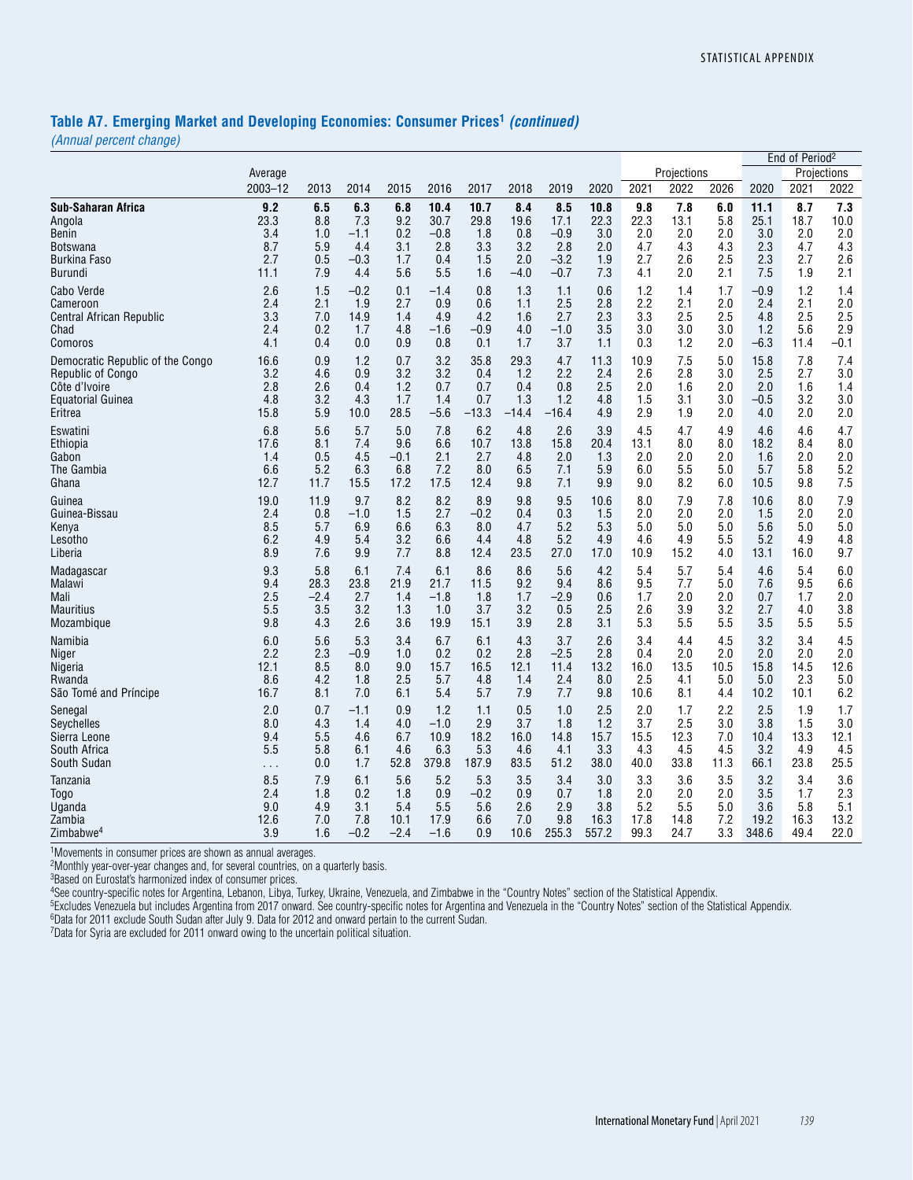#### **Table A7. Emerging Market and Developing Economies: Consumer Prices1** *(continued)*

*(Annual percent change)*

|                                  |          |        |        |        |        |         |         |         |       |      |             |      |        | End of Period <sup>2</sup> |             |
|----------------------------------|----------|--------|--------|--------|--------|---------|---------|---------|-------|------|-------------|------|--------|----------------------------|-------------|
|                                  | Average  |        |        |        |        |         |         |         |       |      | Projections |      |        |                            | Projections |
|                                  | 2003-12  | 2013   | 2014   | 2015   | 2016   | 2017    | 2018    | 2019    | 2020  | 2021 | 2022        | 2026 | 2020   | 2021                       | 2022        |
| <b>Sub-Saharan Africa</b>        | 9.2      | 6.5    | 6.3    | 6.8    | 10.4   | 10.7    | 8.4     | 8.5     | 10.8  | 9.8  | 7.8         | 6.0  | 11.1   | 8.7                        | 7.3         |
| Angola                           | 23.3     | 8.8    | 7.3    | 9.2    | 30.7   | 29.8    | 19.6    | 17.1    | 22.3  | 22.3 | 13.1        | 5.8  | 25.1   | 18.7                       | 10.0        |
| Benin                            | 3.4      | 1.0    | $-1.1$ | 0.2    | $-0.8$ | 1.8     | 0.8     | $-0.9$  | 3.0   | 2.0  | 2.0         | 2.0  | 3.0    | 2.0                        | 2.0         |
| Botswana                         | 8.7      | 5.9    | 4.4    | 3.1    | 2.8    | 3.3     | 3.2     | 2.8     | 2.0   | 4.7  | 4.3         | 4.3  | 2.3    | 4.7                        | 4.3         |
| Burkina Faso                     | 2.7      | 0.5    | $-0.3$ | 1.7    | 0.4    | 1.5     | 2.0     | $-3.2$  | 1.9   | 2.7  | 2.6         | 2.5  | 2.3    | 2.7                        | 2.6         |
| <b>Burundi</b>                   | 11.1     | 7.9    | 4.4    | 5.6    | 5.5    | 1.6     | $-4.0$  | $-0.7$  | 7.3   | 4.1  | 2.0         | 2.1  | 7.5    | 1.9                        | 2.1         |
| Cabo Verde                       | 2.6      | 1.5    | $-0.2$ | 0.1    | $-1.4$ | 0.8     | 1.3     | 1.1     | 0.6   | 1.2  | 1.4         | 1.7  | $-0.9$ | 1.2                        | 1.4         |
| Cameroon                         | 2.4      | 2.1    | 1.9    | 2.7    | 0.9    | 0.6     | 1.1     | 2.5     | 2.8   | 2.2  | 2.1         | 2.0  | 2.4    | 2.1                        | 2.0         |
| Central African Republic         | 3.3      | 7.0    | 14.9   | 1.4    | 4.9    | 4.2     | 1.6     | 2.7     | 2.3   | 3.3  | 2.5         | 2.5  | 4.8    | 2.5                        | 2.5         |
| Chad                             | 2.4      | 0.2    | 1.7    | 4.8    | $-1.6$ | $-0.9$  | 4.0     | $-1.0$  | 3.5   | 3.0  | 3.0         | 3.0  | 1.2    | 5.6                        | 2.9         |
| Comoros                          | 4.1      | 0.4    | 0.0    | 0.9    | 0.8    | 0.1     | 1.7     | 3.7     | 1.1   | 0.3  | 1.2         | 2.0  | $-6.3$ | 11.4                       | $-0.1$      |
| Democratic Republic of the Congo | 16.6     | 0.9    | 1.2    | 0.7    | 3.2    | 35.8    | 29.3    | 4.7     | 11.3  | 10.9 | 7.5         | 5.0  | 15.8   | 7.8                        | 7.4         |
| Republic of Congo                | 3.2      | 4.6    | 0.9    | 3.2    | 3.2    | 0.4     | 1.2     | 2.2     | 2.4   | 2.6  | 2.8         | 3.0  | 2.5    | 2.7                        | 3.0         |
| Côte d'Ivoire                    | 2.8      | 2.6    | 0.4    | 1.2    | 0.7    | 0.7     | 0.4     | 0.8     | 2.5   | 2.0  | 1.6         | 2.0  | 2.0    | 1.6                        | 1.4         |
| <b>Equatorial Guinea</b>         | 4.8      | 3.2    | 4.3    | 1.7    | 1.4    | 0.7     | 1.3     | 1.2     | 4.8   | 1.5  | 3.1         | 3.0  | $-0.5$ | 3.2                        | 3.0         |
| Eritrea                          | 15.8     | 5.9    | 10.0   | 28.5   | $-5.6$ | $-13.3$ | $-14.4$ | $-16.4$ | 4.9   | 2.9  | 1.9         | 2.0  | 4.0    | 2.0                        | 2.0         |
| Eswatini                         | 6.8      | 5.6    | 5.7    | 5.0    | 7.8    | 6.2     | 4.8     | 2.6     | 3.9   | 4.5  | 4.7         | 4.9  | 4.6    | 4.6                        | 4.7         |
| Ethiopia                         | 17.6     | 8.1    | 7.4    | 9.6    | 6.6    | 10.7    | 13.8    | 15.8    | 20.4  | 13.1 | 8.0         | 8.0  | 18.2   | 8.4                        | 8.0         |
| Gabon                            | 1.4      | 0.5    | 4.5    | $-0.1$ | 2.1    | 2.7     | 4.8     | 2.0     | 1.3   | 2.0  | 2.0         | 2.0  | 1.6    | 2.0                        | 2.0         |
| The Gambia                       | 6.6      | 5.2    | 6.3    | 6.8    | 7.2    | 8.0     | 6.5     | 7.1     | 5.9   | 6.0  | 5.5         | 5.0  | 5.7    | 5.8                        | 5.2         |
| Ghana                            | 12.7     | 11.7   | 15.5   | 17.2   | 17.5   | 12.4    | 9.8     | 7.1     | 9.9   | 9.0  | 8.2         | 6.0  | 10.5   | 9.8                        | 7.5         |
| Guinea                           | 19.0     | 11.9   | 9.7    | 8.2    | 8.2    | 8.9     | 9.8     | 9.5     | 10.6  | 8.0  | 7.9         | 7.8  | 10.6   | 8.0                        | 7.9         |
| Guinea-Bissau                    | 2.4      | 0.8    | $-1.0$ | 1.5    | 2.7    | $-0.2$  | 0.4     | 0.3     | 1.5   | 2.0  | 2.0         | 2.0  | 1.5    | 2.0                        | 2.0         |
| Kenya                            | 8.5      | 5.7    | 6.9    | 6.6    | 6.3    | 8.0     | 4.7     | 5.2     | 5.3   | 5.0  | 5.0         | 5.0  | 5.6    | 5.0                        | 5.0         |
| Lesotho                          | 6.2      | 4.9    | 5.4    | 3.2    | 6.6    | 4.4     | 4.8     | 5.2     | 4.9   | 4.6  | 4.9         | 5.5  | 5.2    | 4.9                        | 4.8         |
| Liberia                          | 8.9      | 7.6    | 9.9    | 7.7    | 8.8    | 12.4    | 23.5    | 27.0    | 17.0  | 10.9 | 15.2        | 4.0  | 13.1   | 16.0                       | 9.7         |
| Madagascar                       | 9.3      | 5.8    | 6.1    | 7.4    | 6.1    | 8.6     | 8.6     | 5.6     | 4.2   | 5.4  | 5.7         | 5.4  | 4.6    | 5.4                        | 6.0         |
| Malawi                           | 9.4      | 28.3   | 23.8   | 21.9   | 21.7   | 11.5    | 9.2     | 9.4     | 8.6   | 9.5  | 7.7         | 5.0  | 7.6    | 9.5                        | 6.6         |
| Mali                             | 2.5      | $-2.4$ | 2.7    | 1.4    | $-1.8$ | 1.8     | 1.7     | -2.9    | 0.6   | 1.7  | 2.0         | 2.0  | 0.7    | 1.7                        | 2.0         |
| <b>Mauritius</b>                 | 5.5      | 3.5    | 3.2    | 1.3    | 1.0    | 3.7     | 3.2     | 0.5     | 2.5   | 2.6  | 3.9         | 3.2  | 2.7    | 4.0                        | 3.8         |
| Mozambique                       | 9.8      | 4.3    | 2.6    | 3.6    | 19.9   | 15.1    | 3.9     | 2.8     | 3.1   | 5.3  | 5.5         | 5.5  | 3.5    | 5.5                        | 5.5         |
| Namibia                          | 6.0      | 5.6    | 5.3    | 3.4    | 6.7    | 6.1     | 4.3     | 3.7     | 2.6   | 3.4  | 4.4         | 4.5  | 3.2    | 3.4                        | 4.5         |
| Niger                            | 2.2      | 2.3    | $-0.9$ | 1.0    | 0.2    | 0.2     | 2.8     | $-2.5$  | 2.8   | 0.4  | 2.0         | 2.0  | 2.0    | 2.0                        | 2.0         |
| Nigeria                          | 12.1     | 8.5    | 8.0    | 9.0    | 15.7   | 16.5    | 12.1    | 11.4    | 13.2  | 16.0 | 13.5        | 10.5 | 15.8   | 14.5                       | 12.6        |
| Rwanda                           | 8.6      | 4.2    | 1.8    | 2.5    | 5.7    | 4.8     | 1.4     | 2.4     | 8.0   | 2.5  | 4.1         | 5.0  | 5.0    | 2.3                        | 5.0         |
| São Tomé and Príncipe            | 16.7     | 8.1    | 7.0    | 6.1    | 5.4    | 5.7     | 7.9     | 7.7     | 9.8   | 10.6 | 8.1         | 4.4  | 10.2   | 10.1                       | 6.2         |
| Senegal                          | 2.0      | 0.7    | $-1.1$ | 0.9    | 1.2    | 1.1     | 0.5     | 1.0     | 2.5   | 2.0  | 1.7         | 2.2  | 2.5    | 1.9                        | 1.7         |
| Seychelles                       | 8.0      | 4.3    | 1.4    | 4.0    | $-1.0$ | 2.9     | 3.7     | 1.8     | 1.2   | 3.7  | 2.5         | 3.0  | 3.8    | 1.5                        | 3.0         |
| Sierra Leone                     | 9.4      | 5.5    | 4.6    | 6.7    | 10.9   | 18.2    | 16.0    | 14.8    | 15.7  | 15.5 | 12.3        | 7.0  | 10.4   | 13.3                       | 12.1        |
| South Africa                     | 5.5      | 5.8    | 6.1    | 4.6    | 6.3    | 5.3     | 4.6     | 4.1     | 3.3   | 4.3  | 4.5         | 4.5  | 3.2    | 4.9                        | 4.5         |
| South Sudan                      | $\cdots$ | 0.0    | 1.7    | 52.8   | 379.8  | 187.9   | 83.5    | 51.2    | 38.0  | 40.0 | 33.8        | 11.3 | 66.1   | 23.8                       | 25.5        |
| Tanzania                         | 8.5      | 7.9    | 6.1    | 5.6    | 5.2    | 5.3     | 3.5     | 3.4     | 3.0   | 3.3  | 3.6         | 3.5  | 3.2    | 3.4                        | 3.6         |
| Togo                             | 2.4      | 1.8    | 0.2    | 1.8    | 0.9    | $-0.2$  | 0.9     | 0.7     | 1.8   | 2.0  | 2.0         | 2.0  | 3.5    | 1.7                        | 2.3         |
| Uganda                           | 9.0      | 4.9    | 3.1    | 5.4    | 5.5    | 5.6     | 2.6     | 2.9     | 3.8   | 5.2  | 5.5         | 5.0  | 3.6    | 5.8                        | 5.1         |
| Zambia                           | 12.6     | 7.0    | 7.8    | 10.1   | 17.9   | 6.6     | 7.0     | 9.8     | 16.3  | 17.8 | 14.8        | 7.2  | 19.2   | 16.3                       | 13.2        |
| Zimbabwe <sup>4</sup>            | 3.9      | 1.6    | $-0.2$ | $-2.4$ | $-1.6$ | 0.9     | 10.6    | 255.3   | 557.2 | 99.3 | 24.7        | 3.3  | 348.6  | 49.4                       | 22.0        |

1Movements in consumer prices are shown as annual averages.

2Monthly year-over-year changes and, for several countries, on a quarterly basis.

<sup>3</sup>Based on Eurostat's harmonized index of consumer prices.

4See country-specific notes for Argentina, Lebanon, Libya, Turkey, Ukraine, Venezuela, and Zimbabwe in the "Country Notes" section of the Statistical Appendix.

<sup>5</sup>Excludes Venezuela but includes Argentina from 2017 onward. See country-specific notes for Argentina and Venezuela in the "Country Notes" section of the Statistical Appendix.

<sup>6</sup>Data for 2011 exclude South Sudan after July 9. Data for 2012 and onward pertain to the current Sudan.

7Data for Syria are excluded for 2011 onward owing to the uncertain political situation.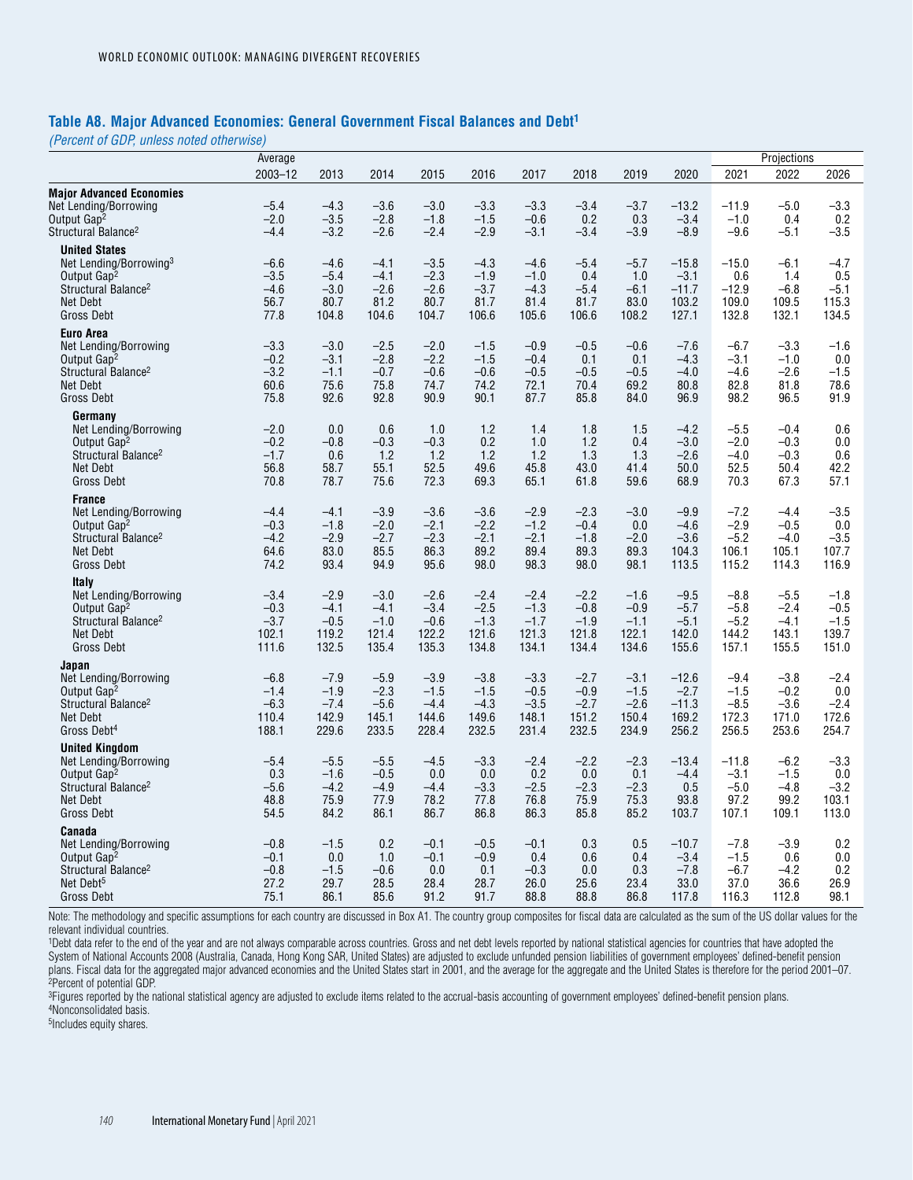#### **Table A8. Major Advanced Economies: General Government Fiscal Balances and Debt1**

*(Percent of GDP, unless noted otherwise)*

|                                                                                                                                                           | Average                                      |                                              |                                              |                                              |                                              |                                              |                                              |                                              |                                                |                                              | Projections                                  |                                              |
|-----------------------------------------------------------------------------------------------------------------------------------------------------------|----------------------------------------------|----------------------------------------------|----------------------------------------------|----------------------------------------------|----------------------------------------------|----------------------------------------------|----------------------------------------------|----------------------------------------------|------------------------------------------------|----------------------------------------------|----------------------------------------------|----------------------------------------------|
|                                                                                                                                                           | 2003-12                                      | 2013                                         | 2014                                         | 2015                                         | 2016                                         | 2017                                         | 2018                                         | 2019                                         | 2020                                           | 2021                                         | 2022                                         | 2026                                         |
| <b>Major Advanced Economies</b><br>Net Lending/Borrowing<br>Output Gap <sup>2</sup><br>Structural Balance <sup>2</sup>                                    | $-5.4$<br>$-2.0$<br>$-4.4$                   | $-4.3$<br>$-3.5$<br>$-3.2$                   | $-3.6$<br>$-2.8$<br>$-2.6$                   | $-3.0$<br>$-1.8$<br>$-2.4$                   | $-3.3$<br>$-1.5$<br>$-2.9$                   | $-3.3$<br>$-0.6$<br>$-3.1$                   | $-3.4$<br>0.2<br>$-3.4$                      | $-3.7$<br>0.3<br>$-3.9$                      | $-13.2$<br>$-3.4$<br>$-8.9$                    | $-11.9$<br>$-1.0$<br>$-9.6$                  | $-5.0$<br>0.4<br>$-5.1$                      | $-3.3$<br>0.2<br>$-3.5$                      |
| <b>United States</b><br>Net Lending/Borrowing <sup>3</sup><br>Output Gap <sup>2</sup><br>Structural Balance <sup>2</sup><br>Net Debt<br><b>Gross Debt</b> | $-6.6$<br>$-3.5$<br>$-4.6$<br>56.7<br>77.8   | $-4.6$<br>$-5.4$<br>$-3.0$<br>80.7<br>104.8  | $-4.1$<br>$-4.1$<br>$-2.6$<br>81.2<br>104.6  | $-3.5$<br>$-2.3$<br>$-2.6$<br>80.7<br>104.7  | $-4.3$<br>$-1.9$<br>$-3.7$<br>81.7<br>106.6  | $-4.6$<br>$-1.0$<br>$-4.3$<br>81.4<br>105.6  | $-5.4$<br>0.4<br>$-5.4$<br>81.7<br>106.6     | $-5.7$<br>1.0<br>$-6.1$<br>83.0<br>108.2     | $-15.8$<br>$-3.1$<br>$-11.7$<br>103.2<br>127.1 | $-15.0$<br>0.6<br>$-12.9$<br>109.0<br>132.8  | $-6.1$<br>1.4<br>$-6.8$<br>109.5<br>132.1    | $-4.7$<br>0.5<br>$-5.1$<br>115.3<br>134.5    |
| <b>Euro Area</b><br>Net Lending/Borrowing<br>Output Gap <sup>2</sup><br>Structural Balance <sup>2</sup><br><b>Net Debt</b><br>Gross Debt                  | $-3.3$<br>$-0.2$<br>$-3.2$<br>60.6<br>75.8   | $-3.0$<br>$-3.1$<br>$-1.1$<br>75.6<br>92.6   | $-2.5$<br>$-2.8$<br>$-0.7$<br>75.8<br>92.8   | $-2.0$<br>$-2.2$<br>$-0.6$<br>74.7<br>90.9   | $-1.5$<br>$-1.5$<br>$-0.6$<br>74.2<br>90.1   | $-0.9$<br>$-0.4$<br>$-0.5$<br>72.1<br>87.7   | $-0.5$<br>0.1<br>$-0.5$<br>70.4<br>85.8      | $-0.6$<br>0.1<br>$-0.5$<br>69.2<br>84.0      | $-7.6$<br>$-4.3$<br>$-4.0$<br>80.8<br>96.9     | $-6.7$<br>$-3.1$<br>$-4.6$<br>82.8<br>98.2   | $-3.3$<br>$-1.0$<br>$-2.6$<br>81.8<br>96.5   | $-1.6$<br>0.0<br>$-1.5$<br>78.6<br>91.9      |
| Germany<br>Net Lending/Borrowing<br>Output Gap <sup>2</sup><br>Structural Balance <sup>2</sup><br>Net Debt<br><b>Gross Debt</b>                           | $-2.0$<br>$-0.2$<br>$-1.7$<br>56.8<br>70.8   | 0.0<br>$-0.8$<br>0.6<br>58.7<br>78.7         | 0.6<br>$-0.3$<br>1.2<br>55.1<br>75.6         | 1.0<br>$-0.3$<br>1.2<br>52.5<br>72.3         | 1.2<br>0.2<br>1.2<br>49.6<br>69.3            | 1.4<br>1.0<br>1.2<br>45.8<br>65.1            | 1.8<br>1.2<br>1.3<br>43.0<br>61.8            | 1.5<br>0.4<br>1.3<br>41.4<br>59.6            | $-4.2$<br>$-3.0$<br>$-2.6$<br>50.0<br>68.9     | $-5.5$<br>$-2.0$<br>$-4.0$<br>52.5<br>70.3   | $-0.4$<br>$-0.3$<br>$-0.3$<br>50.4<br>67.3   | 0.6<br>0.0<br>0.6<br>42.2<br>57.1            |
| <b>France</b><br>Net Lending/Borrowing<br>Output Gap <sup>2</sup><br>Structural Balance <sup>2</sup><br>Net Debt<br><b>Gross Debt</b>                     | $-4.4$<br>$-0.3$<br>$-4.2$<br>64.6<br>74.2   | $-4.1$<br>$-1.8$<br>$-2.9$<br>83.0<br>93.4   | $-3.9$<br>$-2.0$<br>$-2.7$<br>85.5<br>94.9   | $-3.6$<br>$-2.1$<br>$-2.3$<br>86.3<br>95.6   | $-3.6$<br>$-2.2$<br>$-2.1$<br>89.2<br>98.0   | $-2.9$<br>$-1.2$<br>$-2.1$<br>89.4<br>98.3   | $-2.3$<br>$-0.4$<br>$-1.8$<br>89.3<br>98.0   | $-3.0$<br>0.0<br>$-2.0$<br>89.3<br>98.1      | $-9.9$<br>$-4.6$<br>$-3.6$<br>104.3<br>113.5   | $-7.2$<br>$-2.9$<br>$-5.2$<br>106.1<br>115.2 | -4.4<br>$-0.5$<br>$-4.0$<br>105.1<br>114.3   | $-3.5$<br>0.0<br>$-3.5$<br>107.7<br>116.9    |
| <b>Italy</b><br>Net Lending/Borrowing<br>Output Gap <sup>2</sup><br>Structural Balance <sup>2</sup><br>Net Debt<br><b>Gross Debt</b>                      | $-3.4$<br>$-0.3$<br>$-3.7$<br>102.1<br>111.6 | $-2.9$<br>$-4.1$<br>$-0.5$<br>119.2<br>132.5 | $-3.0$<br>$-4.1$<br>$-1.0$<br>121.4<br>135.4 | $-2.6$<br>$-3.4$<br>$-0.6$<br>122.2<br>135.3 | $-2.4$<br>$-2.5$<br>$-1.3$<br>121.6<br>134.8 | $-2.4$<br>$-1.3$<br>$-1.7$<br>121.3<br>134.1 | $-2.2$<br>$-0.8$<br>$-1.9$<br>121.8<br>134.4 | $-1.6$<br>$-0.9$<br>$-1.1$<br>122.1<br>134.6 | $-9.5$<br>$-5.7$<br>$-5.1$<br>142.0<br>155.6   | $-8.8$<br>$-5.8$<br>$-5.2$<br>144.2<br>157.1 | $-5.5$<br>$-2.4$<br>$-4.1$<br>143.1<br>155.5 | $-1.8$<br>$-0.5$<br>$-1.5$<br>139.7<br>151.0 |
| Japan<br>Net Lending/Borrowing<br>Output Gap <sup>2</sup><br>Structural Balance <sup>2</sup><br><b>Net Debt</b><br>Gross Debt <sup>4</sup>                | $-6.8$<br>$-1.4$<br>$-6.3$<br>110.4<br>188.1 | $-7.9$<br>$-1.9$<br>$-7.4$<br>142.9<br>229.6 | $-5.9$<br>$-2.3$<br>$-5.6$<br>145.1<br>233.5 | $-3.9$<br>$-1.5$<br>$-4.4$<br>144.6<br>228.4 | $-3.8$<br>$-1.5$<br>$-4.3$<br>149.6<br>232.5 | $-3.3$<br>$-0.5$<br>$-3.5$<br>148.1<br>231.4 | $-2.7$<br>$-0.9$<br>$-2.7$<br>151.2<br>232.5 | $-3.1$<br>$-1.5$<br>$-2.6$<br>150.4<br>234.9 | $-12.6$<br>$-2.7$<br>$-11.3$<br>169.2<br>256.2 | $-9.4$<br>$-1.5$<br>$-8.5$<br>172.3<br>256.5 | $-3.8$<br>$-0.2$<br>$-3.6$<br>171.0<br>253.6 | $-2.4$<br>0.0<br>$-2.4$<br>172.6<br>254.7    |
| <b>United Kingdom</b><br>Net Lending/Borrowing<br>Output Gap <sup>2</sup><br>Structural Balance <sup>2</sup><br>Net Debt<br><b>Gross Debt</b>             | $-5.4$<br>0.3<br>$-5.6$<br>48.8<br>54.5      | $-5.5$<br>$-1.6$<br>$-4.2$<br>75.9<br>84.2   | $-5.5$<br>$-0.5$<br>$-4.9$<br>77.9<br>86.1   | $-4.5$<br>0.0<br>$-4.4$<br>78.2<br>86.7      | $-3.3$<br>0.0<br>$-3.3$<br>77.8<br>86.8      | $-2.4$<br>0.2<br>$-2.5$<br>76.8<br>86.3      | $-2.2$<br>0.0<br>$-2.3$<br>75.9<br>85.8      | $-2.3$<br>0.1<br>$-2.3$<br>75.3<br>85.2      | $-13.4$<br>$-4.4$<br>0.5<br>93.8<br>103.7      | $-11.8$<br>$-3.1$<br>$-5.0$<br>97.2<br>107.1 | $-6.2$<br>$-1.5$<br>$-4.8$<br>99.2<br>109.1  | $-3.3$<br>0.0<br>$-3.2$<br>103.1<br>113.0    |
| Canada<br>Net Lending/Borrowing<br>Output Gap <sup>2</sup><br>Structural Balance <sup>2</sup><br>Net Debt <sup>5</sup><br><b>Gross Debt</b>               | $-0.8$<br>$-0.1$<br>$-0.8$<br>27.2<br>75.1   | $-1.5$<br>0.0<br>$-1.5$<br>29.7<br>86.1      | 0.2<br>1.0<br>$-0.6$<br>28.5<br>85.6         | $-0.1$<br>$-0.1$<br>0.0<br>28.4<br>91.2      | $-0.5$<br>$-0.9$<br>0.1<br>28.7<br>91.7      | $-0.1$<br>0.4<br>$-0.3$<br>26.0<br>88.8      | 0.3<br>0.6<br>0.0<br>25.6<br>88.8            | 0.5<br>0.4<br>0.3<br>23.4<br>86.8            | $-10.7$<br>$-3.4$<br>$-7.8$<br>33.0<br>117.8   | $-7.8$<br>$-1.5$<br>$-6.7$<br>37.0<br>116.3  | $-3.9$<br>0.6<br>$-4.2$<br>36.6<br>112.8     | 0.2<br>0.0<br>0.2<br>26.9<br>98.1            |

Note: The methodology and specific assumptions for each country are discussed in Box A1. The country group composites for fiscal data are calculated as the sum of the US dollar values for the relevant individual countries.

1Debt data refer to the end of the year and are not always comparable across countries. Gross and net debt levels reported by national statistical agencies for countries that have adopted the System of National Accounts 2008 (Australia, Canada, Hong Kong SAR, United States) are adjusted to exclude unfunded pension liabilities of government employees' defined-benefit pension plans. Fiscal data for the aggregated major advanced economies and the United States start in 2001, and the average for the aggregate and the United States is therefore for the period 2001–07. 2Percent of potential GDP.

<sup>3</sup>Figures reported by the national statistical agency are adjusted to exclude items related to the accrual-basis accounting of government employees' defined-benefit pension plans. 4Nonconsolidated basis.

5Includes equity shares.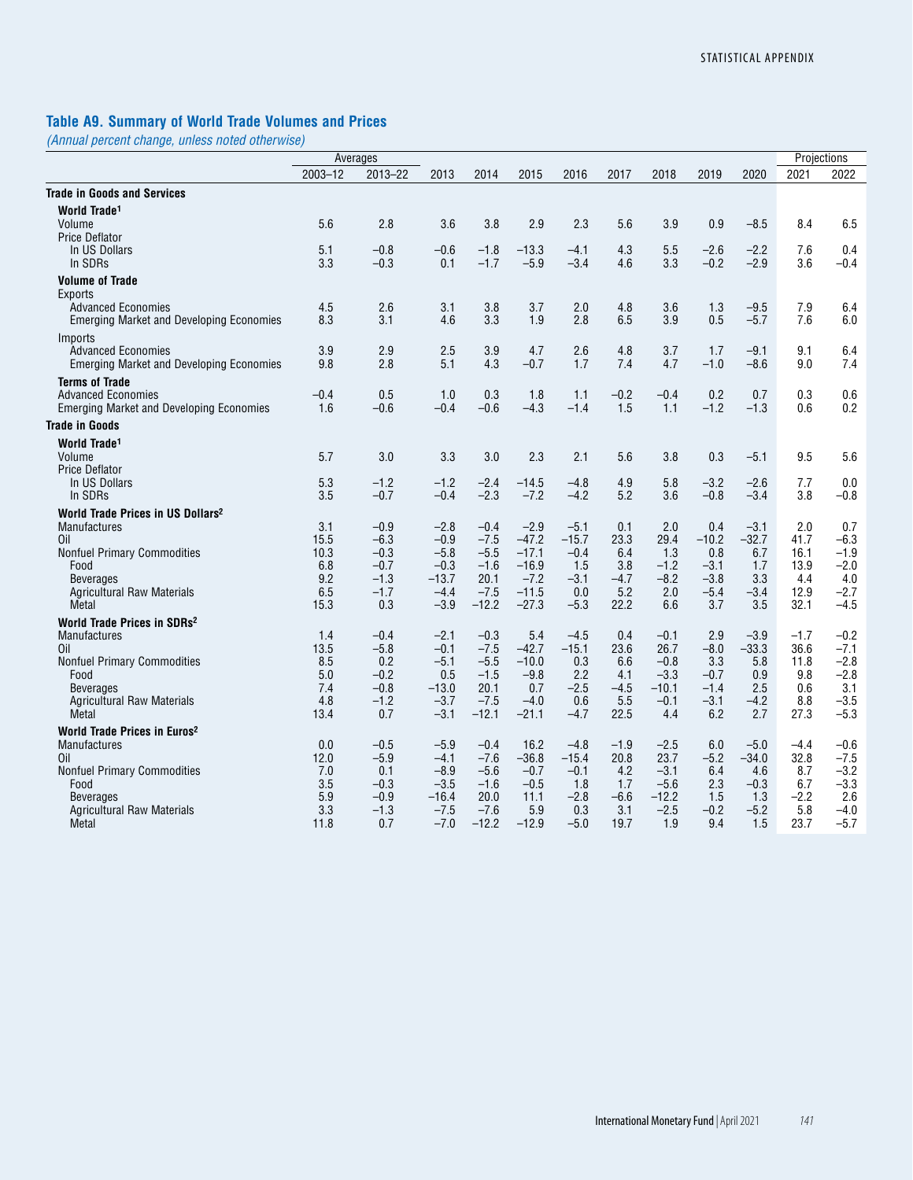# **Table A9. Summary of World Trade Volumes and Prices**

*(Annual percent change, unless noted otherwise)*

|                                                                              |             | Averages         |                   |                  |                   |                   |                |                |                  |                   | Projections    |                  |
|------------------------------------------------------------------------------|-------------|------------------|-------------------|------------------|-------------------|-------------------|----------------|----------------|------------------|-------------------|----------------|------------------|
|                                                                              | $2003 - 12$ | 2013-22          | 2013              | 2014             | 2015              | 2016              | 2017           | 2018           | 2019             | 2020              | 2021           | 2022             |
| <b>Trade in Goods and Services</b>                                           |             |                  |                   |                  |                   |                   |                |                |                  |                   |                |                  |
| World Trade <sup>1</sup>                                                     |             |                  |                   |                  |                   |                   |                |                |                  |                   |                |                  |
| Volume                                                                       | 5.6         | 2.8              | 3.6               | 3.8              | 2.9               | 2.3               | 5.6            | 3.9            | 0.9              | $-8.5$            | 8.4            | 6.5              |
| <b>Price Deflator</b>                                                        |             |                  |                   |                  |                   |                   |                |                |                  |                   |                |                  |
| In US Dollars                                                                | 5.1         | $-0.8$           | $-0.6$            | $-1.8$           | $-13.3$           | $-4.1$            | 4.3            | 5.5            | $-2.6$           | $-2.2$            | 7.6            | 0.4              |
| In SDRs                                                                      | 3.3         | $-0.3$           | 0.1               | $-1.7$           | $-5.9$            | $-3.4$            | 4.6            | 3.3            | $-0.2$           | $-2.9$            | 3.6            | $-0.4$           |
| <b>Volume of Trade</b>                                                       |             |                  |                   |                  |                   |                   |                |                |                  |                   |                |                  |
| Exports                                                                      |             |                  |                   |                  |                   |                   |                |                |                  |                   |                |                  |
| <b>Advanced Economies</b><br><b>Emerging Market and Developing Economies</b> | 4.5<br>8.3  | 2.6<br>3.1       | 3.1<br>4.6        | 3.8<br>3.3       | 3.7<br>1.9        | 2.0<br>2.8        | 4.8<br>6.5     | 3.6<br>3.9     | 1.3<br>0.5       | $-9.5$<br>$-5.7$  | 7.9<br>7.6     | 6.4<br>6.0       |
|                                                                              |             |                  |                   |                  |                   |                   |                |                |                  |                   |                |                  |
| Imports<br><b>Advanced Economies</b>                                         | 3.9         | 2.9              | 2.5               | 3.9              | 4.7               | 2.6               | 4.8            | 3.7            | 1.7              | $-9.1$            | 9.1            | 6.4              |
| <b>Emerging Market and Developing Economies</b>                              | 9.8         | 2.8              | 5.1               | 4.3              | $-0.7$            | 1.7               | 7.4            | 4.7            | $-1.0$           | $-8.6$            | 9.0            | 7.4              |
|                                                                              |             |                  |                   |                  |                   |                   |                |                |                  |                   |                |                  |
| <b>Terms of Trade</b><br><b>Advanced Economies</b>                           | $-0.4$      | 0.5              | 1.0               | 0.3              | 1.8               | 1.1               | $-0.2$         | $-0.4$         | 0.2              | 0.7               | 0.3            | 0.6              |
| <b>Emerging Market and Developing Economies</b>                              | 1.6         | $-0.6$           | $-0.4$            | $-0.6$           | $-4.3$            | $-1.4$            | 1.5            | 1.1            | $-1.2$           | $-1.3$            | 0.6            | 0.2              |
| <b>Trade in Goods</b>                                                        |             |                  |                   |                  |                   |                   |                |                |                  |                   |                |                  |
|                                                                              |             |                  |                   |                  |                   |                   |                |                |                  |                   |                |                  |
| World Trade <sup>1</sup><br>Volume                                           | 5.7         | 3.0              | 3.3               | 3.0              | 2.3               | 2.1               | 5.6            | 3.8            | 0.3              | $-5.1$            | 9.5            | 5.6              |
| <b>Price Deflator</b>                                                        |             |                  |                   |                  |                   |                   |                |                |                  |                   |                |                  |
| In US Dollars                                                                | 5.3         | $-1.2$           | $-1.2$            | $-2.4$           | $-14.5$           | $-4.8$            | 4.9            | 5.8            | $-3.2$           | $-2.6$            | 7.7            | 0.0              |
| In SDRs                                                                      | 3.5         | $-0.7$           | $-0.4$            | $-2.3$           | $-7.2$            | $-4.2$            | 5.2            | 3.6            | $-0.8$           | $-3.4$            | 3.8            | $-0.8$           |
| World Trade Prices in US Dollars <sup>2</sup>                                |             |                  |                   |                  |                   |                   |                |                |                  |                   |                |                  |
| <b>Manufactures</b>                                                          | 3.1         | $-0.9$           | $-2.8$            | $-0.4$           | $-2.9$            | $-5.1$            | 0.1            | 2.0            | 0.4              | $-3.1$            | 2.0            | 0.7              |
| Oil                                                                          | 15.5        | $-6.3$           | $-0.9$            | $-7.5$           | $-47.2$           | $-15.7$           | 23.3           | 29.4           | $-10.2$          | $-32.7$           | 41.7           | $-6.3$           |
| <b>Nonfuel Primary Commodities</b>                                           | 10.3        | $-0.3$           | $-5.8$            | $-5.5$           | $-17.1$           | $-0.4$            | 6.4            | 1.3            | 0.8              | 6.7               | 16.1           | $-1.9$           |
| Food                                                                         | 6.8         | $-0.7$           | $-0.3$            | $-1.6$           | $-16.9$           | 1.5               | 3.8            | $-1.2$         | $-3.1$           | 1.7               | 13.9           | $-2.0$           |
| <b>Beverages</b><br><b>Agricultural Raw Materials</b>                        | 9.2<br>6.5  | $-1.3$<br>$-1.7$ | $-13.7$<br>$-4.4$ | 20.1<br>$-7.5$   | $-7.2$<br>$-11.5$ | $-3.1$<br>0.0     | $-4.7$<br>5.2  | $-8.2$<br>2.0  | $-3.8$<br>$-5.4$ | 3.3<br>$-3.4$     | 4.4<br>12.9    | 4.0<br>$-2.7$    |
| Metal                                                                        | 15.3        | 0.3              | $-3.9$            | $-12.2$          | $-27.3$           | $-5.3$            | 22.2           | 6.6            | 3.7              | 3.5               | 32.1           | $-4.5$           |
| World Trade Prices in SDRs <sup>2</sup>                                      |             |                  |                   |                  |                   |                   |                |                |                  |                   |                |                  |
| <b>Manufactures</b>                                                          | 1.4         | $-0.4$           | $-2.1$            | $-0.3$           | 5.4               | $-4.5$            | 0.4            | $-0.1$         | 2.9              | $-3.9$            | $-1.7$         | $-0.2$           |
| Oil                                                                          | 13.5        | $-5.8$           | $-0.1$            | $-7.5$           | $-42.7$           | $-15.1$           | 23.6           | 26.7           | $-8.0$           | $-33.3$           | 36.6           | $-7.1$           |
| <b>Nonfuel Primary Commodities</b>                                           | 8.5         | 0.2              | $-5.1$            | $-5.5$           | $-10.0$           | 0.3               | 6.6            | $-0.8$         | 3.3              | 5.8               | 11.8           | $-2.8$           |
| Food                                                                         | 5.0         | $-0.2$           | 0.5               | $-1.5$           | $-9.8$            | 2.2               | 4.1            | $-3.3$         | $-0.7$           | 0.9               | 9.8            | $-2.8$           |
| <b>Beverages</b>                                                             | 7.4         | $-0.8$           | $-13.0$           | 20.1             | 0.7               | $-2.5$            | $-4.5$         | $-10.1$        | $-1.4$           | 2.5               | 0.6            | 3.1              |
| <b>Agricultural Raw Materials</b>                                            | 4.8         | $-1.2$           | $-3.7$            | $-7.5$           | $-4.0$            | 0.6               | 5.5            | $-0.1$         | $-3.1$           | $-4.2$            | 8.8            | $-3.5$           |
| Metal                                                                        | 13.4        | 0.7              | $-3.1$            | $-12.1$          | $-21.1$           | $-4.7$            | 22.5           | 4.4            | 6.2              | 2.7               | 27.3           | $-5.3$           |
| World Trade Prices in Euros <sup>2</sup>                                     |             |                  |                   |                  |                   |                   |                |                |                  |                   |                |                  |
| <b>Manufactures</b><br>Oil                                                   | 0.0<br>12.0 | $-0.5$<br>$-5.9$ | $-5.9$<br>$-4.1$  | $-0.4$<br>$-7.6$ | 16.2<br>$-36.8$   | $-4.8$<br>$-15.4$ | $-1.9$<br>20.8 | $-2.5$<br>23.7 | 6.0<br>$-5.2$    | $-5.0$<br>$-34.0$ | $-4.4$<br>32.8 | $-0.6$<br>$-7.5$ |
| <b>Nonfuel Primary Commodities</b>                                           | 7.0         | 0.1              | $-8.9$            | $-5.6$           | $-0.7$            | $-0.1$            | 4.2            | $-3.1$         | 6.4              | 4.6               | 8.7            | $-3.2$           |
| Food                                                                         | 3.5         | $-0.3$           | $-3.5$            | $-1.6$           | $-0.5$            | 1.8               | 1.7            | $-5.6$         | 2.3              | $-0.3$            | 6.7            | $-3.3$           |
| <b>Beverages</b>                                                             | 5.9         | $-0.9$           | $-16.4$           | 20.0             | 11.1              | $-2.8$            | $-6.6$         | $-12.2$        | 1.5              | 1.3               | $-2.2$         | 2.6              |
| <b>Agricultural Raw Materials</b>                                            | 3.3         | $-1.3$           | $-7.5$            | $-7.6$           | 5.9               | 0.3               | 3.1            | $-2.5$         | $-0.2$           | $-5.2$            | 5.8            | $-4.0$           |
| Metal                                                                        | 11.8        | 0.7              | $-7.0$            | $-12.2$          | $-12.9$           | $-5.0$            | 19.7           | 1.9            | 9.4              | 1.5               | 23.7           | $-5.7$           |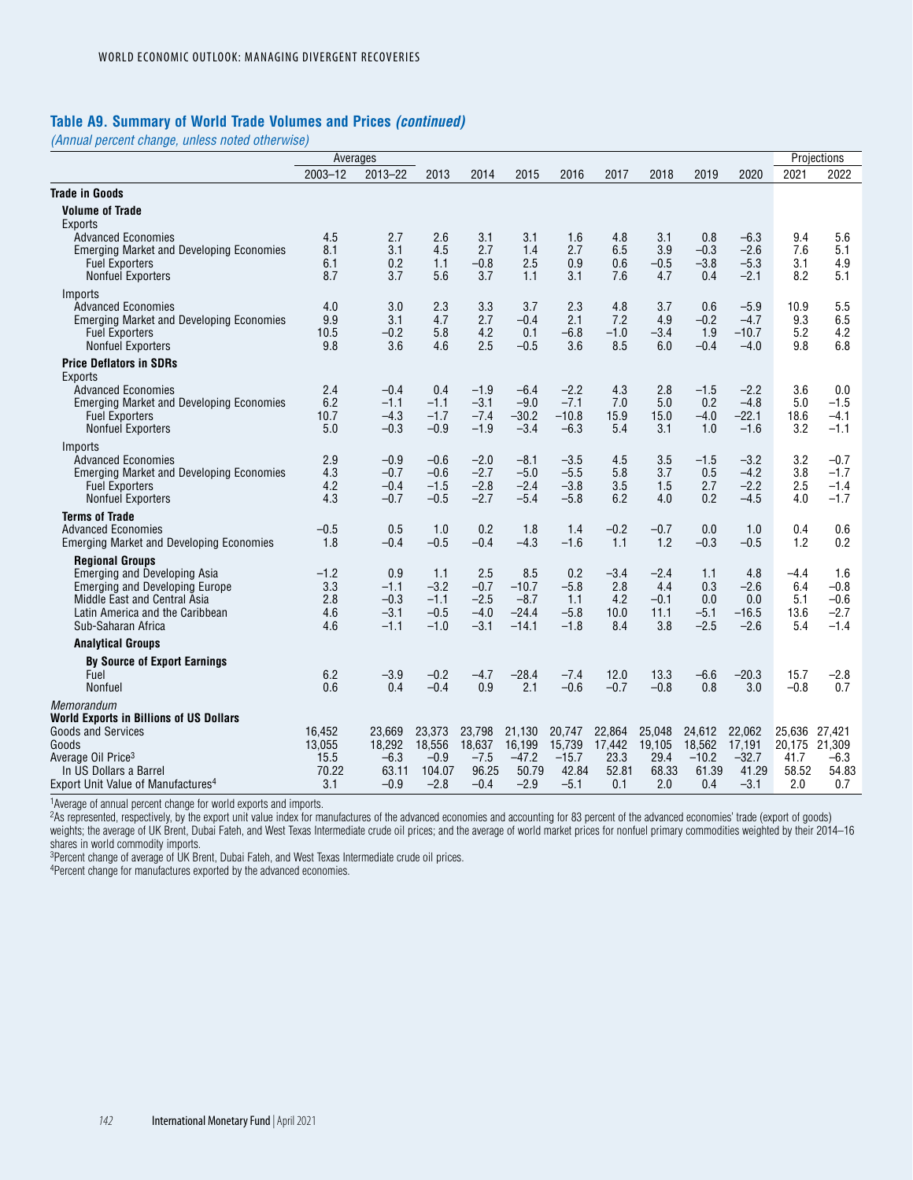#### **Table A9. Summary of World Trade Volumes and Prices** *(continued)*

*(Annual percent change, unless noted otherwise)*

|                                                                          | Averages     |                  |                  |                  |                   |                   |               |               |               |                   |               | Projections      |
|--------------------------------------------------------------------------|--------------|------------------|------------------|------------------|-------------------|-------------------|---------------|---------------|---------------|-------------------|---------------|------------------|
|                                                                          | $2003 - 12$  | $2013 - 22$      | 2013             | 2014             | 2015              | 2016              | 2017          | 2018          | 2019          | 2020              | 2021          | 2022             |
| <b>Trade in Goods</b>                                                    |              |                  |                  |                  |                   |                   |               |               |               |                   |               |                  |
| <b>Volume of Trade</b>                                                   |              |                  |                  |                  |                   |                   |               |               |               |                   |               |                  |
| Exports                                                                  |              |                  |                  |                  |                   |                   |               |               |               |                   |               |                  |
| <b>Advanced Economies</b>                                                | 4.5<br>8.1   | 2.7<br>3.1       | 2.6<br>4.5       | 3.1<br>2.7       | 3.1<br>1.4        | 1.6<br>2.7        | 4.8<br>6.5    | 3.1<br>3.9    | 0.8<br>$-0.3$ | $-6.3$<br>$-2.6$  | 9.4<br>7.6    | 5.6<br>5.1       |
| <b>Emerging Market and Developing Economies</b><br><b>Fuel Exporters</b> | 6.1          | 0.2              | 1.1              | $-0.8$           | 2.5               | 0.9               | 0.6           | $-0.5$        | $-3.8$        | $-5.3$            | 3.1           | 4.9              |
| <b>Nonfuel Exporters</b>                                                 | 8.7          | 3.7              | 5.6              | 3.7              | 1.1               | 3.1               | 7.6           | 4.7           | 0.4           | $-2.1$            | 8.2           | 5.1              |
| Imports                                                                  |              |                  |                  |                  |                   |                   |               |               |               |                   |               |                  |
| <b>Advanced Economies</b>                                                | 4.0          | 3.0              | 2.3              | 3.3              | 3.7               | 2.3               | 4.8           | 3.7           | 0.6           | $-5.9$            | 10.9          | 5.5              |
| <b>Emerging Market and Developing Economies</b>                          | 9.9          | 3.1              | 4.7              | 2.7              | $-0.4$            | 2.1<br>$-6.8$     | 7.2           | 4.9           | $-0.2$        | $-4.7$            | 9.3           | 6.5              |
| <b>Fuel Exporters</b><br><b>Nonfuel Exporters</b>                        | 10.5<br>9.8  | $-0.2$<br>3.6    | 5.8<br>4.6       | 4.2<br>2.5       | 0.1<br>$-0.5$     | 3.6               | $-1.0$<br>8.5 | $-3.4$<br>6.0 | 1.9<br>$-0.4$ | $-10.7$<br>$-4.0$ | 5.2<br>9.8    | 4.2<br>6.8       |
| <b>Price Deflators in SDRs</b>                                           |              |                  |                  |                  |                   |                   |               |               |               |                   |               |                  |
| Exports                                                                  |              |                  |                  |                  |                   |                   |               |               |               |                   |               |                  |
| <b>Advanced Economies</b>                                                | 2.4          | $-0.4$           | 0.4              | $-1.9$           | $-6.4$            | $-2.2$            | 4.3           | 2.8           | $-1.5$        | $-2.2$            | 3.6           | 0.0              |
| <b>Emerging Market and Developing Economies</b><br><b>Fuel Exporters</b> | 6.2<br>10.7  | $-1.1$<br>$-4.3$ | $-1.1$<br>$-1.7$ | $-3.1$<br>$-7.4$ | $-9.0$<br>$-30.2$ | $-7.1$<br>$-10.8$ | 7.0<br>15.9   | 5.0<br>15.0   | 0.2<br>$-4.0$ | $-4.8$<br>$-22.1$ | 5.0<br>18.6   | $-1.5$<br>$-4.1$ |
| <b>Nonfuel Exporters</b>                                                 | 5.0          | $-0.3$           | $-0.9$           | $-1.9$           | $-3.4$            | $-6.3$            | 5.4           | 3.1           | 1.0           | $-1.6$            | 3.2           | $-1.1$           |
| Imports                                                                  |              |                  |                  |                  |                   |                   |               |               |               |                   |               |                  |
| <b>Advanced Economies</b>                                                | 2.9          | $-0.9$           | $-0.6$           | $-2.0$           | $-8.1$            | $-3.5$            | 4.5           | 3.5           | $-1.5$        | $-3.2$            | 3.2           | $-0.7$           |
| <b>Emerging Market and Developing Economies</b>                          | 4.3<br>4.2   | $-0.7$<br>$-0.4$ | $-0.6$<br>$-1.5$ | $-2.7$<br>$-2.8$ | $-5.0$<br>$-2.4$  | $-5.5$<br>$-3.8$  | 5.8<br>3.5    | 3.7<br>1.5    | 0.5<br>2.7    | $-4.2$<br>$-2.2$  | 3.8<br>2.5    | $-1.7$           |
| <b>Fuel Exporters</b><br>Nonfuel Exporters                               | 4.3          | $-0.7$           | $-0.5$           | $-2.7$           | $-5.4$            | $-5.8$            | 6.2           | 4.0           | 0.2           | $-4.5$            | 4.0           | $-1.4$<br>$-1.7$ |
| <b>Terms of Trade</b>                                                    |              |                  |                  |                  |                   |                   |               |               |               |                   |               |                  |
| <b>Advanced Economies</b>                                                | $-0.5$       | 0.5              | 1.0              | 0.2              | 1.8               | 1.4               | $-0.2$        | $-0.7$        | 0.0           | 1.0               | 0.4           | 0.6              |
| <b>Emerging Market and Developing Economies</b>                          | 1.8          | $-0.4$           | $-0.5$           | $-0.4$           | $-4.3$            | $-1.6$            | 1.1           | 1.2           | $-0.3$        | $-0.5$            | 1.2           | 0.2              |
| <b>Regional Groups</b>                                                   |              |                  |                  |                  |                   |                   |               |               |               |                   |               |                  |
| Emerging and Developing Asia                                             | $-1.2$       | 0.9              | 1.1              | 2.5              | 8.5               | 0.2               | $-3.4$        | $-2.4$        | 1.1           | 4.8               | $-4.4$        | 1.6              |
| <b>Emerging and Developing Europe</b><br>Middle East and Central Asia    | 3.3<br>2.8   | $-1.1$<br>$-0.3$ | $-3.2$<br>$-1.1$ | $-0.7$<br>$-2.5$ | $-10.7$<br>$-8.7$ | $-5.8$<br>1.1     | 2.8<br>4.2    | 4.4<br>$-0.1$ | 0.3<br>0.0    | $-2.6$<br>0.0     | 6.4<br>5.1    | $-0.8$<br>$-0.6$ |
| Latin America and the Caribbean                                          | 4.6          | $-3.1$           | $-0.5$           | $-4.0$           | $-24.4$           | $-5.8$            | 10.0          | 11.1          | $-5.1$        | $-16.5$           | 13.6          | $-2.7$           |
| Sub-Saharan Africa                                                       | 4.6          | $-1.1$           | $-1.0$           | $-3.1$           | $-14.1$           | $-1.8$            | 8.4           | 3.8           | $-2.5$        | $-2.6$            | 5.4           | $-1.4$           |
| <b>Analytical Groups</b>                                                 |              |                  |                  |                  |                   |                   |               |               |               |                   |               |                  |
| <b>By Source of Export Earnings</b>                                      |              |                  |                  |                  |                   |                   |               |               |               |                   |               |                  |
| Fuel                                                                     | 6.2          | $-3.9$           | $-0.2$           | $-4.7$           | $-28.4$           | $-7.4$            | 12.0          | 13.3          | $-6.6$        | $-20.3$           | 15.7          | $-2.8$           |
| Nonfuel                                                                  | 0.6          | 0.4              | $-0.4$           | 0.9              | 2.1               | $-0.6$            | $-0.7$        | $-0.8$        | 0.8           | 3.0               | $-0.8$        | 0.7              |
| Memorandum<br><b>World Exports in Billions of US Dollars</b>             |              |                  |                  |                  |                   |                   |               |               |               |                   |               |                  |
| <b>Goods and Services</b>                                                | 16,452       | 23.669           | 23,373           | 23,798           | 21,130            | 20,747            | 22,864        | 25,048        | 24,612        | 22,062            | 25,636 27,421 |                  |
| Goods                                                                    | 13,055       | 18,292           | 18,556           | 18,637           | 16,199            | 15.739            | 17.442        | 19.105        | 18.562        | 17.191            | 20,175 21,309 |                  |
| Average Oil Price <sup>3</sup>                                           | 15.5         | $-6.3$           | $-0.9$           | $-7.5$           | $-47.2$           | $-15.7$           | 23.3          | 29.4          | $-10.2$       | $-32.7$           | 41.7          | -6.3             |
| In US Dollars a Barrel<br>Export Unit Value of Manufactures <sup>4</sup> | 70.22<br>3.1 | 63.11<br>$-0.9$  | 104.07<br>$-2.8$ | 96.25<br>$-0.4$  | 50.79<br>$-2.9$   | 42.84<br>$-5.1$   | 52.81<br>0.1  | 68.33<br>2.0  | 61.39<br>0.4  | 41.29<br>$-3.1$   | 58.52<br>2.0  | 54.83<br>0.7     |
|                                                                          |              |                  |                  |                  |                   |                   |               |               |               |                   |               |                  |

1Average of annual percent change for world exports and imports.

2As represented, respectively, by the export unit value index for manufactures of the advanced economies and accounting for 83 percent of the advanced economies' trade (export of goods) weights; the average of UK Brent, Dubai Fateh, and West Texas Intermediate crude oil prices; and the average of world market prices for nonfuel primary commodities weighted by their 2014–16 shares in world commodity imports.

3Percent change of average of UK Brent, Dubai Fateh, and West Texas Intermediate crude oil prices.

4Percent change for manufactures exported by the advanced economies.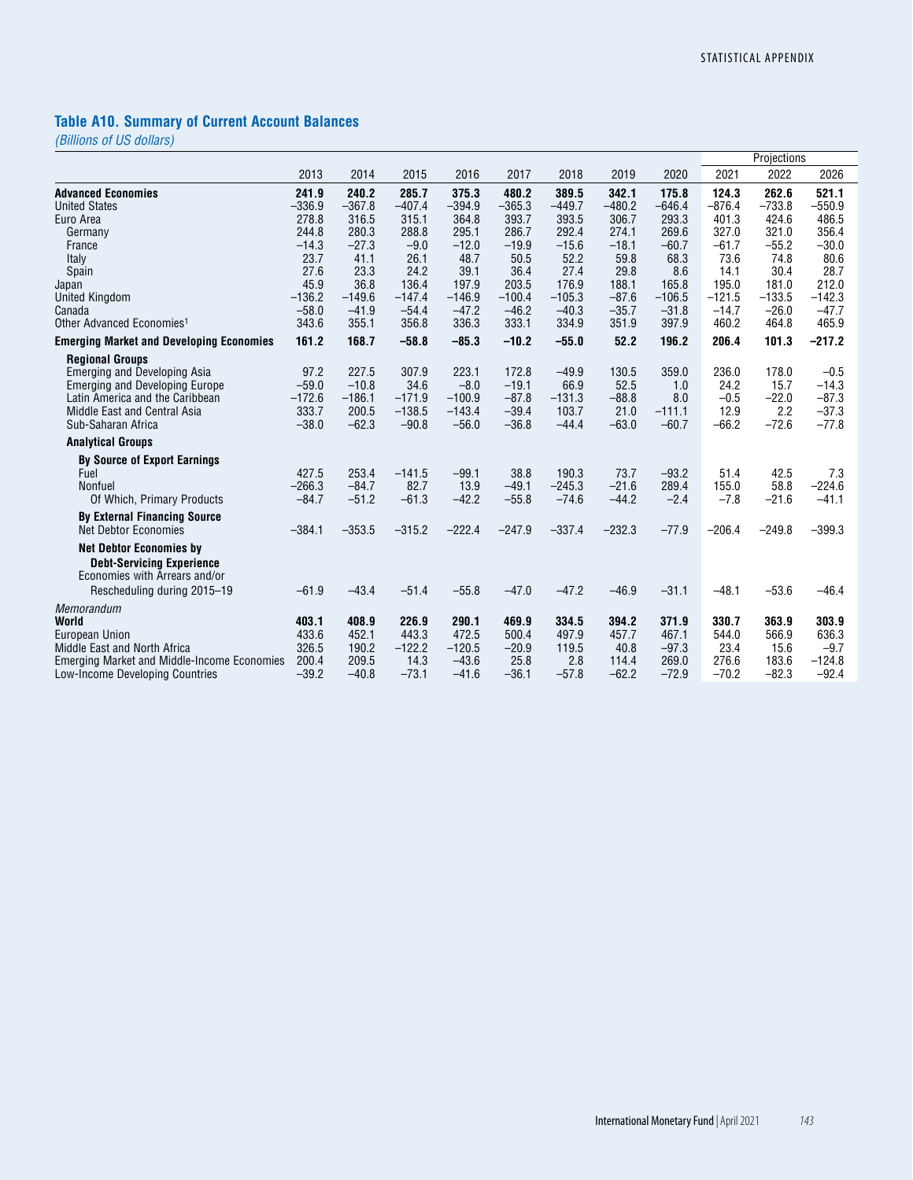# **Table A10. Summary of Current Account Balances**

|                                                       |          |          |          |          |          |          |          |          |          | Projections |          |
|-------------------------------------------------------|----------|----------|----------|----------|----------|----------|----------|----------|----------|-------------|----------|
|                                                       | 2013     | 2014     | 2015     | 2016     | 2017     | 2018     | 2019     | 2020     | 2021     | 2022        | 2026     |
| <b>Advanced Economies</b>                             | 241.9    | 240.2    | 285.7    | 375.3    | 480.2    | 389.5    | 342.1    | 175.8    | 124.3    | 262.6       | 521.1    |
| <b>United States</b>                                  | $-336.9$ | $-367.8$ | $-407.4$ | $-394.9$ | $-365.3$ | $-449.7$ | $-480.2$ | $-646.4$ | $-876.4$ | $-733.8$    | $-550.9$ |
| Euro Area                                             | 278.8    | 316.5    | 315.1    | 364.8    | 393.7    | 393.5    | 306.7    | 293.3    | 401.3    | 424.6       | 486.5    |
| Germany                                               | 244.8    | 280.3    | 288.8    | 295.1    | 286.7    | 292.4    | 274.1    | 269.6    | 327.0    | 321.0       | 356.4    |
| France                                                | $-14.3$  | $-27.3$  | $-9.0$   | $-12.0$  | $-19.9$  | $-15.6$  | $-18.1$  | $-60.7$  | $-61.7$  | $-55.2$     | $-30.0$  |
| Italy                                                 | 23.7     | 41.1     | 26.1     | 48.7     | 50.5     | 52.2     | 59.8     | 68.3     | 73.6     | 74.8        | 80.6     |
| Spain                                                 | 27.6     | 23.3     | 24.2     | 39.1     | 36.4     | 27.4     | 29.8     | 8.6      | 14.1     | 30.4        | 28.7     |
| Japan                                                 | 45.9     | 36.8     | 136.4    | 197.9    | 203.5    | 176.9    | 188.1    | 165.8    | 195.0    | 181.0       | 212.0    |
| <b>United Kingdom</b>                                 | $-136.2$ | $-149.6$ | $-147.4$ | $-146.9$ | $-100.4$ | $-105.3$ | $-87.6$  | $-106.5$ | $-121.5$ | $-133.5$    | $-142.3$ |
| Canada                                                | $-58.0$  | $-41.9$  | $-54.4$  | $-47.2$  | $-46.2$  | $-40.3$  | $-35.7$  | $-31.8$  | $-14.7$  | $-26.0$     | $-47.7$  |
| Other Advanced Economies <sup>1</sup>                 | 343.6    | 355.1    | 356.8    | 336.3    | 333.1    | 334.9    | 351.9    | 397.9    | 460.2    | 464.8       | 465.9    |
| <b>Emerging Market and Developing Economies</b>       | 161.2    | 168.7    | $-58.8$  | $-85.3$  | $-10.2$  | $-55.0$  | 52.2     | 196.2    | 206.4    | 101.3       | $-217.2$ |
| <b>Regional Groups</b>                                |          |          |          |          |          |          |          |          |          |             |          |
| <b>Emerging and Developing Asia</b>                   | 97.2     | 227.5    | 307.9    | 223.1    | 172.8    | $-49.9$  | 130.5    | 359.0    | 236.0    | 178.0       | $-0.5$   |
| <b>Emerging and Developing Europe</b>                 | $-59.0$  | $-10.8$  | 34.6     | $-8.0$   | $-19.1$  | 66.9     | 52.5     | 1.0      | 24.2     | 15.7        | $-14.3$  |
| Latin America and the Caribbean                       | $-172.6$ | $-186.1$ | $-171.9$ | $-100.9$ | $-87.8$  | $-131.3$ | $-88.8$  | 8.0      | $-0.5$   | $-22.0$     | $-87.3$  |
| Middle East and Central Asia                          | 333.7    | 200.5    | $-138.5$ | $-143.4$ | $-39.4$  | 103.7    | 21.0     | $-111.1$ | 12.9     | 2.2         | $-37.3$  |
| Sub-Saharan Africa                                    | $-38.0$  | $-62.3$  | $-90.8$  | $-56.0$  | $-36.8$  | $-44.4$  | $-63.0$  | $-60.7$  | $-66.2$  | $-72.6$     | $-77.8$  |
| <b>Analytical Groups</b>                              |          |          |          |          |          |          |          |          |          |             |          |
| <b>By Source of Export Earnings</b>                   |          |          |          |          |          |          |          |          |          |             |          |
| Fuel                                                  | 427.5    | 253.4    | $-141.5$ | $-99.1$  | 38.8     | 190.3    | 73.7     | $-93.2$  | 51.4     | 42.5        | 7.3      |
| Nonfuel                                               | $-266.3$ | $-84.7$  | 82.7     | 13.9     | $-49.1$  | $-245.3$ | $-21.6$  | 289.4    | 155.0    | 58.8        | $-224.6$ |
| Of Which, Primary Products                            | $-84.7$  | $-51.2$  | $-61.3$  | $-42.2$  | $-55.8$  | $-74.6$  | $-44.2$  | $-2.4$   | $-7.8$   | $-21.6$     | $-41.1$  |
| <b>By External Financing Source</b>                   |          |          |          |          |          |          |          |          |          |             |          |
| <b>Net Debtor Economies</b>                           | $-384.1$ | $-353.5$ | $-315.2$ | $-222.4$ | $-247.9$ | $-337.4$ | $-232.3$ | $-77.9$  | $-206.4$ | $-249.8$    | $-399.3$ |
| <b>Net Debtor Economies by</b>                        |          |          |          |          |          |          |          |          |          |             |          |
| <b>Debt-Servicing Experience</b>                      |          |          |          |          |          |          |          |          |          |             |          |
| Economies with Arrears and/or                         |          |          |          |          |          |          |          |          |          |             |          |
| Rescheduling during 2015-19                           | $-61.9$  | $-43.4$  | $-51.4$  | $-55.8$  | $-47.0$  | $-47.2$  | $-46.9$  | $-31.1$  | $-48.1$  | $-53.6$     | $-46.4$  |
|                                                       |          |          |          |          |          |          |          |          |          |             |          |
| Memorandum<br>World                                   | 403.1    | 408.9    | 226.9    | 290.1    | 469.9    | 334.5    | 394.2    | 371.9    | 330.7    | 363.9       | 303.9    |
|                                                       | 433.6    | 452.1    | 443.3    | 472.5    | 500.4    | 497.9    | 457.7    | 467.1    | 544.0    | 566.9       | 636.3    |
| <b>European Union</b><br>Middle East and North Africa | 326.5    | 190.2    | $-122.2$ | $-120.5$ | $-20.9$  | 119.5    | 40.8     | $-97.3$  | 23.4     | 15.6        | $-9.7$   |
| <b>Emerging Market and Middle-Income Economies</b>    | 200.4    | 209.5    | 14.3     | $-43.6$  | 25.8     | 2.8      | 114.4    | 269.0    | 276.6    | 183.6       | $-124.8$ |
| Low-Income Developing Countries                       | $-39.2$  | $-40.8$  | $-73.1$  | $-41.6$  | $-36.1$  | $-57.8$  | $-62.2$  | $-72.9$  | $-70.2$  | $-82.3$     | $-92.4$  |
|                                                       |          |          |          |          |          |          |          |          |          |             |          |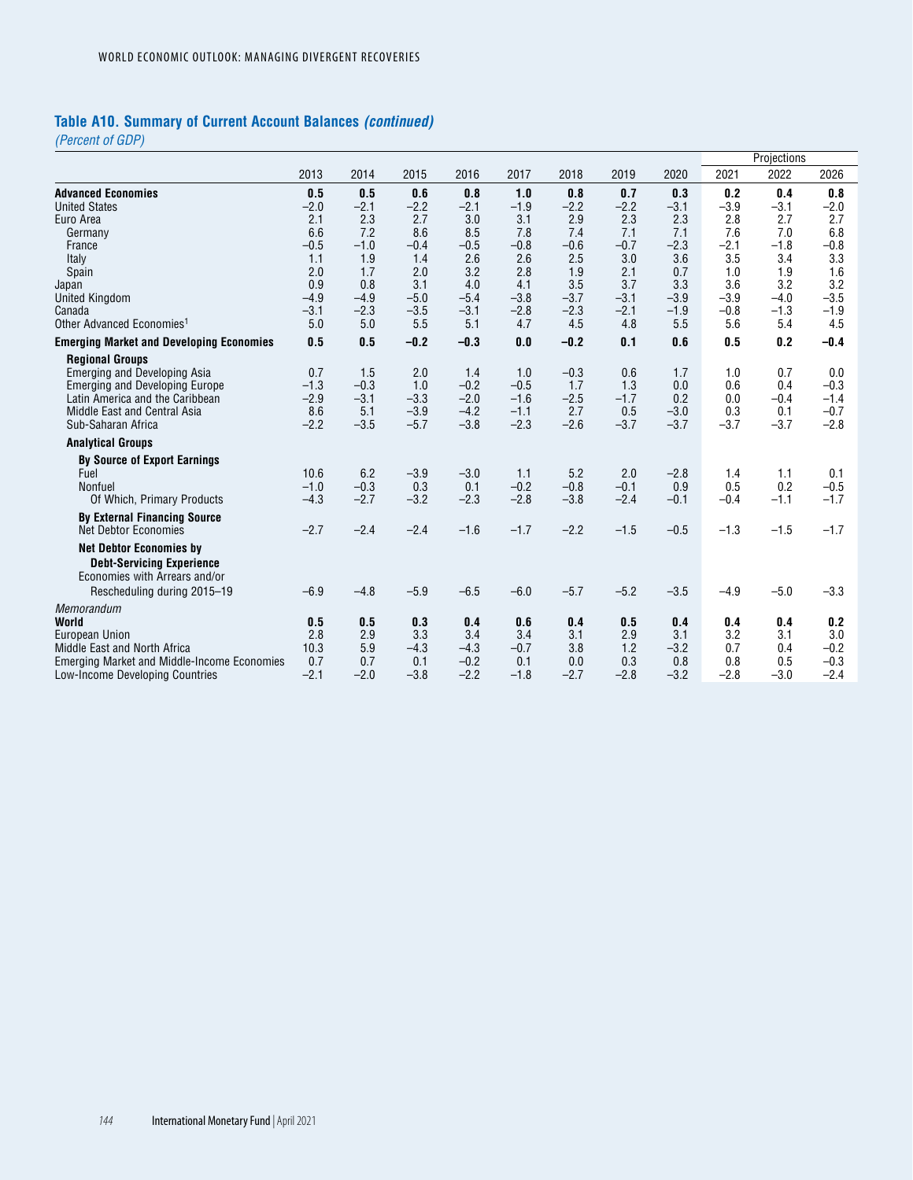# **Table A10. Summary of Current Account Balances** *(continued)*

*(Percent of GDP)*

|                                                    |        |        |        |        |        |        |        |        |        | Projections |        |
|----------------------------------------------------|--------|--------|--------|--------|--------|--------|--------|--------|--------|-------------|--------|
|                                                    | 2013   | 2014   | 2015   | 2016   | 2017   | 2018   | 2019   | 2020   | 2021   | 2022        | 2026   |
| <b>Advanced Economies</b>                          | 0.5    | 0.5    | 0.6    | 0.8    | 1.0    | 0.8    | 0.7    | 0.3    | 0.2    | 0.4         | 0.8    |
| <b>United States</b>                               | $-2.0$ | $-2.1$ | $-2.2$ | $-2.1$ | $-1.9$ | $-2.2$ | $-2.2$ | $-3.1$ | $-3.9$ | $-3.1$      | $-2.0$ |
| Euro Area                                          | 2.1    | 2.3    | 2.7    | 3.0    | 3.1    | 2.9    | 2.3    | 2.3    | 2.8    | 2.7         | 2.7    |
| Germany                                            | 6.6    | 7.2    | 8.6    | 8.5    | 7.8    | 7.4    | 7.1    | 7.1    | 7.6    | 7.0         | 6.8    |
| France                                             | $-0.5$ | $-1.0$ | $-0.4$ | $-0.5$ | $-0.8$ | $-0.6$ | $-0.7$ | $-2.3$ | $-2.1$ | $-1.8$      | $-0.8$ |
| Italy                                              | 1.1    | 1.9    | 1.4    | 2.6    | 2.6    | 2.5    | 3.0    | 3.6    | 3.5    | 3.4         | 3.3    |
| Spain                                              | 2.0    | 1.7    | 2.0    | 3.2    | 2.8    | 1.9    | 2.1    | 0.7    | 1.0    | 1.9         | 1.6    |
| Japan                                              | 0.9    | 0.8    | 3.1    | 4.0    | 4.1    | 3.5    | 3.7    | 3.3    | 3.6    | 3.2         | 3.2    |
| <b>United Kingdom</b>                              | $-4.9$ | $-4.9$ | $-5.0$ | $-5.4$ | $-3.8$ | $-3.7$ | $-3.1$ | $-3.9$ | $-3.9$ | $-4.0$      | $-3.5$ |
| Canada                                             | $-3.1$ | $-2.3$ | $-3.5$ | $-3.1$ | $-2.8$ | $-2.3$ | $-2.1$ | $-1.9$ | $-0.8$ | $-1.3$      | $-1.9$ |
| Other Advanced Economies <sup>1</sup>              | 5.0    | 5.0    | 5.5    | 5.1    | 4.7    | 4.5    | 4.8    | 5.5    | 5.6    | 5.4         | 4.5    |
| <b>Emerging Market and Developing Economies</b>    | 0.5    | 0.5    | $-0.2$ | $-0.3$ | 0.0    | $-0.2$ | 0.1    | 0.6    | 0.5    | 0.2         | $-0.4$ |
| <b>Regional Groups</b>                             |        |        |        |        |        |        |        |        |        |             |        |
| <b>Emerging and Developing Asia</b>                | 0.7    | 1.5    | 2.0    | 1.4    | 1.0    | $-0.3$ | 0.6    | 1.7    | 1.0    | 0.7         | 0.0    |
| <b>Emerging and Developing Europe</b>              | $-1.3$ | $-0.3$ | 1.0    | $-0.2$ | $-0.5$ | 1.7    | 1.3    | 0.0    | 0.6    | 0.4         | $-0.3$ |
| Latin America and the Caribbean                    | $-2.9$ | $-3.1$ | $-3.3$ | $-2.0$ | $-1.6$ | $-2.5$ | $-1.7$ | 0.2    | 0.0    | $-0.4$      | $-1.4$ |
| Middle East and Central Asia                       | 8.6    | 5.1    | $-3.9$ | $-4.2$ | $-1.1$ | 2.7    | 0.5    | $-3.0$ | 0.3    | 0.1         | $-0.7$ |
| Sub-Saharan Africa                                 | $-2.2$ | $-3.5$ | $-5.7$ | $-3.8$ | $-2.3$ | $-2.6$ | $-3.7$ | $-3.7$ | $-3.7$ | $-3.7$      | $-2.8$ |
| <b>Analytical Groups</b>                           |        |        |        |        |        |        |        |        |        |             |        |
| <b>By Source of Export Earnings</b>                |        |        |        |        |        |        |        |        |        |             |        |
| Fuel                                               | 10.6   | 6.2    | $-3.9$ | $-3.0$ | 1.1    | 5.2    | 2.0    | $-2.8$ | 1.4    | 1.1         | 0.1    |
| Nonfuel                                            | $-1.0$ | $-0.3$ | 0.3    | 0.1    | $-0.2$ | $-0.8$ | $-0.1$ | 0.9    | 0.5    | 0.2         | $-0.5$ |
| Of Which, Primary Products                         | $-4.3$ | $-2.7$ | $-3.2$ | $-2.3$ | $-2.8$ | $-3.8$ | $-2.4$ | $-0.1$ | $-0.4$ | $-1.1$      | $-1.7$ |
| <b>By External Financing Source</b>                |        |        |        |        |        |        |        |        |        |             |        |
| <b>Net Debtor Economies</b>                        | $-2.7$ | $-2.4$ | $-2.4$ | $-1.6$ | $-1.7$ | $-2.2$ | $-1.5$ | $-0.5$ | $-1.3$ | $-1.5$      | $-1.7$ |
| <b>Net Debtor Economies by</b>                     |        |        |        |        |        |        |        |        |        |             |        |
| <b>Debt-Servicing Experience</b>                   |        |        |        |        |        |        |        |        |        |             |        |
| Economies with Arrears and/or                      |        |        |        |        |        |        |        |        |        |             |        |
| Rescheduling during 2015-19                        | $-6.9$ | $-4.8$ | $-5.9$ | $-6.5$ | $-6.0$ | $-5.7$ | $-5.2$ | $-3.5$ | $-4.9$ | $-5.0$      | $-3.3$ |
| Memorandum                                         |        |        |        |        |        |        |        |        |        |             |        |
| World                                              | 0.5    | 0.5    | 0.3    | 0.4    | 0.6    | 0.4    | 0.5    | 0.4    | 0.4    | 0.4         | 0.2    |
| <b>European Union</b>                              | 2.8    | 2.9    | 3.3    | 3.4    | 3.4    | 3.1    | 2.9    | 3.1    | 3.2    | 3.1         | 3.0    |
| Middle East and North Africa                       | 10.3   | 5.9    | $-4.3$ | $-4.3$ | $-0.7$ | 3.8    | 1.2    | $-3.2$ | 0.7    | 0.4         | $-0.2$ |
| <b>Emerging Market and Middle-Income Economies</b> | 0.7    | 0.7    | 0.1    | $-0.2$ | 0.1    | 0.0    | 0.3    | 0.8    | 0.8    | 0.5         | $-0.3$ |
| Low-Income Developing Countries                    | $-2.1$ | $-2.0$ | $-3.8$ | $-2.2$ | $-1.8$ | $-2.7$ | $-2.8$ | $-3.2$ | $-2.8$ | $-3.0$      | $-2.4$ |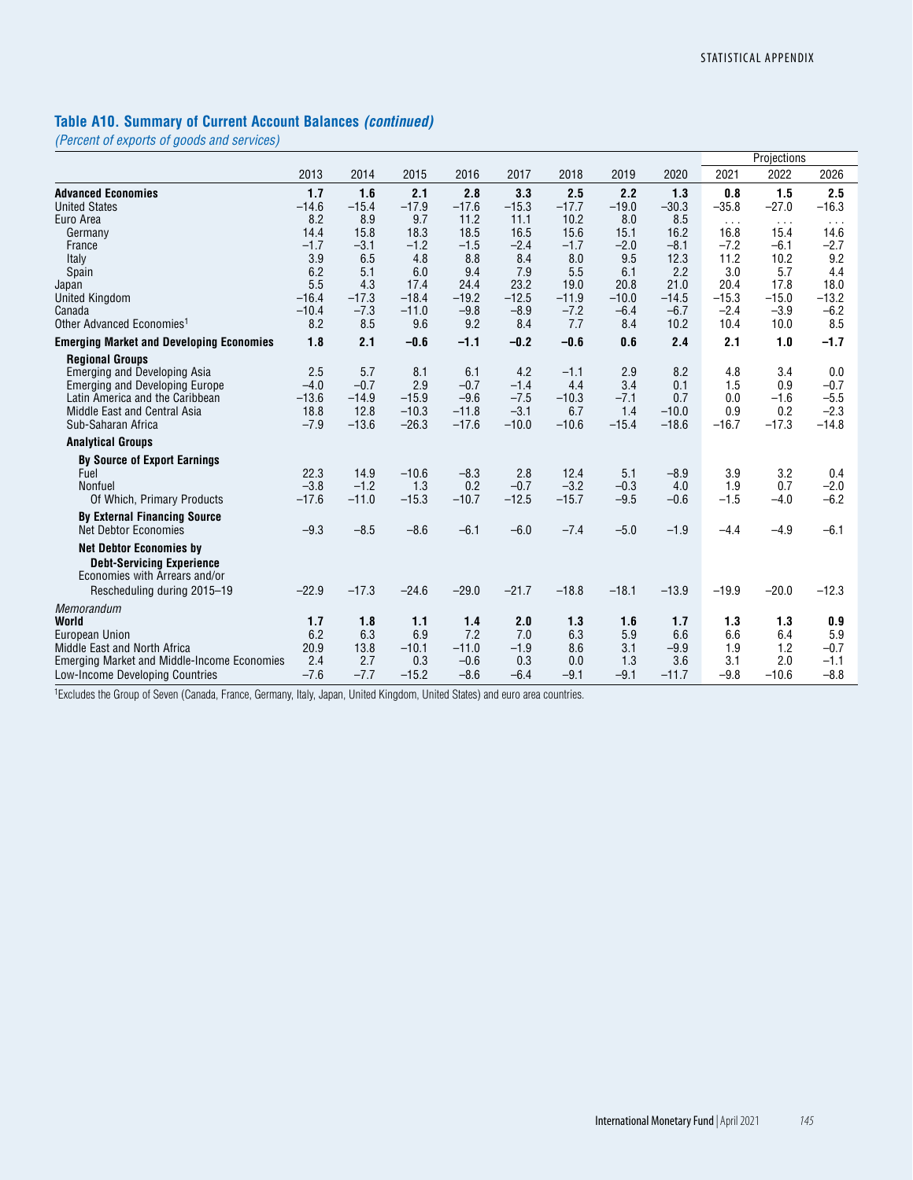#### **Table A10. Summary of Current Account Balances** *(continued)*

*(Percent of exports of goods and services)*

| 2013<br>2014<br>2015<br>2016<br>2017<br>2018<br>2019<br>2020<br>2021<br>2022                                                              | 2026                    |
|-------------------------------------------------------------------------------------------------------------------------------------------|-------------------------|
|                                                                                                                                           |                         |
| 1.7<br>2.8<br>2.5<br>2.2<br>1.5<br><b>Advanced Economies</b><br>1.6<br>2.1<br>3.3<br>1.3<br>0.8                                           | 2.5                     |
| <b>United States</b><br>$-14.6$<br>$-15.4$<br>$-17.9$<br>$-17.6$<br>$-15.3$<br>$-17.7$<br>$-19.0$<br>$-30.3$<br>$-35.8$<br>$-27.0$        | $-16.3$                 |
| 8.2<br>8.9<br>9.7<br>11.2<br>10.2<br>8.0<br>8.5<br>Euro Area<br>11.1<br>$\sim$ $\sim$ $\sim$                                              | $\cdot$ $\cdot$ $\cdot$ |
| 14.4<br>15.8<br>18.3<br>18.5<br>16.5<br>15.6<br>15.1<br>16.2<br>16.8<br>15.4<br>Germany                                                   | 14.6                    |
| $-1.7$<br>$-3.1$<br>$-1.2$<br>$-1.5$<br>$-2.4$<br>$-1.7$<br>$-2.0$<br>$-8.1$<br>$-7.2$<br>$-6.1$<br>France                                | $-2.7$                  |
| 3.9<br>6.5<br>8.8<br>8.4<br>8.0<br>9.5<br>12.3<br>11.2<br>4.8<br>10.2<br>Italy                                                            | 9.2                     |
| 6.2<br>5.1<br>7.9<br>2.2<br>3.0<br>5.7<br>6.0<br>9.4<br>5.5<br>6.1<br>Spain                                                               | 4.4                     |
| 5.5<br>4.3<br>23.2<br>21.0<br>17.4<br>24.4<br>19.0<br>20.8<br>20.4<br>17.8<br>Japan                                                       | 18.0                    |
| $-16.4$<br>$-17.3$<br>$-18.4$<br>$-19.2$<br>$-12.5$<br>$-11.9$<br>$-10.0$<br>$-15.3$<br>$-15.0$<br><b>United Kingdom</b><br>$-14.5$       | $-13.2$                 |
| $-7.3$<br>$-9.8$<br>$-7.2$<br>$-2.4$<br>$-3.9$<br>$-10.4$<br>$-11.0$<br>$-8.9$<br>$-6.4$<br>$-6.7$<br>Canada                              | $-6.2$                  |
| 8.2<br>9.2<br>7.7<br>Other Advanced Economies <sup>1</sup><br>8.5<br>9.6<br>8.4<br>8.4<br>10.2<br>10.4<br>10.0                            | 8.5                     |
| 1.8<br>2.1<br>$-0.6$<br>$-1.1$<br>$-0.2$<br>$-0.6$<br>0.6<br>2.4<br>2.1<br>1.0<br><b>Emerging Market and Developing Economies</b>         | $-1.7$                  |
| <b>Regional Groups</b>                                                                                                                    |                         |
| 2.5<br>4.2<br>2.9<br>8.2<br>4.8<br>3.4<br>5.7<br>8.1<br>6.1<br><b>Emerging and Developing Asia</b><br>$-1.1$                              | 0.0                     |
| $-0.7$<br>3.4<br>$-4.0$<br>2.9<br>$-0.7$<br>$-1.4$<br>4.4<br>0.1<br>1.5<br>0.9<br><b>Emerging and Developing Europe</b>                   | $-0.7$                  |
| $-15.9$<br>$-7.5$<br>$-10.3$<br>$-7.1$<br>0.0<br>Latin America and the Caribbean<br>$-13.6$<br>$-14.9$<br>$-9.6$<br>0.7<br>$-1.6$         | $-5.5$                  |
| $-3.1$<br>6.7<br>1.4<br>0.9<br>Middle East and Central Asia<br>18.8<br>12.8<br>$-10.3$<br>$-11.8$<br>$-10.0$<br>0.2                       | $-2.3$                  |
| $-13.6$<br>$-26.3$<br>$-17.6$<br>$-10.0$<br>$-10.6$<br>$-15.4$<br>$-16.7$<br>$-17.3$<br>Sub-Saharan Africa<br>$-7.9$<br>$-18.6$           | $-14.8$                 |
| <b>Analytical Groups</b>                                                                                                                  |                         |
| <b>By Source of Export Earnings</b>                                                                                                       |                         |
| 22.3<br>14.9<br>2.8<br>3.2<br>$-10.6$<br>$-8.3$<br>12.4<br>5.1<br>$-8.9$<br>3.9<br>Fuel                                                   | 0.4                     |
| $-3.8$<br>$-1.2$<br>0.2<br>$-0.7$<br>$-3.2$<br>1.9<br>Nonfuel<br>1.3<br>$-0.3$<br>4.0<br>0.7                                              | $-2.0$                  |
| $-17.6$<br>$-12.5$<br>$-15.7$<br>$-9.5$<br>$-1.5$<br>$-11.0$<br>$-15.3$<br>$-10.7$<br>$-0.6$<br>$-4.0$<br>Of Which, Primary Products      | $-6.2$                  |
| <b>By External Financing Source</b>                                                                                                       |                         |
| $-7.4$<br>$-9.3$<br>$-8.5$<br>$-8.6$<br>$-6.1$<br>$-6.0$<br>$-5.0$<br>$-1.9$<br>$-4.9$<br><b>Net Debtor Economies</b><br>$-4.4$           | $-6.1$                  |
| <b>Net Debtor Economies by</b>                                                                                                            |                         |
| <b>Debt-Servicing Experience</b>                                                                                                          |                         |
| Economies with Arrears and/or                                                                                                             |                         |
| $-17.3$<br>$-24.6$<br>$-29.0$<br>$-21.7$<br>$-18.8$<br>$-22.9$<br>$-18.1$<br>$-13.9$<br>$-19.9$<br>$-20.0$<br>Rescheduling during 2015-19 | $-12.3$                 |
|                                                                                                                                           |                         |
| Memorandum<br>1.7<br>1.8<br>2.0<br>1.3<br>1.3<br>World<br>1.1<br>1.6<br>1.7                                                               |                         |
| 1.4<br>1.3<br>6.2<br>6.3<br><b>European Union</b><br>6.9<br>7.2<br>7.0<br>6.3<br>5.9<br>6.6<br>6.6<br>6.4                                 | 0.9<br>5.9              |
| 20.9<br>13.8<br>$-11.0$<br>8.6<br>3.1<br>$-9.9$<br>1.9<br>1.2<br>Middle East and North Africa<br>$-10.1$<br>$-1.9$                        | $-0.7$                  |
| 2.4<br>2.7<br>0.3<br>1.3<br>3.6<br>3.1<br>2.0<br>0.3<br>$-0.6$<br>0.0<br>Emerging Market and Middle-Income Economies                      | $-1.1$                  |
| $-7.6$<br>$-7.7$<br>$-15.2$<br>$-8.6$<br>$-6.4$<br>$-9.1$<br>$-11.7$<br>$-9.1$<br>$-9.8$<br>$-10.6$<br>Low-Income Developing Countries    | $-8.8$                  |

1Excludes the Group of Seven (Canada, France, Germany, Italy, Japan, United Kingdom, United States) and euro area countries.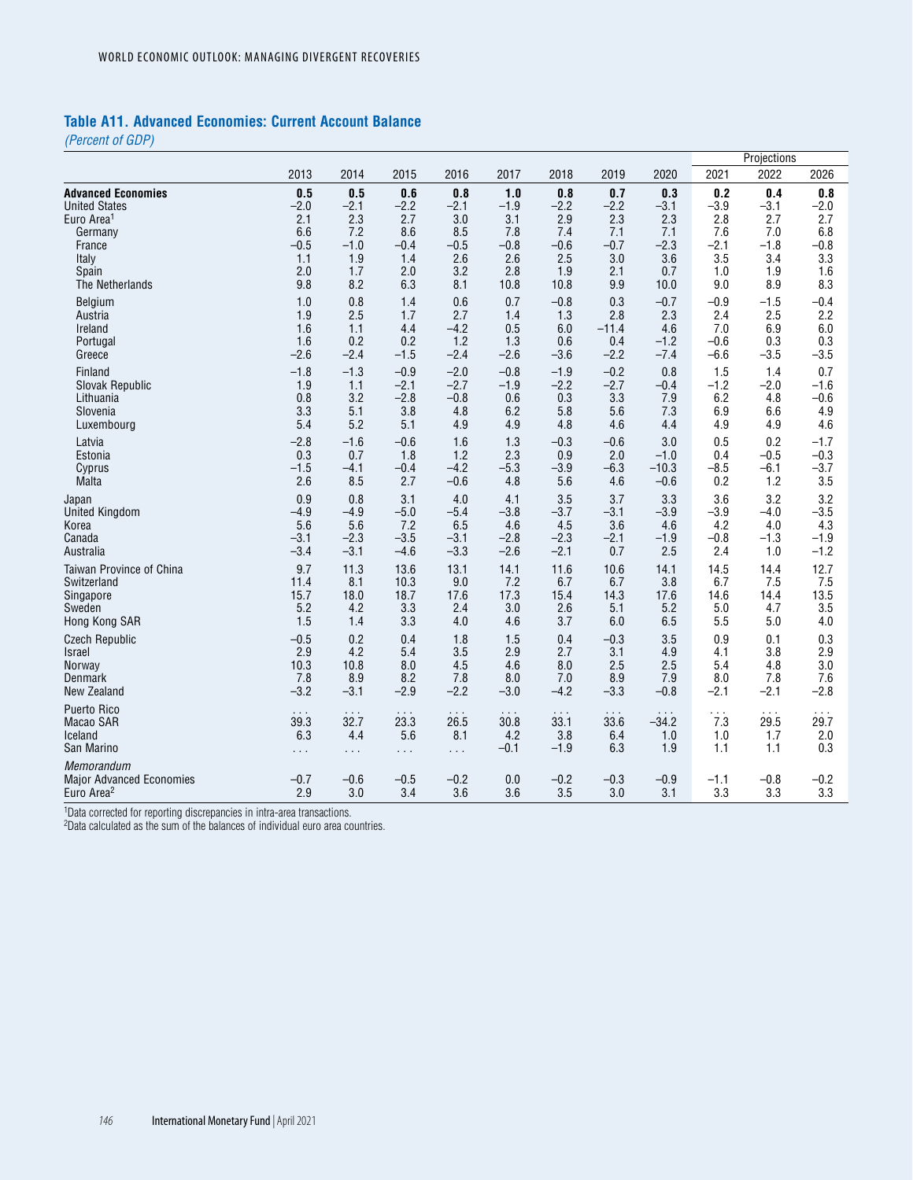#### **Table A11. Advanced Economies: Current Account Balance**

*(Percent of GDP)*

|                                                                         |               |                      |               |               |            |               |               |               |               | Projections   |               |
|-------------------------------------------------------------------------|---------------|----------------------|---------------|---------------|------------|---------------|---------------|---------------|---------------|---------------|---------------|
|                                                                         | 2013          | 2014                 | 2015          | 2016          | 2017       | 2018          | 2019          | 2020          | 2021          | 2022          | 2026          |
| <b>Advanced Economies</b>                                               | 0.5           | 0.5                  | 0.6           | 0.8           | 1.0        | 0.8           | 0.7           | 0.3           | 0.2           | 0.4           | 0.8           |
| <b>United States</b>                                                    | $-2.0$        | $-2.1$               | $-2.2$        | $-2.1$        | $-1.9$     | $-2.2$        | $-2.2$        | $-3.1$        | $-3.9$        | $-3.1$        | $-2.0$        |
| Euro Area <sup>1</sup>                                                  | 2.1           | 2.3                  | 2.7           | 3.0           | 3.1        | 2.9           | 2.3           | 2.3           | 2.8           | 2.7           | 2.7           |
| Germany                                                                 | 6.6           | 7.2                  | 8.6           | 8.5           | 7.8        | 7.4           | 7.1           | 7.1           | 7.6           | 7.0           | 6.8           |
| France                                                                  | $-0.5$        | $-1.0$               | $-0.4$        | $-0.5$        | $-0.8$     | $-0.6$        | $-0.7$        | $-2.3$        | $-2.1$        | $-1.8$        | $-0.8$        |
| Italy                                                                   | 1.1           | 1.9                  | 1.4           | 2.6           | 2.6        | 2.5           | 3.0           | 3.6           | 3.5           | 3.4           | 3.3           |
| Spain                                                                   | 2.0           | 1.7                  | 2.0           | 3.2           | 2.8        | 1.9           | 2.1           | 0.7           | 1.0           | 1.9           | 1.6           |
| The Netherlands                                                         | 9.8           | 8.2                  | 6.3           | 8.1           | 10.8       | 10.8          | 9.9           | 10.0          | 9.0           | 8.9           | 8.3           |
| Belgium                                                                 | 1.0           | 0.8                  | 1.4           | 0.6           | 0.7        | $-0.8$        | 0.3           | $-0.7$        | $-0.9$        | $-1.5$        | $-0.4$        |
| Austria                                                                 | 1.9           | 2.5                  | 1.7           | 2.7           | 1.4        | 1.3           | 2.8           | 2.3           | 2.4           | 2.5           | 2.2           |
| Ireland                                                                 | 1.6           | 1.1                  | 4.4           | $-4.2$        | 0.5        | 6.0           | $-11.4$       | 4.6           | 7.0           | 6.9           | 6.0           |
| Portugal                                                                | 1.6           | 0.2                  | 0.2           | 1.2           | 1.3        | 0.6           | 0.4           | $-1.2$        | $-0.6$        | 0.3           | 0.3           |
| Greece                                                                  | $-2.6$        | $-2.4$               | $-1.5$        | $-2.4$        | $-2.6$     | $-3.6$        | $-2.2$        | $-7.4$        | $-6.6$        | $-3.5$        | $-3.5$        |
| Finland                                                                 | $-1.8$        | $-1.3$               | $-0.9$        | $-2.0$        | $-0.8$     | $-1.9$        | $-0.2$        | 0.8           | 1.5           | 1.4           | 0.7           |
| Slovak Republic                                                         | 1.9           | 1.1                  | $-2.1$        | $-2.7$        | $-1.9$     | $-2.2$        | $-2.7$        | $-0.4$        | $-1.2$        | $-2.0$        | $-1.6$        |
| Lithuania                                                               | 0.8           | 3.2                  | $-2.8$        | $-0.8$        | 0.6        | 0.3           | 3.3           | 7.9           | 6.2           | 4.8           | $-0.6$        |
| Slovenia                                                                | 3.3           | 5.1                  | 3.8           | 4.8           | 6.2        | 5.8           | 5.6           | 7.3           | 6.9           | 6.6           | 4.9           |
| Luxembourg                                                              | 5.4           | 5.2                  | 5.1           | 4.9           | 4.9        | 4.8           | 4.6           | 4.4           | 4.9           | 4.9           | 4.6           |
| Latvia                                                                  | $-2.8$        | $-1.6$               | $-0.6$        | 1.6           | 1.3        | $-0.3$        | $-0.6$        | 3.0           | 0.5           | 0.2           | $-1.7$        |
| Estonia                                                                 | 0.3           | 0.7                  | 1.8           | 1.2           | 2.3        | 0.9           | 2.0           | $-1.0$        | 0.4           | $-0.5$        | $-0.3$        |
| Cyprus                                                                  | $-1.5$        | $-4.1$               | $-0.4$        | $-4.2$        | $-5.3$     | $-3.9$        | $-6.3$        | $-10.3$       | $-8.5$        | $-6.1$        | $-3.7$        |
| Malta                                                                   | 2.6           | 8.5                  | 2.7           | $-0.6$        | 4.8        | 5.6           | 4.6           | $-0.6$        | 0.2           | 1.2           | 3.5           |
| Japan                                                                   | 0.9           | 0.8                  | 3.1           | 4.0           | 4.1        | 3.5           | 3.7           | 3.3           | 3.6           | 3.2           | 3.2           |
| <b>United Kingdom</b>                                                   | $-4.9$        | $-4.9$               | $-5.0$        | $-5.4$        | $-3.8$     | $-3.7$        | $-3.1$        | $-3.9$        | $-3.9$        | $-4.0$        | $-3.5$        |
| Korea                                                                   | 5.6           | 5.6                  | 7.2           | 6.5           | 4.6        | 4.5           | 3.6           | 4.6           | 4.2           | 4.0           | 4.3           |
| Canada                                                                  | $-3.1$        | $-2.3$               | $-3.5$        | $-3.1$        | $-2.8$     | $-2.3$        | $-2.1$        | $-1.9$        | $-0.8$        | $-1.3$        | $-1.9$        |
| Australia                                                               | $-3.4$        | $-3.1$               | $-4.6$        | $-3.3$        | $-2.6$     | $-2.1$        | 0.7           | 2.5           | 2.4           | 1.0           | $-1.2$        |
| Taiwan Province of China                                                | 9.7           | 11.3                 | 13.6          | 13.1          | 14.1       | 11.6          | 10.6          | 14.1          | 14.5          | 14.4          | 12.7          |
| Switzerland                                                             | 11.4          | 8.1                  | 10.3          | 9.0           | 7.2        | 6.7           | 6.7           | 3.8           | 6.7           | 7.5           | 7.5           |
| Singapore                                                               | 15.7          | 18.0                 | 18.7          | 17.6          | 17.3       | 15.4          | 14.3          | 17.6          | 14.6          | 14.4          | 13.5          |
| Sweden                                                                  | 5.2           | 4.2                  | 3.3           | 2.4           | 3.0        | 2.6           | 5.1           | 5.2           | 5.0           | 4.7           | 3.5           |
| Hong Kong SAR                                                           | 1.5           | 1.4                  | 3.3           | 4.0           | 4.6        | 3.7           | 6.0           | 6.5           | 5.5           | 5.0           | 4.0           |
| <b>Czech Republic</b>                                                   | $-0.5$        | 0.2                  | 0.4           | 1.8           | 1.5        | 0.4           | $-0.3$        | 3.5           | 0.9           | 0.1           | 0.3           |
| <b>Israel</b>                                                           | 2.9           | 4.2                  | 5.4           | 3.5           | 2.9        | 2.7           | 3.1           | 4.9           | 4.1           | 3.8           | 2.9           |
| Norway                                                                  | 10.3          | 10.8                 | 8.0           | 4.5           | 4.6        | 8.0           | 2.5           | 2.5           | 5.4           | 4.8           | 3.0           |
| Denmark                                                                 | 7.8           | 8.9                  | 8.2           | 7.8           | 8.0        | 7.0           | 8.9           | 7.9           | 8.0           | 7.8           | 7.6           |
| New Zealand                                                             | $-3.2$        | $-3.1$               | $-2.9$        | $-2.2$        | $-3.0$     | $-4.2$        | $-3.3$        | $-0.8$        | $-2.1$        | $-2.1$        | $-2.8$        |
| <b>Puerto Rico</b>                                                      | $\sim$ $\sim$ | $\sim$ $\sim$        | $\sim$ $\sim$ | $\cdots$      | $\cdots$   | $\sim$ $\sim$ | $\cdots$      | $\cdots$      | $\sim$ $\sim$ | $\cdots$      | $\cdots$      |
| Macao SAR                                                               | 39.3          | 32.7                 | 23.3          | 26.5          | 30.8       | 33.1          | 33.6          | $-34.2$       | 7.3           | 29.5          | 29.7          |
| Iceland                                                                 | 6.3           | 4.4                  | 5.6           | 8.1           | 4.2        | 3.8           | 6.4           | 1.0           | 1.0           | 1.7           | 2.0           |
| San Marino                                                              | $\sim$ $\sim$ | $\sim$ $\sim$ $\sim$ | $\sim$ $\sim$ | $\ddotsc$     | $-0.1$     | $-1.9$        | 6.3           | 1.9           | 1.1           | 1.1           | 0.3           |
| Memorandum<br><b>Major Advanced Economies</b><br>Euro Area <sup>2</sup> | $-0.7$<br>2.9 | $-0.6$<br>3.0        | $-0.5$<br>3.4 | $-0.2$<br>3.6 | 0.0<br>3.6 | $-0.2$<br>3.5 | $-0.3$<br>3.0 | $-0.9$<br>3.1 | $-1.1$<br>3.3 | $-0.8$<br>3.3 | $-0.2$<br>3.3 |

<sup>1</sup>Data corrected for reporting discrepancies in intra-area transactions.

2Data calculated as the sum of the balances of individual euro area countries.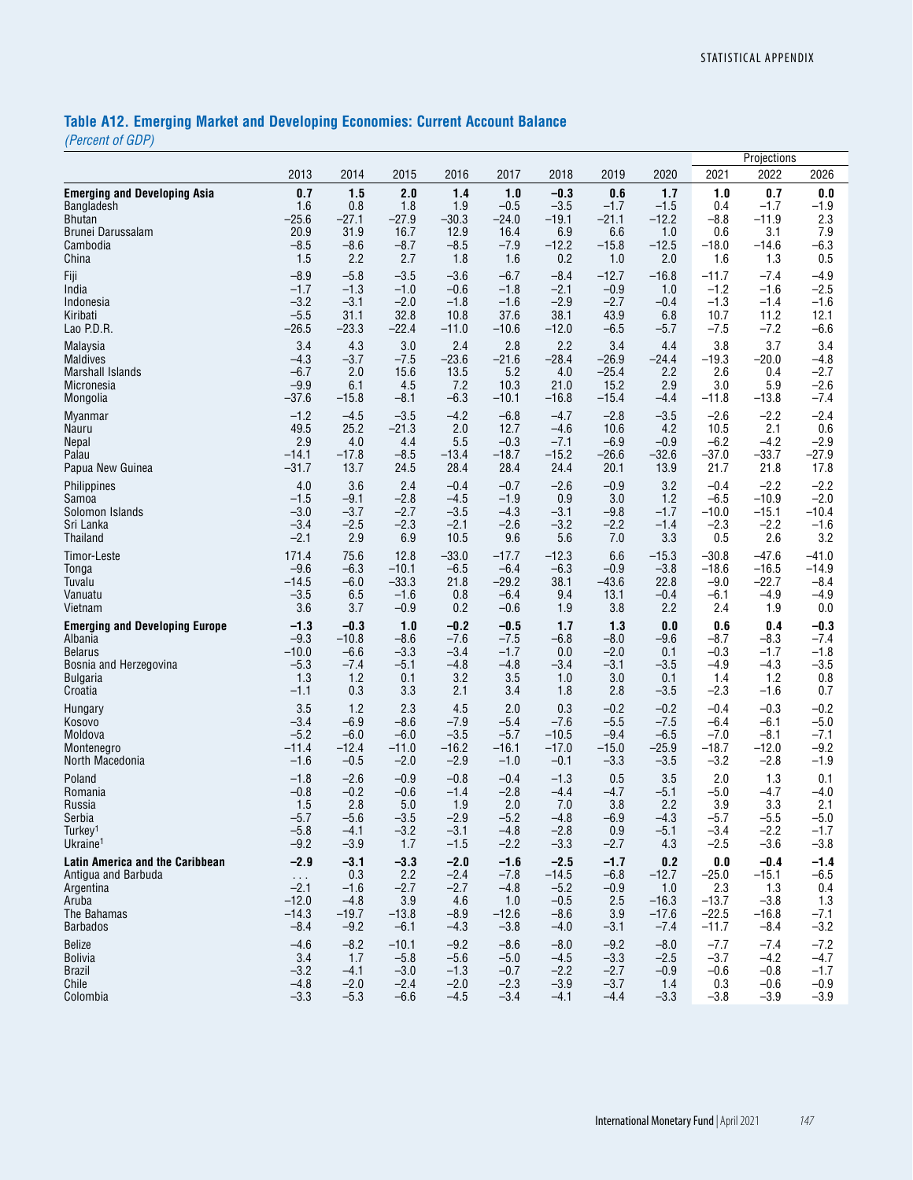# **Table A12. Emerging Market and Developing Economies: Current Account Balance**

*(Percent of GDP)*

|                                        |                      |         |         |         |         |         |         |         |                | Projections |         |
|----------------------------------------|----------------------|---------|---------|---------|---------|---------|---------|---------|----------------|-------------|---------|
|                                        | 2013                 | 2014    | 2015    | 2016    | 2017    | 2018    | 2019    | 2020    | 2021           | 2022        | 2026    |
| <b>Emerging and Developing Asia</b>    | 0.7                  | 1.5     | 2.0     | 1.4     | 1.0     | $-0.3$  | 0.6     | 1.7     | 1.0            | 0.7         | 0.0     |
| Bangladesh                             | 1.6                  | 0.8     | 1.8     | 1.9     | $-0.5$  | $-3.5$  | $-1.7$  | $-1.5$  | 0.4            | $-1.7$      | $-1.9$  |
| <b>Bhutan</b>                          | $-25.6$              | $-27.1$ | $-27.9$ | $-30.3$ | $-24.0$ | $-19.1$ | $-21.1$ | $-12.2$ | $-8.8$         | $-11.9$     | 2.3     |
| Brunei Darussalam                      | 20.9                 | 31.9    | 16.7    | 12.9    | 16.4    | 6.9     | 6.6     | 1.0     | 0.6            | 3.1         | 7.9     |
| Cambodia                               | $-8.5$               | $-8.6$  | $-8.7$  | $-8.5$  | $-7.9$  | $-12.2$ | $-15.8$ | $-12.5$ | $-18.0$        | $-14.6$     | $-6.3$  |
| China                                  | 1.5                  | 2.2     | 2.7     | 1.8     | 1.6     | 0.2     | 1.0     | 2.0     | 1.6            | 1.3         | 0.5     |
| Fiji                                   | $-8.9$               | $-5.8$  | $-3.5$  | $-3.6$  | $-6.7$  | $-8.4$  | $-12.7$ | $-16.8$ | $-11.7$        | $-7.4$      | $-4.9$  |
| India                                  | $-1.7$               | $-1.3$  | $-1.0$  | $-0.6$  | $-1.8$  | $-2.1$  | $-0.9$  | 1.0     | $-1.2$         | $-1.6$      | $-2.5$  |
| Indonesia                              | $-3.2$               | $-3.1$  | $-2.0$  | $-1.8$  | $-1.6$  | $-2.9$  | $-2.7$  | $-0.4$  | $-1.3$         | $-1.4$      | $-1.6$  |
| Kiribati                               | $-5.5$               | 31.1    | 32.8    | 10.8    | 37.6    | 38.1    | 43.9    | 6.8     | 10.7           | 11.2        | 12.1    |
| Lao P.D.R.                             | $-26.5$              | $-23.3$ | $-22.4$ | $-11.0$ | $-10.6$ | $-12.0$ | $-6.5$  | $-5.7$  | $-7.5$         | $-7.2$      | $-6.6$  |
| Malaysia                               | 3.4                  | 4.3     | 3.0     | 2.4     | 2.8     | 2.2     | 3.4     | 4.4     | 3.8            | 3.7         | 3.4     |
| <b>Maldives</b>                        | $-4.3$               | $-3.7$  | $-7.5$  | $-23.6$ | $-21.6$ | $-28.4$ | $-26.9$ | $-24.4$ | $-19.3$        | $-20.0$     | $-4.8$  |
| <b>Marshall Islands</b>                | $-6.7$               | 2.0     | 15.6    | 13.5    | 5.2     | 4.0     | $-25.4$ | 2.2     | 2.6            | 0.4         | $-2.7$  |
| Micronesia                             | $-9.9$               | 6.1     | 4.5     | 7.2     | 10.3    | 21.0    | 15.2    | 2.9     | 3.0            | 5.9         | $-2.6$  |
| Mongolia                               | $-37.6$              | $-15.8$ | $-8.1$  | $-6.3$  | $-10.1$ | $-16.8$ | $-15.4$ | -4.4    | $-11.8$        | $-13.8$     | $-7.4$  |
| <b>Myanmar</b>                         | $-1.2$               | $-4.5$  | $-3.5$  | $-4.2$  | $-6.8$  | $-4.7$  | $-2.8$  | $-3.5$  | $-2.6$         | $-2.2$      | $-2.4$  |
| Nauru                                  | 49.5                 | 25.2    | $-21.3$ | 2.0     | 12.7    | $-4.6$  | 10.6    | 4.2     | 10.5           | 2.1         | 0.6     |
| <b>Nepal</b>                           | 2.9                  | 4.0     | 4.4     | 5.5     | $-0.3$  | $-7.1$  | $-6.9$  | $-0.9$  | $-6.2$         | $-4.2$      | $-2.9$  |
| Palau                                  | $-14.1$              | $-17.8$ | $-8.5$  | $-13.4$ | $-18.7$ | $-15.2$ | $-26.6$ | $-32.6$ | $-37.0$        | $-33.7$     | $-27.9$ |
| Papua New Guinea                       | $-31.7$              | 13.7    | 24.5    | 28.4    | 28.4    | 24.4    | 20.1    | 13.9    | 21.7           | 21.8        | 17.8    |
| Philippines                            | 4.0                  | 3.6     | 2.4     | $-0.4$  | $-0.7$  | $-2.6$  | $-0.9$  | 3.2     | $-0.4$         | $-2.2$      | $-2.2$  |
| Samoa                                  | $-1.5$               | $-9.1$  | $-2.8$  | $-4.5$  | $-1.9$  | 0.9     | 3.0     | 1.2     | $-6.5$         | $-10.9$     | $-2.0$  |
| Solomon Islands                        | $-3.0$               | $-3.7$  | $-2.7$  | $-3.5$  | $-4.3$  | $-3.1$  | $-9.8$  | $-1.7$  | $-10.0$        | $-15.1$     | $-10.4$ |
| Sri Lanka                              | $-3.4$               | $-2.5$  | $-2.3$  | $-2.1$  | $-2.6$  | $-3.2$  | $-2.2$  | $-1.4$  | $-2.3$         | $-2.2$      | $-1.6$  |
| Thailand                               | $-2.1$               | 2.9     | 6.9     | 10.5    | 9.6     | 5.6     | 7.0     | 3.3     | 0.5            | 2.6         | 3.2     |
| Timor-Leste                            | 171.4                | 75.6    | 12.8    | $-33.0$ | $-17.7$ | $-12.3$ | 6.6     | $-15.3$ | $-30.8$        | $-47.6$     | $-41.0$ |
| Tonga                                  | $-9.6$               | $-6.3$  | $-10.1$ | $-6.5$  | $-6.4$  | $-6.3$  | $-0.9$  | $-3.8$  | $-18.6$        | $-16.5$     | $-14.9$ |
| Tuvalu                                 | $-14.5$              | $-6.0$  | $-33.3$ | 21.8    | $-29.2$ | 38.1    | $-43.6$ | 22.8    | $-9.0$         | $-22.7$     | $-8.4$  |
| Vanuatu                                | $-3.5$               | 6.5     | $-1.6$  | 0.8     | $-6.4$  | 9.4     | 13.1    | $-0.4$  | $-6.1$         | $-4.9$      | $-4.9$  |
| Vietnam                                | 3.6                  | 3.7     | $-0.9$  | 0.2     | $-0.6$  | 1.9     | 3.8     | 2.2     | 2.4            | 1.9         | 0.0     |
| <b>Emerging and Developing Europe</b>  | $-1.3$               | $-0.3$  | 1.0     | $-0.2$  | $-0.5$  | 1.7     | 1.3     | 0.0     | 0.6            | 0.4         | $-0.3$  |
| Albania                                | $-9.3$               | $-10.8$ | $-8.6$  | $-7.6$  | $-7.5$  | $-6.8$  | $-8.0$  | $-9.6$  | $-8.7$         | $-8.3$      | $-7.4$  |
| <b>Belarus</b>                         | $-10.0$              | $-6.6$  | $-3.3$  | $-3.4$  | $-1.7$  | 0.0     | $-2.0$  | 0.1     | $-0.3$         | $-1.7$      | $-1.8$  |
| Bosnia and Herzegovina                 | $-5.3$               | $-7.4$  | $-5.1$  | $-4.8$  | $-4.8$  | $-3.4$  | $-3.1$  | $-3.5$  | $-4.9$         | $-4.3$      | $-3.5$  |
| Bulgaria                               | 1.3                  | 1.2     | 0.1     | 3.2     | 3.5     | 1.0     | 3.0     | 0.1     | 1.4            | 1.2         | 0.8     |
| Croatia                                | -1.1                 | 0.3     | 3.3     | 2.1     | 3.4     | 1.8     | 2.8     | $-3.5$  | $-2.3$         | $-1.6$      | 0.7     |
| Hungary                                | 3.5                  | 1.2     | 2.3     | 4.5     | 2.0     | 0.3     | $-0.2$  | $-0.2$  | $-0.4$         | $-0.3$      | $-0.2$  |
| Kosovo                                 | $-3.4$               | $-6.9$  | $-8.6$  | $-7.9$  | $-5.4$  | $-7.6$  | $-5.5$  | $-7.5$  | $-6.4$         | $-6.1$      | $-5.0$  |
| Moldova                                | $-5.2$               | $-6.0$  | $-6.0$  | $-3.5$  | $-5.7$  | $-10.5$ | $-9.4$  | $-6.5$  | $-7.0$         | $-8.1$      | $-7.1$  |
| Montenegro                             | $-11.4$              | $-12.4$ | $-11.0$ | $-16.2$ | $-16.1$ | $-17.0$ | $-15.0$ | $-25.9$ | $-18.7$        | $-12.0$     | $-9.2$  |
| North Macedonia                        | $-1.6$               | $-0.5$  | $-2.0$  | $-2.9$  | $-1.0$  | $-0.1$  | $-3.3$  | $-3.5$  | $-3.2$         | $-2.8$      | $-1.9$  |
| Poland                                 | $-1.8$               | $-2.6$  | $-0.9$  | $-0.8$  | $-0.4$  | $-1.3$  | 0.5     | 3.5     | 2.0            | 1.3         | 0.1     |
| Romania                                | $-0.8$               | $-0.2$  | $-0.6$  | $-1.4$  | $-2.8$  | $-4.4$  | $-4.7$  | $-5.1$  | $-5.0$         | $-4.7$      | $-4.0$  |
| Russia                                 | 1.5                  | 2.8     | 5.0     | 1.9     | 2.0     | 7.0     | 3.8     | 2.2     | 3.9            | 3.3         | 2.1     |
| Serbia                                 | $-5.7$               | $-5.6$  | $-3.5$  | $-2.9$  | $-5.2$  | $-4.8$  | $-6.9$  | $-4.3$  | $-5.7$         | $-5.5$      | $-5.0$  |
| Turkey <sup>1</sup>                    | $-5.8$               | $-4.1$  | $-3.2$  | $-3.1$  | $-4.8$  | $-2.8$  | 0.9     | $-5.1$  | $-3.4$         | $-2.2$      | $-1.7$  |
| Ukraine <sup>1</sup>                   | $-9.2$               | $-3.9$  | 1.7     | $-1.5$  | $-2.2$  | $-3.3$  | $-2.7$  | 4.3     | $-2.5$         | $-3.6$      | $-3.8$  |
| <b>Latin America and the Caribbean</b> | $-2.9$               | $-3.1$  | $-3.3$  | $-2.0$  | $-1.6$  | $-2.5$  | $-1.7$  | 0.2     | $\mathbf{0.0}$ | $-0.4$      | $-1.4$  |
| Antigua and Barbuda                    | $\sim$ $\sim$ $\sim$ | 0.3     | 2.2     | $-2.4$  | $-7.8$  | $-14.5$ | $-6.8$  | $-12.7$ | $-25.0$        | $-15.1$     | $-6.5$  |
| Argentina                              | $-2.1$               | $-1.6$  | $-2.7$  | $-2.7$  | $-4.8$  | $-5.2$  | $-0.9$  | 1.0     | 2.3            | 1.3         | 0.4     |
| Aruba                                  | $-12.0$              | $-4.8$  | 3.9     | 4.6     | 1.0     | $-0.5$  | 2.5     | $-16.3$ | $-13.7$        | $-3.8$      | 1.3     |
| The Bahamas                            | $-14.3$              | $-19.7$ | $-13.8$ | $-8.9$  | $-12.6$ | $-8.6$  | 3.9     | $-17.6$ | $-22.5$        | $-16.8$     | $-7.1$  |
| Barbados                               | $-8.4$               | $-9.2$  | $-6.1$  | $-4.3$  | $-3.8$  | $-4.0$  | $-3.1$  | $-7.4$  | $-11.7$        | $-8.4$      | $-3.2$  |
| Belize                                 | $-4.6$               | $-8.2$  | $-10.1$ | $-9.2$  | $-8.6$  | $-8.0$  | $-9.2$  | $-8.0$  | $-7.7$         | $-7.4$      | $-7.2$  |
| <b>Bolivia</b>                         | 3.4                  | 1.7     | $-5.8$  | $-5.6$  | $-5.0$  | $-4.5$  | $-3.3$  | $-2.5$  | $-3.7$         | $-4.2$      | $-4.7$  |
| Brazil                                 | $-3.2$               | $-4.1$  | $-3.0$  | $-1.3$  | $-0.7$  | $-2.2$  | $-2.7$  | $-0.9$  | $-0.6$         | $-0.8$      | $-1.7$  |
| Chile                                  | $-4.8$               | $-2.0$  | $-2.4$  | $-2.0$  | $-2.3$  | $-3.9$  | $-3.7$  | 1.4     | 0.3            | $-0.6$      | $-0.9$  |
| Colombia                               | $-3.3$               | $-5.3$  | $-6.6$  | $-4.5$  | $-3.4$  | $-4.1$  | $-4.4$  | $-3.3$  | $-3.8$         | $-3.9$      | $-3.9$  |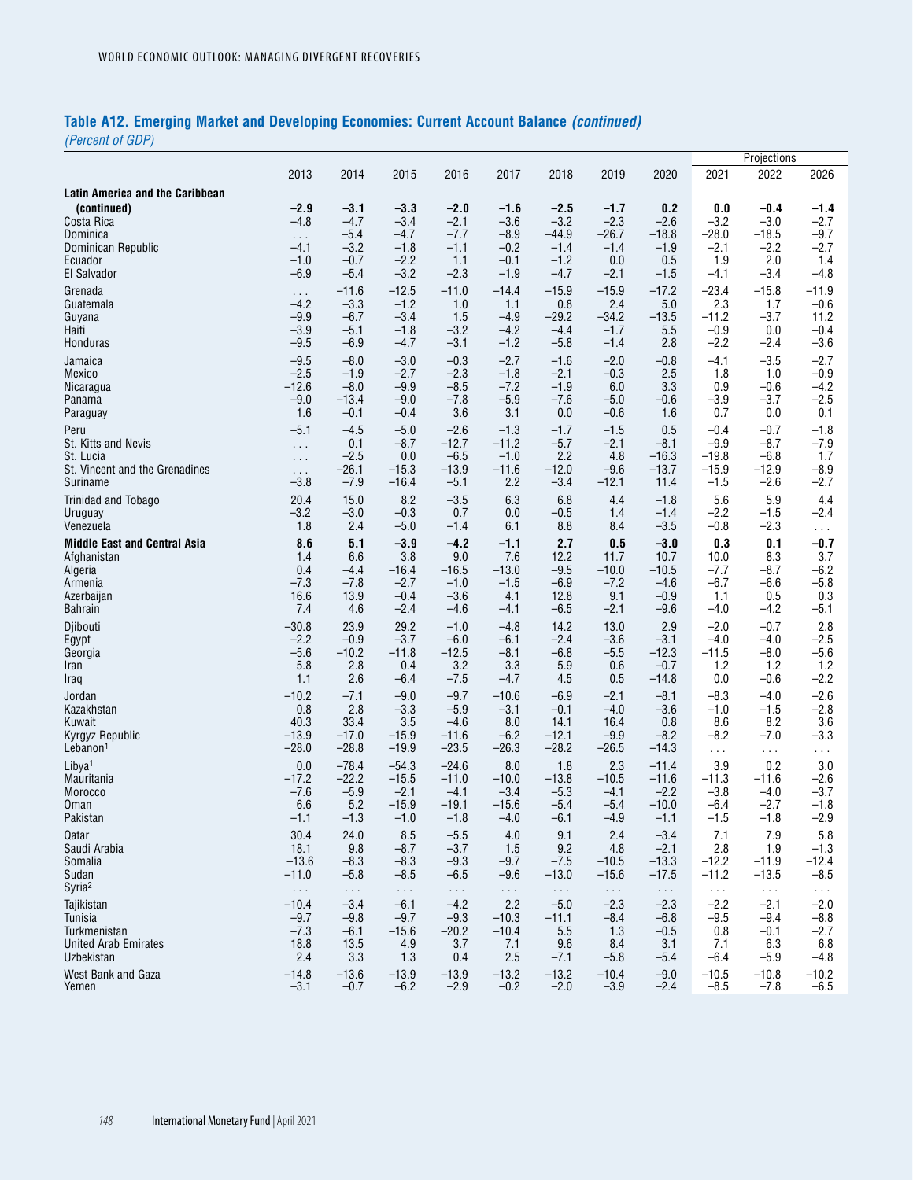# **Table A12. Emerging Market and Developing Economies: Current Account Balance** *(continued)*

*(Percent of GDP)*

|                                                              |                  |                  |                  |                  |                  |                  |                  |               |               | Projections      |                  |
|--------------------------------------------------------------|------------------|------------------|------------------|------------------|------------------|------------------|------------------|---------------|---------------|------------------|------------------|
|                                                              | 2013             | 2014             | 2015             | 2016             | 2017             | 2018             | 2019             | 2020          | 2021          | 2022             | 2026             |
| Latin America and the Caribbean<br>(continued)<br>Costa Rica | $-2.9$<br>$-4.8$ | $-3.1$<br>$-4.7$ | $-3.3$<br>$-3.4$ | $-2.0$<br>$-2.1$ | $-1.6$<br>$-3.6$ | $-2.5$<br>$-3.2$ | $-1.7$<br>$-2.3$ | 0.2<br>$-2.6$ | 0.0<br>$-3.2$ | $-0.4$<br>$-3.0$ | $-1.4$<br>$-2.7$ |
| Dominica                                                     | $\sim$ .         | $-5.4$           | $-4.7$           | $-7.7$           | $-8.9$           | $-44.9$          | $-26.7$          | $-18.8$       | $-28.0$       | $-18.5$          | $-9.7$           |
| Dominican Republic                                           | $-4.1$           | $-3.2$           | $-1.8$           | $-1.1$           | $-0.2$           | $-1.4$           | $-1.4$           | $-1.9$        | $-2.1$        | $-2.2$           | $-2.7$           |
| Ecuador                                                      | $-1.0$           | $-0.7$           | $-2.2$           | 1.1              | $-0.1$           | $-1.2$           | 0.0              | 0.5           | 1.9           | 2.0              | 1.4              |
| El Salvador                                                  | $-6.9$           | $-5.4$           | $-3.2$           | $-2.3$           | $-1.9$           | $-4.7$           | $-2.1$           | $-1.5$        | $-4.1$        | $-3.4$           | $-4.8$           |
| Grenada                                                      | $\sim 100$       | $-11.6$          | $-12.5$          | $-11.0$          | $-14.4$          | $-15.9$          | $-15.9$          | $-17.2$       | $-23.4$       | $-15.8$          | $-11.9$          |
| Guatemala                                                    | $-4.2$           | $-3.3$           | $-1.2$           | 1.0              | 1.1              | 0.8              | 2.4              | 5.0           | 2.3           | 1.7              | $-0.6$           |
| Guyana                                                       | $-9.9$           | $-6.7$           | $-3.4$           | 1.5              | $-4.9$           | $-29.2$          | $-34.2$          | $-13.5$       | $-11.2$       | $-3.7$           | 11.2             |
| Haiti                                                        | $-3.9$           | $-5.1$           | $-1.8$           | $-3.2$           | $-4.2$           | $-4.4$           | $-1.7$           | 5.5           | $-0.9$        | 0.0              | $-0.4$           |
| Honduras                                                     | $-9.5$           | $-6.9$           | $-4.7$           | $-3.1$           | $-1.2$           | $-5.8$           | $-1.4$           | 2.8           | $-2.2$        | $-2.4$           | $-3.6$           |
| Jamaica                                                      | $-9.5$           | $-8.0$           | $-3.0$           | $-0.3$           | $-2.7$           | $-1.6$           | $-2.0$           | $-0.8$        | $-4.1$        | $-3.5$           | $-2.7$           |
| Mexico                                                       | $-2.5$           | $-1.9$           | $-2.7$           | $-2.3$           | $-1.8$           | $-2.1$           | $-0.3$           | 2.5           | 1.8           | 1.0              | $-0.9$           |
| Nicaragua                                                    | $-12.6$          | $-8.0$           | $-9.9$           | $-8.5$           | $-7.2$           | $-1.9$           | 6.0              | 3.3           | 0.9           | $-0.6$           | $-4.2$           |
| Panama                                                       | $-9.0$           | $-13.4$          | $-9.0$           | $-7.8$           | $-5.9$           | $-7.6$           | $-5.0$           | $-0.6$        | $-3.9$        | $-3.7$           | $-2.5$           |
| Paraguay                                                     | 1.6              | $-0.1$           | $-0.4$           | 3.6              | 3.1              | 0.0              | $-0.6$           | 1.6           | 0.7           | 0.0              | 0.1              |
| Peru                                                         | $-5.1$           | $-4.5$           | $-5.0$           | $-2.6$           | $-1.3$           | $-1.7$           | $-1.5$           | 0.5           | $-0.4$        | $-0.7$           | $-1.8$           |
| St. Kitts and Nevis                                          | $\mathbf{1}$     | 0.1              | $-8.7$           | $-12.7$          | $-11.2$          | $-5.7$           | $-2.1$           | $-8.1$        | $-9.9$        | $-8.7$           | $-7.9$           |
| St. Lucia                                                    | $\sim 100$       | $-2.5$           | 0.0              | $-6.5$           | $-1.0$           | 2.2              | 4.8              | $-16.3$       | $-19.8$       | $-6.8$           | 1.7              |
| St. Vincent and the Grenadines                               | $\sim 10$        | -26.1            | $-15.3$          | $-13.9$          | $-11.6$          | $-12.0$          | $-9.6$           | $-13.7$       | $-15.9$       | $-12.9$          | $-8.9$           |
| Suriname                                                     | $-3.8$           | $-7.9$           | $-16.4$          | $-5.1$           | 2.2              | $-3.4$           | $-12.1$          | 11.4          | $-1.5$        | $-2.6$           | $-2.7$           |
| Trinidad and Tobago                                          | 20.4             | 15.0             | 8.2              | $-3.5$           | 6.3              | 6.8              | 4.4              | $-1.8$        | 5.6           | 5.9              | 4.4              |
| Uruguay                                                      | $-3.2$           | $-3.0$           | $-0.3$           | 0.7              | 0.0              | $-0.5$           | 1.4              | $-1.4$        | $-2.2$        | $-1.5$           | $-2.4$           |
| Venezuela                                                    | 1.8              | 2.4              | $-5.0$           | $-1.4$           | 6.1              | 8.8              | 8.4              | $-3.5$        | $-0.8$        | $-2.3$           | $\sim 100$       |
| <b>Middle East and Central Asia</b>                          | 8.6              | 5.1              | $-3.9$           | $-4.2$           | $-1.1$           | 2.7              | 0.5              | $-3.0$        | 0.3           | 0.1              | $-0.7$           |
| Afghanistan                                                  | 1.4              | 6.6              | 3.8              | 9.0              | 7.6              | 12.2             | 11.7             | 10.7          | 10.0          | 8.3              | 3.7              |
| Algeria                                                      | 0.4              | $-4.4$           | $-16.4$          | $-16.5$          | $-13.0$          | $-9.5$           | $-10.0$          | $-10.5$       | $-7.7$        | $-8.7$           | $-6.2$           |
| Armenia                                                      | $-7.3$           | $-7.8$           | $-2.7$           | $-1.0$           | $-1.5$           | $-6.9$           | $-7.2$           | $-4.6$        | $-6.7$        | $-6.6$           | $-5.8$           |
| Azerbaijan                                                   | 16.6             | 13.9             | $-0.4$           | $-3.6$           | 4.1              | 12.8             | 9.1              | $-0.9$        | 1.1           | 0.5              | 0.3              |
| <b>Bahrain</b>                                               | 7.4              | 4.6              | $-2.4$           | $-4.6$           | $-4.1$           | $-6.5$           | $-2.1$           | $-9.6$        | $-4.0$        | $-4.2$           | $-5.1$           |
| Djibouti                                                     | $-30.8$          | 23.9             | 29.2             | $-1.0$           | $-4.8$           | 14.2             | 13.0             | 2.9           | $-2.0$        | $-0.7$           | 2.8              |
| Egypt                                                        | $-2.2$           | $-0.9$           | $-3.7$           | $-6.0$           | $-6.1$           | $-2.4$           | $-3.6$           | $-3.1$        | $-4.0$        | $-4.0$           | $-2.5$           |
| Georgia                                                      | $-5.6$           | $-10.2$          | $-11.8$          | $-12.5$          | $-8.1$           | $-6.8$           | $-5.5$           | $-12.3$       | $-11.5$       | $-8.0$           | $-5.6$           |
| Iran                                                         | 5.8              | 2.8              | 0.4              | 3.2              | 3.3              | 5.9              | 0.6              | $-0.7$        | 1.2           | 1.2              | $1.2$            |
| Iraq                                                         | 1.1              | 2.6              | $-6.4$           | $-7.5$           | $-4.7$           | 4.5              | 0.5              | $-14.8$       | 0.0           | $-0.6$           | $-2.2$           |
| Jordan                                                       | $-10.2$          | $-7.1$           | $-9.0$           | $-9.7$           | $-10.6$          | $-6.9$           | $-2.1$           | $-8.1$        | $-8.3$        | $-4.0$           | $-2.6$           |
| Kazakhstan                                                   | 0.8              | 2.8              | $-3.3$           | $-5.9$           | $-3.1$           | $-0.1$           | $-4.0$           | $-3.6$        | $-1.0$        | $-1.5$           | $-2.8$           |
| Kuwait                                                       | 40.3             | 33.4             | 3.5              | $-4.6$           | 8.0              | 14.1             | 16.4             | 0.8           | 8.6           | 8.2              | 3.6              |
| Kyrgyz Republic                                              | $-13.9$          | $-17.0$          | $-15.9$          | $-11.6$          | $-6.2$           | $-12.1$          | $-9.9$           | $-8.2$        | $-8.2$        | $-7.0$           | $-3.3$           |
| Lebanon <sup>1</sup>                                         | $-28.0$          | $-28.8$          | $-19.9$          | $-23.5$          | $-26.3$          | $-28.2$          | $-26.5$          | $-14.3$       | $\sim$ $\sim$ | $\sim$ $\sim$    | $\epsilon$ .     |
| Libya <sup>1</sup>                                           | 0.0              | $-78.4$          | $-54.3$          | $-24.6$          | 8.0              | 1.8              | 2.3              | $-11.4$       | 3.9           | 0.2              | 3.0              |
| Mauritania                                                   | $-17.2$          | $-22.2$          | $-15.5$          | $-11.0$          | $-10.0$          | $-13.8$          | $-10.5$          | $-11.6$       | $-11.3$       | $-11.6$          | $-2.6$           |
| Morocco                                                      | $-7.6$           | $-5.9$           | $-2.1$           | $-4.1$           | $-3.4$           | $-5.3$           | $-4.1$           | $-2.2$        | $-3.8$        | $-4.0$           | $-3.7$           |
| Oman                                                         | 6.6              | 5.2              | $-15.9$          | $-19.1$          | $-15.6$          | $-5.4$           | $-5.4$           | $-10.0$       | $-6.4$        | $-2.7$           | $-1.8$           |
| Pakistan                                                     | $-1.1$           | $-1.3$           | $-1.0$           | $-1.8$           | $-4.0$           | $-6.1$           | $-4.9$           | $-1.1$        | $-1.5$        | $-1.8$           | $-2.9$           |
| Qatar                                                        | 30.4             | 24.0             | 8.5              | $-5.5$           | 4.0              | 9.1              | 2.4              | $-3.4$        | 7.1           | 7.9              | 5.8              |
| Saudi Arabia                                                 | 18.1             | 9.8              | $-8.7$           | $-3.7$           | 1.5              | 9.2              | 4.8              | $-2.1$        | 2.8           | 1.9              | $-1.3$           |
| Somalia                                                      | $-13.6$          | $-8.3$           | $-8.3$           | $-9.3$           | $-9.7$           | $-7.5$           | $-10.5$          | $-13.3$       | $-12.2$       | $-11.9$          | $-12.4$          |
| Sudan                                                        | $-11.0$          | $-5.8$           | $-8.5$           | $-6.5$           | $-9.6$           | $-13.0$          | $-15.6$          | $-17.5$       | $-11.2$       | $-13.5$          | $-8.5$           |
| Syria <sup>2</sup>                                           | $\sim$ $\sim$    | $\sim$ $\sim$    | $\sim$           | $\sim$ $\sim$    | $\sim$ .         | $\sim$ $\sim$    | $\sim$ $\sim$    | $\sim$ $\sim$ | $\sim$ $\sim$ | $\ldots$         | $\sim$ $\sim$    |
| Tajikistan                                                   | $-10.4$          | $-3.4$           | $-6.1$           | $-4.2$           | 2.2              | $-5.0$           | $-2.3$           | $-2.3$        | $-2.2$        | $-2.1$           | $-2.0$           |
| Tunisia                                                      | $-9.7$           | $-9.8$           | $-9.7$           | $-9.3$           | $-10.3$          | $-11.1$          | $-8.4$           | $-6.8$        | $-9.5$        | $-9.4$           | $-8.8$           |
| Turkmenistan                                                 | $-7.3$           | $-6.1$           | $-15.6$          | $-20.2$          | $-10.4$          | 5.5              | 1.3              | $-0.5$        | 0.8           | $-0.1$           | $-2.7$           |
| <b>United Arab Emirates</b>                                  | 18.8             | 13.5             | 4.9              | 3.7              | 7.1              | 9.6              | 8.4              | 3.1           | 7.1           | 6.3              | 6.8              |
| Uzbekistan                                                   | 2.4              | 3.3              | 1.3              | 0.4              | 2.5              | $-7.1$           | $-5.8$           | $-5.4$        | $-6.4$        | $-5.9$           | $-4.8$           |
| West Bank and Gaza                                           | $-14.8$          | $-13.6$          | $-13.9$          | $-13.9$          | $-13.2$          | $-13.2$          | $-10.4$          | $-9.0$        | $-10.5$       | $-10.8$          | $-10.2$          |
| Yemen                                                        | $-3.1$           | $-0.7$           | $-6.2$           | $-2.9$           | $-0.2$           | $-2.0$           | $-3.9$           | $-2.4$        | $-8.5$        | $-7.8$           | $-6.5$           |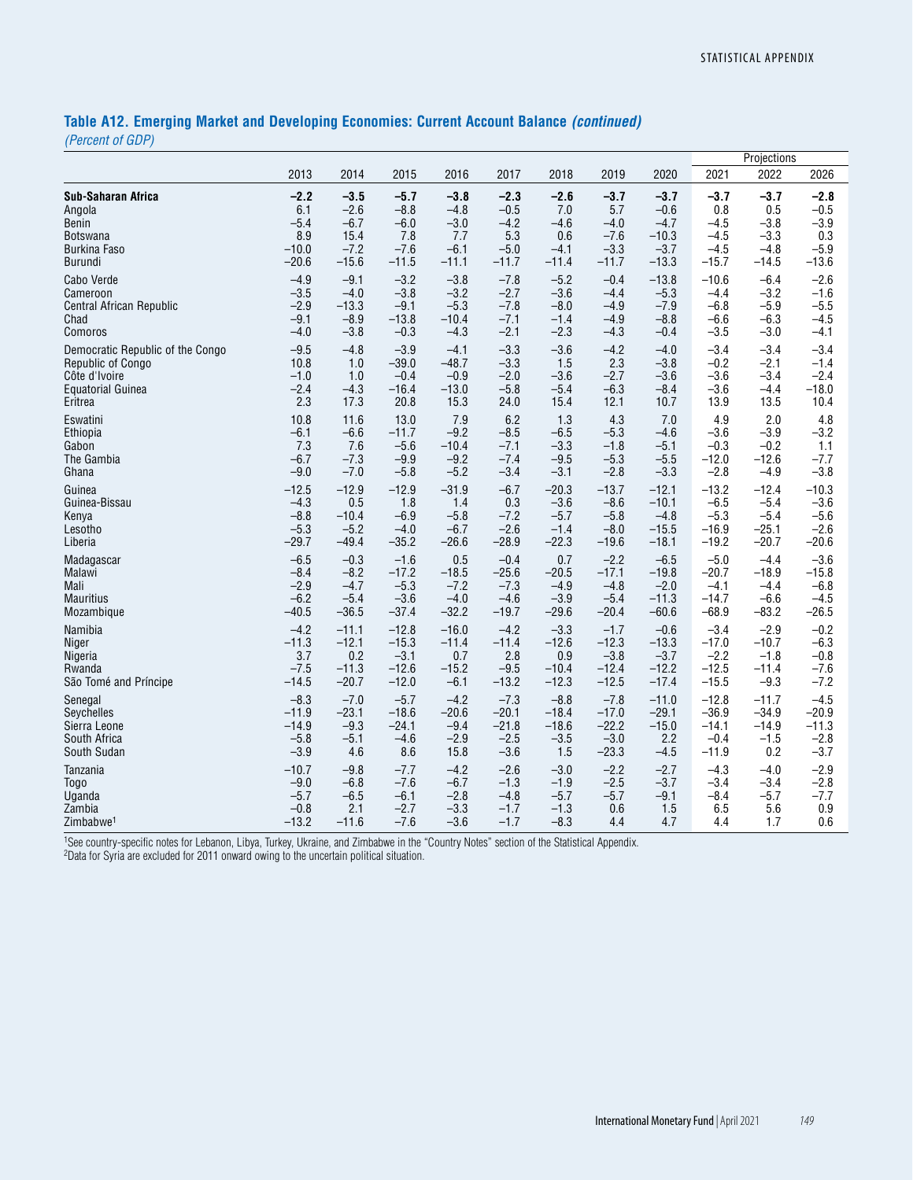# **Table A12. Emerging Market and Developing Economies: Current Account Balance** *(continued)*

*(Percent of GDP)*

|                                  |         |         |         |         |         |         |         |         |         | Projections |         |
|----------------------------------|---------|---------|---------|---------|---------|---------|---------|---------|---------|-------------|---------|
|                                  | 2013    | 2014    | 2015    | 2016    | 2017    | 2018    | 2019    | 2020    | 2021    | 2022        | 2026    |
| Sub-Saharan Africa               | $-2.2$  | $-3.5$  | $-5.7$  | $-3.8$  | $-2.3$  | $-2.6$  | $-3.7$  | $-3.7$  | $-3.7$  | $-3.7$      | $-2.8$  |
| Angola                           | 6.1     | $-2.6$  | $-8.8$  | $-4.8$  | $-0.5$  | 7.0     | 5.7     | $-0.6$  | 0.8     | 0.5         | $-0.5$  |
| <b>Benin</b>                     | $-5.4$  | $-6.7$  | $-6.0$  | $-3.0$  | $-4.2$  | $-4.6$  | $-4.0$  | $-4.7$  | $-4.5$  | $-3.8$      | $-3.9$  |
| <b>Botswana</b>                  | 8.9     | 15.4    | 7.8     | 7.7     | 5.3     | 0.6     | $-7.6$  | $-10.3$ | $-4.5$  | $-3.3$      | 0.3     |
| <b>Burkina Faso</b>              | $-10.0$ | $-7.2$  | $-7.6$  | $-6.1$  | $-5.0$  | $-4.1$  | $-3.3$  | $-3.7$  | $-4.5$  | $-4.8$      | $-5.9$  |
| Burundi                          | $-20.6$ | $-15.6$ | $-11.5$ | $-11.1$ | $-11.7$ | $-11.4$ | $-11.7$ | $-13.3$ | $-15.7$ | $-14.5$     | $-13.6$ |
| Cabo Verde                       | $-4.9$  | $-9.1$  | $-3.2$  | $-3.8$  | $-7.8$  | $-5.2$  | $-0.4$  | $-13.8$ | $-10.6$ | $-6.4$      | $-2.6$  |
| Cameroon                         | $-3.5$  | $-4.0$  | $-3.8$  | $-3.2$  | $-2.7$  | $-3.6$  | $-4.4$  | $-5.3$  | $-4.4$  | $-3.2$      | $-1.6$  |
| <b>Central African Republic</b>  | $-2.9$  | $-13.3$ | $-9.1$  | $-5.3$  | $-7.8$  | $-8.0$  | $-4.9$  | $-7.9$  | $-6.8$  | $-5.9$      | $-5.5$  |
| Chad                             | $-9.1$  | $-8.9$  | $-13.8$ | $-10.4$ | $-7.1$  | $-1.4$  | $-4.9$  | $-8.8$  | $-6.6$  | $-6.3$      | $-4.5$  |
| Comoros                          | $-4.0$  | $-3.8$  | $-0.3$  | $-4.3$  | $-2.1$  | $-2.3$  | $-4.3$  | $-0.4$  | $-3.5$  | $-3.0$      | $-4.1$  |
| Democratic Republic of the Congo | $-9.5$  | $-4.8$  | $-3.9$  | $-4.1$  | $-3.3$  | $-3.6$  | $-4.2$  | $-4.0$  | $-3.4$  | $-3.4$      | $-3.4$  |
| Republic of Congo                | 10.8    | 1.0     | $-39.0$ | $-48.7$ | $-3.3$  | 1.5     | 2.3     | $-3.8$  | $-0.2$  | $-2.1$      | $-1.4$  |
| Côte d'Ivoire                    | $-1.0$  | 1.0     | $-0.4$  | $-0.9$  | $-2.0$  | $-3.6$  | $-2.7$  | $-3.6$  | $-3.6$  | $-3.4$      | $-2.4$  |
| <b>Equatorial Guinea</b>         | $-2.4$  | $-4.3$  | $-16.4$ | $-13.0$ | $-5.8$  | $-5.4$  | $-6.3$  | $-8.4$  | $-3.6$  | $-4.4$      | $-18.0$ |
| Eritrea                          | 2.3     | 17.3    | 20.8    | 15.3    | 24.0    | 15.4    | 12.1    | 10.7    | 13.9    | 13.5        | 10.4    |
| Eswatini                         | 10.8    | 11.6    | 13.0    | 7.9     | 6.2     | 1.3     | 4.3     | 7.0     | 4.9     | 2.0         | 4.8     |
| Ethiopia                         | $-6.1$  | $-6.6$  | $-11.7$ | $-9.2$  | $-8.5$  | $-6.5$  | $-5.3$  | $-4.6$  | $-3.6$  | $-3.9$      | $-3.2$  |
| Gabon                            | 7.3     | 7.6     | $-5.6$  | $-10.4$ | $-7.1$  | $-3.3$  | $-1.8$  | $-5.1$  | $-0.3$  | $-0.2$      | 1.1     |
| The Gambia                       | $-6.7$  | $-7.3$  | $-9.9$  | $-9.2$  | $-7.4$  | $-9.5$  | $-5.3$  | $-5.5$  | $-12.0$ | $-12.6$     | $-7.7$  |
| Ghana                            | $-9.0$  | $-7.0$  | $-5.8$  | $-5.2$  | $-3.4$  | $-3.1$  | $-2.8$  | $-3.3$  | $-2.8$  | $-4.9$      | $-3.8$  |
| Guinea                           | $-12.5$ | $-12.9$ | $-12.9$ | $-31.9$ | $-6.7$  | $-20.3$ | $-13.7$ | $-12.1$ | $-13.2$ | $-12.4$     | $-10.3$ |
| Guinea-Bissau                    | $-4.3$  | 0.5     | 1.8     | 1.4     | 0.3     | $-3.6$  | $-8.6$  | $-10.1$ | $-6.5$  | $-5.4$      | $-3.6$  |
| Kenya                            | $-8.8$  | $-10.4$ | $-6.9$  | $-5.8$  | $-7.2$  | $-5.7$  | $-5.8$  | $-4.8$  | $-5.3$  | $-5.4$      | $-5.6$  |
| Lesotho                          | $-5.3$  | $-5.2$  | $-4.0$  | $-6.7$  | $-2.6$  | $-1.4$  | $-8.0$  | $-15.5$ | $-16.9$ | $-25.1$     | $-2.6$  |
| Liberia                          | $-29.7$ | $-49.4$ | $-35.2$ | $-26.6$ | $-28.9$ | $-22.3$ | $-19.6$ | $-18.1$ | $-19.2$ | $-20.7$     | $-20.6$ |
| Madagascar                       | $-6.5$  | $-0.3$  | $-1.6$  | 0.5     | $-0.4$  | 0.7     | $-2.2$  | $-6.5$  | $-5.0$  | $-4.4$      | $-3.6$  |
| Malawi                           | $-8.4$  | $-8.2$  | $-17.2$ | $-18.5$ | $-25.6$ | $-20.5$ | $-17.1$ | $-19.8$ | $-20.7$ | $-18.9$     | $-15.8$ |
| Mali                             | $-2.9$  | $-4.7$  | $-5.3$  | $-7.2$  | $-7.3$  | $-4.9$  | $-4.8$  | $-2.0$  | $-4.1$  | $-4.4$      | $-6.8$  |
| <b>Mauritius</b>                 | $-6.2$  | $-5.4$  | $-3.6$  | $-4.0$  | $-4.6$  | $-3.9$  | $-5.4$  | $-11.3$ | $-14.7$ | $-6.6$      | $-4.5$  |
| Mozambique                       | $-40.5$ | $-36.5$ | $-37.4$ | $-32.2$ | $-19.7$ | $-29.6$ | $-20.4$ | $-60.6$ | $-68.9$ | $-83.2$     | $-26.5$ |
| Namibia                          | $-4.2$  | $-11.1$ | $-12.8$ | $-16.0$ | $-4.2$  | $-3.3$  | $-1.7$  | $-0.6$  | $-3.4$  | $-2.9$      | $-0.2$  |
| Niger                            | $-11.3$ | $-12.1$ | $-15.3$ | $-11.4$ | $-11.4$ | $-12.6$ | $-12.3$ | $-13.3$ | $-17.0$ | $-10.7$     | $-6.3$  |
| Nigeria                          | 3.7     | 0.2     | $-3.1$  | 0.7     | 2.8     | 0.9     | $-3.8$  | $-3.7$  | $-2.2$  | $-1.8$      | $-0.8$  |
| Rwanda                           | $-7.5$  | $-11.3$ | $-12.6$ | $-15.2$ | $-9.5$  | $-10.4$ | $-12.4$ | $-12.2$ | $-12.5$ | $-11.4$     | $-7.6$  |
| São Tomé and Príncipe            | $-14.5$ | $-20.7$ | $-12.0$ | $-6.1$  | $-13.2$ | $-12.3$ | $-12.5$ | $-17.4$ | $-15.5$ | $-9.3$      | $-7.2$  |
| Senegal                          | $-8.3$  | $-7.0$  | $-5.7$  | $-4.2$  | $-7.3$  | $-8.8$  | $-7.8$  | $-11.0$ | $-12.8$ | $-11.7$     | $-4.5$  |
| Seychelles                       | $-11.9$ | $-23.1$ | $-18.6$ | $-20.6$ | $-20.1$ | $-18.4$ | $-17.0$ | $-29.1$ | $-36.9$ | $-34.9$     | $-20.9$ |
| Sierra Leone                     | $-14.9$ | $-9.3$  | $-24.1$ | $-9.4$  | $-21.8$ | $-18.6$ | $-22.2$ | $-15.0$ | $-14.1$ | $-14.9$     | $-11.3$ |
| South Africa                     | $-5.8$  | $-5.1$  | $-4.6$  | $-2.9$  | $-2.5$  | $-3.5$  | $-3.0$  | 2.2     | $-0.4$  | $-1.5$      | $-2.8$  |
| South Sudan                      | $-3.9$  | 4.6     | 8.6     | 15.8    | $-3.6$  | 1.5     | $-23.3$ | $-4.5$  | $-11.9$ | 0.2         | $-3.7$  |
| Tanzania                         | $-10.7$ | $-9.8$  | $-7.7$  | $-4.2$  | $-2.6$  | $-3.0$  | $-2.2$  | $-2.7$  | $-4.3$  | $-4.0$      | $-2.9$  |
| <b>Togo</b>                      | $-9.0$  | $-6.8$  | $-7.6$  | $-6.7$  | $-1.3$  | $-1.9$  | $-2.5$  | $-3.7$  | $-3.4$  | $-3.4$      | $-2.8$  |
| Uganda                           | $-5.7$  | $-6.5$  | $-6.1$  | $-2.8$  | $-4.8$  | $-5.7$  | $-5.7$  | $-9.1$  | $-8.4$  | $-5.7$      | $-7.7$  |
| Zambia                           | $-0.8$  | 2.1     | $-2.7$  | $-3.3$  | $-1.7$  | $-1.3$  | 0.6     | 1.5     | 6.5     | 5.6         | 0.9     |
| Zimbabwe <sup>1</sup>            | $-13.2$ | $-11.6$ | $-7.6$  | $-3.6$  | $-1.7$  | $-8.3$  | 4.4     | 4.7     | 4.4     | 1.7         | 0.6     |

1See country-specific notes for Lebanon, Libya, Turkey, Ukraine, and Zimbabwe in the "Country Notes" section of the Statistical Appendix.

2Data for Syria are excluded for 2011 onward owing to the uncertain political situation.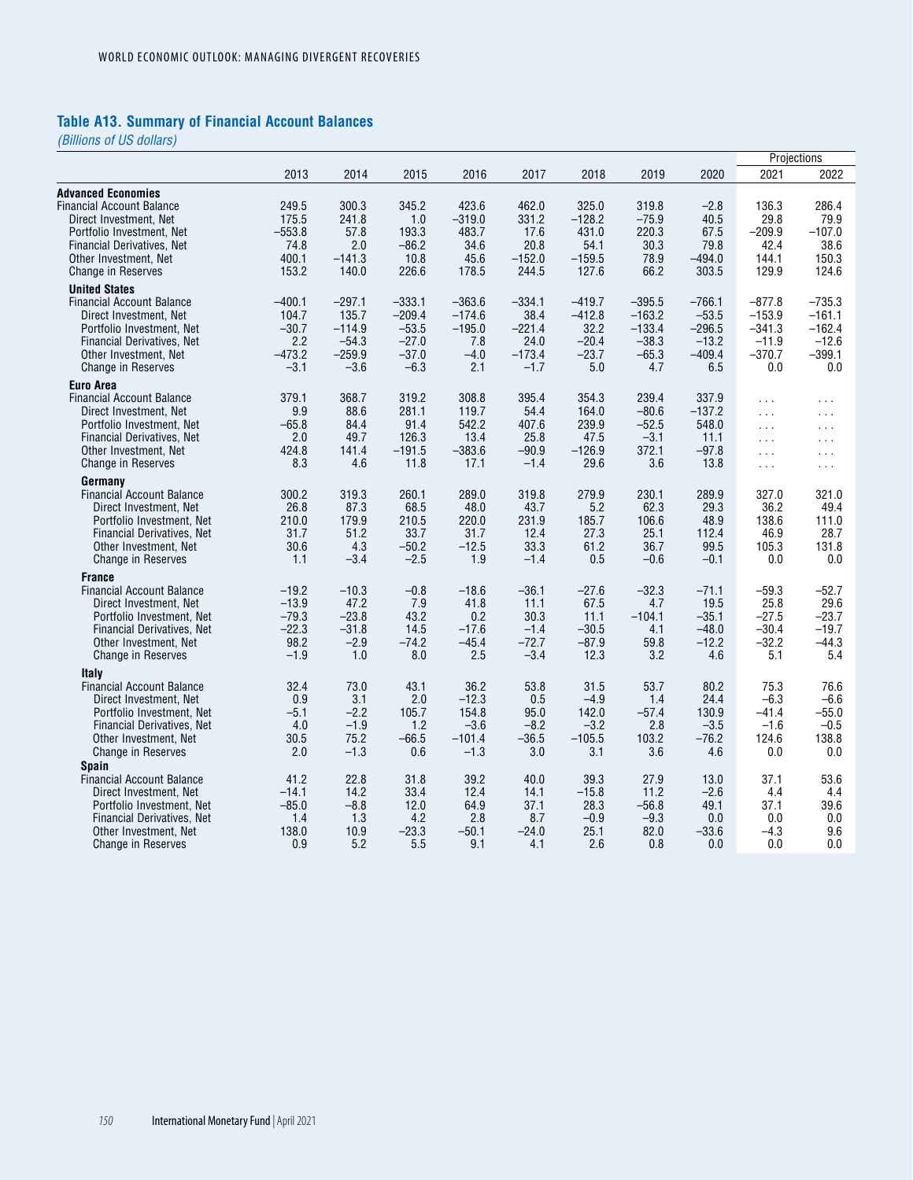#### **Table A13. Summary of Financial Account Balances**

|                                   |          |          |          |          |          |          |          |          | Projections   |                      |
|-----------------------------------|----------|----------|----------|----------|----------|----------|----------|----------|---------------|----------------------|
|                                   | 2013     | 2014     | 2015     | 2016     | 2017     | 2018     | 2019     | 2020     | 2021          | 2022                 |
| <b>Advanced Economies</b>         |          |          |          |          |          |          |          |          |               |                      |
| Financial Account Balance         | 249.5    | 300.3    | 345.2    | 423.6    | 462.0    | 325.0    | 319.8    | $-2.8$   | 136.3         | 286.4                |
| Direct Investment, Net            | 175.5    | 241.8    | 1.0      | $-319.0$ | 331.2    | $-128.2$ | $-75.9$  | 40.5     | 29.8          | 79.9                 |
| Portfolio Investment, Net         | $-553.8$ | 57.8     | 193.3    | 483.7    | 17.6     | 431.0    | 220.3    | 67.5     | $-209.9$      | $-107.0$             |
| Financial Derivatives, Net        | 74.8     | 2.0      | $-86.2$  | 34.6     | 20.8     | 54.1     | 30.3     | 79.8     | 42.4          | 38.6                 |
| Other Investment, Net             | 400.1    | $-141.3$ | 10.8     | 45.6     | $-152.0$ | $-159.5$ | 78.9     | $-494.0$ | 144.1         | 150.3                |
| <b>Change in Reserves</b>         | 153.2    | 140.0    | 226.6    | 178.5    | 244.5    | 127.6    | 66.2     | 303.5    | 129.9         | 124.6                |
| <b>United States</b>              |          |          |          |          |          |          |          |          |               |                      |
| <b>Financial Account Balance</b>  | $-400.1$ | $-297.1$ | $-333.1$ | $-363.6$ | $-334.1$ | $-419.7$ | $-395.5$ | $-766.1$ | $-877.8$      | $-735.3$             |
| Direct Investment, Net            | 104.7    | 135.7    | $-209.4$ | $-174.6$ | 38.4     | $-412.8$ | $-163.2$ | $-53.5$  | $-153.9$      | $-161.1$             |
| Portfolio Investment, Net         | $-30.7$  | $-114.9$ | $-53.5$  | $-195.0$ | $-221.4$ | 32.2     | $-133.4$ | $-296.5$ | $-341.3$      | $-162.4$             |
| <b>Financial Derivatives, Net</b> | 2.2      | $-54.3$  | $-27.0$  | 7.8      | 24.0     | $-20.4$  | $-38.3$  | $-13.2$  | $-11.9$       | $-12.6$              |
| Other Investment, Net             | $-473.2$ | $-259.9$ | $-37.0$  | $-4.0$   | $-173.4$ | $-23.7$  | $-65.3$  | $-409.4$ | $-370.7$      | $-399.1$             |
|                                   | $-3.1$   | $-3.6$   | $-6.3$   | 2.1      | $-1.7$   | 5.0      | 4.7      | 6.5      | 0.0           | 0.0                  |
| <b>Change in Reserves</b>         |          |          |          |          |          |          |          |          |               |                      |
| Euro Area                         |          |          |          |          |          |          |          |          |               |                      |
| <b>Financial Account Balance</b>  | 379.1    | 368.7    | 319.2    | 308.8    | 395.4    | 354.3    | 239.4    | 337.9    | $\sim$ $\sim$ | .                    |
| Direct Investment, Net            | 9.9      | 88.6     | 281.1    | 119.7    | 54.4     | 164.0    | $-80.6$  | $-137.2$ | $\sim 100$    | $\cdots$             |
| Portfolio Investment, Net         | $-65.8$  | 84.4     | 91.4     | 542.2    | 407.6    | 239.9    | $-52.5$  | 548.0    | $\sim 100$    | $\sim 100$           |
| <b>Financial Derivatives, Net</b> | 2.0      | 49.7     | 126.3    | 13.4     | 25.8     | 47.5     | $-3.1$   | 11.1     | $\cdots$      | $\sim 100$           |
| Other Investment, Net             | 424.8    | 141.4    | $-191.5$ | $-383.6$ | $-90.9$  | $-126.9$ | 372.1    | $-97.8$  | $\sim$ .      | $\sim$ $\sim$ $\sim$ |
| Change in Reserves                | 8.3      | 4.6      | 11.8     | 17.1     | $-1.4$   | 29.6     | 3.6      | 13.8     | $\cdots$      | $\sim 100$           |
| Germany                           |          |          |          |          |          |          |          |          |               |                      |
| <b>Financial Account Balance</b>  | 300.2    | 319.3    | 260.1    | 289.0    | 319.8    | 279.9    | 230.1    | 289.9    | 327.0         | 321.0                |
| Direct Investment, Net            | 26.8     | 87.3     | 68.5     | 48.0     | 43.7     | 5.2      | 62.3     | 29.3     | 36.2          | 49.4                 |
| Portfolio Investment, Net         | 210.0    | 179.9    | 210.5    | 220.0    | 231.9    | 185.7    | 106.6    | 48.9     | 138.6         | 111.0                |
| Financial Derivatives, Net        | 31.7     | 51.2     | 33.7     | 31.7     | 12.4     | 27.3     | 25.1     | 112.4    | 46.9          | 28.7                 |
| Other Investment, Net             | 30.6     | 4.3      | $-50.2$  | $-12.5$  | 33.3     | 61.2     | 36.7     | 99.5     | 105.3         | 131.8                |
|                                   | 1.1      | $-3.4$   | $-2.5$   | 1.9      | $-1.4$   | 0.5      | $-0.6$   | $-0.1$   | 0.0           | 0.0                  |
| <b>Change in Reserves</b>         |          |          |          |          |          |          |          |          |               |                      |
| <b>France</b>                     |          |          |          |          |          |          |          |          |               |                      |
| <b>Financial Account Balance</b>  | $-19.2$  | $-10.3$  | $-0.8$   | $-18.6$  | $-36.1$  | $-27.6$  | $-32.3$  | $-71.1$  | $-59.3$       | $-52.7$              |
| Direct Investment, Net            | $-13.9$  | 47.2     | 7.9      | 41.8     | 11.1     | 67.5     | 4.7      | 19.5     | 25.8          | 29.6                 |
| Portfolio Investment, Net         | $-79.3$  | $-23.8$  | 43.2     | 0.2      | 30.3     | 11.1     | $-104.1$ | $-35.1$  | $-27.5$       | $-23.7$              |
| Financial Derivatives, Net        | $-22.3$  | $-31.8$  | 14.5     | $-17.6$  | $-1.4$   | $-30.5$  | 4.1      | $-48.0$  | $-30.4$       | $-19.7$              |
| Other Investment, Net             | 98.2     | $-2.9$   | $-74.2$  | $-45.4$  | $-72.7$  | $-87.9$  | 59.8     | $-12.2$  | $-32.2$       | $-44.3$              |
| <b>Change in Reserves</b>         | $-1.9$   | 1.0      | 8.0      | 2.5      | $-3.4$   | 12.3     | 3.2      | 4.6      | 5.1           | 5.4                  |
| Italy                             |          |          |          |          |          |          |          |          |               |                      |
| <b>Financial Account Balance</b>  | 32.4     | 73.0     | 43.1     | 36.2     | 53.8     | 31.5     | 53.7     | 80.2     | 75.3          | 76.6                 |
| Direct Investment, Net            | 0.9      | 3.1      | 2.0      | $-12.3$  | 0.5      | $-4.9$   | 1.4      | 24.4     | $-6.3$        | $-6.6$               |
| Portfolio Investment, Net         | $-5.1$   | $-2.2$   | 105.7    | 154.8    | 95.0     | 142.0    | $-57.4$  | 130.9    | $-41.4$       | $-55.0$              |
| Financial Derivatives, Net        | 4.0      | $-1.9$   | 1.2      | $-3.6$   | $-8.2$   | $-3.2$   | 2.8      | $-3.5$   | $-1.6$        | $-0.5$               |
| Other Investment, Net             | 30.5     | 75.2     | $-66.5$  | $-101.4$ | $-36.5$  | $-105.5$ | 103.2    | $-76.2$  | 124.6         | 138.8                |
| <b>Change in Reserves</b>         | 2.0      | $-1.3$   | 0.6      | $-1.3$   | 3.0      | 3.1      | 3.6      | 4.6      | 0.0           | 0.0                  |
| <b>Spain</b>                      |          |          |          |          |          |          |          |          |               |                      |
| <b>Financial Account Balance</b>  | 41.2     | 22.8     | 31.8     | 39.2     | 40.0     | 39.3     | 27.9     | 13.0     | 37.1          | 53.6                 |
| Direct Investment, Net            | $-14.1$  | 14.2     | 33.4     | 12.4     | 14.1     | $-15.8$  | 11.2     | $-2.6$   | 4.4           | 4.4                  |
|                                   |          |          |          |          |          |          |          |          |               |                      |
| Portfolio Investment, Net         | $-85.0$  | $-8.8$   | 12.0     | 64.9     | 37.1     | 28.3     | $-56.8$  | 49.1     | 37.1          | 39.6                 |
| Financial Derivatives, Net        | 1.4      | 1.3      | 4.2      | 2.8      | 8.7      | $-0.9$   | $-9.3$   | 0.0      | 0.0           | 0.0                  |
| Other Investment, Net             | 138.0    | 10.9     | $-23.3$  | $-50.1$  | $-24.0$  | 25.1     | 82.0     | $-33.6$  | $-4.3$        | 9.6                  |
| Change in Reserves                | 0.9      | 5.2      | 5.5      | 9.1      | 4.1      | 2.6      | 0.8      | 0.0      | 0.0           | 0.0                  |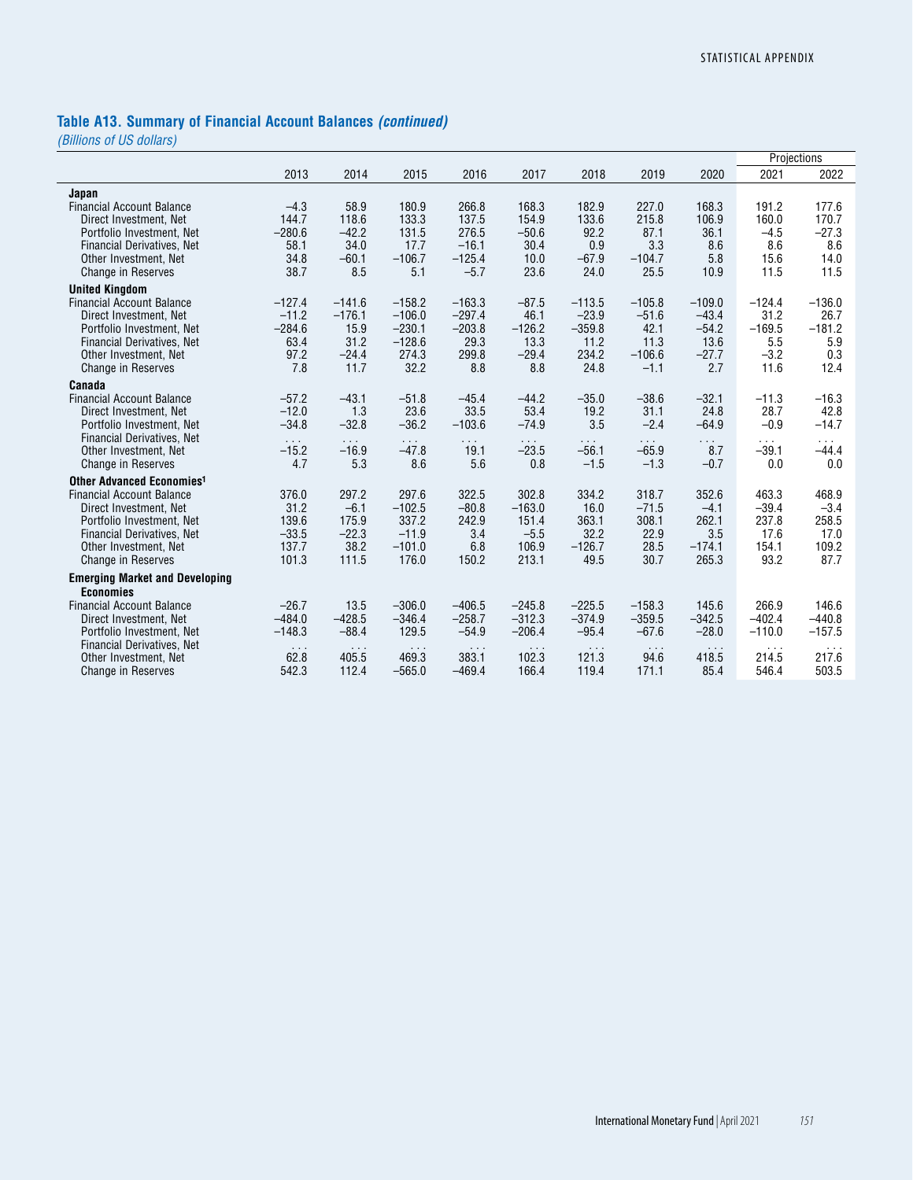# **Table A13. Summary of Financial Account Balances** *(continued)*

|                                                            |                      |                      |                      |                      |                      |                      |                      |                      |                   | Projections          |
|------------------------------------------------------------|----------------------|----------------------|----------------------|----------------------|----------------------|----------------------|----------------------|----------------------|-------------------|----------------------|
|                                                            | 2013                 | 2014                 | 2015                 | 2016                 | 2017                 | 2018                 | 2019                 | 2020                 | 2021              | 2022                 |
| Japan                                                      |                      |                      |                      |                      |                      |                      |                      |                      |                   |                      |
| <b>Financial Account Balance</b><br>Direct Investment, Net | $-4.3$<br>144.7      | 58.9<br>118.6        | 180.9<br>133.3       | 266.8<br>137.5       | 168.3<br>154.9       | 182.9<br>133.6       | 227.0<br>215.8       | 168.3<br>106.9       | 191.2<br>160.0    | 177.6<br>170.7       |
| Portfolio Investment, Net                                  | $-280.6$             | $-42.2$              | 131.5                | 276.5                | $-50.6$              | 92.2                 | 87.1                 | 36.1                 | $-4.5$            | $-27.3$              |
| <b>Financial Derivatives, Net</b>                          | 58.1                 | 34.0                 | 17.7                 | $-16.1$              | 30.4                 | 0.9                  | 3.3                  | 8.6                  | 8.6               | 8.6                  |
| Other Investment, Net                                      | 34.8                 | $-60.1$              | $-106.7$             | $-125.4$             | 10.0                 | $-67.9$              | $-104.7$             | 5.8                  | 15.6              | 14.0                 |
| <b>Change in Reserves</b>                                  | 38.7                 | 8.5                  | 5.1                  | $-5.7$               | 23.6                 | 24.0                 | 25.5                 | 10.9                 | 11.5              | 11.5                 |
| <b>United Kingdom</b>                                      |                      |                      |                      |                      |                      |                      |                      |                      |                   |                      |
| <b>Financial Account Balance</b>                           | $-127.4$             | $-141.6$             | $-158.2$             | $-163.3$             | $-87.5$              | $-113.5$             | $-105.8$             | $-109.0$             | $-124.4$          | $-136.0$             |
| Direct Investment, Net                                     | $-11.2$              | $-176.1$             | $-106.0$             | $-297.4$             | 46.1                 | $-23.9$              | $-51.6$              | $-43.4$              | 31.2              | 26.7                 |
| Portfolio Investment, Net                                  | $-284.6$             | 15.9                 | $-230.1$             | $-203.8$             | $-126.2$             | $-359.8$             | 42.1                 | $-54.2$              | $-169.5$          | $-181.2$             |
| <b>Financial Derivatives, Net</b><br>Other Investment, Net | 63.4<br>97.2         | 31.2<br>$-24.4$      | $-128.6$<br>274.3    | 29.3<br>299.8        | 13.3<br>$-29.4$      | 11.2<br>234.2        | 11.3<br>$-106.6$     | 13.6<br>$-27.7$      | 5.5<br>$-3.2$     | 5.9<br>0.3           |
| Change in Reserves                                         | 7.8                  | 11.7                 | 32.2                 | 8.8                  | 8.8                  | 24.8                 | $-1.1$               | 2.7                  | 11.6              | 12.4                 |
| Canada                                                     |                      |                      |                      |                      |                      |                      |                      |                      |                   |                      |
| <b>Financial Account Balance</b>                           | $-57.2$              | $-43.1$              | $-51.8$              | $-45.4$              | $-44.2$              | $-35.0$              | $-38.6$              | $-32.1$              | $-11.3$           | $-16.3$              |
| Direct Investment, Net                                     | $-12.0$              | 1.3                  | 23.6                 | 33.5                 | 53.4                 | 19.2                 | 31.1                 | 24.8                 | 28.7              | 42.8                 |
| Portfolio Investment, Net                                  | $-34.8$              | $-32.8$              | $-36.2$              | $-103.6$             | $-74.9$              | 3.5                  | $-2.4$               | $-64.9$              | $-0.9$            | $-14.7$              |
| <b>Financial Derivatives, Net</b>                          | $\sim 10$            | $\sim 100$           | $\sim 10$            | $\sim$ $\sim$        | $\sim 100$           | $\sim$ $\sim$        | $\cdots$             | $\sim$ $\sim$        | $\sim 100$        | $\sim$               |
| Other Investment, Net<br><b>Change in Reserves</b>         | $-15.2$<br>4.7       | $-16.9$<br>5.3       | $-47.8$<br>8.6       | 19.1<br>5.6          | $-23.5$<br>0.8       | $-56.1$<br>$-1.5$    | $-65.9$<br>$-1.3$    | 8.7<br>$-0.7$        | $-39.1$<br>0.0    | $-44.4$<br>0.0       |
| Other Advanced Economies <sup>1</sup>                      |                      |                      |                      |                      |                      |                      |                      |                      |                   |                      |
| <b>Financial Account Balance</b>                           | 376.0                | 297.2                | 297.6                | 322.5                | 302.8                | 334.2                | 318.7                | 352.6                | 463.3             | 468.9                |
| Direct Investment, Net                                     | 31.2                 | $-6.1$               | $-102.5$             | $-80.8$              | $-163.0$             | 16.0                 | $-71.5$              | $-4.1$               | $-39.4$           | $-3.4$               |
| Portfolio Investment, Net                                  | 139.6                | 175.9                | 337.2                | 242.9                | 151.4                | 363.1                | 308.1                | 262.1                | 237.8             | 258.5                |
| <b>Financial Derivatives, Net</b>                          | $-33.5$              | $-22.3$              | $-11.9$              | 3.4                  | $-5.5$               | 32.2                 | 22.9                 | 3.5                  | 17.6              | 17.0                 |
| Other Investment, Net                                      | 137.7                | 38.2                 | $-101.0$             | 6.8                  | 106.9                | $-126.7$             | 28.5                 | $-174.1$             | 154.1             | 109.2                |
| <b>Change in Reserves</b>                                  | 101.3                | 111.5                | 176.0                | 150.2                | 213.1                | 49.5                 | 30.7                 | 265.3                | 93.2              | 87.7                 |
| <b>Emerging Market and Developing</b>                      |                      |                      |                      |                      |                      |                      |                      |                      |                   |                      |
| <b>Economies</b>                                           |                      |                      |                      |                      |                      |                      |                      |                      |                   |                      |
| <b>Financial Account Balance</b><br>Direct Investment, Net | $-26.7$<br>$-484.0$  | 13.5<br>$-428.5$     | $-306.0$<br>$-346.4$ | $-406.5$<br>$-258.7$ | $-245.8$<br>$-312.3$ | $-225.5$<br>$-374.9$ | $-158.3$<br>$-359.5$ | 145.6<br>$-342.5$    | 266.9<br>$-402.4$ | 146.6<br>$-440.8$    |
| Portfolio Investment, Net                                  | $-148.3$             | $-88.4$              | 129.5                | $-54.9$              | $-206.4$             | $-95.4$              | $-67.6$              | $-28.0$              | $-110.0$          | $-157.5$             |
| Financial Derivatives, Net                                 | $\sim$ $\sim$ $\sim$ | $\sim$ $\sim$ $\sim$ | $\sim$ $\sim$ $\sim$ | $\sim 10$            | $\sim 100$           | $\sim 100$           | $\sim$ $\sim$ $\sim$ | $\sim$ $\sim$ $\sim$ | $\sim 100$        | $\sim$ $\sim$ $\sim$ |
| Other Investment, Net                                      | 62.8                 | 405.5                | 469.3                | 383.1                | 102.3                | 121.3                | 94.6                 | 418.5                | 214.5             | 217.6                |
| <b>Change in Reserves</b>                                  | 542.3                | 112.4                | $-565.0$             | $-469.4$             | 166.4                | 119.4                | 171.1                | 85.4                 | 546.4             | 503.5                |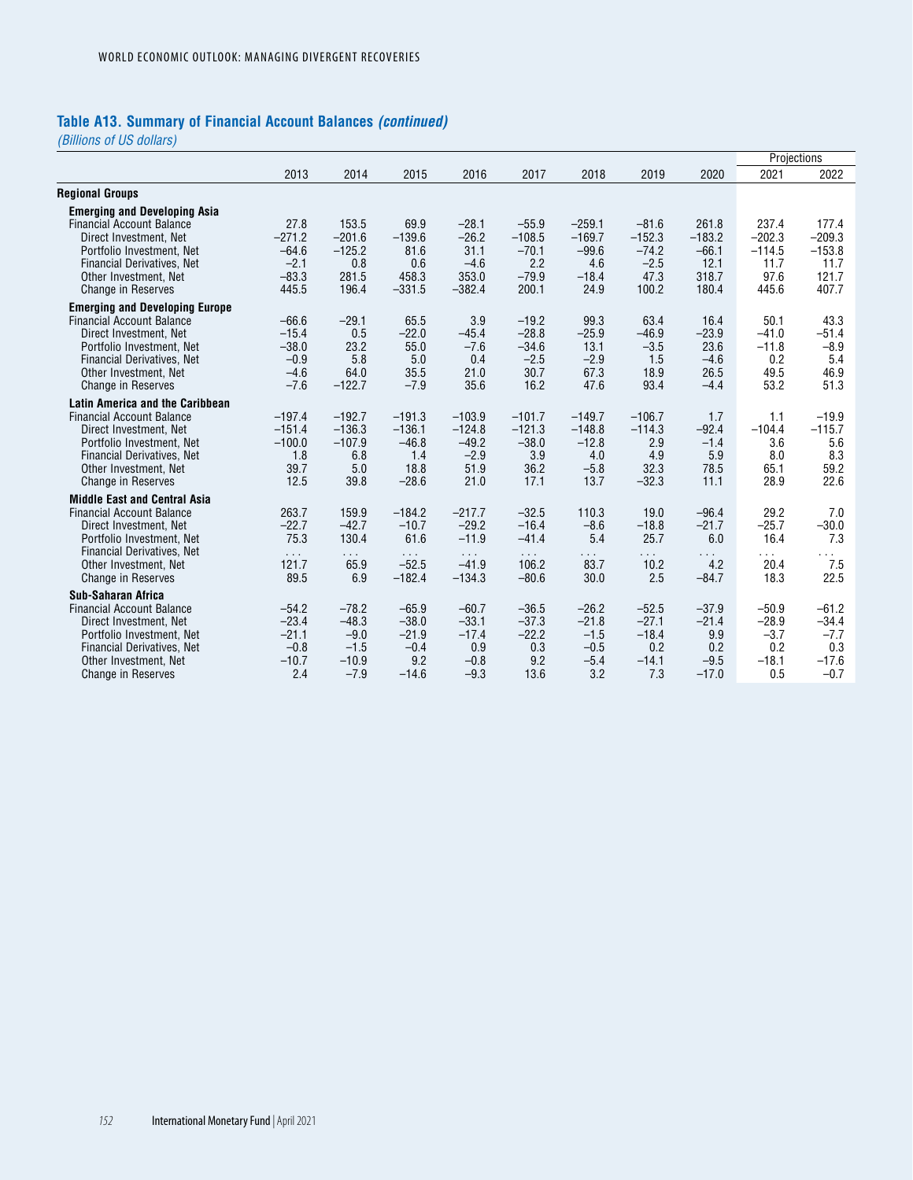# **Table A13. Summary of Financial Account Balances** *(continued)*

|                                                            |                      |                      |                     |                     |                     |                     |                     |                     | Projections          |                      |
|------------------------------------------------------------|----------------------|----------------------|---------------------|---------------------|---------------------|---------------------|---------------------|---------------------|----------------------|----------------------|
|                                                            | 2013                 | 2014                 | 2015                | 2016                | 2017                | 2018                | 2019                | 2020                | 2021                 | 2022                 |
| <b>Regional Groups</b>                                     |                      |                      |                     |                     |                     |                     |                     |                     |                      |                      |
| <b>Emerging and Developing Asia</b>                        |                      |                      |                     |                     |                     |                     |                     |                     |                      |                      |
| <b>Financial Account Balance</b>                           | 27.8                 | 153.5                | 69.9                | $-28.1$             | $-55.9$             | $-259.1$            | $-81.6$             | 261.8               | 237.4                | 177.4                |
| Direct Investment, Net<br>Portfolio Investment, Net        | $-271.2$<br>$-64.6$  | $-201.6$<br>$-125.2$ | $-139.6$<br>81.6    | $-26.2$<br>31.1     | $-108.5$<br>$-70.1$ | $-169.7$<br>$-99.6$ | $-152.3$<br>$-74.2$ | $-183.2$<br>$-66.1$ | $-202.3$<br>$-114.5$ | $-209.3$<br>$-153.8$ |
| Financial Derivatives, Net                                 | $-2.1$               | 0.8                  | 0.6                 | $-4.6$              | 2.2                 | 4.6                 | $-2.5$              | 12.1                | 11.7                 | 11.7                 |
| Other Investment, Net                                      | $-83.3$              | 281.5                | 458.3               | 353.0               | $-79.9$             | $-18.4$             | 47.3                | 318.7               | 97.6                 | 121.7                |
| <b>Change in Reserves</b>                                  | 445.5                | 196.4                | $-331.5$            | $-382.4$            | 200.1               | 24.9                | 100.2               | 180.4               | 445.6                | 407.7                |
| <b>Emerging and Developing Europe</b>                      |                      |                      |                     |                     |                     |                     |                     |                     |                      |                      |
| <b>Financial Account Balance</b>                           | $-66.6$              | $-29.1$              | 65.5                | 3.9                 | $-19.2$             | 99.3                | 63.4                | 16.4                | 50.1                 | 43.3                 |
| Direct Investment. Net<br>Portfolio Investment, Net        | $-15.4$<br>$-38.0$   | 0.5<br>23.2          | $-22.0$<br>55.0     | $-45.4$<br>$-7.6$   | $-28.8$<br>$-34.6$  | $-25.9$<br>13.1     | $-46.9$<br>$-3.5$   | $-23.9$<br>23.6     | $-41.0$<br>$-11.8$   | $-51.4$<br>$-8.9$    |
| <b>Financial Derivatives. Net</b>                          | $-0.9$               | 5.8                  | 5.0                 | 0.4                 | $-2.5$              | $-2.9$              | 1.5                 | $-4.6$              | 0.2                  | 5.4                  |
| Other Investment, Net                                      | $-4.6$               | 64.0                 | 35.5                | 21.0                | 30.7                | 67.3                | 18.9                | 26.5                | 49.5                 | 46.9                 |
| <b>Change in Reserves</b>                                  | $-7.6$               | $-122.7$             | $-7.9$              | 35.6                | 16.2                | 47.6                | 93.4                | $-4.4$              | 53.2                 | 51.3                 |
| <b>Latin America and the Caribbean</b>                     |                      |                      |                     |                     |                     |                     |                     |                     |                      |                      |
| <b>Financial Account Balance</b>                           | $-197.4$             | $-192.7$             | $-191.3$            | $-103.9$            | $-101.7$            | $-149.7$            | $-106.7$            | 1.7                 | 1.1                  | $-19.9$              |
| Direct Investment, Net<br>Portfolio Investment, Net        | $-151.4$<br>$-100.0$ | $-136.3$<br>$-107.9$ | $-136.1$<br>$-46.8$ | $-124.8$<br>$-49.2$ | $-121.3$<br>$-38.0$ | $-148.8$<br>$-12.8$ | $-114.3$<br>2.9     | $-92.4$<br>$-1.4$   | $-104.4$<br>3.6      | $-115.7$<br>5.6      |
| Financial Derivatives, Net                                 | 1.8                  | 6.8                  | 1.4                 | $-2.9$              | 3.9                 | 4.0                 | 4.9                 | 5.9                 | 8.0                  | 8.3                  |
| Other Investment, Net                                      | 39.7                 | 5.0                  | 18.8                | 51.9                | 36.2                | $-5.8$              | 32.3                | 78.5                | 65.1                 | 59.2                 |
| <b>Change in Reserves</b>                                  | 12.5                 | 39.8                 | $-28.6$             | 21.0                | 17.1                | 13.7                | $-32.3$             | 11.1                | 28.9                 | 22.6                 |
| <b>Middle East and Central Asia</b>                        |                      |                      |                     |                     |                     |                     |                     |                     |                      |                      |
| <b>Financial Account Balance</b>                           | 263.7<br>$-22.7$     | 159.9<br>$-42.7$     | $-184.2$<br>$-10.7$ | $-217.7$<br>$-29.2$ | $-32.5$<br>$-16.4$  | 110.3<br>$-8.6$     | 19.0<br>$-18.8$     | $-96.4$<br>$-21.7$  | 29.2<br>$-25.7$      | 7.0                  |
| Direct Investment. Net<br>Portfolio Investment, Net        | 75.3                 | 130.4                | 61.6                | $-11.9$             | $-41.4$             | 5.4                 | 25.7                | 6.0                 | 16.4                 | $-30.0$<br>7.3       |
| Financial Derivatives, Net                                 | $\sim 100$           | $\sim 100$           | $\sim 100$          | $\sim 10^{-1}$      | $\sim 100$          | $\sim$ $\sim$       | $\sim$ $\sim$       | $\sim$ $\sim$       | $\cdots$             | $\sim$               |
| Other Investment, Net                                      | 121.7                | 65.9                 | $-52.5$             | $-41.9$             | 106.2               | 83.7                | 10.2                | 4.2                 | 20.4                 | 7.5                  |
| <b>Change in Reserves</b>                                  | 89.5                 | 6.9                  | $-182.4$            | $-134.3$            | $-80.6$             | 30.0                | 2.5                 | $-84.7$             | 18.3                 | 22.5                 |
| Sub-Saharan Africa                                         |                      |                      |                     |                     |                     |                     |                     |                     |                      |                      |
| <b>Financial Account Balance</b><br>Direct Investment, Net | $-54.2$<br>$-23.4$   | $-78.2$<br>$-48.3$   | $-65.9$<br>$-38.0$  | $-60.7$<br>$-33.1$  | $-36.5$<br>$-37.3$  | $-26.2$<br>$-21.8$  | $-52.5$<br>$-27.1$  | $-37.9$<br>$-21.4$  | $-50.9$<br>$-28.9$   | $-61.2$<br>$-34.4$   |
| Portfolio Investment, Net                                  | $-21.1$              | $-9.0$               | $-21.9$             | $-17.4$             | $-22.2$             | $-1.5$              | $-18.4$             | 9.9                 | $-3.7$               | $-7.7$               |
| Financial Derivatives, Net                                 | $-0.8$               | $-1.5$               | $-0.4$              | 0.9                 | 0.3                 | $-0.5$              | 0.2                 | 0.2                 | 0.2                  | 0.3                  |
| Other Investment, Net                                      | $-10.7$              | $-10.9$              | 9.2                 | $-0.8$              | 9.2                 | $-5.4$              | $-14.1$             | $-9.5$              | $-18.1$              | $-17.6$              |
| <b>Change in Reserves</b>                                  | 2.4                  | $-7.9$               | $-14.6$             | $-9.3$              | 13.6                | 3.2                 | 7.3                 | $-17.0$             | 0.5                  | $-0.7$               |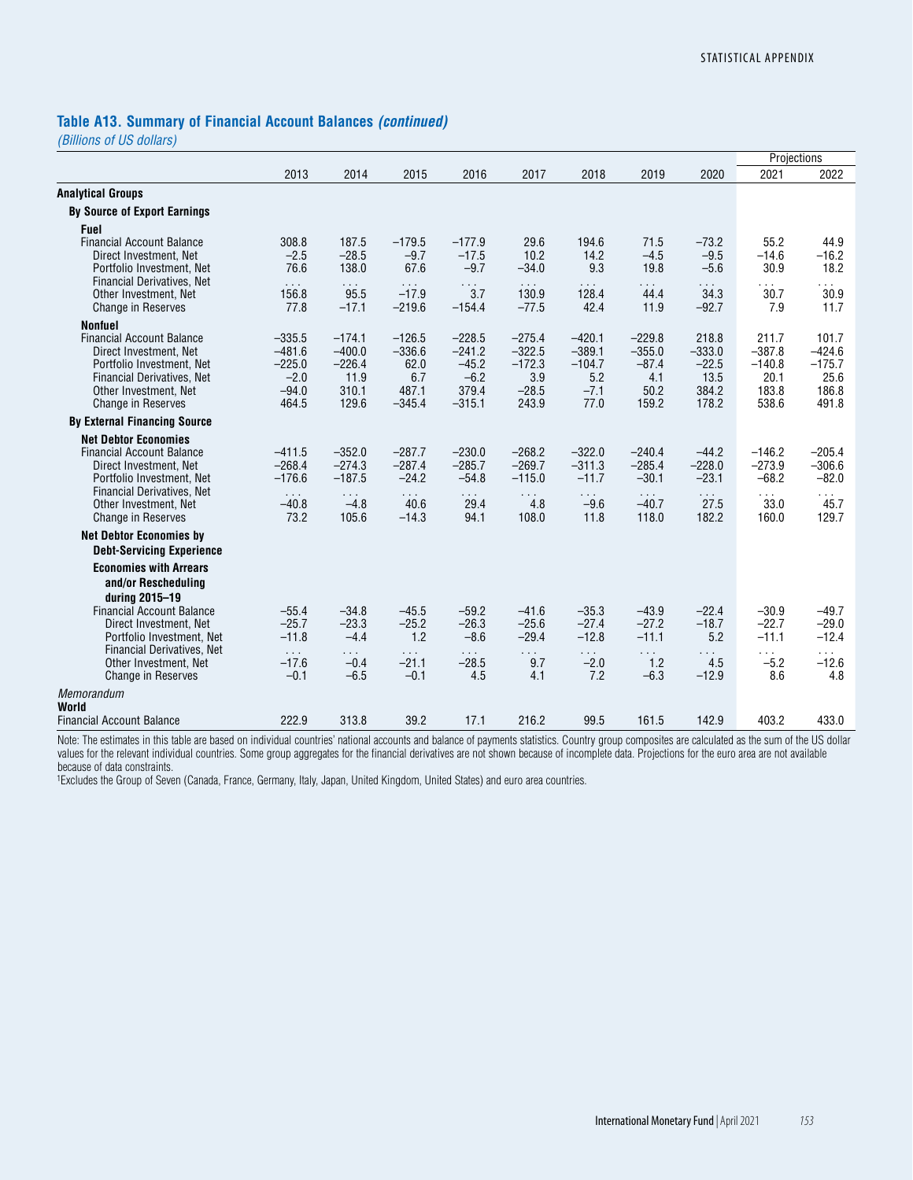#### **Table A13. Summary of Financial Account Balances** *(continued)*

*(Billions of US dollars)*

| 2013<br>2016<br>2020<br>2014<br>2015<br>2017<br>2018<br>2019<br>2021<br>2022<br><b>By Source of Export Earnings</b><br><b>Fuel</b><br>308.8<br>187.5<br>71.5<br>55.2<br><b>Financial Account Balance</b><br>$-179.5$<br>$-177.9$<br>29.6<br>194.6<br>$-73.2$<br>44.9<br>$-28.5$<br>$-9.7$<br>$-17.5$<br>10.2<br>$-9.5$<br>$-14.6$<br>Direct Investment. Net<br>$-2.5$<br>14.2<br>$-4.5$<br>$-16.2$<br>76.6<br>67.6<br>$-9.7$<br>9.3<br>30.9<br>18.2<br>138.0<br>$-34.0$<br>19.8<br>Portfolio Investment, Net<br>$-5.6$<br><b>Financial Derivatives, Net</b><br>$\sim 10$<br>$\sim$ $\sim$<br>$\sim$ $\sim$<br>$\sim$ $\sim$<br>$\sim$ $\sim$ $\sim$<br>$\cdots$<br>$\sim 100$<br>$\cdots$<br>$\cdots$<br>$\sim$ $\sim$<br>$-17.9$<br>3.7<br>34.3<br>30.7<br>30.9<br>156.8<br>95.5<br>130.9<br>128.4<br>44.4<br>Other Investment, Net<br>$-219.6$<br><b>Change in Reserves</b><br>77.8<br>$-17.1$<br>$-154.4$<br>$-77.5$<br>42.4<br>11.9<br>$-92.7$<br>7.9<br>11.7<br><b>Nonfuel</b><br><b>Financial Account Balance</b><br>$-335.5$<br>$-174.1$<br>$-126.5$<br>$-228.5$<br>$-275.4$<br>$-420.1$<br>$-229.8$<br>218.8<br>211.7<br>101.7<br>$-400.0$<br>$-322.5$<br>$-389.1$<br>$-355.0$<br>$-333.0$<br>$-387.8$<br>$-424.6$<br>$-481.6$<br>$-336.6$<br>$-241.2$<br>Direct Investment, Net<br>$-226.4$<br>62.0<br>$-45.2$<br>$-172.3$<br>$-104.7$<br>$-87.4$<br>$-22.5$<br>$-140.8$<br>$-175.7$<br>Portfolio Investment. Net<br>$-225.0$<br>13.5<br>25.6<br><b>Financial Derivatives, Net</b><br>$-2.0$<br>11.9<br>6.7<br>$-6.2$<br>3.9<br>5.2<br>4.1<br>20.1<br>487.1<br>379.4<br>$-28.5$<br>$-7.1$<br>384.2<br>183.8<br>186.8<br>Other Investment, Net<br>$-94.0$<br>310.1<br>50.2<br>$-315.1$<br>243.9<br>77.0<br>178.2<br>129.6<br>$-345.4$<br>159.2<br>538.6<br>491.8<br><b>Change in Reserves</b><br>464.5<br><b>By External Financing Source</b><br><b>Net Debtor Economies</b><br>$-287.7$<br>$-230.0$<br>$-205.4$<br>$-411.5$<br>$-352.0$<br>$-268.2$<br>$-322.0$<br>$-240.4$<br>$-44.2$<br>$-146.2$<br><b>Financial Account Balance</b><br>$-274.3$<br>$-287.4$<br>$-285.7$<br>$-269.7$<br>$-311.3$<br>$-285.4$<br>$-228.0$<br>$-273.9$<br>$-306.6$<br>$-268.4$<br>Direct Investment, Net<br>$-187.5$<br>$-24.2$<br>$-54.8$<br>$-115.0$<br>$-11.7$<br>$-30.1$<br>$-23.1$<br>$-68.2$<br>$-82.0$<br>$-176.6$<br>Portfolio Investment, Net<br><b>Financial Derivatives, Net</b><br>$\sim$ $\sim$<br>$\sim 10$<br>$\sim 100$<br>$\sim$<br>$\sim 100$<br>$\sim 100$<br>$\cdots$<br>$\sim 100$<br>$\cdots$<br>$\sim 10^{-1}$<br>40.6<br>4.8<br>$-9.6$<br>27.5<br>45.7<br>Other Investment, Net<br>$-40.8$<br>$-4.8$<br>29.4<br>$-40.7$<br>33.0<br>94.1<br>182.2<br><b>Change in Reserves</b><br>73.2<br>105.6<br>$-14.3$<br>108.0<br>11.8<br>118.0<br>160.0<br>129.7<br><b>Net Debtor Economies by</b><br><b>Debt-Servicing Experience</b><br><b>Economies with Arrears</b><br>and/or Rescheduling<br>during 2015-19<br><b>Financial Account Balance</b><br>$-45.5$<br>$-35.3$<br>$-43.9$<br>$-22.4$<br>$-30.9$<br>$-49.7$<br>$-55.4$<br>$-34.8$<br>$-59.2$<br>$-41.6$<br>$-25.7$<br>$-23.3$<br>$-25.2$<br>$-26.3$<br>$-25.6$<br>$-27.4$<br>$-27.2$<br>$-18.7$<br>$-22.7$<br>$-29.0$<br>Direct Investment, Net<br>$-11.8$<br>$-4.4$<br>1.2<br>$-8.6$<br>$-29.4$<br>$-12.8$<br>$-11.1$<br>5.2<br>$-11.1$<br>$-12.4$<br>Portfolio Investment, Net<br>Financial Derivatives, Net<br>$\sim 10$<br>$\sim 100$<br>$\sim$ $\sim$<br>$\cdots$<br>$\sim$ $\sim$<br>$\sim 100$<br>$\sim 10$<br>$\sim 100$<br>$\sim$ $\sim$<br>$\sim 100$<br>$-21.1$<br>$-28.5$<br>9.7<br>4.5<br>$-12.6$<br>Other Investment, Net<br>$-17.6$<br>$-0.4$<br>$-2.0$<br>1.2<br>$-5.2$<br>$-6.5$<br>$-0.1$<br>4.5<br>4.1<br>7.2<br>$-6.3$<br>$-12.9$<br>8.6<br>4.8<br><b>Change in Reserves</b><br>$-0.1$<br>World<br>222.9<br>313.8<br>39.2<br>17.1<br>216.2<br>99.5<br>161.5<br>142.9<br>403.2<br>433.0 |                                  |  |  |  |  | Projections |  |
|-----------------------------------------------------------------------------------------------------------------------------------------------------------------------------------------------------------------------------------------------------------------------------------------------------------------------------------------------------------------------------------------------------------------------------------------------------------------------------------------------------------------------------------------------------------------------------------------------------------------------------------------------------------------------------------------------------------------------------------------------------------------------------------------------------------------------------------------------------------------------------------------------------------------------------------------------------------------------------------------------------------------------------------------------------------------------------------------------------------------------------------------------------------------------------------------------------------------------------------------------------------------------------------------------------------------------------------------------------------------------------------------------------------------------------------------------------------------------------------------------------------------------------------------------------------------------------------------------------------------------------------------------------------------------------------------------------------------------------------------------------------------------------------------------------------------------------------------------------------------------------------------------------------------------------------------------------------------------------------------------------------------------------------------------------------------------------------------------------------------------------------------------------------------------------------------------------------------------------------------------------------------------------------------------------------------------------------------------------------------------------------------------------------------------------------------------------------------------------------------------------------------------------------------------------------------------------------------------------------------------------------------------------------------------------------------------------------------------------------------------------------------------------------------------------------------------------------------------------------------------------------------------------------------------------------------------------------------------------------------------------------------------------------------------------------------------------------------------------------------------------------------------------------------------------------------------------------------------------------------------------------------------------------------------------------------------------------------------------------------------------------------------------------------------------------------------------------------------------------------------------------------------------------------------------------------------------------------------------------------------------------------------------------------------------------------------------------------------------------------------------------------------------------------------------------------------------------------------------------------------------|----------------------------------|--|--|--|--|-------------|--|
|                                                                                                                                                                                                                                                                                                                                                                                                                                                                                                                                                                                                                                                                                                                                                                                                                                                                                                                                                                                                                                                                                                                                                                                                                                                                                                                                                                                                                                                                                                                                                                                                                                                                                                                                                                                                                                                                                                                                                                                                                                                                                                                                                                                                                                                                                                                                                                                                                                                                                                                                                                                                                                                                                                                                                                                                                                                                                                                                                                                                                                                                                                                                                                                                                                                                                                                                                                                                                                                                                                                                                                                                                                                                                                                                                                                                                                                                             |                                  |  |  |  |  |             |  |
|                                                                                                                                                                                                                                                                                                                                                                                                                                                                                                                                                                                                                                                                                                                                                                                                                                                                                                                                                                                                                                                                                                                                                                                                                                                                                                                                                                                                                                                                                                                                                                                                                                                                                                                                                                                                                                                                                                                                                                                                                                                                                                                                                                                                                                                                                                                                                                                                                                                                                                                                                                                                                                                                                                                                                                                                                                                                                                                                                                                                                                                                                                                                                                                                                                                                                                                                                                                                                                                                                                                                                                                                                                                                                                                                                                                                                                                                             | <b>Analytical Groups</b>         |  |  |  |  |             |  |
|                                                                                                                                                                                                                                                                                                                                                                                                                                                                                                                                                                                                                                                                                                                                                                                                                                                                                                                                                                                                                                                                                                                                                                                                                                                                                                                                                                                                                                                                                                                                                                                                                                                                                                                                                                                                                                                                                                                                                                                                                                                                                                                                                                                                                                                                                                                                                                                                                                                                                                                                                                                                                                                                                                                                                                                                                                                                                                                                                                                                                                                                                                                                                                                                                                                                                                                                                                                                                                                                                                                                                                                                                                                                                                                                                                                                                                                                             |                                  |  |  |  |  |             |  |
|                                                                                                                                                                                                                                                                                                                                                                                                                                                                                                                                                                                                                                                                                                                                                                                                                                                                                                                                                                                                                                                                                                                                                                                                                                                                                                                                                                                                                                                                                                                                                                                                                                                                                                                                                                                                                                                                                                                                                                                                                                                                                                                                                                                                                                                                                                                                                                                                                                                                                                                                                                                                                                                                                                                                                                                                                                                                                                                                                                                                                                                                                                                                                                                                                                                                                                                                                                                                                                                                                                                                                                                                                                                                                                                                                                                                                                                                             |                                  |  |  |  |  |             |  |
|                                                                                                                                                                                                                                                                                                                                                                                                                                                                                                                                                                                                                                                                                                                                                                                                                                                                                                                                                                                                                                                                                                                                                                                                                                                                                                                                                                                                                                                                                                                                                                                                                                                                                                                                                                                                                                                                                                                                                                                                                                                                                                                                                                                                                                                                                                                                                                                                                                                                                                                                                                                                                                                                                                                                                                                                                                                                                                                                                                                                                                                                                                                                                                                                                                                                                                                                                                                                                                                                                                                                                                                                                                                                                                                                                                                                                                                                             |                                  |  |  |  |  |             |  |
|                                                                                                                                                                                                                                                                                                                                                                                                                                                                                                                                                                                                                                                                                                                                                                                                                                                                                                                                                                                                                                                                                                                                                                                                                                                                                                                                                                                                                                                                                                                                                                                                                                                                                                                                                                                                                                                                                                                                                                                                                                                                                                                                                                                                                                                                                                                                                                                                                                                                                                                                                                                                                                                                                                                                                                                                                                                                                                                                                                                                                                                                                                                                                                                                                                                                                                                                                                                                                                                                                                                                                                                                                                                                                                                                                                                                                                                                             |                                  |  |  |  |  |             |  |
|                                                                                                                                                                                                                                                                                                                                                                                                                                                                                                                                                                                                                                                                                                                                                                                                                                                                                                                                                                                                                                                                                                                                                                                                                                                                                                                                                                                                                                                                                                                                                                                                                                                                                                                                                                                                                                                                                                                                                                                                                                                                                                                                                                                                                                                                                                                                                                                                                                                                                                                                                                                                                                                                                                                                                                                                                                                                                                                                                                                                                                                                                                                                                                                                                                                                                                                                                                                                                                                                                                                                                                                                                                                                                                                                                                                                                                                                             |                                  |  |  |  |  |             |  |
|                                                                                                                                                                                                                                                                                                                                                                                                                                                                                                                                                                                                                                                                                                                                                                                                                                                                                                                                                                                                                                                                                                                                                                                                                                                                                                                                                                                                                                                                                                                                                                                                                                                                                                                                                                                                                                                                                                                                                                                                                                                                                                                                                                                                                                                                                                                                                                                                                                                                                                                                                                                                                                                                                                                                                                                                                                                                                                                                                                                                                                                                                                                                                                                                                                                                                                                                                                                                                                                                                                                                                                                                                                                                                                                                                                                                                                                                             |                                  |  |  |  |  |             |  |
|                                                                                                                                                                                                                                                                                                                                                                                                                                                                                                                                                                                                                                                                                                                                                                                                                                                                                                                                                                                                                                                                                                                                                                                                                                                                                                                                                                                                                                                                                                                                                                                                                                                                                                                                                                                                                                                                                                                                                                                                                                                                                                                                                                                                                                                                                                                                                                                                                                                                                                                                                                                                                                                                                                                                                                                                                                                                                                                                                                                                                                                                                                                                                                                                                                                                                                                                                                                                                                                                                                                                                                                                                                                                                                                                                                                                                                                                             |                                  |  |  |  |  |             |  |
|                                                                                                                                                                                                                                                                                                                                                                                                                                                                                                                                                                                                                                                                                                                                                                                                                                                                                                                                                                                                                                                                                                                                                                                                                                                                                                                                                                                                                                                                                                                                                                                                                                                                                                                                                                                                                                                                                                                                                                                                                                                                                                                                                                                                                                                                                                                                                                                                                                                                                                                                                                                                                                                                                                                                                                                                                                                                                                                                                                                                                                                                                                                                                                                                                                                                                                                                                                                                                                                                                                                                                                                                                                                                                                                                                                                                                                                                             |                                  |  |  |  |  |             |  |
|                                                                                                                                                                                                                                                                                                                                                                                                                                                                                                                                                                                                                                                                                                                                                                                                                                                                                                                                                                                                                                                                                                                                                                                                                                                                                                                                                                                                                                                                                                                                                                                                                                                                                                                                                                                                                                                                                                                                                                                                                                                                                                                                                                                                                                                                                                                                                                                                                                                                                                                                                                                                                                                                                                                                                                                                                                                                                                                                                                                                                                                                                                                                                                                                                                                                                                                                                                                                                                                                                                                                                                                                                                                                                                                                                                                                                                                                             |                                  |  |  |  |  |             |  |
|                                                                                                                                                                                                                                                                                                                                                                                                                                                                                                                                                                                                                                                                                                                                                                                                                                                                                                                                                                                                                                                                                                                                                                                                                                                                                                                                                                                                                                                                                                                                                                                                                                                                                                                                                                                                                                                                                                                                                                                                                                                                                                                                                                                                                                                                                                                                                                                                                                                                                                                                                                                                                                                                                                                                                                                                                                                                                                                                                                                                                                                                                                                                                                                                                                                                                                                                                                                                                                                                                                                                                                                                                                                                                                                                                                                                                                                                             |                                  |  |  |  |  |             |  |
|                                                                                                                                                                                                                                                                                                                                                                                                                                                                                                                                                                                                                                                                                                                                                                                                                                                                                                                                                                                                                                                                                                                                                                                                                                                                                                                                                                                                                                                                                                                                                                                                                                                                                                                                                                                                                                                                                                                                                                                                                                                                                                                                                                                                                                                                                                                                                                                                                                                                                                                                                                                                                                                                                                                                                                                                                                                                                                                                                                                                                                                                                                                                                                                                                                                                                                                                                                                                                                                                                                                                                                                                                                                                                                                                                                                                                                                                             |                                  |  |  |  |  |             |  |
|                                                                                                                                                                                                                                                                                                                                                                                                                                                                                                                                                                                                                                                                                                                                                                                                                                                                                                                                                                                                                                                                                                                                                                                                                                                                                                                                                                                                                                                                                                                                                                                                                                                                                                                                                                                                                                                                                                                                                                                                                                                                                                                                                                                                                                                                                                                                                                                                                                                                                                                                                                                                                                                                                                                                                                                                                                                                                                                                                                                                                                                                                                                                                                                                                                                                                                                                                                                                                                                                                                                                                                                                                                                                                                                                                                                                                                                                             |                                  |  |  |  |  |             |  |
|                                                                                                                                                                                                                                                                                                                                                                                                                                                                                                                                                                                                                                                                                                                                                                                                                                                                                                                                                                                                                                                                                                                                                                                                                                                                                                                                                                                                                                                                                                                                                                                                                                                                                                                                                                                                                                                                                                                                                                                                                                                                                                                                                                                                                                                                                                                                                                                                                                                                                                                                                                                                                                                                                                                                                                                                                                                                                                                                                                                                                                                                                                                                                                                                                                                                                                                                                                                                                                                                                                                                                                                                                                                                                                                                                                                                                                                                             |                                  |  |  |  |  |             |  |
|                                                                                                                                                                                                                                                                                                                                                                                                                                                                                                                                                                                                                                                                                                                                                                                                                                                                                                                                                                                                                                                                                                                                                                                                                                                                                                                                                                                                                                                                                                                                                                                                                                                                                                                                                                                                                                                                                                                                                                                                                                                                                                                                                                                                                                                                                                                                                                                                                                                                                                                                                                                                                                                                                                                                                                                                                                                                                                                                                                                                                                                                                                                                                                                                                                                                                                                                                                                                                                                                                                                                                                                                                                                                                                                                                                                                                                                                             |                                  |  |  |  |  |             |  |
|                                                                                                                                                                                                                                                                                                                                                                                                                                                                                                                                                                                                                                                                                                                                                                                                                                                                                                                                                                                                                                                                                                                                                                                                                                                                                                                                                                                                                                                                                                                                                                                                                                                                                                                                                                                                                                                                                                                                                                                                                                                                                                                                                                                                                                                                                                                                                                                                                                                                                                                                                                                                                                                                                                                                                                                                                                                                                                                                                                                                                                                                                                                                                                                                                                                                                                                                                                                                                                                                                                                                                                                                                                                                                                                                                                                                                                                                             |                                  |  |  |  |  |             |  |
|                                                                                                                                                                                                                                                                                                                                                                                                                                                                                                                                                                                                                                                                                                                                                                                                                                                                                                                                                                                                                                                                                                                                                                                                                                                                                                                                                                                                                                                                                                                                                                                                                                                                                                                                                                                                                                                                                                                                                                                                                                                                                                                                                                                                                                                                                                                                                                                                                                                                                                                                                                                                                                                                                                                                                                                                                                                                                                                                                                                                                                                                                                                                                                                                                                                                                                                                                                                                                                                                                                                                                                                                                                                                                                                                                                                                                                                                             |                                  |  |  |  |  |             |  |
|                                                                                                                                                                                                                                                                                                                                                                                                                                                                                                                                                                                                                                                                                                                                                                                                                                                                                                                                                                                                                                                                                                                                                                                                                                                                                                                                                                                                                                                                                                                                                                                                                                                                                                                                                                                                                                                                                                                                                                                                                                                                                                                                                                                                                                                                                                                                                                                                                                                                                                                                                                                                                                                                                                                                                                                                                                                                                                                                                                                                                                                                                                                                                                                                                                                                                                                                                                                                                                                                                                                                                                                                                                                                                                                                                                                                                                                                             |                                  |  |  |  |  |             |  |
|                                                                                                                                                                                                                                                                                                                                                                                                                                                                                                                                                                                                                                                                                                                                                                                                                                                                                                                                                                                                                                                                                                                                                                                                                                                                                                                                                                                                                                                                                                                                                                                                                                                                                                                                                                                                                                                                                                                                                                                                                                                                                                                                                                                                                                                                                                                                                                                                                                                                                                                                                                                                                                                                                                                                                                                                                                                                                                                                                                                                                                                                                                                                                                                                                                                                                                                                                                                                                                                                                                                                                                                                                                                                                                                                                                                                                                                                             |                                  |  |  |  |  |             |  |
|                                                                                                                                                                                                                                                                                                                                                                                                                                                                                                                                                                                                                                                                                                                                                                                                                                                                                                                                                                                                                                                                                                                                                                                                                                                                                                                                                                                                                                                                                                                                                                                                                                                                                                                                                                                                                                                                                                                                                                                                                                                                                                                                                                                                                                                                                                                                                                                                                                                                                                                                                                                                                                                                                                                                                                                                                                                                                                                                                                                                                                                                                                                                                                                                                                                                                                                                                                                                                                                                                                                                                                                                                                                                                                                                                                                                                                                                             |                                  |  |  |  |  |             |  |
|                                                                                                                                                                                                                                                                                                                                                                                                                                                                                                                                                                                                                                                                                                                                                                                                                                                                                                                                                                                                                                                                                                                                                                                                                                                                                                                                                                                                                                                                                                                                                                                                                                                                                                                                                                                                                                                                                                                                                                                                                                                                                                                                                                                                                                                                                                                                                                                                                                                                                                                                                                                                                                                                                                                                                                                                                                                                                                                                                                                                                                                                                                                                                                                                                                                                                                                                                                                                                                                                                                                                                                                                                                                                                                                                                                                                                                                                             |                                  |  |  |  |  |             |  |
|                                                                                                                                                                                                                                                                                                                                                                                                                                                                                                                                                                                                                                                                                                                                                                                                                                                                                                                                                                                                                                                                                                                                                                                                                                                                                                                                                                                                                                                                                                                                                                                                                                                                                                                                                                                                                                                                                                                                                                                                                                                                                                                                                                                                                                                                                                                                                                                                                                                                                                                                                                                                                                                                                                                                                                                                                                                                                                                                                                                                                                                                                                                                                                                                                                                                                                                                                                                                                                                                                                                                                                                                                                                                                                                                                                                                                                                                             |                                  |  |  |  |  |             |  |
|                                                                                                                                                                                                                                                                                                                                                                                                                                                                                                                                                                                                                                                                                                                                                                                                                                                                                                                                                                                                                                                                                                                                                                                                                                                                                                                                                                                                                                                                                                                                                                                                                                                                                                                                                                                                                                                                                                                                                                                                                                                                                                                                                                                                                                                                                                                                                                                                                                                                                                                                                                                                                                                                                                                                                                                                                                                                                                                                                                                                                                                                                                                                                                                                                                                                                                                                                                                                                                                                                                                                                                                                                                                                                                                                                                                                                                                                             |                                  |  |  |  |  |             |  |
|                                                                                                                                                                                                                                                                                                                                                                                                                                                                                                                                                                                                                                                                                                                                                                                                                                                                                                                                                                                                                                                                                                                                                                                                                                                                                                                                                                                                                                                                                                                                                                                                                                                                                                                                                                                                                                                                                                                                                                                                                                                                                                                                                                                                                                                                                                                                                                                                                                                                                                                                                                                                                                                                                                                                                                                                                                                                                                                                                                                                                                                                                                                                                                                                                                                                                                                                                                                                                                                                                                                                                                                                                                                                                                                                                                                                                                                                             |                                  |  |  |  |  |             |  |
|                                                                                                                                                                                                                                                                                                                                                                                                                                                                                                                                                                                                                                                                                                                                                                                                                                                                                                                                                                                                                                                                                                                                                                                                                                                                                                                                                                                                                                                                                                                                                                                                                                                                                                                                                                                                                                                                                                                                                                                                                                                                                                                                                                                                                                                                                                                                                                                                                                                                                                                                                                                                                                                                                                                                                                                                                                                                                                                                                                                                                                                                                                                                                                                                                                                                                                                                                                                                                                                                                                                                                                                                                                                                                                                                                                                                                                                                             |                                  |  |  |  |  |             |  |
|                                                                                                                                                                                                                                                                                                                                                                                                                                                                                                                                                                                                                                                                                                                                                                                                                                                                                                                                                                                                                                                                                                                                                                                                                                                                                                                                                                                                                                                                                                                                                                                                                                                                                                                                                                                                                                                                                                                                                                                                                                                                                                                                                                                                                                                                                                                                                                                                                                                                                                                                                                                                                                                                                                                                                                                                                                                                                                                                                                                                                                                                                                                                                                                                                                                                                                                                                                                                                                                                                                                                                                                                                                                                                                                                                                                                                                                                             |                                  |  |  |  |  |             |  |
|                                                                                                                                                                                                                                                                                                                                                                                                                                                                                                                                                                                                                                                                                                                                                                                                                                                                                                                                                                                                                                                                                                                                                                                                                                                                                                                                                                                                                                                                                                                                                                                                                                                                                                                                                                                                                                                                                                                                                                                                                                                                                                                                                                                                                                                                                                                                                                                                                                                                                                                                                                                                                                                                                                                                                                                                                                                                                                                                                                                                                                                                                                                                                                                                                                                                                                                                                                                                                                                                                                                                                                                                                                                                                                                                                                                                                                                                             |                                  |  |  |  |  |             |  |
|                                                                                                                                                                                                                                                                                                                                                                                                                                                                                                                                                                                                                                                                                                                                                                                                                                                                                                                                                                                                                                                                                                                                                                                                                                                                                                                                                                                                                                                                                                                                                                                                                                                                                                                                                                                                                                                                                                                                                                                                                                                                                                                                                                                                                                                                                                                                                                                                                                                                                                                                                                                                                                                                                                                                                                                                                                                                                                                                                                                                                                                                                                                                                                                                                                                                                                                                                                                                                                                                                                                                                                                                                                                                                                                                                                                                                                                                             |                                  |  |  |  |  |             |  |
|                                                                                                                                                                                                                                                                                                                                                                                                                                                                                                                                                                                                                                                                                                                                                                                                                                                                                                                                                                                                                                                                                                                                                                                                                                                                                                                                                                                                                                                                                                                                                                                                                                                                                                                                                                                                                                                                                                                                                                                                                                                                                                                                                                                                                                                                                                                                                                                                                                                                                                                                                                                                                                                                                                                                                                                                                                                                                                                                                                                                                                                                                                                                                                                                                                                                                                                                                                                                                                                                                                                                                                                                                                                                                                                                                                                                                                                                             |                                  |  |  |  |  |             |  |
|                                                                                                                                                                                                                                                                                                                                                                                                                                                                                                                                                                                                                                                                                                                                                                                                                                                                                                                                                                                                                                                                                                                                                                                                                                                                                                                                                                                                                                                                                                                                                                                                                                                                                                                                                                                                                                                                                                                                                                                                                                                                                                                                                                                                                                                                                                                                                                                                                                                                                                                                                                                                                                                                                                                                                                                                                                                                                                                                                                                                                                                                                                                                                                                                                                                                                                                                                                                                                                                                                                                                                                                                                                                                                                                                                                                                                                                                             |                                  |  |  |  |  |             |  |
|                                                                                                                                                                                                                                                                                                                                                                                                                                                                                                                                                                                                                                                                                                                                                                                                                                                                                                                                                                                                                                                                                                                                                                                                                                                                                                                                                                                                                                                                                                                                                                                                                                                                                                                                                                                                                                                                                                                                                                                                                                                                                                                                                                                                                                                                                                                                                                                                                                                                                                                                                                                                                                                                                                                                                                                                                                                                                                                                                                                                                                                                                                                                                                                                                                                                                                                                                                                                                                                                                                                                                                                                                                                                                                                                                                                                                                                                             |                                  |  |  |  |  |             |  |
|                                                                                                                                                                                                                                                                                                                                                                                                                                                                                                                                                                                                                                                                                                                                                                                                                                                                                                                                                                                                                                                                                                                                                                                                                                                                                                                                                                                                                                                                                                                                                                                                                                                                                                                                                                                                                                                                                                                                                                                                                                                                                                                                                                                                                                                                                                                                                                                                                                                                                                                                                                                                                                                                                                                                                                                                                                                                                                                                                                                                                                                                                                                                                                                                                                                                                                                                                                                                                                                                                                                                                                                                                                                                                                                                                                                                                                                                             | Memorandum                       |  |  |  |  |             |  |
|                                                                                                                                                                                                                                                                                                                                                                                                                                                                                                                                                                                                                                                                                                                                                                                                                                                                                                                                                                                                                                                                                                                                                                                                                                                                                                                                                                                                                                                                                                                                                                                                                                                                                                                                                                                                                                                                                                                                                                                                                                                                                                                                                                                                                                                                                                                                                                                                                                                                                                                                                                                                                                                                                                                                                                                                                                                                                                                                                                                                                                                                                                                                                                                                                                                                                                                                                                                                                                                                                                                                                                                                                                                                                                                                                                                                                                                                             | <b>Financial Account Balance</b> |  |  |  |  |             |  |

Note: The estimates in this table are based on individual countries' national accounts and balance of payments statistics. Country group composites are calculated as the sum of the US dollar values for the relevant individual countries. Some group aggregates for the financial derivatives are not shown because of incomplete data. Projections for the euro area are not available because of data constraints.

1Excludes the Group of Seven (Canada, France, Germany, Italy, Japan, United Kingdom, United States) and euro area countries.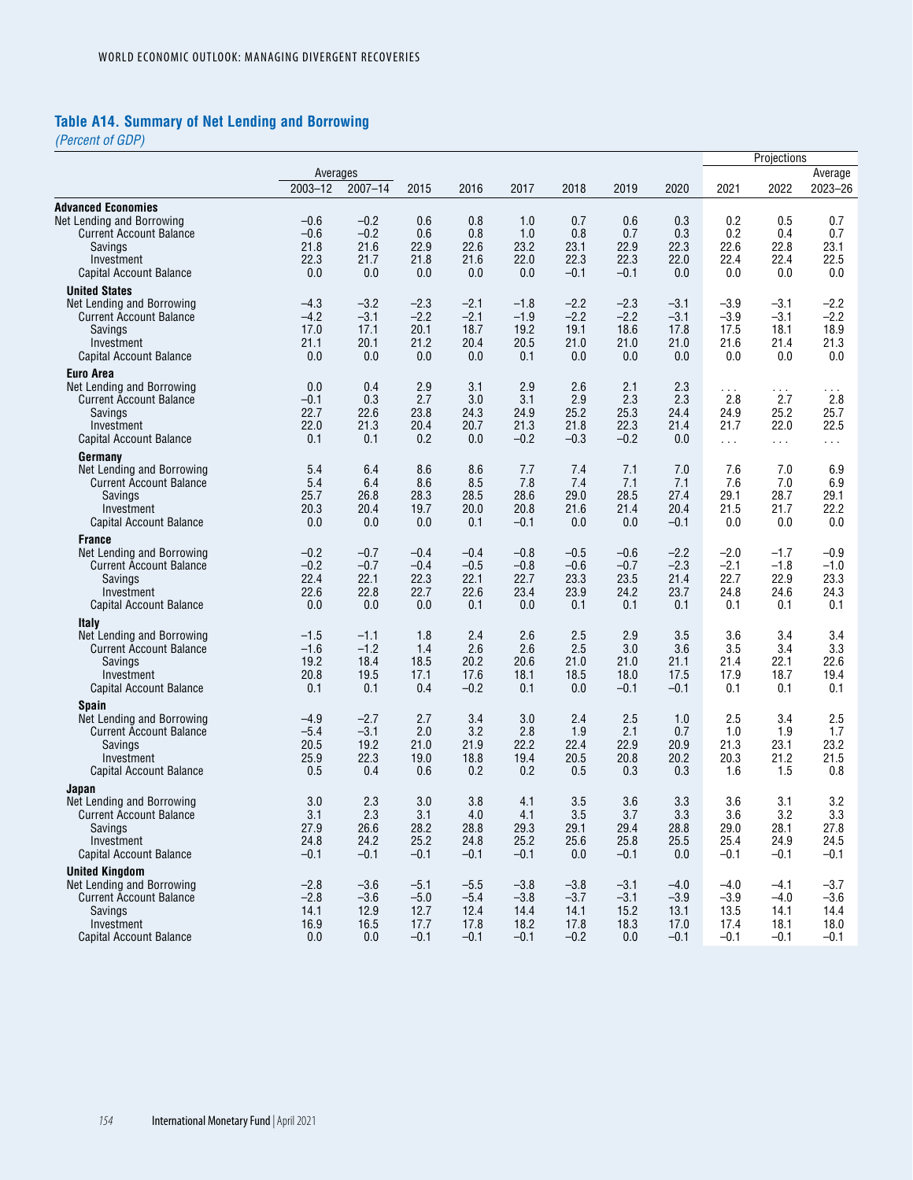# **Table A14. Summary of Net Lending and Borrowing**

*(Percent of GDP)*

|                                                             |                  |                  |                  |                  |                  |                  |                  |                  |                  | Projections          |                  |  |
|-------------------------------------------------------------|------------------|------------------|------------------|------------------|------------------|------------------|------------------|------------------|------------------|----------------------|------------------|--|
|                                                             | Averages         |                  |                  |                  |                  |                  |                  |                  |                  |                      | Average          |  |
|                                                             | $2003 - 12$      | $2007 - 14$      | 2015             | 2016             | 2017             | 2018             | 2019             | 2020             | 2021             | 2022                 | 2023-26          |  |
| <b>Advanced Economies</b>                                   |                  |                  |                  |                  |                  |                  |                  |                  |                  |                      |                  |  |
| Net Lending and Borrowing                                   | $-0.6$           | $-0.2$           | 0.6              | 0.8              | 1.0              | 0.7              | 0.6              | 0.3              | 0.2              | 0.5                  | 0.7              |  |
| <b>Current Account Balance</b>                              | $-0.6$           | $-0.2$           | 0.6              | 0.8              | 1.0              | 0.8              | 0.7              | 0.3              | 0.2              | 0.4                  | 0.7              |  |
| Savings                                                     | 21.8             | 21.6             | 22.9             | 22.6             | 23.2             | 23.1             | 22.9             | 22.3             | 22.6             | 22.8                 | 23.1             |  |
| Investment<br>Capital Account Balance                       | 22.3<br>0.0      | 21.7<br>0.0      | 21.8<br>0.0      | 21.6<br>0.0      | 22.0<br>0.0      | 22.3<br>$-0.1$   | 22.3<br>$-0.1$   | 22.0<br>0.0      | 22.4<br>0.0      | 22.4<br>0.0          | 22.5<br>0.0      |  |
|                                                             |                  |                  |                  |                  |                  |                  |                  |                  |                  |                      |                  |  |
| <b>United States</b>                                        |                  |                  |                  |                  |                  |                  |                  |                  |                  |                      |                  |  |
| Net Lending and Borrowing<br><b>Current Account Balance</b> | $-4.3$<br>$-4.2$ | $-3.2$<br>$-3.1$ | $-2.3$<br>$-2.2$ | $-2.1$<br>$-2.1$ | $-1.8$<br>$-1.9$ | $-2.2$<br>$-2.2$ | $-2.3$<br>$-2.2$ | $-3.1$<br>$-3.1$ | $-3.9$<br>$-3.9$ | $-3.1$<br>$-3.1$     | $-2.2$<br>$-2.2$ |  |
| Savings                                                     | 17.0             | 17.1             | 20.1             | 18.7             | 19.2             | 19.1             | 18.6             | 17.8             | 17.5             | 18.1                 | 18.9             |  |
| Investment                                                  | 21.1             | 20.1             | 21.2             | 20.4             | 20.5             | 21.0             | 21.0             | 21.0             | 21.6             | 21.4                 | 21.3             |  |
| <b>Capital Account Balance</b>                              | 0.0              | 0.0              | 0.0              | 0.0              | 0.1              | 0.0              | 0.0              | 0.0              | 0.0              | 0.0                  | 0.0              |  |
| <b>Euro Area</b>                                            |                  |                  |                  |                  |                  |                  |                  |                  |                  |                      |                  |  |
| Net Lending and Borrowing                                   | 0.0              | 0.4              | 2.9              | 3.1              | 2.9              | 2.6              | 2.1              | 2.3              | $\sim$ $\sim$    | $\sim$ $\sim$ $\sim$ | $\sim$ $\sim$    |  |
| <b>Current Account Balance</b>                              | $-0.1$           | 0.3              | 2.7              | 3.0              | 3.1              | 2.9              | 2.3              | 2.3              | 2.8              | 2.7                  | 2.8              |  |
| Savings                                                     | 22.7             | 22.6             | 23.8             | 24.3             | 24.9             | 25.2             | 25.3             | 24.4             | 24.9             | 25.2                 | 25.7             |  |
| Investment<br><b>Capital Account Balance</b>                | 22.0<br>0.1      | 21.3<br>0.1      | 20.4<br>0.2      | 20.7<br>0.0      | 21.3             | 21.8<br>$-0.3$   | 22.3<br>$-0.2$   | 21.4             | 21.7             | 22.0                 | 22.5             |  |
|                                                             |                  |                  |                  |                  | $-0.2$           |                  |                  | 0.0              | $\cdots$         | $\sim 100$           | $\cdots$         |  |
| Germany                                                     |                  |                  |                  |                  |                  |                  |                  |                  |                  |                      |                  |  |
| Net Lending and Borrowing<br><b>Current Account Balance</b> | 5.4<br>5.4       | 6.4<br>6.4       | 8.6<br>8.6       | 8.6<br>8.5       | 7.7<br>7.8       | 7.4<br>7.4       | 7.1<br>7.1       | 7.0<br>7.1       | 7.6<br>7.6       | 7.0<br>7.0           | 6.9<br>6.9       |  |
| Savings                                                     | 25.7             | 26.8             | 28.3             | 28.5             | 28.6             | 29.0             | 28.5             | 27.4             | 29.1             | 28.7                 | 29.1             |  |
| Investment                                                  | 20.3             | 20.4             | 19.7             | 20.0             | 20.8             | 21.6             | 21.4             | 20.4             | 21.5             | 21.7                 | 22.2             |  |
| Capital Account Balance                                     | 0.0              | 0.0              | 0.0              | 0.1              | $-0.1$           | 0.0              | 0.0              | $-0.1$           | 0.0              | 0.0                  | 0.0              |  |
| <b>France</b>                                               |                  |                  |                  |                  |                  |                  |                  |                  |                  |                      |                  |  |
| Net Lending and Borrowing                                   | $-0.2$           | $-0.7$           | $-0.4$           | $-0.4$           | $-0.8$           | $-0.5$           | $-0.6$           | $-2.2$           | $-2.0$           | $-1.7$               | $-0.9$           |  |
| <b>Current Account Balance</b>                              | $-0.2$           | $-0.7$           | $-0.4$           | $-0.5$           | $-0.8$           | $-0.6$           | $-0.7$           | $-2.3$           | $-2.1$           | $-1.8$               | $-1.0$           |  |
| Savings                                                     | 22.4             | 22.1             | 22.3             | 22.1             | 22.7             | 23.3             | 23.5             | 21.4             | 22.7             | 22.9                 | 23.3             |  |
| Investment                                                  | 22.6             | 22.8             | 22.7             | 22.6             | 23.4             | 23.9             | 24.2             | 23.7             | 24.8             | 24.6                 | 24.3             |  |
| Capital Account Balance                                     | 0.0              | 0.0              | 0.0              | 0.1              | 0.0              | 0.1              | 0.1              | 0.1              | 0.1              | 0.1                  | 0.1              |  |
| Italy                                                       |                  |                  |                  |                  |                  |                  |                  |                  |                  |                      |                  |  |
| Net Lending and Borrowing<br><b>Current Account Balance</b> | $-1.5$<br>$-1.6$ | $-1.1$<br>$-1.2$ | 1.8<br>1.4       | 2.4<br>2.6       | 2.6<br>2.6       | 2.5<br>2.5       | 2.9<br>3.0       | 3.5<br>3.6       | 3.6<br>3.5       | 3.4<br>3.4           | 3.4<br>3.3       |  |
| Savings                                                     | 19.2             | 18.4             | 18.5             | 20.2             | 20.6             | 21.0             | 21.0             | 21.1             | 21.4             | 22.1                 | 22.6             |  |
| Investment                                                  | 20.8             | 19.5             | 17.1             | 17.6             | 18.1             | 18.5             | 18.0             | 17.5             | 17.9             | 18.7                 | 19.4             |  |
| Capital Account Balance                                     | 0.1              | 0.1              | 0.4              | $-0.2$           | 0.1              | 0.0              | $-0.1$           | $-0.1$           | 0.1              | 0.1                  | 0.1              |  |
| <b>Spain</b>                                                |                  |                  |                  |                  |                  |                  |                  |                  |                  |                      |                  |  |
| Net Lending and Borrowing                                   | $-4.9$           | $-2.7$           | 2.7              | 3.4              | 3.0              | 2.4              | 2.5              | 1.0              | 2.5              | 3.4                  | 2.5              |  |
| <b>Current Account Balance</b>                              | $-5.4$           | $-3.1$           | 2.0              | 3.2              | 2.8              | 1.9              | 2.1              | 0.7              | 1.0              | 1.9                  | 1.7              |  |
| Savings                                                     | 20.5             | 19.2             | 21.0             | 21.9             | 22.2             | 22.4             | 22.9             | 20.9             | 21.3             | 23.1                 | 23.2             |  |
| Investment                                                  | 25.9             | 22.3<br>0.4      | 19.0             | 18.8<br>0.2      | 19.4             | 20.5             | 20.8             | 20.2             | 20.3             | 21.2                 | 21.5             |  |
| Capital Account Balance                                     | 0.5              |                  | 0.6              |                  | 0.2              | 0.5              | 0.3              | 0.3              | 1.6              | 1.5                  | 0.8              |  |
| Japan                                                       |                  |                  |                  |                  |                  |                  |                  |                  |                  |                      |                  |  |
| Net Lending and Borrowing<br><b>Current Account Balance</b> | 3.0<br>3.1       | 2.3<br>2.3       | 3.0<br>3.1       | 3.8<br>$4.0\,$   | 4.1<br>4.1       | 3.5<br>3.5       | 3.6<br>3.7       | 3.3<br>3.3       | 3.6<br>3.6       | 3.1<br>3.2           | 3.2<br>3.3       |  |
| Savings                                                     | 27.9             | 26.6             | 28.2             | 28.8             | 29.3             | 29.1             | 29.4             | 28.8             | 29.0             | 28.1                 | 27.8             |  |
| Investment                                                  | 24.8             | 24.2             | 25.2             | 24.8             | 25.2             | 25.6             | 25.8             | 25.5             | 25.4             | 24.9                 | 24.5             |  |
| Capital Account Balance                                     | $-0.1$           | $-0.1$           | $-0.1$           | $-0.1$           | $-0.1$           | 0.0              | $-0.1$           | 0.0              | $-0.1$           | $-0.1$               | $-0.1$           |  |
| <b>United Kinadom</b>                                       |                  |                  |                  |                  |                  |                  |                  |                  |                  |                      |                  |  |
| Net Lending and Borrowing                                   | $-2.8$           | $-3.6$           | $-5.1$           | $-5.5$           | $-3.8$           | $-3.8$           | $-3.1$           | $-4.0$           | $-4.0$           | $-4.1$               | $-3.7$           |  |
| <b>Current Account Balance</b>                              | $-2.8$           | $-3.6$           | $-5.0$           | $-5.4$           | $-3.8$           | $-3.7$           | $-3.1$           | $-3.9$           | $-3.9$           | $-4.0$               | -3.6             |  |
| Savings                                                     | 14.1             | 12.9             | 12.7             | 12.4             | 14.4             | 14.1             | 15.2             | 13.1             | 13.5             | 14.1                 | 14.4             |  |
| Investment                                                  | 16.9             | 16.5             | 17.7             | 17.8             | 18.2             | 17.8             | 18.3             | 17.0             | 17.4             | 18.1                 | 18.0             |  |
| Capital Account Balance                                     | 0.0              | 0.0              | $-0.1$           | $-0.1$           | $-0.1$           | $-0.2$           | 0.0              | $-0.1$           | $-0.1$           | $-0.1$               | $-0.1$           |  |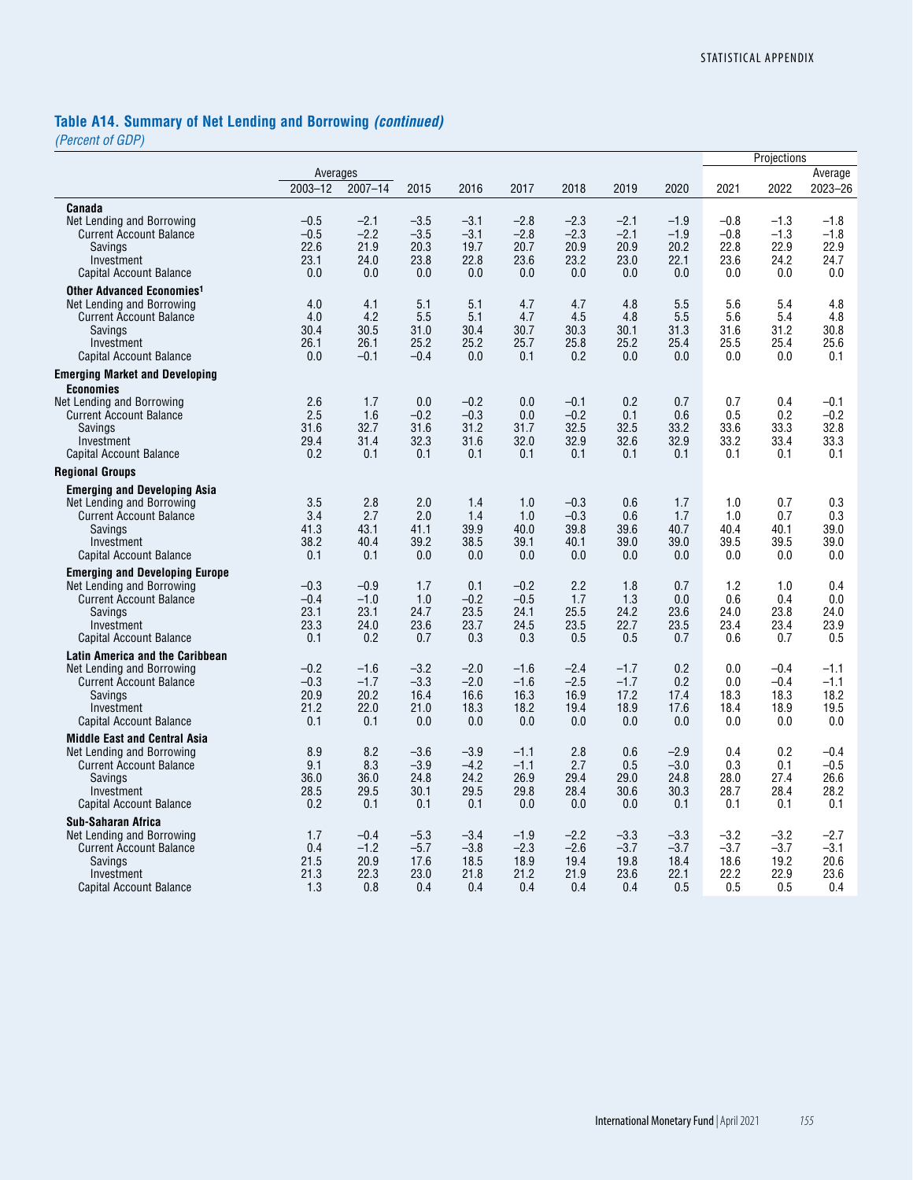# **Table A14. Summary of Net Lending and Borrowing** *(continued)*

*(Percent of GDP)*

|                                                                                                                                                                 |                                         |                                         |                                         |                                         |                                         |                                         |                                         |                                         |                                         | Projections                             |                                         |
|-----------------------------------------------------------------------------------------------------------------------------------------------------------------|-----------------------------------------|-----------------------------------------|-----------------------------------------|-----------------------------------------|-----------------------------------------|-----------------------------------------|-----------------------------------------|-----------------------------------------|-----------------------------------------|-----------------------------------------|-----------------------------------------|
|                                                                                                                                                                 | Averages                                |                                         |                                         |                                         |                                         |                                         |                                         |                                         |                                         |                                         | Average                                 |
|                                                                                                                                                                 | $2003 - 12$                             | $2007 - 14$                             | 2015                                    | 2016                                    | 2017                                    | 2018                                    | 2019                                    | 2020                                    | 2021                                    | 2022                                    | 2023-26                                 |
| Canada                                                                                                                                                          |                                         |                                         |                                         |                                         |                                         |                                         |                                         |                                         |                                         |                                         |                                         |
| Net Lending and Borrowing<br><b>Current Account Balance</b><br>Savings                                                                                          | $-0.5$<br>$-0.5$<br>22.6                | $-2.1$<br>$-2.2$<br>21.9                | $-3.5$<br>$-3.5$<br>20.3                | $-3.1$<br>$-3.1$<br>19.7                | $-2.8$<br>$-2.8$<br>20.7                | $-2.3$<br>$-2.3$<br>20.9                | $-2.1$<br>$-2.1$<br>20.9                | $-1.9$<br>$-1.9$<br>20.2                | $-0.8$<br>$-0.8$<br>22.8                | $-1.3$<br>$-1.3$<br>22.9                | $-1.8$<br>$-1.8$<br>22.9                |
| Investment<br>Capital Account Balance                                                                                                                           | 23.1<br>0.0                             | 24.0<br>0.0                             | 23.8<br>0.0                             | 22.8<br>0.0                             | 23.6<br>0.0                             | 23.2<br>0.0                             | 23.0<br>0.0                             | 22.1<br>0.0                             | 23.6<br>0.0                             | 24.2<br>0.0                             | 24.7<br>0.0                             |
| Other Advanced Economies <sup>1</sup><br>Net Lending and Borrowing<br><b>Current Account Balance</b><br>Savings<br>Investment                                   | 4.0<br>4.0<br>30.4<br>26.1              | 4.1<br>4.2<br>30.5<br>26.1              | 5.1<br>5.5<br>31.0<br>25.2              | 5.1<br>5.1<br>30.4<br>25.2              | 4.7<br>4.7<br>30.7<br>25.7              | 4.7<br>4.5<br>30.3<br>25.8              | 4.8<br>4.8<br>30.1<br>25.2              | 5.5<br>5.5<br>31.3<br>25.4              | 5.6<br>5.6<br>31.6<br>25.5              | 5.4<br>5.4<br>31.2<br>25.4              | 4.8<br>4.8<br>30.8<br>25.6              |
| <b>Capital Account Balance</b>                                                                                                                                  | 0.0                                     | $-0.1$                                  | $-0.4$                                  | 0.0                                     | 0.1                                     | 0.2                                     | 0.0                                     | 0.0                                     | 0.0                                     | 0.0                                     | 0.1                                     |
| <b>Emerging Market and Developing</b><br><b>Economies</b>                                                                                                       |                                         |                                         |                                         |                                         |                                         |                                         |                                         |                                         |                                         |                                         |                                         |
| Net Lending and Borrowing<br><b>Current Account Balance</b><br>Savings<br>Investment                                                                            | 2.6<br>2.5<br>31.6<br>29.4              | 1.7<br>1.6<br>32.7<br>31.4              | 0.0<br>$-0.2$<br>31.6<br>32.3           | $-0.2$<br>$-0.3$<br>31.2<br>31.6        | 0.0<br>0.0<br>31.7<br>32.0              | $-0.1$<br>$-0.2$<br>32.5<br>32.9        | 0.2<br>0.1<br>32.5<br>32.6              | 0.7<br>0.6<br>33.2<br>32.9              | 0.7<br>0.5<br>33.6<br>33.2              | 0.4<br>0.2<br>33.3<br>33.4              | $-0.1$<br>$-0.2$<br>32.8<br>33.3        |
| <b>Capital Account Balance</b>                                                                                                                                  | 0.2                                     | 0.1                                     | 0.1                                     | 0.1                                     | 0.1                                     | 0.1                                     | 0.1                                     | 0.1                                     | 0.1                                     | 0.1                                     | 0.1                                     |
| <b>Regional Groups</b>                                                                                                                                          |                                         |                                         |                                         |                                         |                                         |                                         |                                         |                                         |                                         |                                         |                                         |
| <b>Emerging and Developing Asia</b>                                                                                                                             |                                         |                                         |                                         |                                         |                                         |                                         |                                         |                                         |                                         |                                         |                                         |
| Net Lending and Borrowing<br><b>Current Account Balance</b><br>Savings<br>Investment                                                                            | 3.5<br>3.4<br>41.3<br>38.2              | 2.8<br>2.7<br>43.1<br>40.4              | 2.0<br>2.0<br>41.1<br>39.2              | 1.4<br>1.4<br>39.9<br>38.5              | 1.0<br>1.0<br>40.0<br>39.1              | $-0.3$<br>$-0.3$<br>39.8<br>40.1        | 0.6<br>0.6<br>39.6<br>39.0              | 1.7<br>1.7<br>40.7<br>39.0              | 1.0<br>1.0<br>40.4<br>39.5              | 0.7<br>0.7<br>40.1<br>39.5              | 0.3<br>0.3<br>39.0<br>39.0              |
| <b>Capital Account Balance</b>                                                                                                                                  | 0.1                                     | 0.1                                     | 0.0                                     | 0.0                                     | 0.0                                     | 0.0                                     | 0.0                                     | 0.0                                     | 0.0                                     | 0.0                                     | 0.0                                     |
| <b>Emerging and Developing Europe</b><br>Net Lending and Borrowing<br><b>Current Account Balance</b><br>Savings<br>Investment<br><b>Capital Account Balance</b> | $-0.3$<br>$-0.4$<br>23.1<br>23.3<br>0.1 | $-0.9$<br>$-1.0$<br>23.1<br>24.0<br>0.2 | 1.7<br>1.0<br>24.7<br>23.6<br>0.7       | 0.1<br>$-0.2$<br>23.5<br>23.7<br>0.3    | $-0.2$<br>$-0.5$<br>24.1<br>24.5<br>0.3 | 2.2<br>1.7<br>25.5<br>23.5<br>0.5       | 1.8<br>1.3<br>24.2<br>22.7<br>0.5       | 0.7<br>0.0<br>23.6<br>23.5<br>0.7       | 1.2<br>0.6<br>24.0<br>23.4<br>0.6       | 1.0<br>0.4<br>23.8<br>23.4<br>0.7       | 0.4<br>0.0<br>24.0<br>23.9<br>0.5       |
| <b>Latin America and the Caribbean</b>                                                                                                                          |                                         |                                         |                                         |                                         |                                         |                                         |                                         |                                         |                                         |                                         |                                         |
| Net Lending and Borrowing<br><b>Current Account Balance</b><br>Savings<br>Investment<br>Capital Account Balance                                                 | $-0.2$<br>$-0.3$<br>20.9<br>21.2<br>0.1 | $-1.6$<br>$-1.7$<br>20.2<br>22.0<br>0.1 | $-3.2$<br>$-3.3$<br>16.4<br>21.0<br>0.0 | $-2.0$<br>$-2.0$<br>16.6<br>18.3<br>0.0 | $-1.6$<br>$-1.6$<br>16.3<br>18.2<br>0.0 | $-2.4$<br>$-2.5$<br>16.9<br>19.4<br>0.0 | $-1.7$<br>$-1.7$<br>17.2<br>18.9<br>0.0 | 0.2<br>0.2<br>17.4<br>17.6<br>0.0       | 0.0<br>0.0<br>18.3<br>18.4<br>0.0       | $-0.4$<br>$-0.4$<br>18.3<br>18.9<br>0.0 | $-1.1$<br>$-1.1$<br>18.2<br>19.5<br>0.0 |
| <b>Middle East and Central Asia</b>                                                                                                                             |                                         |                                         |                                         |                                         |                                         |                                         |                                         |                                         |                                         |                                         |                                         |
| Net Lending and Borrowing<br><b>Current Account Balance</b><br>Savings<br>Investment<br>Capital Account Balance                                                 | 8.9<br>9.1<br>36.0<br>28.5<br>0.2       | 8.2<br>8.3<br>36.0<br>29.5<br>0.1       | $-3.6$<br>$-3.9$<br>24.8<br>30.1<br>0.1 | $-3.9$<br>$-4.2$<br>24.2<br>29.5<br>0.1 | $-1.1$<br>$-1.1$<br>26.9<br>29.8<br>0.0 | 2.8<br>2.7<br>29.4<br>28.4<br>0.0       | 0.6<br>0.5<br>29.0<br>30.6<br>0.0       | $-2.9$<br>$-3.0$<br>24.8<br>30.3<br>0.1 | 0.4<br>0.3<br>28.0<br>28.7<br>0.1       | 0.2<br>0.1<br>27.4<br>28.4<br>0.1       | $-0.4$<br>$-0.5$<br>26.6<br>28.2<br>0.1 |
| <b>Sub-Saharan Africa</b><br>Net Lending and Borrowing<br><b>Current Account Balance</b><br>Savings<br>Investment<br>Capital Account Balance                    | 1.7<br>0.4<br>21.5<br>21.3<br>1.3       | $-0.4$<br>$-1.2$<br>20.9<br>22.3<br>0.8 | $-5.3$<br>$-5.7$<br>17.6<br>23.0<br>0.4 | $-3.4$<br>$-3.8$<br>18.5<br>21.8<br>0.4 | $-1.9$<br>$-2.3$<br>18.9<br>21.2<br>0.4 | $-2.2$<br>$-2.6$<br>19.4<br>21.9<br>0.4 | $-3.3$<br>$-3.7$<br>19.8<br>23.6<br>0.4 | $-3.3$<br>$-3.7$<br>18.4<br>22.1<br>0.5 | $-3.2$<br>$-3.7$<br>18.6<br>22.2<br>0.5 | $-3.2$<br>$-3.7$<br>19.2<br>22.9<br>0.5 | $-2.7$<br>$-3.1$<br>20.6<br>23.6<br>0.4 |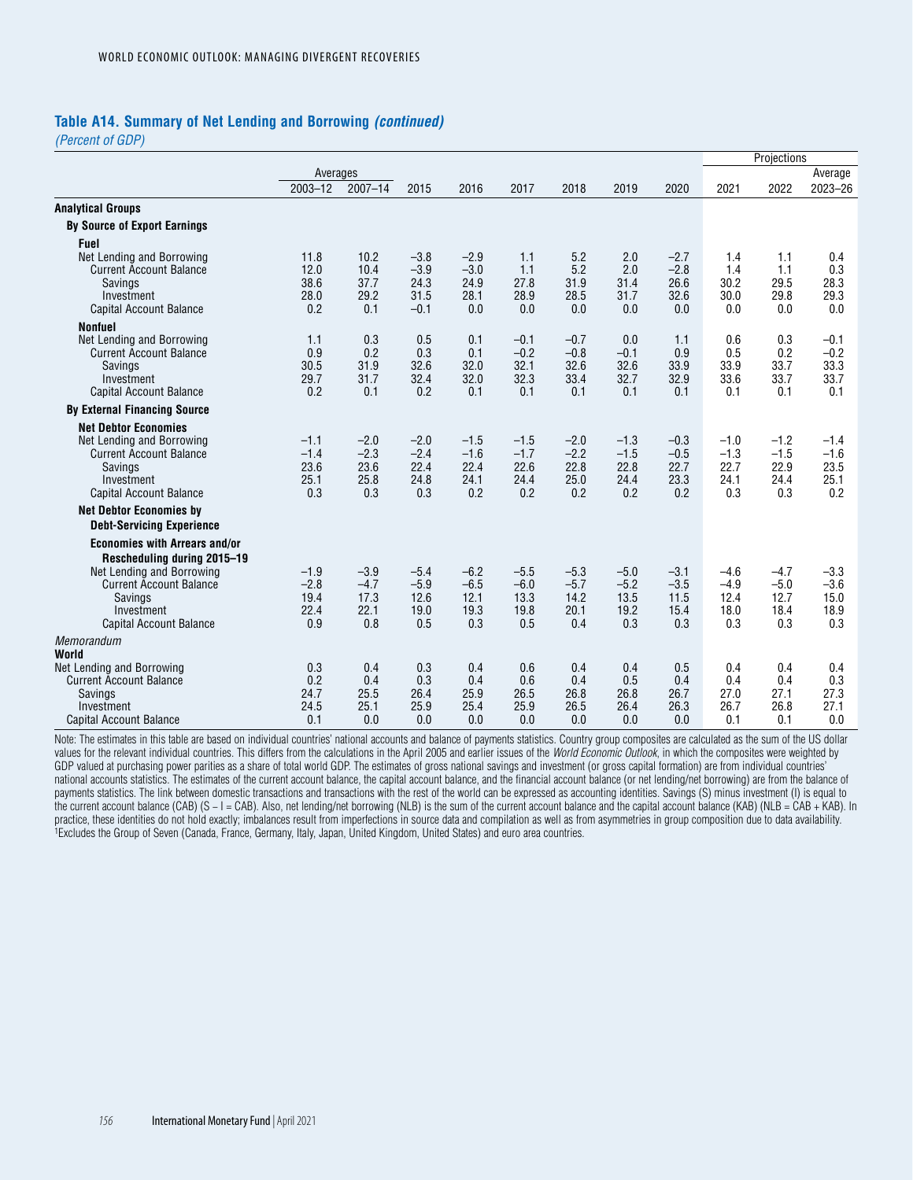#### **Table A14. Summary of Net Lending and Borrowing** *(continued)*

*(Percent of GDP)*

|                                           |             |             |             |             |                |                |                |             |             | Projections |                |
|-------------------------------------------|-------------|-------------|-------------|-------------|----------------|----------------|----------------|-------------|-------------|-------------|----------------|
|                                           | Averages    |             |             |             |                |                |                |             |             |             | Average        |
|                                           | $2003 - 12$ | $2007 - 14$ | 2015        | 2016        | 2017           | 2018           | 2019           | 2020        | 2021        | 2022        | 2023-26        |
| <b>Analytical Groups</b>                  |             |             |             |             |                |                |                |             |             |             |                |
| <b>By Source of Export Earnings</b>       |             |             |             |             |                |                |                |             |             |             |                |
| Fuel                                      |             |             |             |             |                |                |                |             |             |             |                |
| Net Lending and Borrowing                 | 11.8        | 10.2        | $-3.8$      | $-2.9$      | 1.1            | 5.2            | 2.0            | $-2.7$      | 1.4         | 1.1         | 0.4            |
| <b>Current Account Balance</b>            | 12.0        | 10.4        | $-3.9$      | $-3.0$      | 1.1            | 5.2            | 2.0            | $-2.8$      | 1.4         | 1.1         | 0.3            |
| <b>Savings</b>                            | 38.6        | 37.7        | 24.3        | 24.9        | 27.8           | 31.9           | 31.4           | 26.6        | 30.2        | 29.5        | 28.3           |
| Investment                                | 28.0        | 29.2        | 31.5        | 28.1<br>0.0 | 28.9           | 28.5<br>0.0    | 31.7           | 32.6        | 30.0        | 29.8        | 29.3           |
| <b>Capital Account Balance</b>            | 0.2         | 0.1         | $-0.1$      |             | 0.0            |                | 0.0            | 0.0         | 0.0         | 0.0         | 0.0            |
| <b>Nonfuel</b>                            |             |             |             |             |                |                |                |             |             |             |                |
| Net Lending and Borrowing                 | 1.1         | 0.3         | 0.5         | 0.1         | $-0.1$         | $-0.7$         | 0.0            | 1.1         | 0.6         | 0.3         | $-0.1$         |
| <b>Current Account Balance</b><br>Savings | 0.9<br>30.5 | 0.2<br>31.9 | 0.3<br>32.6 | 0.1<br>32.0 | $-0.2$<br>32.1 | $-0.8$<br>32.6 | $-0.1$<br>32.6 | 0.9<br>33.9 | 0.5<br>33.9 | 0.2<br>33.7 | $-0.2$<br>33.3 |
| Investment                                | 29.7        | 31.7        | 32.4        | 32.0        | 32.3           | 33.4           | 32.7           | 32.9        | 33.6        | 33.7        | 33.7           |
| <b>Capital Account Balance</b>            | 0.2         | 0.1         | 0.2         | 0.1         | 0.1            | 0.1            | 0.1            | 0.1         | 0.1         | 0.1         | 0.1            |
| <b>By External Financing Source</b>       |             |             |             |             |                |                |                |             |             |             |                |
| <b>Net Debtor Economies</b>               |             |             |             |             |                |                |                |             |             |             |                |
| Net Lending and Borrowing                 | $-1.1$      | $-2.0$      | $-2.0$      | $-1.5$      | $-1.5$         | $-2.0$         | $-1.3$         | $-0.3$      | $-1.0$      | $-1.2$      | $-1.4$         |
| <b>Current Account Balance</b>            | $-1.4$      | $-2.3$      | $-2.4$      | $-1.6$      | $-1.7$         | $-2.2$         | $-1.5$         | $-0.5$      | $-1.3$      | $-1.5$      | $-1.6$         |
| <b>Savings</b>                            | 23.6        | 23.6        | 22.4        | 22.4        | 22.6           | 22.8           | 22.8           | 22.7        | 22.7        | 22.9        | 23.5           |
| Investment                                | 25.1        | 25.8        | 24.8        | 24.1        | 24.4           | 25.0           | 24.4           | 23.3        | 24.1        | 24.4        | 25.1           |
| <b>Capital Account Balance</b>            | 0.3         | 0.3         | 0.3         | 0.2         | 0.2            | 0.2            | 0.2            | 0.2         | 0.3         | 0.3         | 0.2            |
| <b>Net Debtor Economies by</b>            |             |             |             |             |                |                |                |             |             |             |                |
| <b>Debt-Servicing Experience</b>          |             |             |             |             |                |                |                |             |             |             |                |
| <b>Economies with Arrears and/or</b>      |             |             |             |             |                |                |                |             |             |             |                |
| Rescheduling during 2015-19               |             |             |             |             |                |                |                |             |             |             |                |
| Net Lending and Borrowing                 | $-1.9$      | $-3.9$      | $-5.4$      | $-6.2$      | $-5.5$         | $-5.3$         | $-5.0$         | $-3.1$      | $-4.6$      | $-4.7$      | $-3.3$         |
| <b>Current Account Balance</b>            | $-2.8$      | $-4.7$      | $-5.9$      | $-6.5$      | $-6.0$         | $-5.7$         | $-5.2$         | $-3.5$      | $-4.9$      | $-5.0$      | $-3.6$         |
| Savings                                   | 19.4        | 17.3        | 12.6        | 12.1        | 13.3           | 14.2           | 13.5           | 11.5        | 12.4        | 12.7        | 15.0           |
| Investment<br>Capital Account Balance     | 22.4<br>0.9 | 22.1<br>0.8 | 19.0<br>0.5 | 19.3<br>0.3 | 19.8<br>0.5    | 20.1<br>0.4    | 19.2<br>0.3    | 15.4<br>0.3 | 18.0<br>0.3 | 18.4<br>0.3 | 18.9<br>0.3    |
|                                           |             |             |             |             |                |                |                |             |             |             |                |
| Memorandum<br>World                       |             |             |             |             |                |                |                |             |             |             |                |
| Net Lending and Borrowing                 | 0.3         | 0.4         | 0.3         | 0.4         | 0.6            | 0.4            | 0.4            | 0.5         | 0.4         | 0.4         | 0.4            |
| <b>Current Account Balance</b>            | 0.2         | 0.4         | 0.3         | 0.4         | 0.6            | 0.4            | 0.5            | 0.4         | 0.4         | 0.4         | 0.3            |
| Savings                                   | 24.7        | 25.5        | 26.4        | 25.9        | 26.5           | 26.8           | 26.8           | 26.7        | 27.0        | 27.1        | 27.3           |
| Investment                                | 24.5        | 25.1        | 25.9        | 25.4        | 25.9           | 26.5           | 26.4           | 26.3        | 26.7        | 26.8        | 27.1           |
| <b>Capital Account Balance</b>            | 0.1         | 0.0         | 0.0         | 0.0         | 0.0            | 0.0            | 0.0            | 0.0         | 0.1         | 0.1         | 0.0            |

Note: The estimates in this table are based on individual countries' national accounts and balance of payments statistics. Country group composites are calculated as the sum of the US dollar values for the relevant individual countries. This differs from the calculations in the April 2005 and earlier issues of the *World Economic Outlook*, in which the composites were weighted by GDP valued at purchasing power parities as a share of total world GDP. The estimates of gross national savings and investment (or gross capital formation) are from individual countries' national accounts statistics. The estimates of the current account balance, the capital account balance, and the financial account balance (or net lending/net borrowing) are from the balance of payments statistics. The link between domestic transactions and transactions with the rest of the world can be expressed as accounting identities. Savings (S) minus investment (I) is equal to the current account balance (CAB) (S – I = CAB). Also, net lending/net borrowing (NLB) is the sum of the current account balance and the capital account balance (KAB) (NLB = CAB + KAB). In practice, these identities do not hold exactly; imbalances result from imperfections in source data and compilation as well as from asymmetries in group composition due to data availability. 1Excludes the Group of Seven (Canada, France, Germany, Italy, Japan, United Kingdom, United States) and euro area countries.